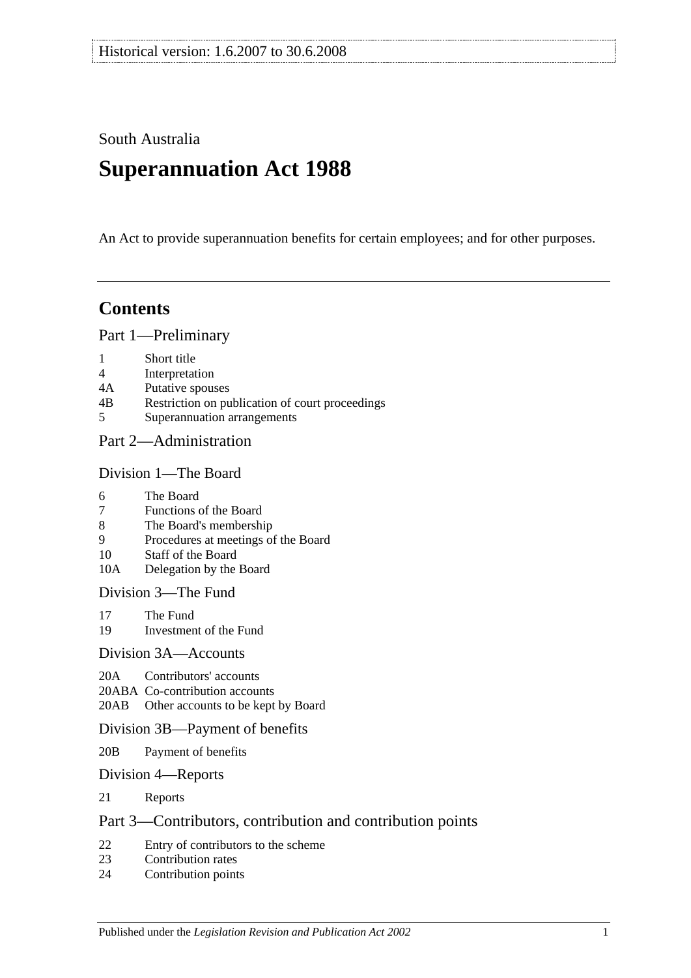South Australia

# **Superannuation Act 1988**

An Act to provide superannuation benefits for certain employees; and for other purposes.

# **Contents**

[Part 1—Preliminary](#page-6-0)

- 1 [Short title](#page-6-1)
- 4 [Interpretation](#page-6-2)
- 4A [Putative spouses](#page-13-0)
- 4B [Restriction on publication of court proceedings](#page-14-0)
- 5 [Superannuation arrangements](#page-14-1)

## [Part 2—Administration](#page-18-0)

#### [Division 1—The Board](#page-18-1)

- 6 [The Board](#page-18-2)
- 7 [Functions of the Board](#page-18-3)
- 8 [The Board's membership](#page-18-4)
- 9 [Procedures at meetings of the Board](#page-19-0)
- 10 [Staff of the Board](#page-19-1)
- 10A [Delegation by the Board](#page-19-2)

[Division 3—The Fund](#page-20-0)

- 17 [The Fund](#page-20-1)<br>19 Investmen
- [Investment of the Fund](#page-21-0)

#### [Division 3A—Accounts](#page-21-1)

- 20A [Contributors' accounts](#page-21-2)
- 20ABA [Co-contribution accounts](#page-22-0)
- 20AB [Other accounts to be kept by Board](#page-22-1)

#### [Division 3B—Payment of benefits](#page-23-0)

- 20B [Payment of benefits](#page-23-1)
- [Division 4—Reports](#page-23-2)
- 21 [Reports](#page-23-3)

## [Part 3—Contributors, contribution and contribution points](#page-24-0)

- 22 [Entry of contributors to the scheme](#page-24-1)<br>23 Contribution rates
- [Contribution rates](#page-26-0)
- 24 [Contribution points](#page-28-0)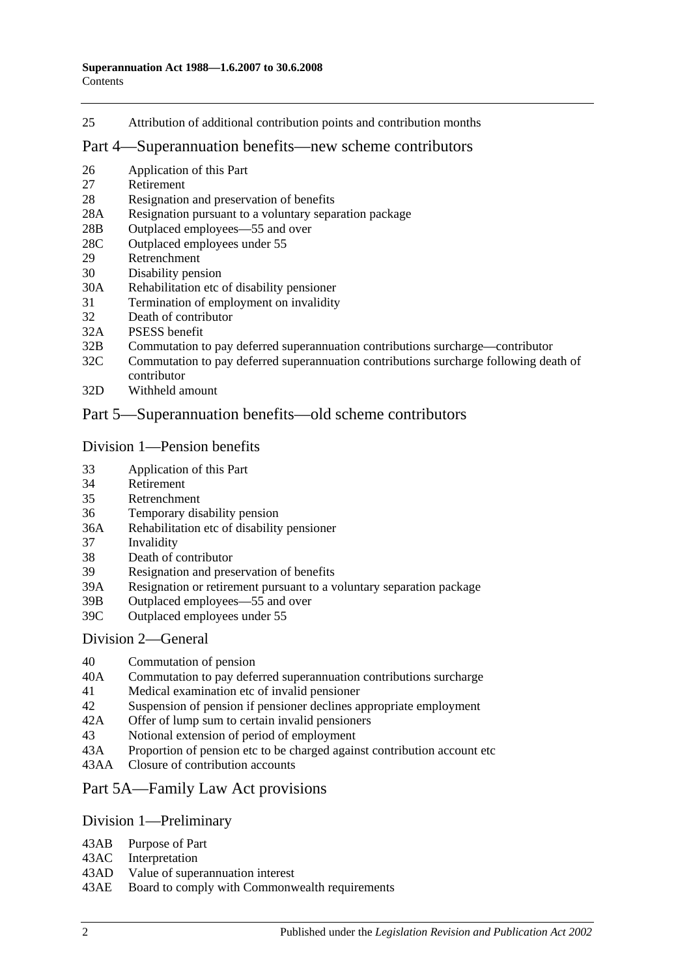25 [Attribution of additional contribution points and contribution months](#page-29-0)

## [Part 4—Superannuation benefits—new scheme contributors](#page-30-0)

- 26 [Application of this Part](#page-30-1)
- 27 [Retirement](#page-30-2)
- 28 [Resignation and preservation of benefits](#page-31-0)
- 28A [Resignation pursuant to a voluntary separation package](#page-34-0)
- 28B [Outplaced employees—55 and over](#page-35-0)
- 28C [Outplaced employees under 55](#page-36-0)
- 29 [Retrenchment](#page-36-1)
- 30 [Disability pension](#page-37-0)
- 30A [Rehabilitation etc of disability pensioner](#page-38-0)
- 31 [Termination of employment on invalidity](#page-39-0)
- 32 [Death of contributor](#page-42-0)
- 32A [PSESS benefit](#page-47-0)
- 32B [Commutation to pay deferred superannuation contributions surcharge—contributor](#page-48-0)
- 32C [Commutation to pay deferred superannuation contributions surcharge following death of](#page-49-0)  [contributor](#page-49-0)
- 32D [Withheld amount](#page-51-0)

## [Part 5—Superannuation benefits—old scheme contributors](#page-52-0)

#### [Division 1—Pension benefits](#page-52-1)

- 33 [Application of this Part](#page-52-2)
- 34 [Retirement](#page-52-3)
- 35 [Retrenchment](#page-54-0)
- 36 [Temporary disability pension](#page-56-0)
- 36A [Rehabilitation etc of disability pensioner](#page-58-0)
- 37 [Invalidity](#page-58-1)
- 38 [Death of contributor](#page-61-0)
- 39 [Resignation and preservation of benefits](#page-64-0)
- 39A [Resignation or retirement pursuant to a voluntary separation package](#page-70-0)
- 39B [Outplaced employees—55 and over](#page-72-0)
- 39C [Outplaced employees under 55](#page-73-0)

#### [Division 2—General](#page-74-0)

- 40 [Commutation of pension](#page-74-1)<br>40A Commutation to pay defe
- [Commutation to pay deferred superannuation contributions surcharge](#page-74-2)
- 41 [Medical examination etc of invalid pensioner](#page-75-0)
- 42 [Suspension of pension if pensioner declines appropriate employment](#page-76-0)
- 42A [Offer of lump sum to certain invalid pensioners](#page-76-1)
- 43 [Notional extension of period of employment](#page-77-0)
- 43A [Proportion of pension etc to be charged against contribution account etc](#page-77-1)
- 43AA [Closure of contribution accounts](#page-77-2)

## [Part 5A—Family Law Act provisions](#page-80-0)

#### [Division 1—Preliminary](#page-80-1)

- 43AB [Purpose of Part](#page-80-2)
- 43AC [Interpretation](#page-80-3)
- 43AD [Value of superannuation interest](#page-81-0)
- 43AE [Board to comply with Commonwealth requirements](#page-81-1)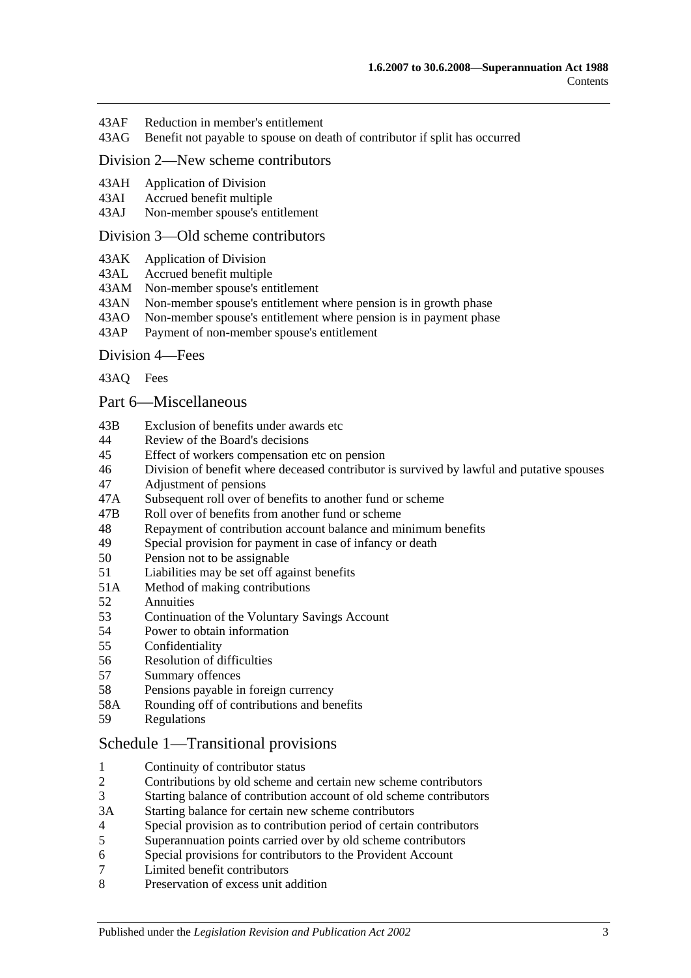- 43AF [Reduction in member's entitlement](#page-81-2)
- 43AG [Benefit not payable to spouse on death of contributor if split has occurred](#page-82-0)

### [Division 2—New scheme contributors](#page-82-1)

- 43AH [Application of Division](#page-82-2)<br>43AI Accrued benefit multiple
- [Accrued benefit multiple](#page-82-3)
- 43AJ [Non-member spouse's entitlement](#page-83-0)

#### [Division 3—Old scheme contributors](#page-83-1)

- 43AK [Application of Division](#page-83-2)
- 43AL [Accrued benefit multiple](#page-83-3)
- 43AM [Non-member spouse's entitlement](#page-84-0)
- 43AN [Non-member spouse's entitlement where pension is in growth phase](#page-84-1)
- 43AO [Non-member spouse's entitlement where pension is in payment phase](#page-84-2)
- 43AP [Payment of non-member spouse's entitlement](#page-86-0)

#### [Division 4—Fees](#page-86-1)

[43AQ](#page-86-2) Fees

#### [Part 6—Miscellaneous](#page-88-0)

- 43B [Exclusion of benefits under awards etc](#page-88-1)
- 44 [Review of the Board's decisions](#page-88-2)
- 45 [Effect of workers compensation etc on pension](#page-88-3)
- 46 [Division of benefit where deceased contributor is survived by lawful and putative spouses](#page-90-0)
- 47 [Adjustment of pensions](#page-91-0)
- 47A [Subsequent roll over of benefits to another fund or scheme](#page-92-0)
- 47B [Roll over of benefits from](#page-92-1) another fund or scheme
- 48 [Repayment of contribution account balance and minimum benefits](#page-92-2)<br>49 Special provision for payment in case of infancy or death
- [Special provision for payment in case of infancy or death](#page-93-0)
- 50 [Pension not to be assignable](#page-93-1)
- 51 [Liabilities may be set off against benefits](#page-94-0)
- 51A [Method of making contributions](#page-94-1)
- 52 [Annuities](#page-94-2)
- 53 Continuation of the [Voluntary Savings Account](#page-94-3)
- 54 [Power to obtain information](#page-94-4)
- 55 [Confidentiality](#page-95-0)
- 56 [Resolution of difficulties](#page-96-0)
- 57 [Summary offences](#page-96-1)
- 58 [Pensions payable in foreign currency](#page-96-2)
- 58A [Rounding off of contributions and benefits](#page-97-0)
- 59 [Regulations](#page-97-1)

#### [Schedule 1—Transitional provisions](#page-98-0)

- 1 [Continuity of contributor status](#page-98-1)<br>2 Contributions by old scheme and
- 2 [Contributions by old scheme and certain new scheme contributors](#page-98-2)
- 3 [Starting balance of contribution account of old scheme contributors](#page-99-0)
- 3A [Starting balance for certain new scheme contributors](#page-99-1)
- 4 [Special provision as to contribution period of certain contributors](#page-99-2)
- 5 [Superannuation points carried over by old scheme contributors](#page-100-0)
- 6 [Special provisions for contributors to the Provident Account](#page-101-0)
- 7 [Limited benefit contributors](#page-102-0)
- 8 [Preservation of excess unit addition](#page-103-0)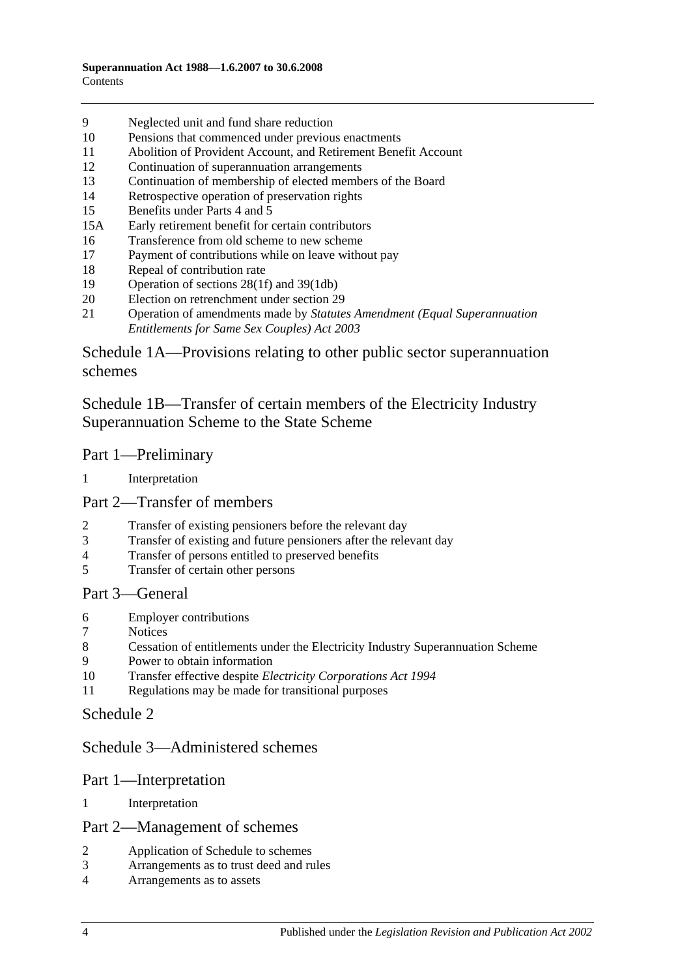- [Neglected unit and fund share reduction](#page-103-1)
- [Pensions that commenced under previous enactments](#page-103-2)
- [Abolition of Provident Account, and Retirement Benefit Account](#page-104-0)
- [Continuation of superannuation arrangements](#page-104-1)
- [Continuation of membership of elected members of the Board](#page-104-2)
- [Retrospective operation of preservation rights](#page-104-3)
- [Benefits under Parts 4](#page-104-4) and [5](#page-104-4)
- 15A [Early retirement benefit for certain contributors](#page-105-0)
- [Transference from old scheme to new scheme](#page-106-0)
- [Payment of contributions while on leave without pay](#page-107-0)
- [Repeal of contribution rate](#page-107-1)
- [Operation of sections](#page-108-0) 28(1f) and [39\(1db\)](#page-108-0)
- [Election on retrenchment under section](#page-108-1) 29
- Operation of amendments made by *[Statutes Amendment \(Equal Superannuation](#page-108-2)  [Entitlements for Same Sex Couples\) Act 2003](#page-108-2)*

[Schedule 1A—Provisions relating to other public sector superannuation](#page-108-3)  [schemes](#page-108-3)

[Schedule 1B—Transfer of certain members of the Electricity Industry](#page-109-0)  [Superannuation Scheme to the State Scheme](#page-109-0)

#### Part 1—Preliminary

[Interpretation](#page-109-1)

## Part 2—Transfer of members

- [Transfer of existing pensioners before the relevant day](#page-110-0)<br>3 Transfer of existing and future pensioners after the rele
- [Transfer of existing and future pensioners after the relevant day](#page-111-0)
- [Transfer of persons entitled to preserved benefits](#page-113-0)<br>5 Transfer of certain other persons
- [Transfer of certain other persons](#page-115-0)

#### Part 3—General

- [Employer contributions](#page-117-0)
- **[Notices](#page-117-1)**
- [Cessation of entitlements under the Electricity Industry Superannuation Scheme](#page-117-2)
- [Power to obtain information](#page-117-3)
- Transfer effective despite *[Electricity Corporations Act](#page-117-4) 1994*
- [Regulations may be made for transitional purposes](#page-117-5)

## [Schedule 2](#page-118-0)

## [Schedule 3—Administered schemes](#page-122-0)

#### Part 1—Interpretation

[Interpretation](#page-122-1)

#### Part 2—Management of schemes

- [Application of Schedule to schemes](#page-123-0)
- [Arrangements as to trust deed and rules](#page-124-0)
- [Arrangements as to assets](#page-125-0)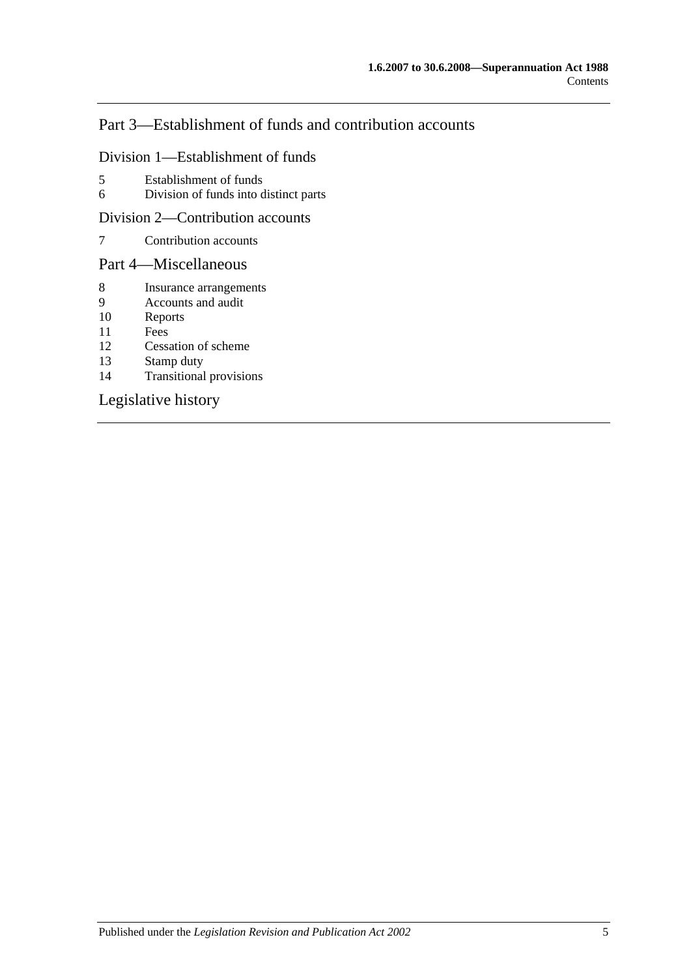# Part 3—Establishment of funds and contribution accounts

#### Division 1—Establishment of funds

- 5 [Establishment of funds](#page-125-1)
- 6 [Division of funds into distinct parts](#page-126-0)

#### Division 2—Contribution accounts

7 [Contribution accounts](#page-126-1)

## Part 4—Miscellaneous

- 8 [Insurance arrangements](#page-127-0)<br>9 Accounts and audit
- [Accounts and audit](#page-127-1)
- 10 [Reports](#page-128-0)
- 11 [Fees](#page-128-1)
- 12 [Cessation of scheme](#page-129-0)
- 13 [Stamp duty](#page-129-1)<br>14 Transitional
- [Transitional provisions](#page-129-2)

## [Legislative history](#page-130-0)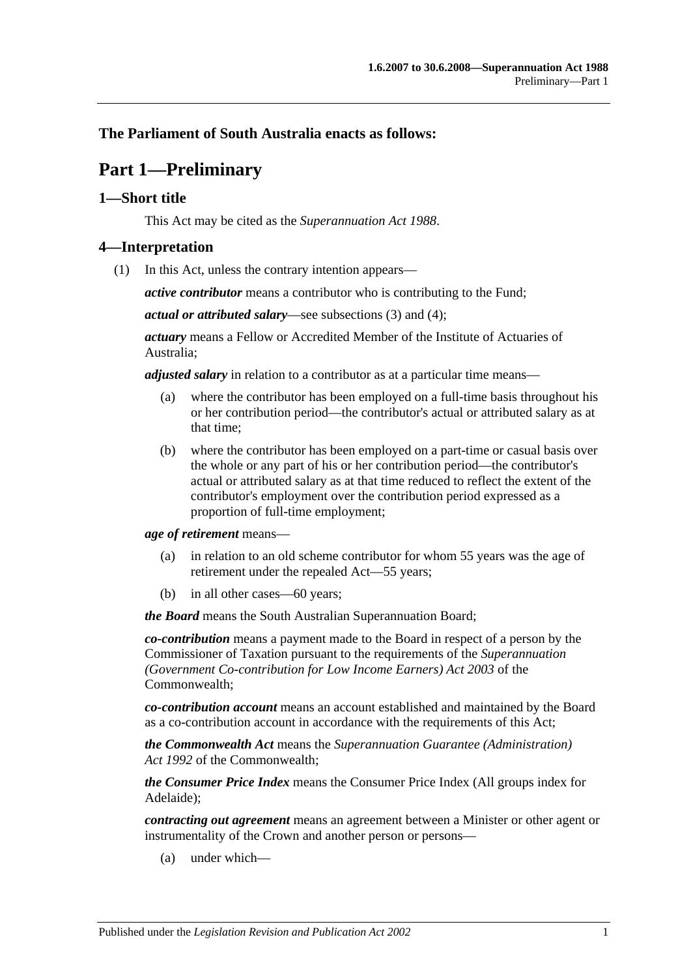## <span id="page-6-0"></span>**The Parliament of South Australia enacts as follows:**

# **Part 1—Preliminary**

## <span id="page-6-1"></span>**1—Short title**

This Act may be cited as the *Superannuation Act 1988*.

## <span id="page-6-3"></span><span id="page-6-2"></span>**4—Interpretation**

(1) In this Act, unless the contrary intention appears—

*active contributor* means a contributor who is contributing to the Fund;

*actual or attributed salary*—see [subsections](#page-11-0) (3) and [\(4\);](#page-11-1)

*actuary* means a Fellow or Accredited Member of the Institute of Actuaries of Australia;

*adjusted salary* in relation to a contributor as at a particular time means—

- (a) where the contributor has been employed on a full-time basis throughout his or her contribution period—the contributor's actual or attributed salary as at that time;
- (b) where the contributor has been employed on a part-time or casual basis over the whole or any part of his or her contribution period—the contributor's actual or attributed salary as at that time reduced to reflect the extent of the contributor's employment over the contribution period expressed as a proportion of full-time employment;

*age of retirement* means—

- (a) in relation to an old scheme contributor for whom 55 years was the age of retirement under the repealed Act—55 years;
- (b) in all other cases—60 years;

*the Board* means the South Australian Superannuation Board;

*co-contribution* means a payment made to the Board in respect of a person by the Commissioner of Taxation pursuant to the requirements of the *Superannuation (Government Co-contribution for Low Income Earners) Act 2003* of the Commonwealth;

*co-contribution account* means an account established and maintained by the Board as a co-contribution account in accordance with the requirements of this Act;

*the Commonwealth Act* means the *Superannuation Guarantee (Administration) Act 1992* of the Commonwealth;

*the Consumer Price Index* means the Consumer Price Index (All groups index for Adelaide);

*contracting out agreement* means an agreement between a Minister or other agent or instrumentality of the Crown and another person or persons—

(a) under which—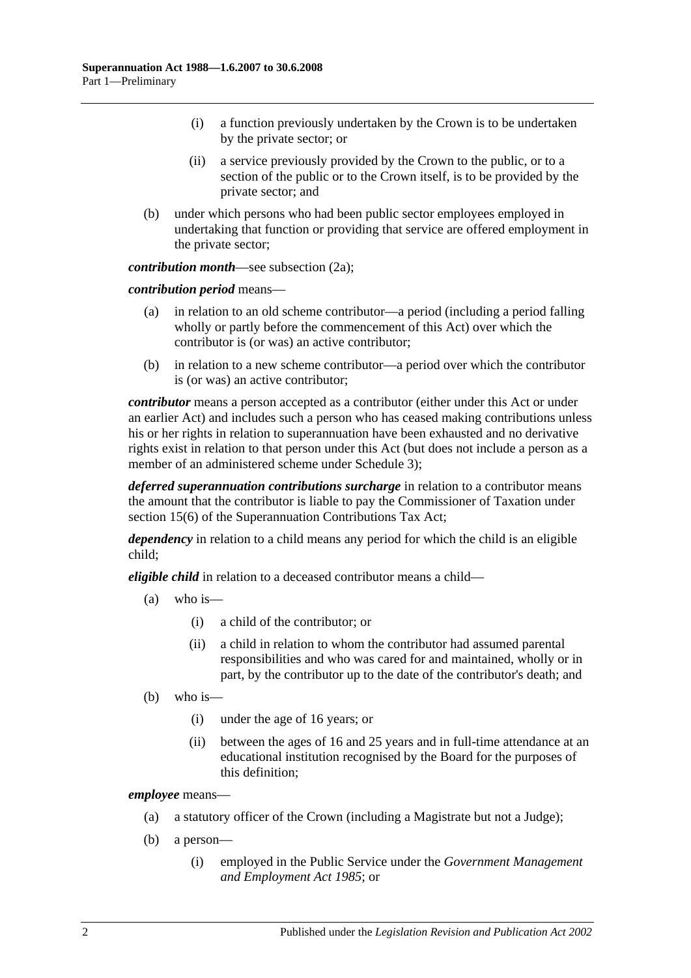- (i) a function previously undertaken by the Crown is to be undertaken by the private sector; or
- (ii) a service previously provided by the Crown to the public, or to a section of the public or to the Crown itself, is to be provided by the private sector; and
- (b) under which persons who had been public sector employees employed in undertaking that function or providing that service are offered employment in the private sector;

*contribution month—see [subsection](#page-10-0) (2a)*;

*contribution period* means—

- (a) in relation to an old scheme contributor—a period (including a period falling wholly or partly before the commencement of this Act) over which the contributor is (or was) an active contributor;
- (b) in relation to a new scheme contributor—a period over which the contributor is (or was) an active contributor;

*contributor* means a person accepted as a contributor (either under this Act or under an earlier Act) and includes such a person who has ceased making contributions unless his or her rights in relation to superannuation have been exhausted and no derivative rights exist in relation to that person under this Act (but does not include a person as a member of an administered scheme under [Schedule](#page-122-0) 3);

*deferred superannuation contributions surcharge* in relation to a contributor means the amount that the contributor is liable to pay the Commissioner of Taxation under section 15(6) of the Superannuation Contributions Tax Act;

*dependency* in relation to a child means any period for which the child is an eligible child;

*eligible child* in relation to a deceased contributor means a child—

- (a) who is—
	- (i) a child of the contributor; or
	- (ii) a child in relation to whom the contributor had assumed parental responsibilities and who was cared for and maintained, wholly or in part, by the contributor up to the date of the contributor's death; and
- (b) who is—
	- (i) under the age of 16 years; or
	- (ii) between the ages of 16 and 25 years and in full-time attendance at an educational institution recognised by the Board for the purposes of this definition;

*employee* means—

- (a) a statutory officer of the Crown (including a Magistrate but not a Judge);
- (b) a person—
	- (i) employed in the Public Service under the *[Government Management](http://www.legislation.sa.gov.au/index.aspx?action=legref&type=act&legtitle=Government%20Management%20and%20Employment%20Act%201985)  [and Employment Act](http://www.legislation.sa.gov.au/index.aspx?action=legref&type=act&legtitle=Government%20Management%20and%20Employment%20Act%201985) 1985*; or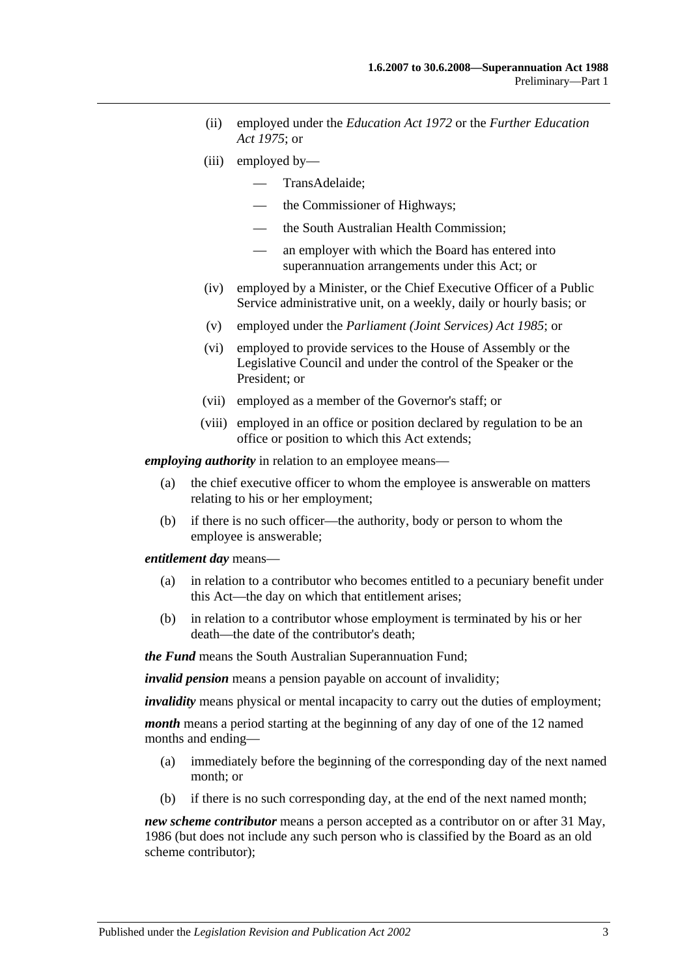- (ii) employed under the *[Education Act](http://www.legislation.sa.gov.au/index.aspx?action=legref&type=act&legtitle=Education%20Act%201972) 1972* or the *[Further Education](http://www.legislation.sa.gov.au/index.aspx?action=legref&type=act&legtitle=Further%20Education%20Act%201975)  Act [1975](http://www.legislation.sa.gov.au/index.aspx?action=legref&type=act&legtitle=Further%20Education%20Act%201975)*; or
- (iii) employed by—
	- TransAdelaide;
	- the Commissioner of Highways;
	- the South Australian Health Commission;
	- an employer with which the Board has entered into superannuation arrangements under this Act; or
- (iv) employed by a Minister, or the Chief Executive Officer of a Public Service administrative unit, on a weekly, daily or hourly basis; or
- (v) employed under the *[Parliament \(Joint Services\) Act](http://www.legislation.sa.gov.au/index.aspx?action=legref&type=act&legtitle=Parliament%20(Joint%20Services)%20Act%201985) 1985*; or
- (vi) employed to provide services to the House of Assembly or the Legislative Council and under the control of the Speaker or the President; or
- (vii) employed as a member of the Governor's staff; or
- (viii) employed in an office or position declared by regulation to be an office or position to which this Act extends;

*employing authority* in relation to an employee means—

- (a) the chief executive officer to whom the employee is answerable on matters relating to his or her employment;
- (b) if there is no such officer—the authority, body or person to whom the employee is answerable;

*entitlement day* means—

- (a) in relation to a contributor who becomes entitled to a pecuniary benefit under this Act—the day on which that entitlement arises;
- (b) in relation to a contributor whose employment is terminated by his or her death—the date of the contributor's death;

*the Fund* means the South Australian Superannuation Fund;

*invalid pension* means a pension payable on account of invalidity;

*invalidity* means physical or mental incapacity to carry out the duties of employment;

*month* means a period starting at the beginning of any day of one of the 12 named months and ending—

- (a) immediately before the beginning of the corresponding day of the next named month; or
- (b) if there is no such corresponding day, at the end of the next named month;

*new scheme contributor* means a person accepted as a contributor on or after 31 May, 1986 (but does not include any such person who is classified by the Board as an old scheme contributor);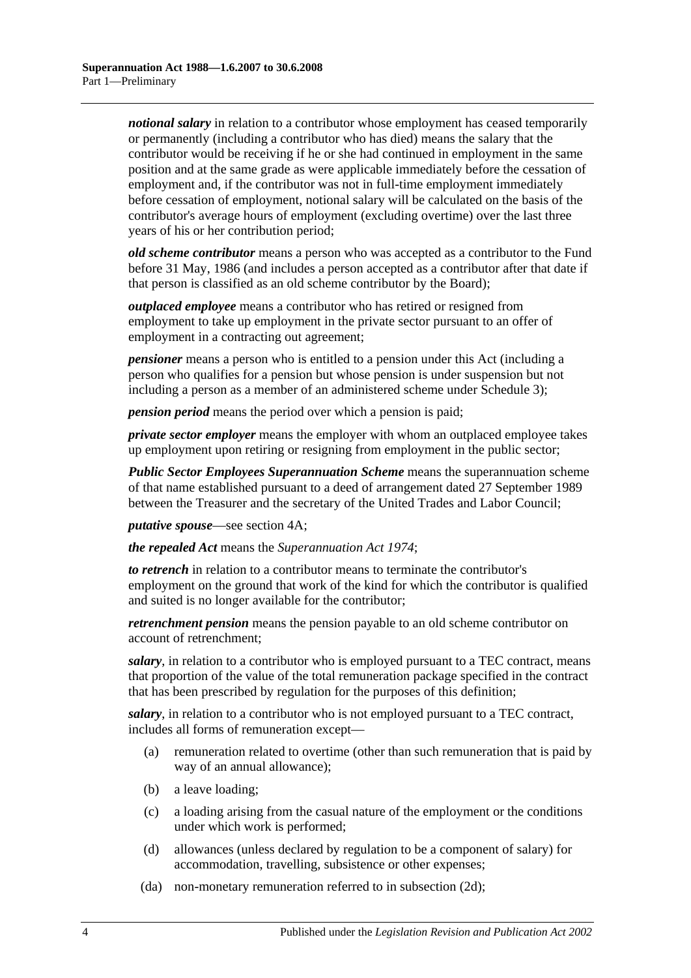*notional salary* in relation to a contributor whose employment has ceased temporarily or permanently (including a contributor who has died) means the salary that the contributor would be receiving if he or she had continued in employment in the same position and at the same grade as were applicable immediately before the cessation of employment and, if the contributor was not in full-time employment immediately before cessation of employment, notional salary will be calculated on the basis of the contributor's average hours of employment (excluding overtime) over the last three years of his or her contribution period;

*old scheme contributor* means a person who was accepted as a contributor to the Fund before 31 May, 1986 (and includes a person accepted as a contributor after that date if that person is classified as an old scheme contributor by the Board);

*outplaced employee* means a contributor who has retired or resigned from employment to take up employment in the private sector pursuant to an offer of employment in a contracting out agreement;

*pensioner* means a person who is entitled to a pension under this Act (including a person who qualifies for a pension but whose pension is under suspension but not including a person as a member of an administered scheme under [Schedule 3\)](#page-122-0);

*pension period* means the period over which a pension is paid;

*private sector employer* means the employer with whom an outplaced employee takes up employment upon retiring or resigning from employment in the public sector;

*Public Sector Employees Superannuation Scheme* means the superannuation scheme of that name established pursuant to a deed of arrangement dated 27 September 1989 between the Treasurer and the secretary of the United Trades and Labor Council;

*putative spouse*—see [section](#page-13-0) 4A;

*the repealed Act* means the *[Superannuation Act](http://www.legislation.sa.gov.au/index.aspx?action=legref&type=act&legtitle=Superannuation%20Act%201974) 1974*;

*to retrench* in relation to a contributor means to terminate the contributor's employment on the ground that work of the kind for which the contributor is qualified and suited is no longer available for the contributor;

*retrenchment pension* means the pension payable to an old scheme contributor on account of retrenchment;

*salary*, in relation to a contributor who is employed pursuant to a TEC contract, means that proportion of the value of the total remuneration package specified in the contract that has been prescribed by regulation for the purposes of this definition;

*salary*, in relation to a contributor who is not employed pursuant to a TEC contract, includes all forms of remuneration except—

- (a) remuneration related to overtime (other than such remuneration that is paid by way of an annual allowance);
- (b) a leave loading;
- (c) a loading arising from the casual nature of the employment or the conditions under which work is performed;
- (d) allowances (unless declared by regulation to be a component of salary) for accommodation, travelling, subsistence or other expenses;
- (da) non-monetary remuneration referred to in [subsection](#page-11-2) (2d);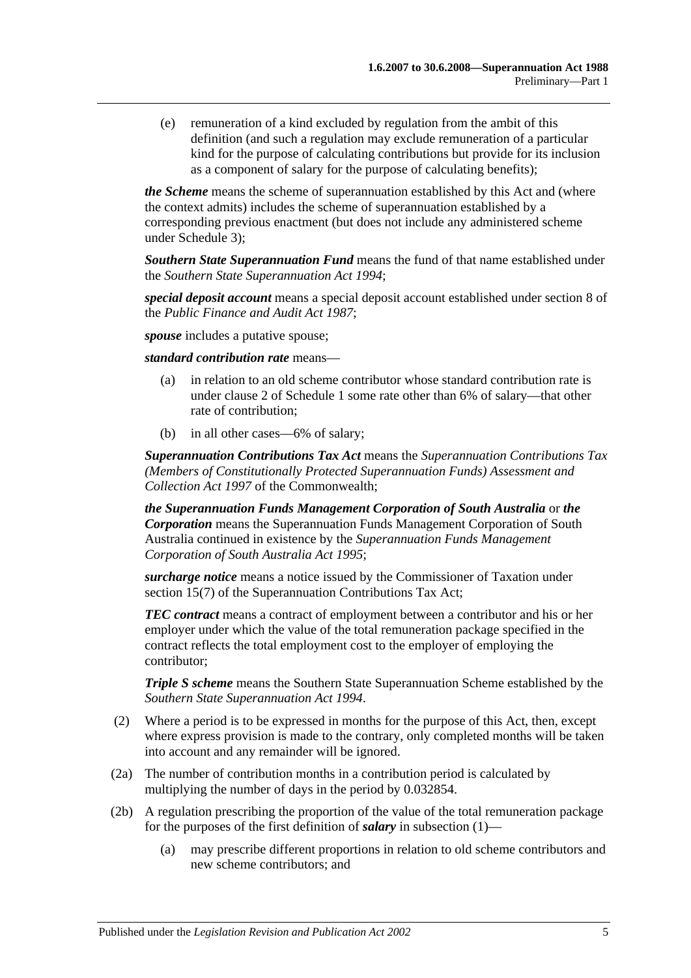(e) remuneration of a kind excluded by regulation from the ambit of this definition (and such a regulation may exclude remuneration of a particular kind for the purpose of calculating contributions but provide for its inclusion as a component of salary for the purpose of calculating benefits);

*the Scheme* means the scheme of superannuation established by this Act and (where the context admits) includes the scheme of superannuation established by a corresponding previous enactment (but does not include any administered scheme under [Schedule 3\)](#page-122-0);

*Southern State Superannuation Fund* means the fund of that name established under the *[Southern State Superannuation Act](http://www.legislation.sa.gov.au/index.aspx?action=legref&type=act&legtitle=Southern%20State%20Superannuation%20Act%201994) 1994*;

*special deposit account* means a special deposit account established under section 8 of the *[Public Finance and Audit Act](http://www.legislation.sa.gov.au/index.aspx?action=legref&type=act&legtitle=Public%20Finance%20and%20Audit%20Act%201987) 1987*;

*spouse* includes a putative spouse;

*standard contribution rate* means—

- (a) in relation to an old scheme contributor whose standard contribution rate is under [clause](#page-98-2) 2 of [Schedule 1](#page-98-0) some rate other than 6% of salary—that other rate of contribution;
- (b) in all other cases—6% of salary;

*Superannuation Contributions Tax Act* means the *Superannuation Contributions Tax (Members of Constitutionally Protected Superannuation Funds) Assessment and Collection Act 1997* of the Commonwealth;

*the Superannuation Funds Management Corporation of South Australia* or *the Corporation* means the Superannuation Funds Management Corporation of South Australia continued in existence by the *[Superannuation Funds Management](http://www.legislation.sa.gov.au/index.aspx?action=legref&type=act&legtitle=Superannuation%20Funds%20Management%20Corporation%20of%20South%20Australia%20Act%201995)  [Corporation of South Australia Act](http://www.legislation.sa.gov.au/index.aspx?action=legref&type=act&legtitle=Superannuation%20Funds%20Management%20Corporation%20of%20South%20Australia%20Act%201995) 1995*;

*surcharge notice* means a notice issued by the Commissioner of Taxation under section 15(7) of the Superannuation Contributions Tax Act;

*TEC contract* means a contract of employment between a contributor and his or her employer under which the value of the total remuneration package specified in the contract reflects the total employment cost to the employer of employing the contributor;

*Triple S scheme* means the Southern State Superannuation Scheme established by the *[Southern State Superannuation Act](http://www.legislation.sa.gov.au/index.aspx?action=legref&type=act&legtitle=Southern%20State%20Superannuation%20Act%201994) 1994*.

- (2) Where a period is to be expressed in months for the purpose of this Act, then, except where express provision is made to the contrary, only completed months will be taken into account and any remainder will be ignored.
- <span id="page-10-0"></span>(2a) The number of contribution months in a contribution period is calculated by multiplying the number of days in the period by 0.032854.
- (2b) A regulation prescribing the proportion of the value of the total remuneration package for the purposes of the first definition of *salary* in [subsection](#page-6-3) (1)—
	- (a) may prescribe different proportions in relation to old scheme contributors and new scheme contributors; and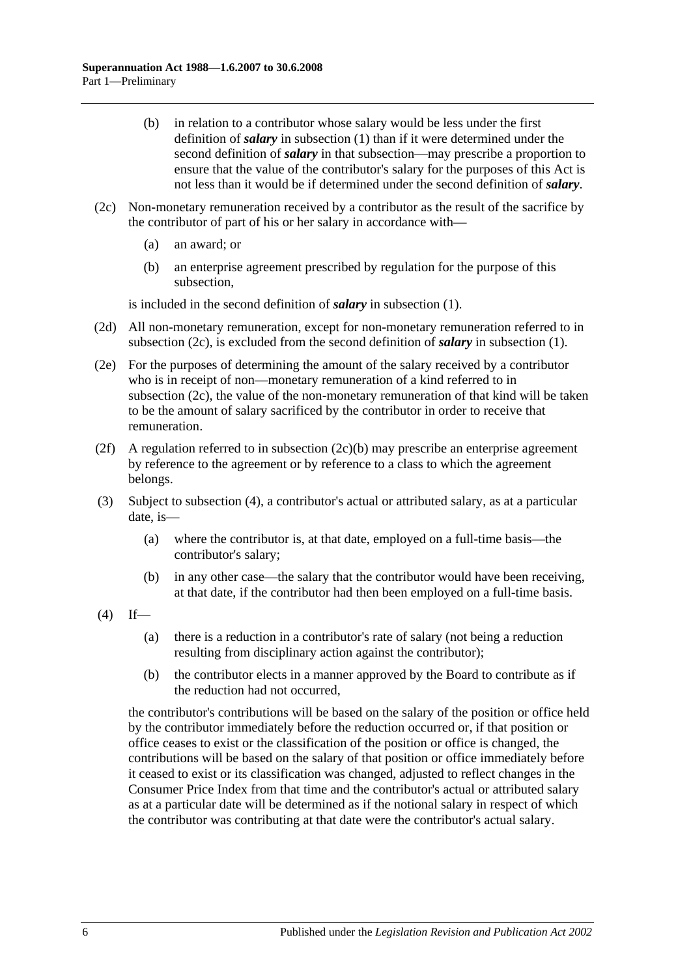- (b) in relation to a contributor whose salary would be less under the first definition of *salary* in [subsection](#page-6-3) (1) than if it were determined under the second definition of *salary* in that subsection—may prescribe a proportion to ensure that the value of the contributor's salary for the purposes of this Act is not less than it would be if determined under the second definition of *salary*.
- <span id="page-11-4"></span><span id="page-11-3"></span>(2c) Non-monetary remuneration received by a contributor as the result of the sacrifice by the contributor of part of his or her salary in accordance with—
	- (a) an award; or
	- (b) an enterprise agreement prescribed by regulation for the purpose of this subsection,

is included in the second definition of *salary* in [subsection](#page-6-3) (1).

- <span id="page-11-2"></span>(2d) All non-monetary remuneration, except for non-monetary remuneration referred to in [subsection](#page-11-3) (2c), is excluded from the second definition of *salary* in [subsection](#page-6-3) (1).
- (2e) For the purposes of determining the amount of the salary received by a contributor who is in receipt of non—monetary remuneration of a kind referred to in [subsection](#page-11-3) (2c), the value of the non-monetary remuneration of that kind will be taken to be the amount of salary sacrificed by the contributor in order to receive that remuneration.
- (2f) A regulation referred to in [subsection](#page-11-4) (2c)(b) may prescribe an enterprise agreement by reference to the agreement or by reference to a class to which the agreement belongs.
- <span id="page-11-0"></span>(3) Subject to [subsection](#page-11-1) (4), a contributor's actual or attributed salary, as at a particular date, is—
	- (a) where the contributor is, at that date, employed on a full-time basis—the contributor's salary;
	- (b) in any other case—the salary that the contributor would have been receiving, at that date, if the contributor had then been employed on a full-time basis.
- <span id="page-11-1"></span> $(4)$  If—
	- (a) there is a reduction in a contributor's rate of salary (not being a reduction resulting from disciplinary action against the contributor);
	- (b) the contributor elects in a manner approved by the Board to contribute as if the reduction had not occurred,

the contributor's contributions will be based on the salary of the position or office held by the contributor immediately before the reduction occurred or, if that position or office ceases to exist or the classification of the position or office is changed, the contributions will be based on the salary of that position or office immediately before it ceased to exist or its classification was changed, adjusted to reflect changes in the Consumer Price Index from that time and the contributor's actual or attributed salary as at a particular date will be determined as if the notional salary in respect of which the contributor was contributing at that date were the contributor's actual salary.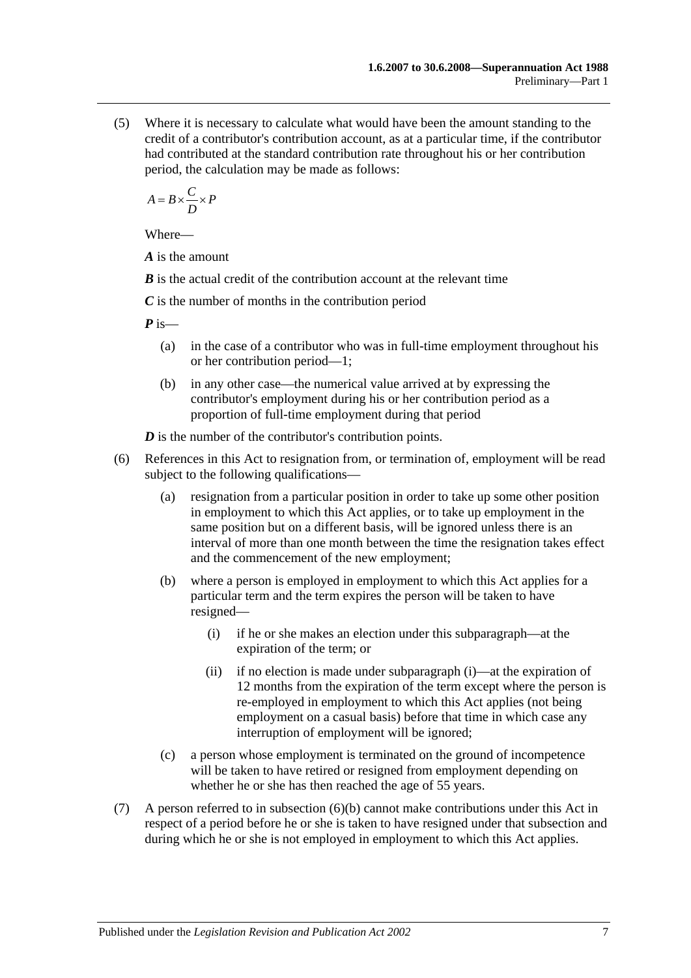(5) Where it is necessary to calculate what would have been the amount standing to the credit of a contributor's contribution account, as at a particular time, if the contributor had contributed at the standard contribution rate throughout his or her contribution period, the calculation may be made as follows:

$$
A = B \times \frac{C}{D} \times P
$$

Where—

*A* is the amount

*B* is the actual credit of the contribution account at the relevant time

*C* is the number of months in the contribution period

*P* is—

- (a) in the case of a contributor who was in full-time employment throughout his or her contribution period—1;
- (b) in any other case—the numerical value arrived at by expressing the contributor's employment during his or her contribution period as a proportion of full-time employment during that period

*D* is the number of the contributor's contribution points.

- <span id="page-12-1"></span><span id="page-12-0"></span>(6) References in this Act to resignation from, or termination of, employment will be read subject to the following qualifications—
	- (a) resignation from a particular position in order to take up some other position in employment to which this Act applies, or to take up employment in the same position but on a different basis, will be ignored unless there is an interval of more than one month between the time the resignation takes effect and the commencement of the new employment;
	- (b) where a person is employed in employment to which this Act applies for a particular term and the term expires the person will be taken to have resigned—
		- (i) if he or she makes an election under this subparagraph—at the expiration of the term; or
		- (ii) if no election is made under [subparagraph](#page-12-0) (i)—at the expiration of 12 months from the expiration of the term except where the person is re-employed in employment to which this Act applies (not being employment on a casual basis) before that time in which case any interruption of employment will be ignored;
	- (c) a person whose employment is terminated on the ground of incompetence will be taken to have retired or resigned from employment depending on whether he or she has then reached the age of 55 years.
- (7) A person referred to in [subsection](#page-12-1) (6)(b) cannot make contributions under this Act in respect of a period before he or she is taken to have resigned under that subsection and during which he or she is not employed in employment to which this Act applies.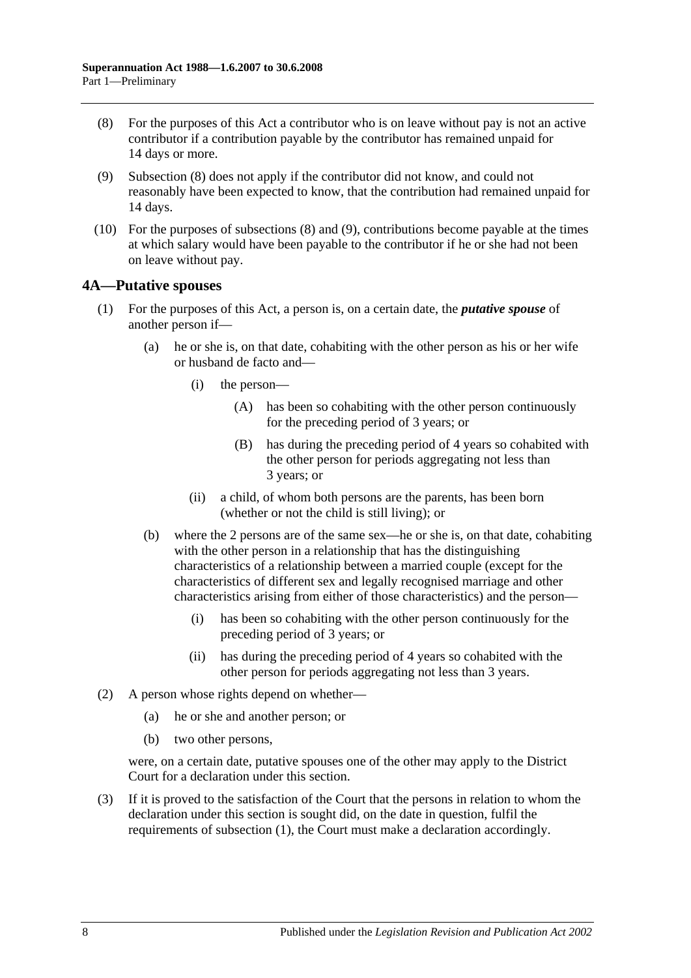- <span id="page-13-1"></span>(8) For the purposes of this Act a contributor who is on leave without pay is not an active contributor if a contribution payable by the contributor has remained unpaid for 14 days or more.
- <span id="page-13-2"></span>(9) [Subsection](#page-13-1) (8) does not apply if the contributor did not know, and could not reasonably have been expected to know, that the contribution had remained unpaid for 14 days.
- (10) For the purposes of [subsections](#page-13-1) (8) and [\(9\),](#page-13-2) contributions become payable at the times at which salary would have been payable to the contributor if he or she had not been on leave without pay.

#### <span id="page-13-0"></span>**4A—Putative spouses**

- (1) For the purposes of this Act, a person is, on a certain date, the *putative spouse* of another person if—
	- (a) he or she is, on that date, cohabiting with the other person as his or her wife or husband de facto and—
		- (i) the person—
			- (A) has been so cohabiting with the other person continuously for the preceding period of 3 years; or
			- (B) has during the preceding period of 4 years so cohabited with the other person for periods aggregating not less than 3 years; or
		- (ii) a child, of whom both persons are the parents, has been born (whether or not the child is still living); or
	- (b) where the 2 persons are of the same sex—he or she is, on that date, cohabiting with the other person in a relationship that has the distinguishing characteristics of a relationship between a married couple (except for the characteristics of different sex and legally recognised marriage and other characteristics arising from either of those characteristics) and the person—
		- (i) has been so cohabiting with the other person continuously for the preceding period of 3 years; or
		- (ii) has during the preceding period of 4 years so cohabited with the other person for periods aggregating not less than 3 years.
- (2) A person whose rights depend on whether—
	- (a) he or she and another person; or
	- (b) two other persons,

were, on a certain date, putative spouses one of the other may apply to the District Court for a declaration under this section.

(3) If it is proved to the satisfaction of the Court that the persons in relation to whom the declaration under this section is sought did, on the date in question, fulfil the requirements of subsection (1), the Court must make a declaration accordingly.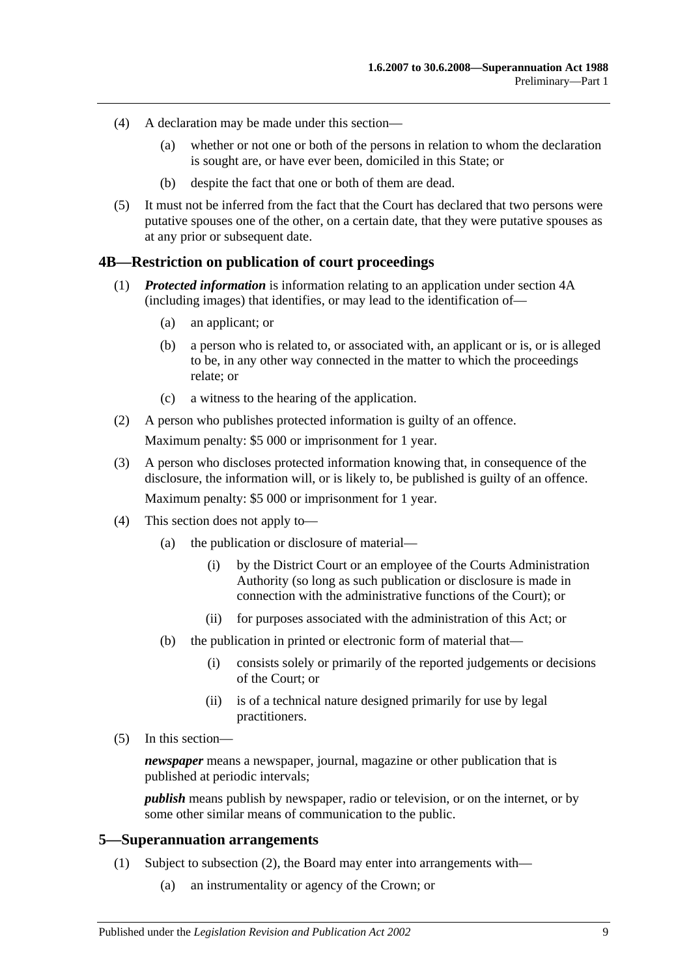- (4) A declaration may be made under this section—
	- (a) whether or not one or both of the persons in relation to whom the declaration is sought are, or have ever been, domiciled in this State; or
	- (b) despite the fact that one or both of them are dead.
- (5) It must not be inferred from the fact that the Court has declared that two persons were putative spouses one of the other, on a certain date, that they were putative spouses as at any prior or subsequent date.

#### <span id="page-14-0"></span>**4B—Restriction on publication of court proceedings**

- (1) *Protected information* is information relating to an application under [section](#page-13-0) 4A (including images) that identifies, or may lead to the identification of—
	- (a) an applicant; or
	- (b) a person who is related to, or associated with, an applicant or is, or is alleged to be, in any other way connected in the matter to which the proceedings relate; or
	- (c) a witness to the hearing of the application.
- (2) A person who publishes protected information is guilty of an offence.

Maximum penalty: \$5 000 or imprisonment for 1 year.

- (3) A person who discloses protected information knowing that, in consequence of the disclosure, the information will, or is likely to, be published is guilty of an offence. Maximum penalty: \$5 000 or imprisonment for 1 year.
- (4) This section does not apply to—
	- (a) the publication or disclosure of material—
		- (i) by the District Court or an employee of the Courts Administration Authority (so long as such publication or disclosure is made in connection with the administrative functions of the Court); or
		- (ii) for purposes associated with the administration of this Act; or
	- (b) the publication in printed or electronic form of material that—
		- (i) consists solely or primarily of the reported judgements or decisions of the Court; or
		- (ii) is of a technical nature designed primarily for use by legal practitioners.
- (5) In this section—

*newspaper* means a newspaper, journal, magazine or other publication that is published at periodic intervals;

*publish* means publish by newspaper, radio or television, or on the internet, or by some other similar means of communication to the public.

#### <span id="page-14-2"></span><span id="page-14-1"></span>**5—Superannuation arrangements**

- (1) Subject to [subsection](#page-15-0) (2), the Board may enter into arrangements with—
	- (a) an instrumentality or agency of the Crown; or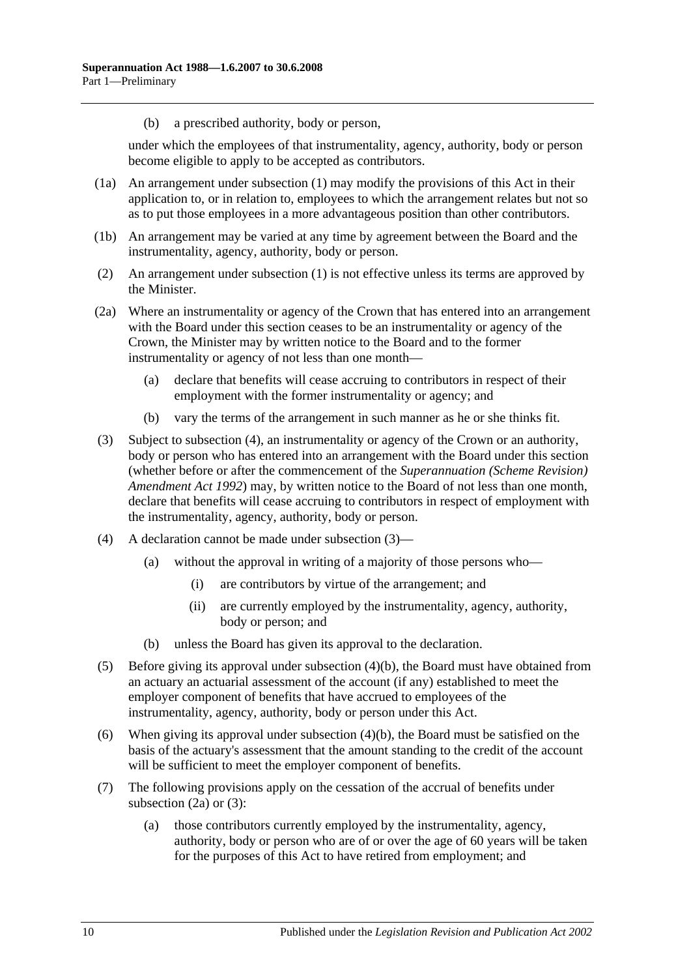(b) a prescribed authority, body or person,

under which the employees of that instrumentality, agency, authority, body or person become eligible to apply to be accepted as contributors.

- (1a) An arrangement under [subsection](#page-14-2) (1) may modify the provisions of this Act in their application to, or in relation to, employees to which the arrangement relates but not so as to put those employees in a more advantageous position than other contributors.
- (1b) An arrangement may be varied at any time by agreement between the Board and the instrumentality, agency, authority, body or person.
- <span id="page-15-0"></span>(2) An arrangement under [subsection](#page-14-2) (1) is not effective unless its terms are approved by the Minister.
- <span id="page-15-4"></span>(2a) Where an instrumentality or agency of the Crown that has entered into an arrangement with the Board under this section ceases to be an instrumentality or agency of the Crown, the Minister may by written notice to the Board and to the former instrumentality or agency of not less than one month—
	- (a) declare that benefits will cease accruing to contributors in respect of their employment with the former instrumentality or agency; and
	- (b) vary the terms of the arrangement in such manner as he or she thinks fit.
- <span id="page-15-2"></span>(3) Subject to [subsection](#page-15-1) (4), an instrumentality or agency of the Crown or an authority, body or person who has entered into an arrangement with the Board under this section (whether before or after the commencement of the *[Superannuation \(Scheme Revision\)](http://www.legislation.sa.gov.au/index.aspx?action=legref&type=act&legtitle=Superannuation%20(Scheme%20Revision)%20Amendment%20Act%201992)  [Amendment Act](http://www.legislation.sa.gov.au/index.aspx?action=legref&type=act&legtitle=Superannuation%20(Scheme%20Revision)%20Amendment%20Act%201992) 1992*) may, by written notice to the Board of not less than one month, declare that benefits will cease accruing to contributors in respect of employment with the instrumentality, agency, authority, body or person.
- <span id="page-15-1"></span>(4) A declaration cannot be made under [subsection](#page-15-2) (3)—
	- (a) without the approval in writing of a majority of those persons who—
		- (i) are contributors by virtue of the arrangement; and
		- (ii) are currently employed by the instrumentality, agency, authority, body or person; and
	- (b) unless the Board has given its approval to the declaration.
- <span id="page-15-3"></span>(5) Before giving its approval under [subsection](#page-15-3) (4)(b), the Board must have obtained from an actuary an actuarial assessment of the account (if any) established to meet the employer component of benefits that have accrued to employees of the instrumentality, agency, authority, body or person under this Act.
- (6) When giving its approval under [subsection](#page-15-3) (4)(b), the Board must be satisfied on the basis of the actuary's assessment that the amount standing to the credit of the account will be sufficient to meet the employer component of benefits.
- (7) The following provisions apply on the cessation of the accrual of benefits under [subsection](#page-15-4) (2a) or [\(3\):](#page-15-2)
	- (a) those contributors currently employed by the instrumentality, agency, authority, body or person who are of or over the age of 60 years will be taken for the purposes of this Act to have retired from employment; and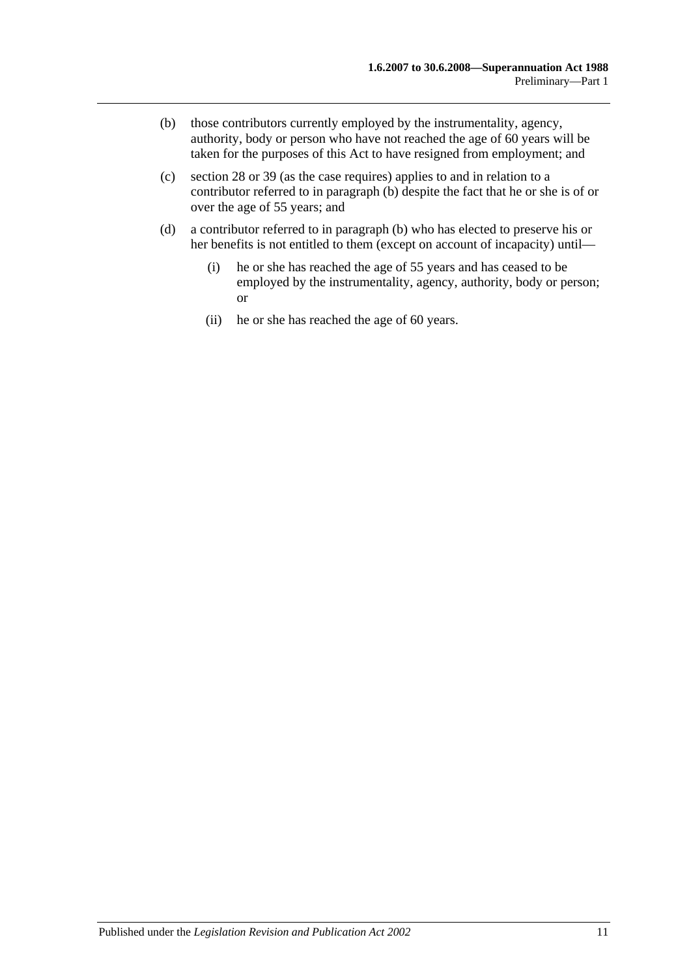- <span id="page-16-0"></span>(b) those contributors currently employed by the instrumentality, agency, authority, body or person who have not reached the age of 60 years will be taken for the purposes of this Act to have resigned from employment; and
- (c) [section](#page-31-0) 28 or [39](#page-64-0) (as the case requires) applies to and in relation to a contributor referred to in [paragraph](#page-16-0) (b) despite the fact that he or she is of or over the age of 55 years; and
- (d) a contributor referred to in [paragraph](#page-16-0) (b) who has elected to preserve his or her benefits is not entitled to them (except on account of incapacity) until—
	- (i) he or she has reached the age of 55 years and has ceased to be employed by the instrumentality, agency, authority, body or person; or
	- (ii) he or she has reached the age of 60 years.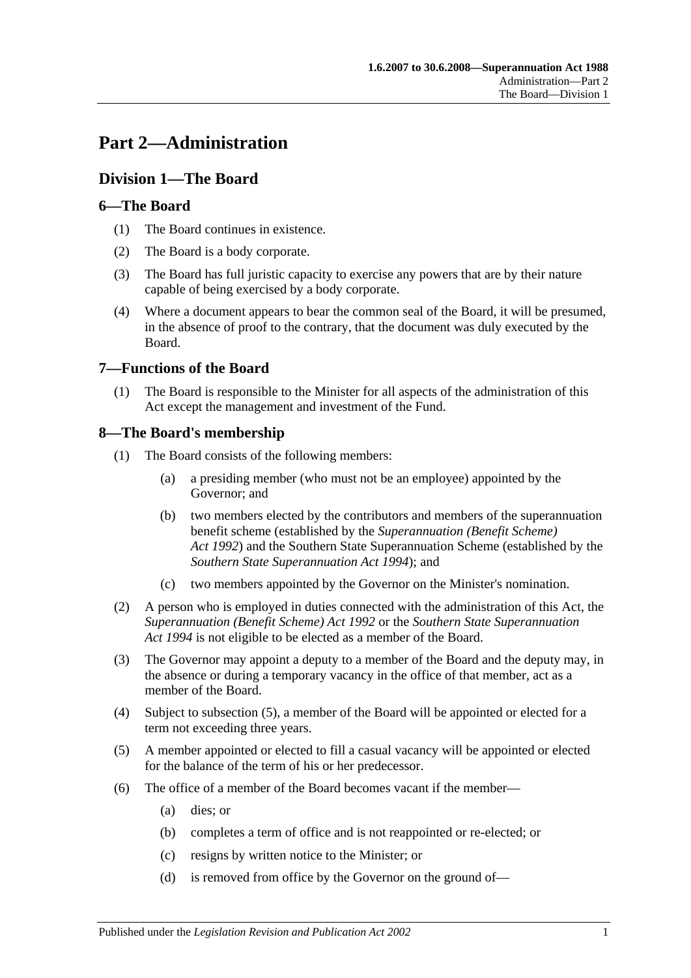# <span id="page-18-0"></span>**Part 2—Administration**

## <span id="page-18-1"></span>**Division 1—The Board**

## <span id="page-18-2"></span>**6—The Board**

- (1) The Board continues in existence.
- (2) The Board is a body corporate.
- (3) The Board has full juristic capacity to exercise any powers that are by their nature capable of being exercised by a body corporate.
- (4) Where a document appears to bear the common seal of the Board, it will be presumed, in the absence of proof to the contrary, that the document was duly executed by the Board.

## <span id="page-18-3"></span>**7—Functions of the Board**

(1) The Board is responsible to the Minister for all aspects of the administration of this Act except the management and investment of the Fund.

## <span id="page-18-4"></span>**8—The Board's membership**

- (1) The Board consists of the following members:
	- (a) a presiding member (who must not be an employee) appointed by the Governor; and
	- (b) two members elected by the contributors and members of the superannuation benefit scheme (established by the *[Superannuation \(Benefit Scheme\)](http://www.legislation.sa.gov.au/index.aspx?action=legref&type=act&legtitle=Superannuation%20(Benefit%20Scheme)%20Act%201992)  Act [1992](http://www.legislation.sa.gov.au/index.aspx?action=legref&type=act&legtitle=Superannuation%20(Benefit%20Scheme)%20Act%201992)*) and the Southern State Superannuation Scheme (established by the *[Southern State Superannuation Act](http://www.legislation.sa.gov.au/index.aspx?action=legref&type=act&legtitle=Southern%20State%20Superannuation%20Act%201994) 1994*); and
	- (c) two members appointed by the Governor on the Minister's nomination.
- (2) A person who is employed in duties connected with the administration of this Act, the *[Superannuation \(Benefit Scheme\) Act](http://www.legislation.sa.gov.au/index.aspx?action=legref&type=act&legtitle=Superannuation%20(Benefit%20Scheme)%20Act%201992) 1992* or the *[Southern State Superannuation](http://www.legislation.sa.gov.au/index.aspx?action=legref&type=act&legtitle=Southern%20State%20Superannuation%20Act%201994)  Act [1994](http://www.legislation.sa.gov.au/index.aspx?action=legref&type=act&legtitle=Southern%20State%20Superannuation%20Act%201994)* is not eligible to be elected as a member of the Board.
- (3) The Governor may appoint a deputy to a member of the Board and the deputy may, in the absence or during a temporary vacancy in the office of that member, act as a member of the Board.
- (4) Subject to [subsection](#page-18-5) (5), a member of the Board will be appointed or elected for a term not exceeding three years.
- <span id="page-18-5"></span>(5) A member appointed or elected to fill a casual vacancy will be appointed or elected for the balance of the term of his or her predecessor.
- (6) The office of a member of the Board becomes vacant if the member—
	- (a) dies; or
	- (b) completes a term of office and is not reappointed or re-elected; or
	- (c) resigns by written notice to the Minister; or
	- (d) is removed from office by the Governor on the ground of—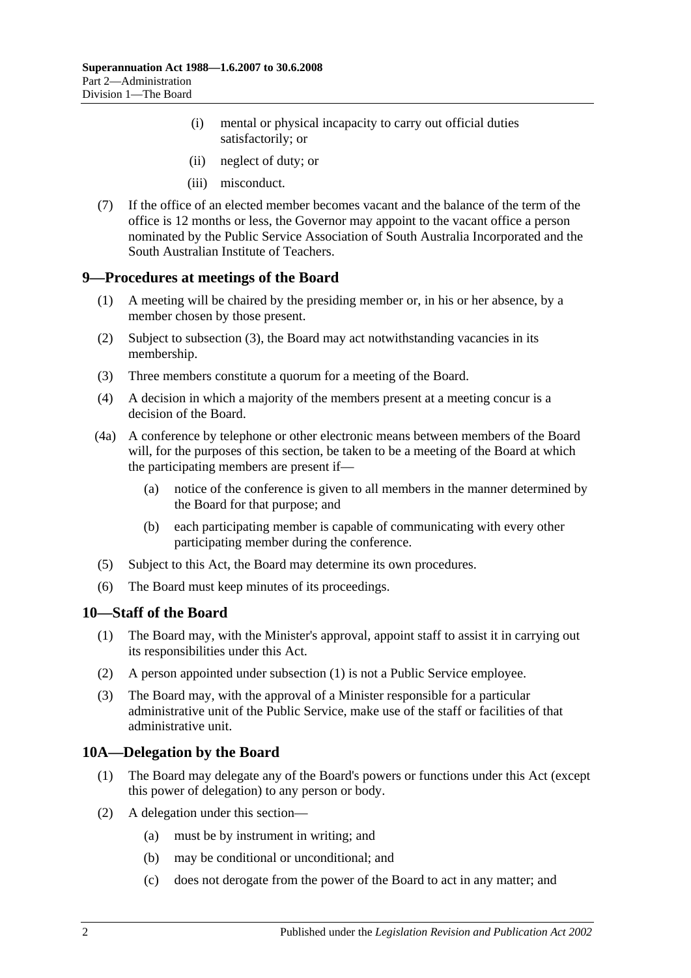- (i) mental or physical incapacity to carry out official duties satisfactorily; or
- (ii) neglect of duty; or
- (iii) misconduct.
- (7) If the office of an elected member becomes vacant and the balance of the term of the office is 12 months or less, the Governor may appoint to the vacant office a person nominated by the Public Service Association of South Australia Incorporated and the South Australian Institute of Teachers.

#### <span id="page-19-0"></span>**9—Procedures at meetings of the Board**

- (1) A meeting will be chaired by the presiding member or, in his or her absence, by a member chosen by those present.
- (2) Subject to [subsection](#page-19-3) (3), the Board may act notwithstanding vacancies in its membership.
- <span id="page-19-3"></span>(3) Three members constitute a quorum for a meeting of the Board.
- (4) A decision in which a majority of the members present at a meeting concur is a decision of the Board.
- (4a) A conference by telephone or other electronic means between members of the Board will, for the purposes of this section, be taken to be a meeting of the Board at which the participating members are present if—
	- (a) notice of the conference is given to all members in the manner determined by the Board for that purpose; and
	- (b) each participating member is capable of communicating with every other participating member during the conference.
- (5) Subject to this Act, the Board may determine its own procedures.
- (6) The Board must keep minutes of its proceedings.

#### <span id="page-19-4"></span><span id="page-19-1"></span>**10—Staff of the Board**

- (1) The Board may, with the Minister's approval, appoint staff to assist it in carrying out its responsibilities under this Act.
- (2) A person appointed under [subsection](#page-19-4) (1) is not a Public Service employee.
- (3) The Board may, with the approval of a Minister responsible for a particular administrative unit of the Public Service, make use of the staff or facilities of that administrative unit.

## <span id="page-19-2"></span>**10A—Delegation by the Board**

- (1) The Board may delegate any of the Board's powers or functions under this Act (except this power of delegation) to any person or body.
- (2) A delegation under this section—
	- (a) must be by instrument in writing; and
	- (b) may be conditional or unconditional; and
	- (c) does not derogate from the power of the Board to act in any matter; and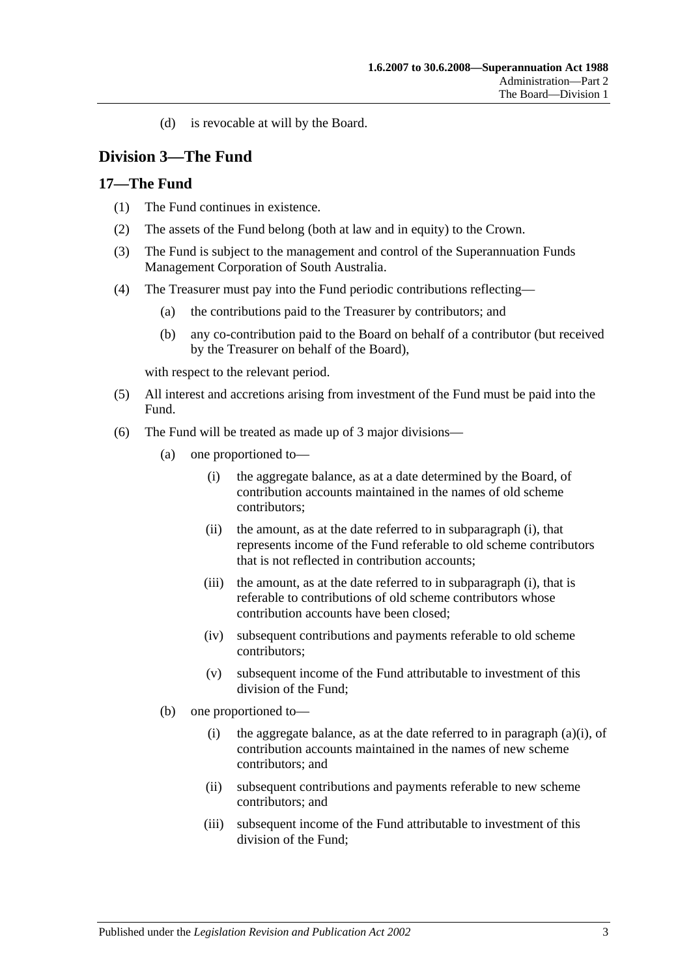(d) is revocable at will by the Board.

## <span id="page-20-0"></span>**Division 3—The Fund**

## <span id="page-20-1"></span>**17—The Fund**

- (1) The Fund continues in existence.
- (2) The assets of the Fund belong (both at law and in equity) to the Crown.
- (3) The Fund is subject to the management and control of the Superannuation Funds Management Corporation of South Australia.
- (4) The Treasurer must pay into the Fund periodic contributions reflecting—
	- (a) the contributions paid to the Treasurer by contributors; and
	- (b) any co-contribution paid to the Board on behalf of a contributor (but received by the Treasurer on behalf of the Board),

with respect to the relevant period.

- (5) All interest and accretions arising from investment of the Fund must be paid into the Fund.
- <span id="page-20-2"></span>(6) The Fund will be treated as made up of 3 major divisions—
	- (a) one proportioned to—
		- (i) the aggregate balance, as at a date determined by the Board, of contribution accounts maintained in the names of old scheme contributors;
		- (ii) the amount, as at the date referred to in [subparagraph](#page-20-2) (i), that represents income of the Fund referable to old scheme contributors that is not reflected in contribution accounts;
		- (iii) the amount, as at the date referred to in [subparagraph](#page-20-2) (i), that is referable to contributions of old scheme contributors whose contribution accounts have been closed;
		- (iv) subsequent contributions and payments referable to old scheme contributors;
		- (v) subsequent income of the Fund attributable to investment of this division of the Fund;
	- (b) one proportioned to
		- (i) the aggregate balance, as at the date referred to in [paragraph](#page-20-2)  $(a)(i)$ , of contribution accounts maintained in the names of new scheme contributors; and
		- (ii) subsequent contributions and payments referable to new scheme contributors; and
		- (iii) subsequent income of the Fund attributable to investment of this division of the Fund;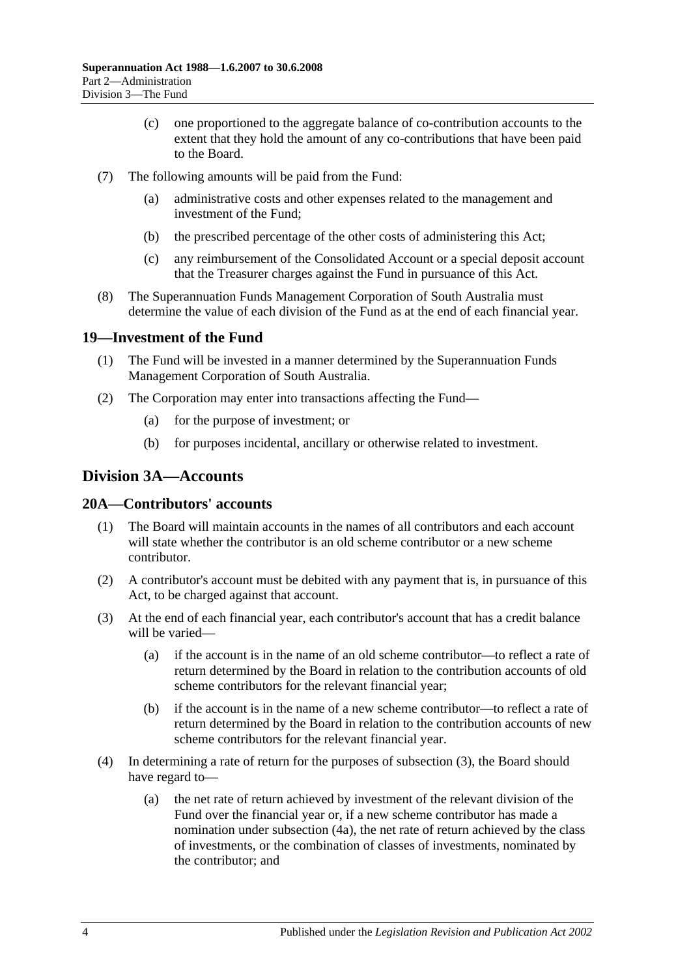- (c) one proportioned to the aggregate balance of co-contribution accounts to the extent that they hold the amount of any co-contributions that have been paid to the Board.
- (7) The following amounts will be paid from the Fund:
	- (a) administrative costs and other expenses related to the management and investment of the Fund;
	- (b) the prescribed percentage of the other costs of administering this Act;
	- (c) any reimbursement of the Consolidated Account or a special deposit account that the Treasurer charges against the Fund in pursuance of this Act.
- (8) The Superannuation Funds Management Corporation of South Australia must determine the value of each division of the Fund as at the end of each financial year.

## <span id="page-21-0"></span>**19—Investment of the Fund**

- (1) The Fund will be invested in a manner determined by the Superannuation Funds Management Corporation of South Australia.
- (2) The Corporation may enter into transactions affecting the Fund—
	- (a) for the purpose of investment; or
	- (b) for purposes incidental, ancillary or otherwise related to investment.

## <span id="page-21-1"></span>**Division 3A—Accounts**

## <span id="page-21-2"></span>**20A—Contributors' accounts**

- (1) The Board will maintain accounts in the names of all contributors and each account will state whether the contributor is an old scheme contributor or a new scheme contributor.
- (2) A contributor's account must be debited with any payment that is, in pursuance of this Act, to be charged against that account.
- <span id="page-21-3"></span>(3) At the end of each financial year, each contributor's account that has a credit balance will be varied—
	- (a) if the account is in the name of an old scheme contributor—to reflect a rate of return determined by the Board in relation to the contribution accounts of old scheme contributors for the relevant financial year;
	- (b) if the account is in the name of a new scheme contributor—to reflect a rate of return determined by the Board in relation to the contribution accounts of new scheme contributors for the relevant financial year.
- (4) In determining a rate of return for the purposes of [subsection](#page-21-3) (3), the Board should have regard to—
	- (a) the net rate of return achieved by investment of the relevant division of the Fund over the financial year or, if a new scheme contributor has made a nomination under [subsection](#page-22-2) (4a), the net rate of return achieved by the class of investments, or the combination of classes of investments, nominated by the contributor; and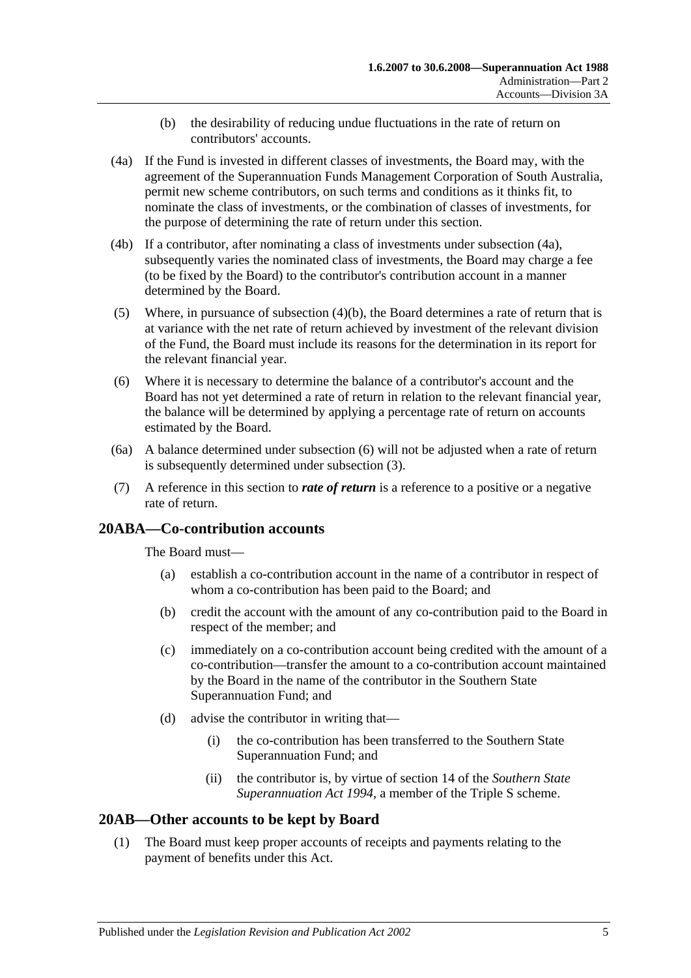- (b) the desirability of reducing undue fluctuations in the rate of return on contributors' accounts.
- <span id="page-22-3"></span><span id="page-22-2"></span>(4a) If the Fund is invested in different classes of investments, the Board may, with the agreement of the Superannuation Funds Management Corporation of South Australia, permit new scheme contributors, on such terms and conditions as it thinks fit, to nominate the class of investments, or the combination of classes of investments, for the purpose of determining the rate of return under this section.
- (4b) If a contributor, after nominating a class of investments under [subsection](#page-22-2) (4a), subsequently varies the nominated class of investments, the Board may charge a fee (to be fixed by the Board) to the contributor's contribution account in a manner determined by the Board.
- (5) Where, in pursuance of [subsection](#page-22-3)  $(4)(b)$ , the Board determines a rate of return that is at variance with the net rate of return achieved by investment of the relevant division of the Fund, the Board must include its reasons for the determination in its report for the relevant financial year.
- <span id="page-22-4"></span>(6) Where it is necessary to determine the balance of a contributor's account and the Board has not yet determined a rate of return in relation to the relevant financial year, the balance will be determined by applying a percentage rate of return on accounts estimated by the Board.
- (6a) A balance determined under [subsection](#page-22-4) (6) will not be adjusted when a rate of return is subsequently determined under [subsection](#page-21-3) (3).
- (7) A reference in this section to *rate of return* is a reference to a positive or a negative rate of return.

## <span id="page-22-0"></span>**20ABA—Co-contribution accounts**

The Board must—

- (a) establish a co-contribution account in the name of a contributor in respect of whom a co-contribution has been paid to the Board; and
- (b) credit the account with the amount of any co-contribution paid to the Board in respect of the member; and
- (c) immediately on a co-contribution account being credited with the amount of a co-contribution—transfer the amount to a co-contribution account maintained by the Board in the name of the contributor in the Southern State Superannuation Fund; and
- (d) advise the contributor in writing that—
	- (i) the co-contribution has been transferred to the Southern State Superannuation Fund; and
	- (ii) the contributor is, by virtue of section 14 of the *[Southern State](http://www.legislation.sa.gov.au/index.aspx?action=legref&type=act&legtitle=Southern%20State%20Superannuation%20Act%201994)  [Superannuation Act](http://www.legislation.sa.gov.au/index.aspx?action=legref&type=act&legtitle=Southern%20State%20Superannuation%20Act%201994) 1994*, a member of the Triple S scheme.

## <span id="page-22-5"></span><span id="page-22-1"></span>**20AB—Other accounts to be kept by Board**

(1) The Board must keep proper accounts of receipts and payments relating to the payment of benefits under this Act.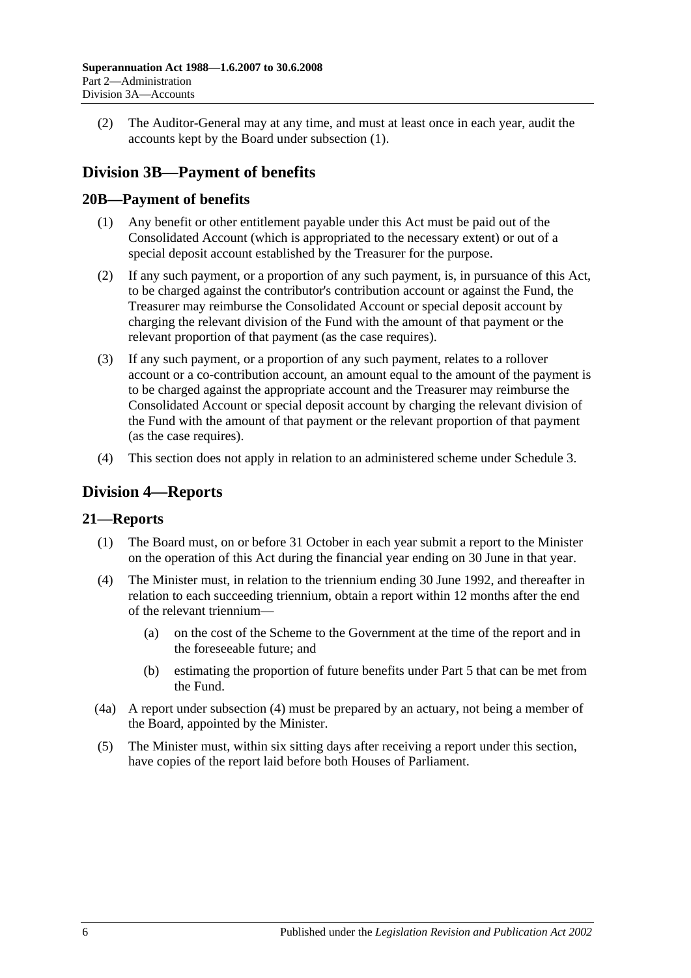(2) The Auditor-General may at any time, and must at least once in each year, audit the accounts kept by the Board under [subsection](#page-22-5) (1).

# <span id="page-23-0"></span>**Division 3B—Payment of benefits**

## <span id="page-23-1"></span>**20B—Payment of benefits**

- (1) Any benefit or other entitlement payable under this Act must be paid out of the Consolidated Account (which is appropriated to the necessary extent) or out of a special deposit account established by the Treasurer for the purpose.
- (2) If any such payment, or a proportion of any such payment, is, in pursuance of this Act, to be charged against the contributor's contribution account or against the Fund, the Treasurer may reimburse the Consolidated Account or special deposit account by charging the relevant division of the Fund with the amount of that payment or the relevant proportion of that payment (as the case requires).
- (3) If any such payment, or a proportion of any such payment, relates to a rollover account or a co-contribution account, an amount equal to the amount of the payment is to be charged against the appropriate account and the Treasurer may reimburse the Consolidated Account or special deposit account by charging the relevant division of the Fund with the amount of that payment or the relevant proportion of that payment (as the case requires).
- (4) This section does not apply in relation to an administered scheme under [Schedule 3.](#page-122-0)

## <span id="page-23-2"></span>**Division 4—Reports**

## <span id="page-23-3"></span>**21—Reports**

- (1) The Board must, on or before 31 October in each year submit a report to the Minister on the operation of this Act during the financial year ending on 30 June in that year.
- <span id="page-23-4"></span>(4) The Minister must, in relation to the triennium ending 30 June 1992, and thereafter in relation to each succeeding triennium, obtain a report within 12 months after the end of the relevant triennium—
	- (a) on the cost of the Scheme to the Government at the time of the report and in the foreseeable future; and
	- (b) estimating the proportion of future benefits under [Part 5](#page-52-0) that can be met from the Fund.
- (4a) A report under [subsection](#page-23-4) (4) must be prepared by an actuary, not being a member of the Board, appointed by the Minister.
- (5) The Minister must, within six sitting days after receiving a report under this section, have copies of the report laid before both Houses of Parliament.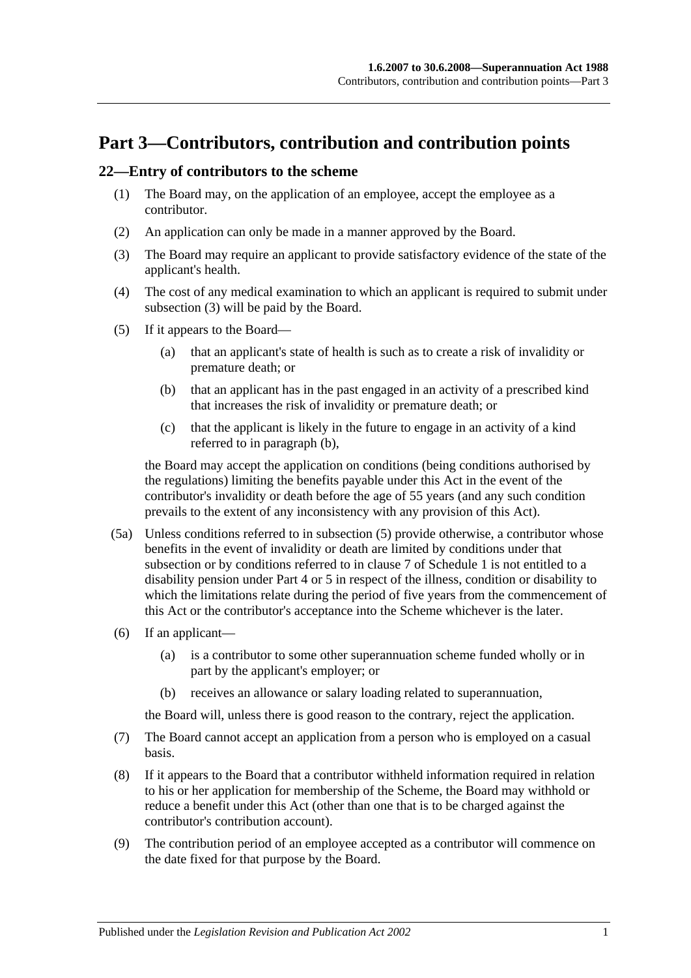# <span id="page-24-0"></span>**Part 3—Contributors, contribution and contribution points**

### <span id="page-24-5"></span><span id="page-24-1"></span>**22—Entry of contributors to the scheme**

- (1) The Board may, on the application of an employee, accept the employee as a contributor.
- (2) An application can only be made in a manner approved by the Board.
- <span id="page-24-2"></span>(3) The Board may require an applicant to provide satisfactory evidence of the state of the applicant's health.
- (4) The cost of any medical examination to which an applicant is required to submit under [subsection](#page-24-2) (3) will be paid by the Board.
- <span id="page-24-4"></span><span id="page-24-3"></span>(5) If it appears to the Board—
	- (a) that an applicant's state of health is such as to create a risk of invalidity or premature death; or
	- (b) that an applicant has in the past engaged in an activity of a prescribed kind that increases the risk of invalidity or premature death; or
	- (c) that the applicant is likely in the future to engage in an activity of a kind referred to in [paragraph](#page-24-3) (b),

the Board may accept the application on conditions (being conditions authorised by the regulations) limiting the benefits payable under this Act in the event of the contributor's invalidity or death before the age of 55 years (and any such condition prevails to the extent of any inconsistency with any provision of this Act).

- (5a) Unless conditions referred to in [subsection](#page-24-4) (5) provide otherwise, a contributor whose benefits in the event of invalidity or death are limited by conditions under that subsection or by conditions referred to in [clause](#page-102-0) 7 of [Schedule 1](#page-98-0) is not entitled to a disability pension under [Part 4](#page-30-0) or [5](#page-52-0) in respect of the illness, condition or disability to which the limitations relate during the period of five years from the commencement of this Act or the contributor's acceptance into the Scheme whichever is the later.
- (6) If an applicant—
	- (a) is a contributor to some other superannuation scheme funded wholly or in part by the applicant's employer; or
	- (b) receives an allowance or salary loading related to superannuation,

the Board will, unless there is good reason to the contrary, reject the application.

- (7) The Board cannot accept an application from a person who is employed on a casual basis.
- (8) If it appears to the Board that a contributor withheld information required in relation to his or her application for membership of the Scheme, the Board may withhold or reduce a benefit under this Act (other than one that is to be charged against the contributor's contribution account).
- (9) The contribution period of an employee accepted as a contributor will commence on the date fixed for that purpose by the Board.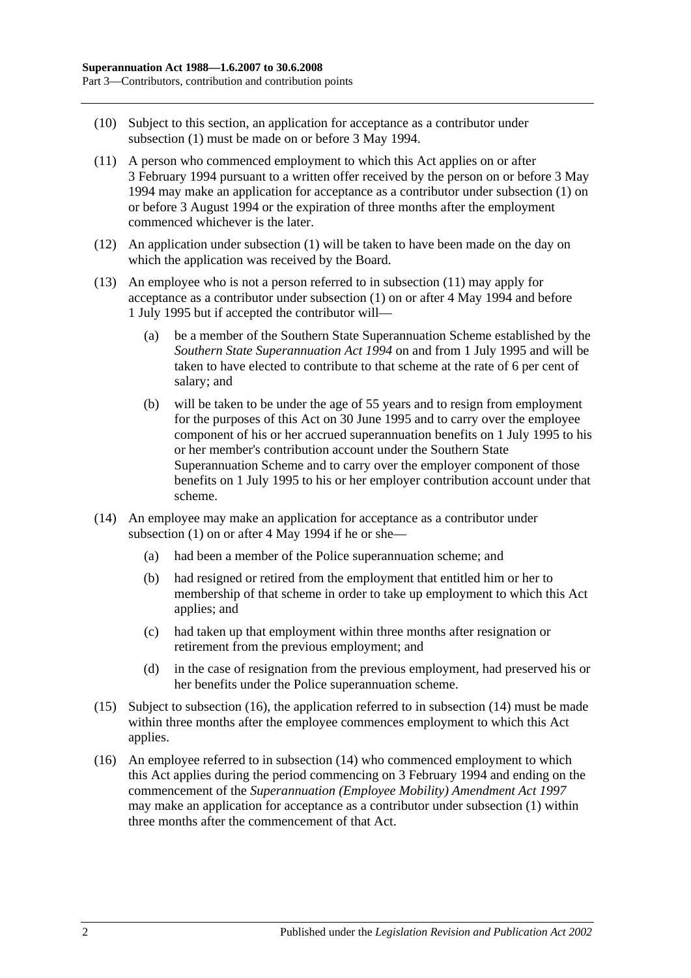- (10) Subject to this section, an application for acceptance as a contributor under [subsection](#page-24-5) (1) must be made on or before 3 May 1994.
- <span id="page-25-0"></span>(11) A person who commenced employment to which this Act applies on or after 3 February 1994 pursuant to a written offer received by the person on or before 3 May 1994 may make an application for acceptance as a contributor under [subsection](#page-24-5) (1) on or before 3 August 1994 or the expiration of three months after the employment commenced whichever is the later.
- (12) An application under [subsection](#page-24-5) (1) will be taken to have been made on the day on which the application was received by the Board.
- (13) An employee who is not a person referred to in [subsection](#page-25-0) (11) may apply for acceptance as a contributor under [subsection](#page-24-5) (1) on or after 4 May 1994 and before 1 July 1995 but if accepted the contributor will—
	- (a) be a member of the Southern State Superannuation Scheme established by the *[Southern State Superannuation Act](http://www.legislation.sa.gov.au/index.aspx?action=legref&type=act&legtitle=Southern%20State%20Superannuation%20Act%201994) 1994* on and from 1 July 1995 and will be taken to have elected to contribute to that scheme at the rate of 6 per cent of salary; and
	- (b) will be taken to be under the age of 55 years and to resign from employment for the purposes of this Act on 30 June 1995 and to carry over the employee component of his or her accrued superannuation benefits on 1 July 1995 to his or her member's contribution account under the Southern State Superannuation Scheme and to carry over the employer component of those benefits on 1 July 1995 to his or her employer contribution account under that scheme.
- <span id="page-25-2"></span>(14) An employee may make an application for acceptance as a contributor under [subsection](#page-24-5)  $(1)$  on or after 4 May 1994 if he or she-
	- (a) had been a member of the Police superannuation scheme; and
	- (b) had resigned or retired from the employment that entitled him or her to membership of that scheme in order to take up employment to which this Act applies; and
	- (c) had taken up that employment within three months after resignation or retirement from the previous employment; and
	- (d) in the case of resignation from the previous employment, had preserved his or her benefits under the Police superannuation scheme.
- (15) Subject to [subsection](#page-25-1) (16), the application referred to in [subsection](#page-25-2) (14) must be made within three months after the employee commences employment to which this Act applies.
- <span id="page-25-1"></span>(16) An employee referred to in [subsection](#page-25-2) (14) who commenced employment to which this Act applies during the period commencing on 3 February 1994 and ending on the commencement of the *[Superannuation \(Employee Mobility\) Amendment Act](http://www.legislation.sa.gov.au/index.aspx?action=legref&type=act&legtitle=Superannuation%20(Employee%20Mobility)%20Amendment%20Act%201997) 1997* may make an application for acceptance as a contributor under [subsection](#page-24-5) (1) within three months after the commencement of that Act.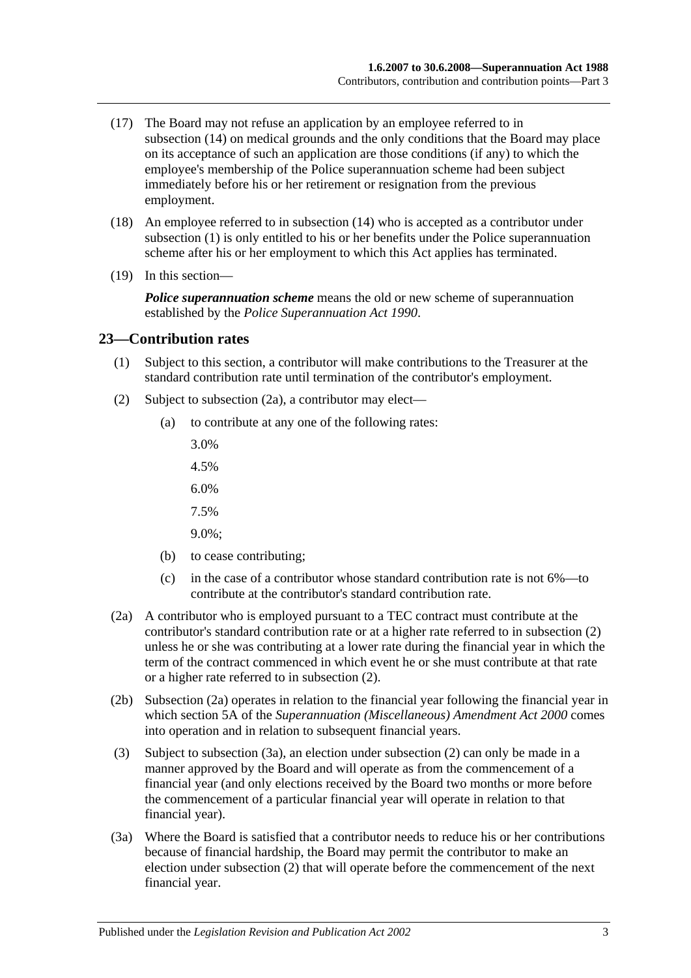- (17) The Board may not refuse an application by an employee referred to in [subsection](#page-25-2) (14) on medical grounds and the only conditions that the Board may place on its acceptance of such an application are those conditions (if any) to which the employee's membership of the Police superannuation scheme had been subject immediately before his or her retirement or resignation from the previous employment.
- (18) An employee referred to in [subsection](#page-25-2) (14) who is accepted as a contributor under [subsection](#page-24-5) (1) is only entitled to his or her benefits under the Police superannuation scheme after his or her employment to which this Act applies has terminated.
- (19) In this section—

*Police superannuation scheme* means the old or new scheme of superannuation established by the *[Police Superannuation Act](http://www.legislation.sa.gov.au/index.aspx?action=legref&type=act&legtitle=Police%20Superannuation%20Act%201990) 1990*.

#### <span id="page-26-0"></span>**23—Contribution rates**

- (1) Subject to this section, a contributor will make contributions to the Treasurer at the standard contribution rate until termination of the contributor's employment.
- <span id="page-26-2"></span>(2) Subject to [subsection](#page-26-1) (2a), a contributor may elect—
	- (a) to contribute at any one of the following rates:
		- 3.0%
		- 4.5%
		- 6.0%
		- 7.5%
		- 9.0%;
	- (b) to cease contributing;
	- (c) in the case of a contributor whose standard contribution rate is not 6%—to contribute at the contributor's standard contribution rate.
- <span id="page-26-1"></span>(2a) A contributor who is employed pursuant to a TEC contract must contribute at the contributor's standard contribution rate or at a higher rate referred to in [subsection](#page-26-2) (2) unless he or she was contributing at a lower rate during the financial year in which the term of the contract commenced in which event he or she must contribute at that rate or a higher rate referred to in [subsection](#page-26-2) (2).
- (2b) [Subsection](#page-26-1) (2a) operates in relation to the financial year following the financial year in which section 5A of the *[Superannuation \(Miscellaneous\) Amendment Act](http://www.legislation.sa.gov.au/index.aspx?action=legref&type=act&legtitle=Superannuation%20(Miscellaneous)%20Amendment%20Act%202000) 2000* comes into operation and in relation to subsequent financial years.
- (3) Subject to [subsection](#page-26-3) (3a), an election under [subsection](#page-26-2) (2) can only be made in a manner approved by the Board and will operate as from the commencement of a financial year (and only elections received by the Board two months or more before the commencement of a particular financial year will operate in relation to that financial year).
- <span id="page-26-3"></span>(3a) Where the Board is satisfied that a contributor needs to reduce his or her contributions because of financial hardship, the Board may permit the contributor to make an election under [subsection](#page-26-2) (2) that will operate before the commencement of the next financial year.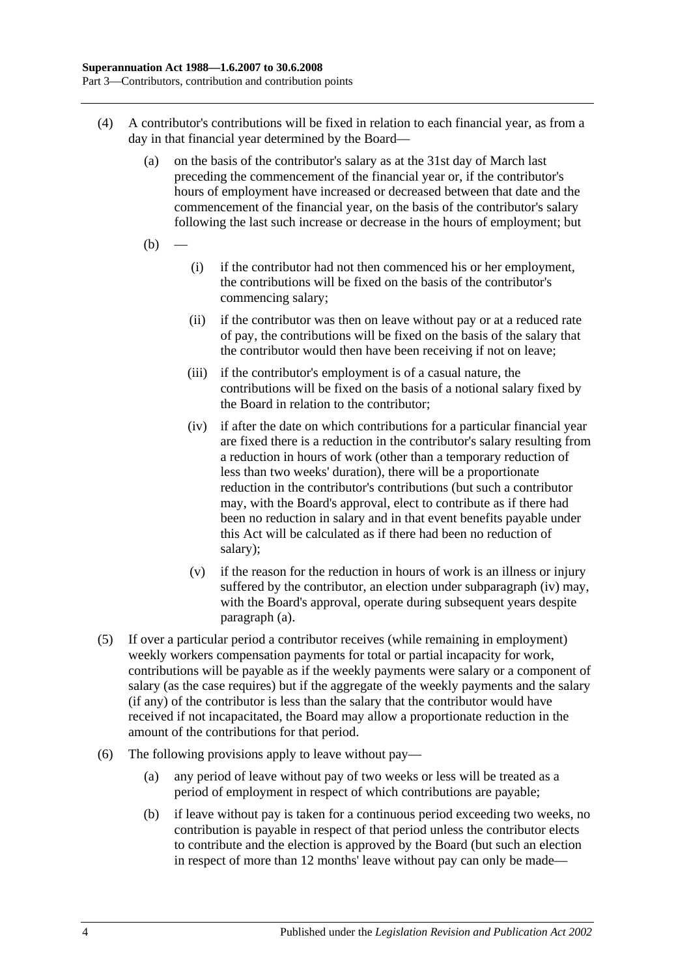- <span id="page-27-1"></span>(4) A contributor's contributions will be fixed in relation to each financial year, as from a day in that financial year determined by the Board—
	- (a) on the basis of the contributor's salary as at the 31st day of March last preceding the commencement of the financial year or, if the contributor's hours of employment have increased or decreased between that date and the commencement of the financial year, on the basis of the contributor's salary following the last such increase or decrease in the hours of employment; but
	- $(b)$
- (i) if the contributor had not then commenced his or her employment, the contributions will be fixed on the basis of the contributor's commencing salary;
- (ii) if the contributor was then on leave without pay or at a reduced rate of pay, the contributions will be fixed on the basis of the salary that the contributor would then have been receiving if not on leave;
- (iii) if the contributor's employment is of a casual nature, the contributions will be fixed on the basis of a notional salary fixed by the Board in relation to the contributor;
- <span id="page-27-0"></span>(iv) if after the date on which contributions for a particular financial year are fixed there is a reduction in the contributor's salary resulting from a reduction in hours of work (other than a temporary reduction of less than two weeks' duration), there will be a proportionate reduction in the contributor's contributions (but such a contributor may, with the Board's approval, elect to contribute as if there had been no reduction in salary and in that event benefits payable under this Act will be calculated as if there had been no reduction of salary);
- (v) if the reason for the reduction in hours of work is an illness or injury suffered by the contributor, an election under [subparagraph](#page-27-0) (iv) may, with the Board's approval, operate during subsequent years despite [paragraph](#page-27-1) (a).
- (5) If over a particular period a contributor receives (while remaining in employment) weekly workers compensation payments for total or partial incapacity for work, contributions will be payable as if the weekly payments were salary or a component of salary (as the case requires) but if the aggregate of the weekly payments and the salary (if any) of the contributor is less than the salary that the contributor would have received if not incapacitated, the Board may allow a proportionate reduction in the amount of the contributions for that period.
- <span id="page-27-2"></span>(6) The following provisions apply to leave without pay—
	- (a) any period of leave without pay of two weeks or less will be treated as a period of employment in respect of which contributions are payable;
	- (b) if leave without pay is taken for a continuous period exceeding two weeks, no contribution is payable in respect of that period unless the contributor elects to contribute and the election is approved by the Board (but such an election in respect of more than 12 months' leave without pay can only be made—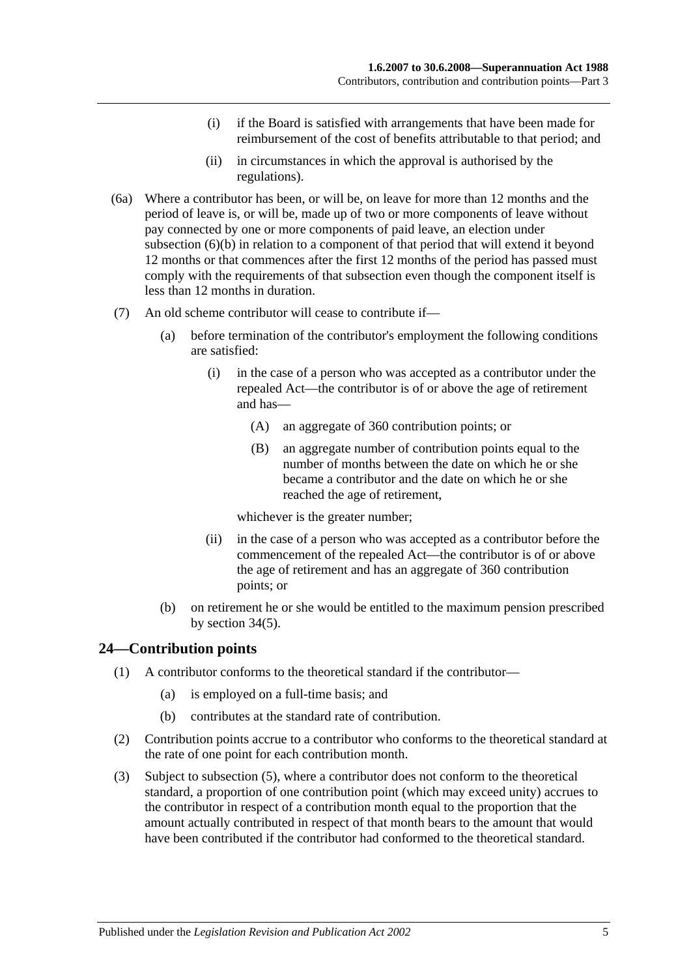- (i) if the Board is satisfied with arrangements that have been made for reimbursement of the cost of benefits attributable to that period; and
- (ii) in circumstances in which the approval is authorised by the regulations).
- (6a) Where a contributor has been, or will be, on leave for more than 12 months and the period of leave is, or will be, made up of two or more components of leave without pay connected by one or more components of paid leave, an election under [subsection](#page-27-2) (6)(b) in relation to a component of that period that will extend it beyond 12 months or that commences after the first 12 months of the period has passed must comply with the requirements of that subsection even though the component itself is less than 12 months in duration.
- (7) An old scheme contributor will cease to contribute if—
	- (a) before termination of the contributor's employment the following conditions are satisfied:
		- (i) in the case of a person who was accepted as a contributor under the repealed Act—the contributor is of or above the age of retirement and has—
			- (A) an aggregate of 360 contribution points; or
			- (B) an aggregate number of contribution points equal to the number of months between the date on which he or she became a contributor and the date on which he or she reached the age of retirement,

whichever is the greater number;

- (ii) in the case of a person who was accepted as a contributor before the commencement of the repealed Act—the contributor is of or above the age of retirement and has an aggregate of 360 contribution points; or
- (b) on retirement he or she would be entitled to the maximum pension prescribed by [section](#page-54-1) 34(5).

## <span id="page-28-0"></span>**24—Contribution points**

- (1) A contributor conforms to the theoretical standard if the contributor—
	- (a) is employed on a full-time basis; and
	- (b) contributes at the standard rate of contribution.
- (2) Contribution points accrue to a contributor who conforms to the theoretical standard at the rate of one point for each contribution month.
- (3) Subject to [subsection](#page-29-1) (5), where a contributor does not conform to the theoretical standard, a proportion of one contribution point (which may exceed unity) accrues to the contributor in respect of a contribution month equal to the proportion that the amount actually contributed in respect of that month bears to the amount that would have been contributed if the contributor had conformed to the theoretical standard.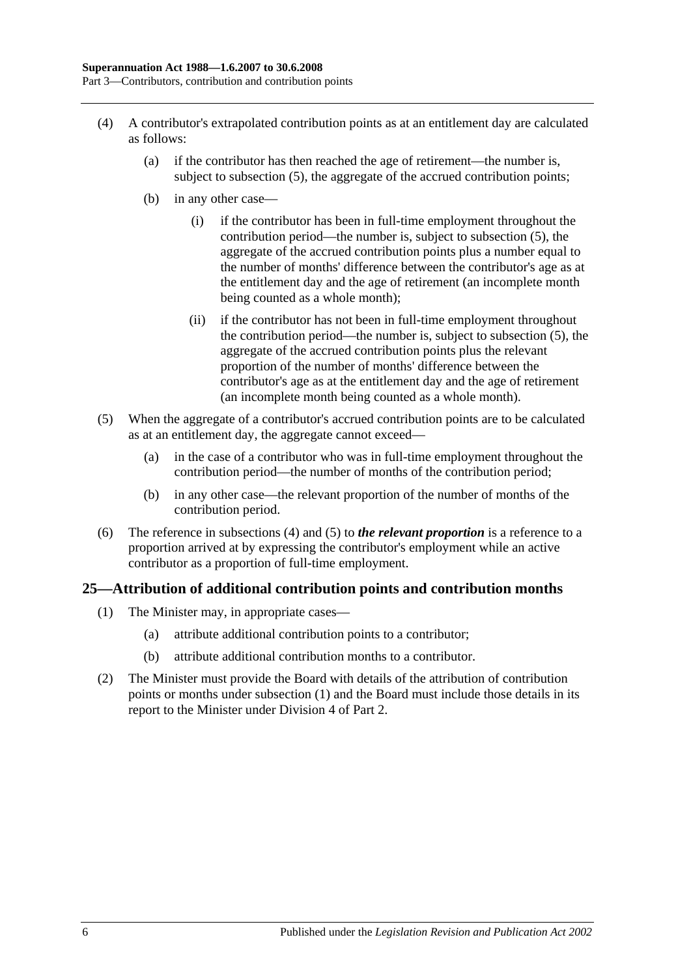- <span id="page-29-2"></span>(4) A contributor's extrapolated contribution points as at an entitlement day are calculated as follows:
	- (a) if the contributor has then reached the age of retirement—the number is, subject to [subsection](#page-29-1) (5), the aggregate of the accrued contribution points;
	- (b) in any other case—
		- (i) if the contributor has been in full-time employment throughout the contribution period—the number is, subject to [subsection](#page-29-1) (5), the aggregate of the accrued contribution points plus a number equal to the number of months' difference between the contributor's age as at the entitlement day and the age of retirement (an incomplete month being counted as a whole month);
		- (ii) if the contributor has not been in full-time employment throughout the contribution period—the number is, subject to [subsection](#page-29-1) (5), the aggregate of the accrued contribution points plus the relevant proportion of the number of months' difference between the contributor's age as at the entitlement day and the age of retirement (an incomplete month being counted as a whole month).
- <span id="page-29-1"></span>(5) When the aggregate of a contributor's accrued contribution points are to be calculated as at an entitlement day, the aggregate cannot exceed—
	- (a) in the case of a contributor who was in full-time employment throughout the contribution period—the number of months of the contribution period;
	- (b) in any other case—the relevant proportion of the number of months of the contribution period.
- (6) The reference in [subsections](#page-29-2) (4) and [\(5\)](#page-29-1) to *the relevant proportion* is a reference to a proportion arrived at by expressing the contributor's employment while an active contributor as a proportion of full-time employment.

## <span id="page-29-3"></span><span id="page-29-0"></span>**25—Attribution of additional contribution points and contribution months**

- (1) The Minister may, in appropriate cases—
	- (a) attribute additional contribution points to a contributor;
	- (b) attribute additional contribution months to a contributor.
- (2) The Minister must provide the Board with details of the attribution of contribution points or months under [subsection](#page-29-3) (1) and the Board must include those details in its report to the Minister under [Division 4](#page-23-2) of [Part 2.](#page-18-0)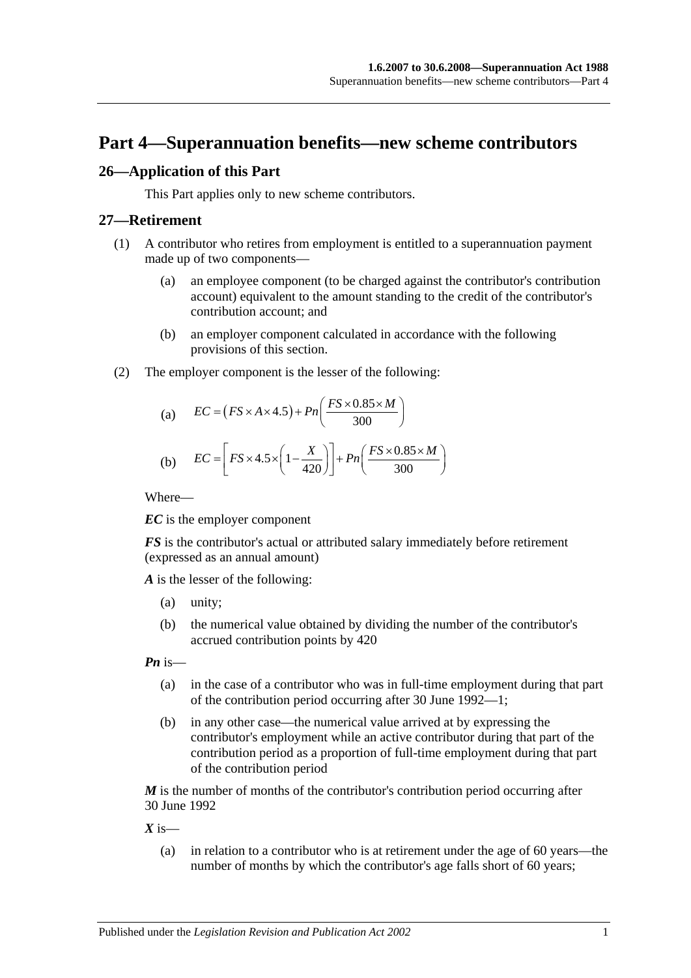# <span id="page-30-0"></span>**Part 4—Superannuation benefits—new scheme contributors**

## <span id="page-30-1"></span>**26—Application of this Part**

This Part applies only to new scheme contributors.

#### <span id="page-30-2"></span>**27—Retirement**

- (1) A contributor who retires from employment is entitled to a superannuation payment made up of two components—
	- (a) an employee component (to be charged against the contributor's contribution account) equivalent to the amount standing to the credit of the contributor's contribution account; and
	- (b) an employer component calculated in accordance with the following provisions of this section.
- (2) The employer component is the lesser of the following:

(a) 
$$
EC = (FS \times A \times 4.5) + Pn\left(\frac{FS \times 0.85 \times M}{300}\right)
$$

(b) 
$$
EC = \left[ FS \times 4.5 \times \left( 1 - \frac{X}{420} \right) \right] + Pn \left( \frac{FS \times 0.85 \times M}{300} \right)
$$

Where—

*EC* is the employer component

*FS* is the contributor's actual or attributed salary immediately before retirement (expressed as an annual amount)

*A* is the lesser of the following:

- (a) unity;
- (b) the numerical value obtained by dividing the number of the contributor's accrued contribution points by 420

*Pn* is—

- (a) in the case of a contributor who was in full-time employment during that part of the contribution period occurring after 30 June 1992—1;
- (b) in any other case—the numerical value arrived at by expressing the contributor's employment while an active contributor during that part of the contribution period as a proportion of full-time employment during that part of the contribution period

*M* is the number of months of the contributor's contribution period occurring after 30 June 1992

 $X$  is—

(a) in relation to a contributor who is at retirement under the age of 60 years—the number of months by which the contributor's age falls short of 60 years;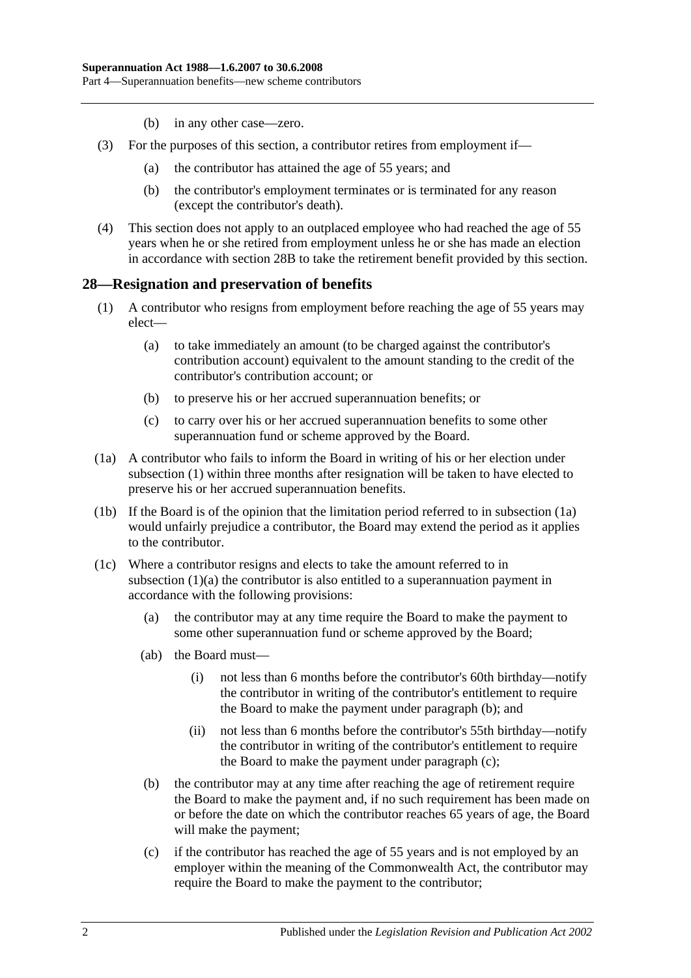- (b) in any other case—zero.
- (3) For the purposes of this section, a contributor retires from employment if—
	- (a) the contributor has attained the age of 55 years; and
	- (b) the contributor's employment terminates or is terminated for any reason (except the contributor's death).
- (4) This section does not apply to an outplaced employee who had reached the age of 55 years when he or she retired from employment unless he or she has made an election in accordance with [section](#page-35-0) 28B to take the retirement benefit provided by this section.

#### <span id="page-31-1"></span><span id="page-31-0"></span>**28—Resignation and preservation of benefits**

- <span id="page-31-3"></span>(1) A contributor who resigns from employment before reaching the age of 55 years may elect—
	- (a) to take immediately an amount (to be charged against the contributor's contribution account) equivalent to the amount standing to the credit of the contributor's contribution account; or
	- (b) to preserve his or her accrued superannuation benefits; or
	- (c) to carry over his or her accrued superannuation benefits to some other superannuation fund or scheme approved by the Board.
- <span id="page-31-2"></span>(1a) A contributor who fails to inform the Board in writing of his or her election under [subsection](#page-31-1) (1) within three months after resignation will be taken to have elected to preserve his or her accrued superannuation benefits.
- (1b) If the Board is of the opinion that the limitation period referred to in [subsection](#page-31-2) (1a) would unfairly prejudice a contributor, the Board may extend the period as it applies to the contributor.
- <span id="page-31-6"></span><span id="page-31-5"></span><span id="page-31-4"></span>(1c) Where a contributor resigns and elects to take the amount referred to in [subsection](#page-31-3) (1)(a) the contributor is also entitled to a superannuation payment in accordance with the following provisions:
	- (a) the contributor may at any time require the Board to make the payment to some other superannuation fund or scheme approved by the Board;
	- (ab) the Board must—
		- (i) not less than 6 months before the contributor's 60th birthday—notify the contributor in writing of the contributor's entitlement to require the Board to make the payment under [paragraph](#page-31-4) (b); and
		- (ii) not less than 6 months before the contributor's 55th birthday—notify the contributor in writing of the contributor's entitlement to require the Board to make the payment under [paragraph](#page-31-5) (c);
	- (b) the contributor may at any time after reaching the age of retirement require the Board to make the payment and, if no such requirement has been made on or before the date on which the contributor reaches 65 years of age, the Board will make the payment;
	- (c) if the contributor has reached the age of 55 years and is not employed by an employer within the meaning of the Commonwealth Act, the contributor may require the Board to make the payment to the contributor;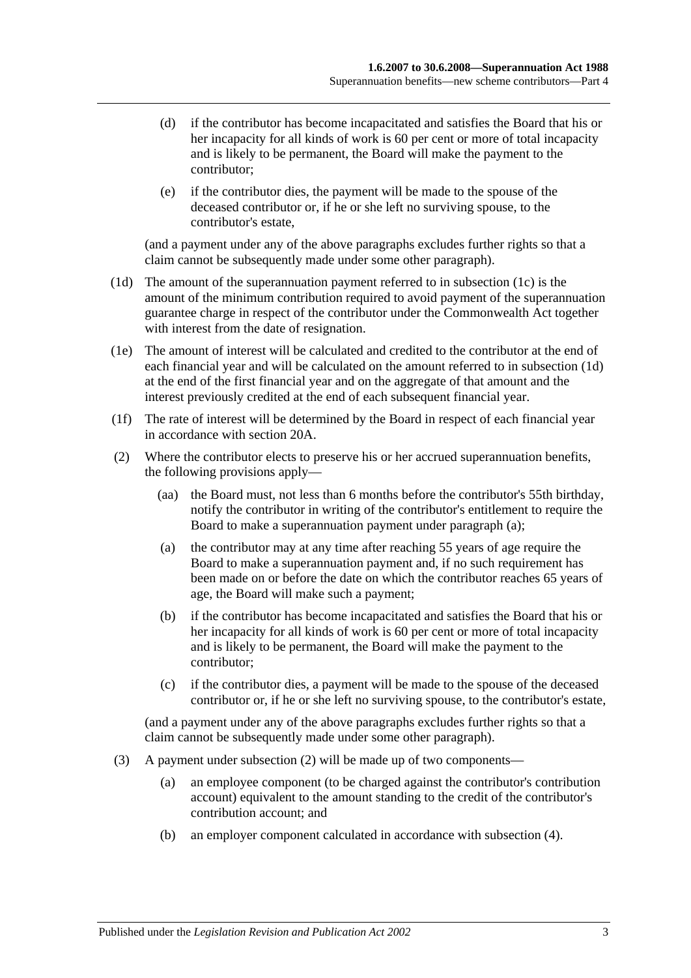- (d) if the contributor has become incapacitated and satisfies the Board that his or her incapacity for all kinds of work is 60 per cent or more of total incapacity and is likely to be permanent, the Board will make the payment to the contributor;
- (e) if the contributor dies, the payment will be made to the spouse of the deceased contributor or, if he or she left no surviving spouse, to the contributor's estate,

(and a payment under any of the above paragraphs excludes further rights so that a claim cannot be subsequently made under some other paragraph).

- <span id="page-32-0"></span>(1d) The amount of the superannuation payment referred to in [subsection](#page-31-6) (1c) is the amount of the minimum contribution required to avoid payment of the superannuation guarantee charge in respect of the contributor under the Commonwealth Act together with interest from the date of resignation.
- (1e) The amount of interest will be calculated and credited to the contributor at the end of each financial year and will be calculated on the amount referred to in [subsection](#page-32-0) (1d) at the end of the first financial year and on the aggregate of that amount and the interest previously credited at the end of each subsequent financial year.
- (1f) The rate of interest will be determined by the Board in respect of each financial year in accordance with [section](#page-21-2) 20A.
- <span id="page-32-2"></span><span id="page-32-1"></span>(2) Where the contributor elects to preserve his or her accrued superannuation benefits, the following provisions apply—
	- (aa) the Board must, not less than 6 months before the contributor's 55th birthday, notify the contributor in writing of the contributor's entitlement to require the Board to make a superannuation payment under [paragraph](#page-32-1) (a);
	- (a) the contributor may at any time after reaching 55 years of age require the Board to make a superannuation payment and, if no such requirement has been made on or before the date on which the contributor reaches 65 years of age, the Board will make such a payment;
	- (b) if the contributor has become incapacitated and satisfies the Board that his or her incapacity for all kinds of work is 60 per cent or more of total incapacity and is likely to be permanent, the Board will make the payment to the contributor;
	- (c) if the contributor dies, a payment will be made to the spouse of the deceased contributor or, if he or she left no surviving spouse, to the contributor's estate,

(and a payment under any of the above paragraphs excludes further rights so that a claim cannot be subsequently made under some other paragraph).

- (3) A payment under [subsection](#page-32-2) (2) will be made up of two components—
	- (a) an employee component (to be charged against the contributor's contribution account) equivalent to the amount standing to the credit of the contributor's contribution account; and
	- (b) an employer component calculated in accordance with [subsection](#page-33-0) (4).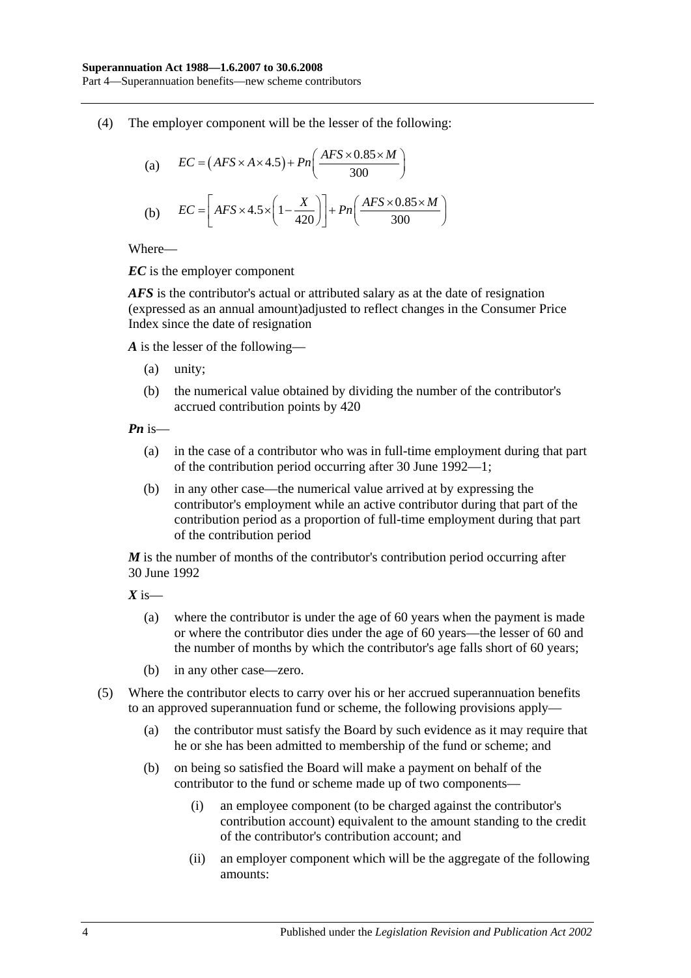Part 4—Superannuation benefits—new scheme contributors

<span id="page-33-0"></span>(4) The employer component will be the lesser of the following:

(a) 
$$
EC = (AFS \times A \times 4.5) + Pn\left(\frac{AFS \times 0.85 \times M}{300}\right)
$$
  
(b) 
$$
EC = \left[ AFS \times 4.5 \times \left(1 - \frac{X}{420}\right)\right] + Pn\left(\frac{AFS \times 0.85 \times M}{300}\right)
$$

Where—

*EC* is the employer component

*AFS* is the contributor's actual or attributed salary as at the date of resignation (expressed as an annual amount)adjusted to reflect changes in the Consumer Price Index since the date of resignation

*A* is the lesser of the following—

- (a) unity;
- (b) the numerical value obtained by dividing the number of the contributor's accrued contribution points by 420

*Pn* is—

- (a) in the case of a contributor who was in full-time employment during that part of the contribution period occurring after 30 June 1992—1;
- (b) in any other case—the numerical value arrived at by expressing the contributor's employment while an active contributor during that part of the contribution period as a proportion of full-time employment during that part of the contribution period

*M* is the number of months of the contributor's contribution period occurring after 30 June 1992

*X* is—

- (a) where the contributor is under the age of 60 years when the payment is made or where the contributor dies under the age of 60 years—the lesser of 60 and the number of months by which the contributor's age falls short of 60 years;
- (b) in any other case—zero.
- (5) Where the contributor elects to carry over his or her accrued superannuation benefits to an approved superannuation fund or scheme, the following provisions apply—
	- (a) the contributor must satisfy the Board by such evidence as it may require that he or she has been admitted to membership of the fund or scheme; and
	- (b) on being so satisfied the Board will make a payment on behalf of the contributor to the fund or scheme made up of two components—
		- (i) an employee component (to be charged against the contributor's contribution account) equivalent to the amount standing to the credit of the contributor's contribution account; and
		- (ii) an employer component which will be the aggregate of the following amounts: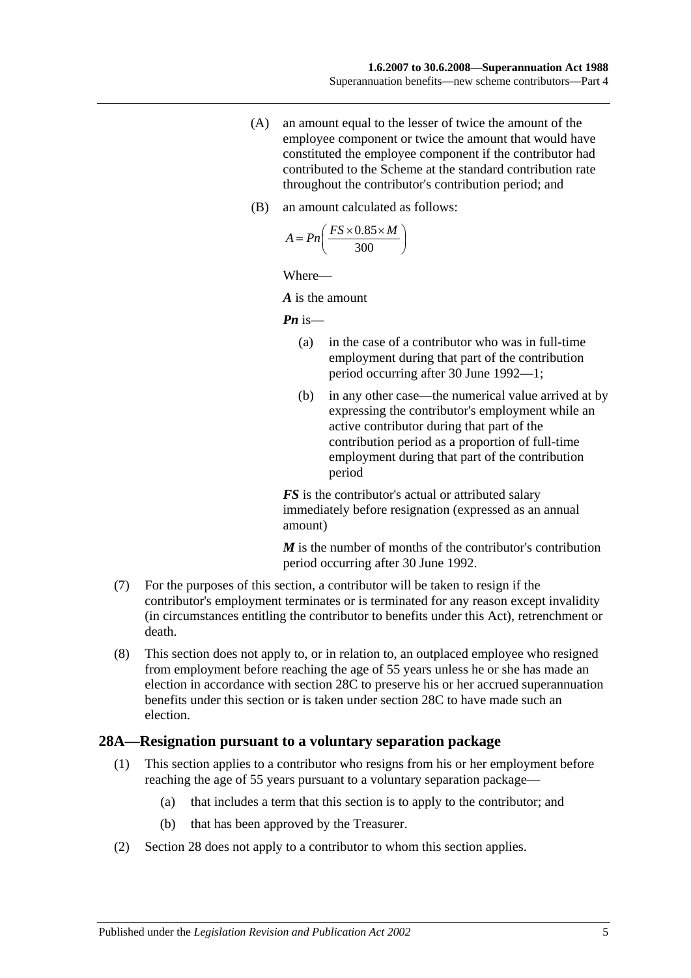- (A) an amount equal to the lesser of twice the amount of the employee component or twice the amount that would have constituted the employee component if the contributor had contributed to the Scheme at the standard contribution rate throughout the contributor's contribution period; and
- (B) an amount calculated as follows:

$$
A = P n \left( \frac{FS \times 0.85 \times M}{300} \right)
$$

Where—

*A* is the amount

*Pn* is—

- (a) in the case of a contributor who was in full-time employment during that part of the contribution period occurring after 30 June 1992—1;
- (b) in any other case—the numerical value arrived at by expressing the contributor's employment while an active contributor during that part of the contribution period as a proportion of full-time employment during that part of the contribution period

*FS* is the contributor's actual or attributed salary immediately before resignation (expressed as an annual amount)

*M* is the number of months of the contributor's contribution period occurring after 30 June 1992.

- (7) For the purposes of this section, a contributor will be taken to resign if the contributor's employment terminates or is terminated for any reason except invalidity (in circumstances entitling the contributor to benefits under this Act), retrenchment or death.
- (8) This section does not apply to, or in relation to, an outplaced employee who resigned from employment before reaching the age of 55 years unless he or she has made an election in accordance with [section](#page-36-0) 28C to preserve his or her accrued superannuation benefits under this section or is taken under [section](#page-36-0) 28C to have made such an election.

#### <span id="page-34-0"></span>**28A—Resignation pursuant to a voluntary separation package**

- (1) This section applies to a contributor who resigns from his or her employment before reaching the age of 55 years pursuant to a voluntary separation package—
	- (a) that includes a term that this section is to apply to the contributor; and
	- (b) that has been approved by the Treasurer.
- (2) [Section](#page-31-0) 28 does not apply to a contributor to whom this section applies.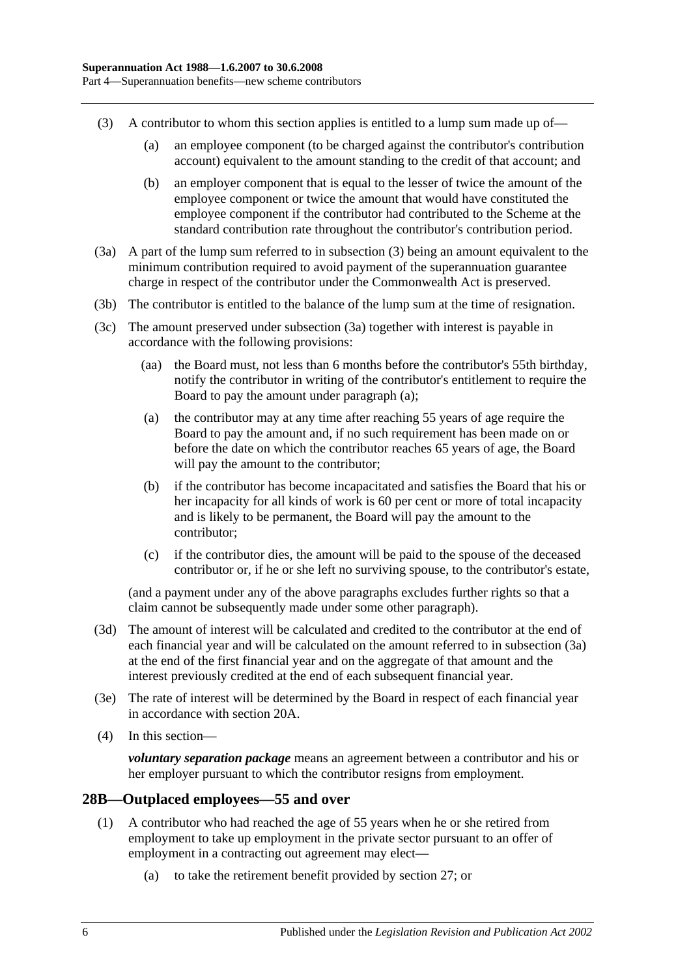- <span id="page-35-1"></span>(3) A contributor to whom this section applies is entitled to a lump sum made up of—
	- (a) an employee component (to be charged against the contributor's contribution account) equivalent to the amount standing to the credit of that account; and
	- (b) an employer component that is equal to the lesser of twice the amount of the employee component or twice the amount that would have constituted the employee component if the contributor had contributed to the Scheme at the standard contribution rate throughout the contributor's contribution period.
- <span id="page-35-2"></span>(3a) A part of the lump sum referred to in [subsection](#page-35-1) (3) being an amount equivalent to the minimum contribution required to avoid payment of the superannuation guarantee charge in respect of the contributor under the Commonwealth Act is preserved.
- (3b) The contributor is entitled to the balance of the lump sum at the time of resignation.
- <span id="page-35-3"></span>(3c) The amount preserved under [subsection](#page-35-2) (3a) together with interest is payable in accordance with the following provisions:
	- (aa) the Board must, not less than 6 months before the contributor's 55th birthday, notify the contributor in writing of the contributor's entitlement to require the Board to pay the amount under [paragraph](#page-35-3) (a);
	- (a) the contributor may at any time after reaching 55 years of age require the Board to pay the amount and, if no such requirement has been made on or before the date on which the contributor reaches 65 years of age, the Board will pay the amount to the contributor;
	- (b) if the contributor has become incapacitated and satisfies the Board that his or her incapacity for all kinds of work is 60 per cent or more of total incapacity and is likely to be permanent, the Board will pay the amount to the contributor;
	- (c) if the contributor dies, the amount will be paid to the spouse of the deceased contributor or, if he or she left no surviving spouse, to the contributor's estate,

(and a payment under any of the above paragraphs excludes further rights so that a claim cannot be subsequently made under some other paragraph).

- (3d) The amount of interest will be calculated and credited to the contributor at the end of each financial year and will be calculated on the amount referred to in [subsection](#page-35-2) (3a) at the end of the first financial year and on the aggregate of that amount and the interest previously credited at the end of each subsequent financial year.
- (3e) The rate of interest will be determined by the Board in respect of each financial year in accordance with [section](#page-21-2) 20A.
- (4) In this section—

*voluntary separation package* means an agreement between a contributor and his or her employer pursuant to which the contributor resigns from employment.

## <span id="page-35-0"></span>**28B—Outplaced employees—55 and over**

- (1) A contributor who had reached the age of 55 years when he or she retired from employment to take up employment in the private sector pursuant to an offer of employment in a contracting out agreement may elect—
	- (a) to take the retirement benefit provided by [section](#page-30-2) 27; or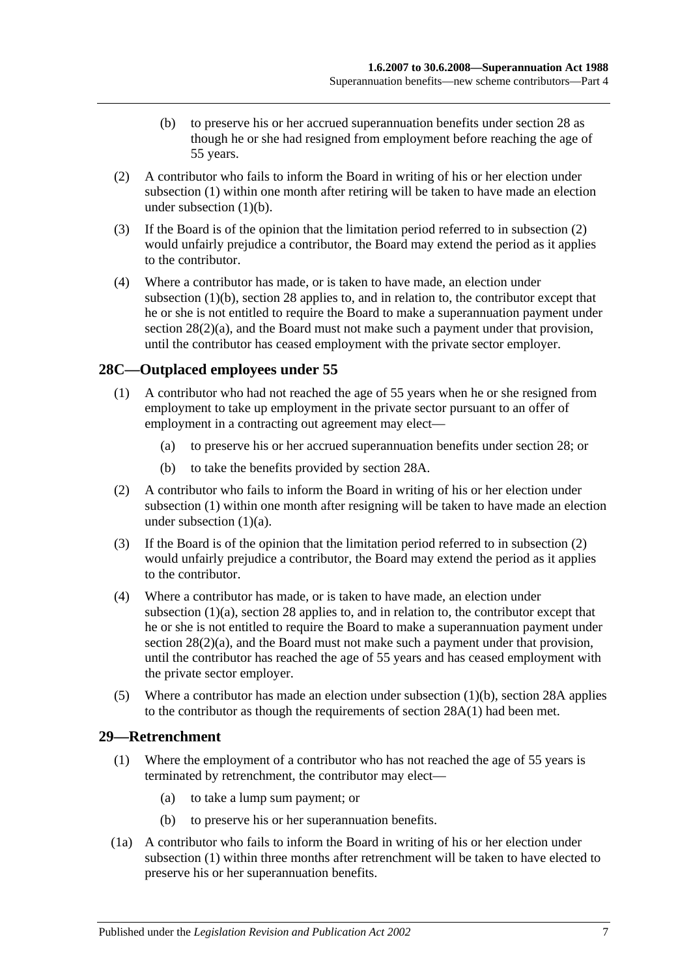- (b) to preserve his or her accrued superannuation benefits under [section](#page-31-0) 28 as though he or she had resigned from employment before reaching the age of 55 years.
- <span id="page-36-1"></span><span id="page-36-0"></span>(2) A contributor who fails to inform the Board in writing of his or her election under [subsection](#page-35-0) (1) within one month after retiring will be taken to have made an election under [subsection](#page-36-0)  $(1)(b)$ .
- (3) If the Board is of the opinion that the limitation period referred to in [subsection](#page-36-1) (2) would unfairly prejudice a contributor, the Board may extend the period as it applies to the contributor.
- (4) Where a contributor has made, or is taken to have made, an election under [subsection](#page-36-0) (1)(b), [section](#page-31-0) 28 applies to, and in relation to, the contributor except that he or she is not entitled to require the Board to make a superannuation payment under section  $28(2)(a)$ , and the Board must not make such a payment under that provision, until the contributor has ceased employment with the private sector employer.

# <span id="page-36-2"></span>**28C—Outplaced employees under 55**

- <span id="page-36-3"></span>(1) A contributor who had not reached the age of 55 years when he or she resigned from employment to take up employment in the private sector pursuant to an offer of employment in a contracting out agreement may elect—
	- (a) to preserve his or her accrued superannuation benefits under [section](#page-31-0) 28; or
	- (b) to take the benefits provided by [section](#page-34-0) 28A.
- <span id="page-36-5"></span><span id="page-36-4"></span>(2) A contributor who fails to inform the Board in writing of his or her election under [subsection](#page-36-2) (1) within one month after resigning will be taken to have made an election under [subsection](#page-36-3) (1)(a).
- (3) If the Board is of the opinion that the limitation period referred to in [subsection](#page-36-4) (2) would unfairly prejudice a contributor, the Board may extend the period as it applies to the contributor.
- (4) Where a contributor has made, or is taken to have made, an election under [subsection](#page-36-3) (1)(a), [section](#page-31-0) 28 applies to, and in relation to, the contributor except that he or she is not entitled to require the Board to make a superannuation payment under section  $28(2)(a)$ , and the Board must not make such a payment under that provision, until the contributor has reached the age of 55 years and has ceased employment with the private sector employer.
- (5) Where a contributor has made an election under [subsection](#page-36-5) (1)(b), [section](#page-34-0) 28A applies to the contributor as though the requirements of [section](#page-34-1) 28A(1) had been met.

### <span id="page-36-6"></span>**29—Retrenchment**

- (1) Where the employment of a contributor who has not reached the age of 55 years is terminated by retrenchment, the contributor may elect—
	- (a) to take a lump sum payment; or
	- (b) to preserve his or her superannuation benefits.
- <span id="page-36-7"></span>(1a) A contributor who fails to inform the Board in writing of his or her election under [subsection](#page-36-6) (1) within three months after retrenchment will be taken to have elected to preserve his or her superannuation benefits.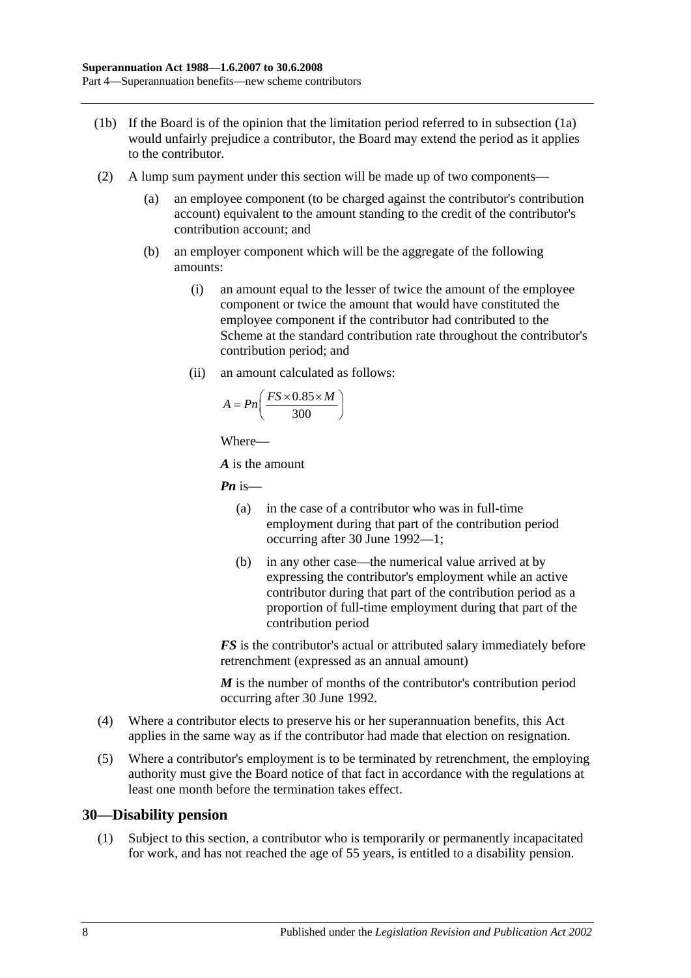- (1b) If the Board is of the opinion that the limitation period referred to in [subsection](#page-36-7) (1a) would unfairly prejudice a contributor, the Board may extend the period as it applies to the contributor.
- (2) A lump sum payment under this section will be made up of two components—
	- (a) an employee component (to be charged against the contributor's contribution account) equivalent to the amount standing to the credit of the contributor's contribution account; and
	- (b) an employer component which will be the aggregate of the following amounts:
		- (i) an amount equal to the lesser of twice the amount of the employee component or twice the amount that would have constituted the employee component if the contributor had contributed to the Scheme at the standard contribution rate throughout the contributor's contribution period; and
		- (ii) an amount calculated as follows:

$$
A = P n \left( \frac{FS \times 0.85 \times M}{300} \right)
$$

Where—

*A* is the amount

*Pn* is—

- (a) in the case of a contributor who was in full-time employment during that part of the contribution period occurring after 30 June 1992—1;
- (b) in any other case—the numerical value arrived at by expressing the contributor's employment while an active contributor during that part of the contribution period as a proportion of full-time employment during that part of the contribution period

*FS* is the contributor's actual or attributed salary immediately before retrenchment (expressed as an annual amount)

*M* is the number of months of the contributor's contribution period occurring after 30 June 1992.

- (4) Where a contributor elects to preserve his or her superannuation benefits, this Act applies in the same way as if the contributor had made that election on resignation.
- (5) Where a contributor's employment is to be terminated by retrenchment, the employing authority must give the Board notice of that fact in accordance with the regulations at least one month before the termination takes effect.

### **30—Disability pension**

(1) Subject to this section, a contributor who is temporarily or permanently incapacitated for work, and has not reached the age of 55 years, is entitled to a disability pension.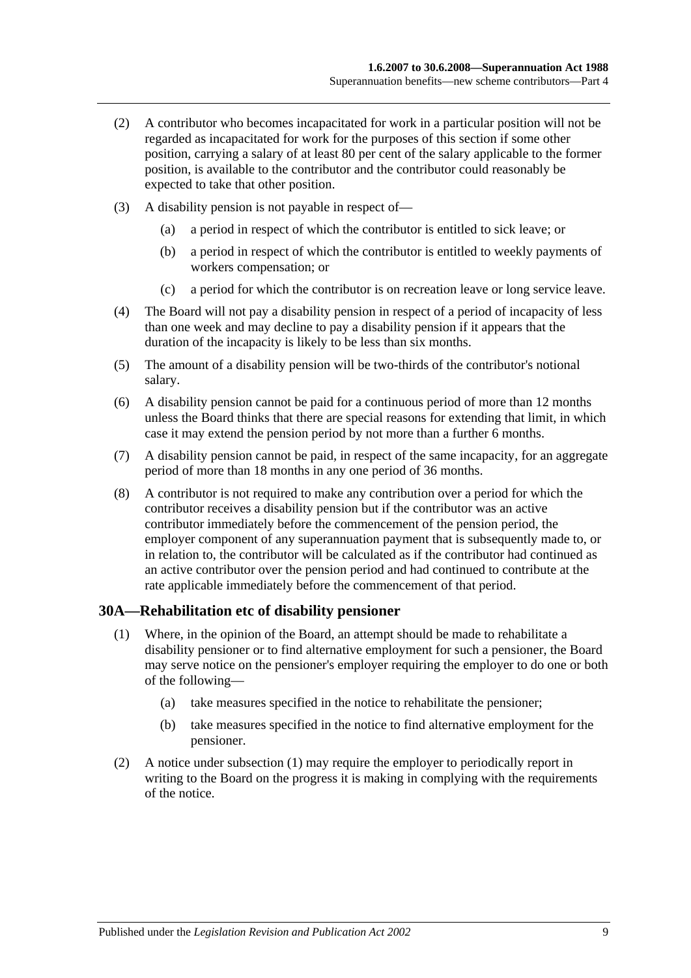- (2) A contributor who becomes incapacitated for work in a particular position will not be regarded as incapacitated for work for the purposes of this section if some other position, carrying a salary of at least 80 per cent of the salary applicable to the former position, is available to the contributor and the contributor could reasonably be expected to take that other position.
- (3) A disability pension is not payable in respect of—
	- (a) a period in respect of which the contributor is entitled to sick leave; or
	- (b) a period in respect of which the contributor is entitled to weekly payments of workers compensation; or
	- (c) a period for which the contributor is on recreation leave or long service leave.
- (4) The Board will not pay a disability pension in respect of a period of incapacity of less than one week and may decline to pay a disability pension if it appears that the duration of the incapacity is likely to be less than six months.
- (5) The amount of a disability pension will be two-thirds of the contributor's notional salary.
- (6) A disability pension cannot be paid for a continuous period of more than 12 months unless the Board thinks that there are special reasons for extending that limit, in which case it may extend the pension period by not more than a further 6 months.
- (7) A disability pension cannot be paid, in respect of the same incapacity, for an aggregate period of more than 18 months in any one period of 36 months.
- (8) A contributor is not required to make any contribution over a period for which the contributor receives a disability pension but if the contributor was an active contributor immediately before the commencement of the pension period, the employer component of any superannuation payment that is subsequently made to, or in relation to, the contributor will be calculated as if the contributor had continued as an active contributor over the pension period and had continued to contribute at the rate applicable immediately before the commencement of that period.

#### <span id="page-38-0"></span>**30A—Rehabilitation etc of disability pensioner**

- (1) Where, in the opinion of the Board, an attempt should be made to rehabilitate a disability pensioner or to find alternative employment for such a pensioner, the Board may serve notice on the pensioner's employer requiring the employer to do one or both of the following—
	- (a) take measures specified in the notice to rehabilitate the pensioner;
	- (b) take measures specified in the notice to find alternative employment for the pensioner.
- (2) A notice under [subsection](#page-38-0) (1) may require the employer to periodically report in writing to the Board on the progress it is making in complying with the requirements of the notice.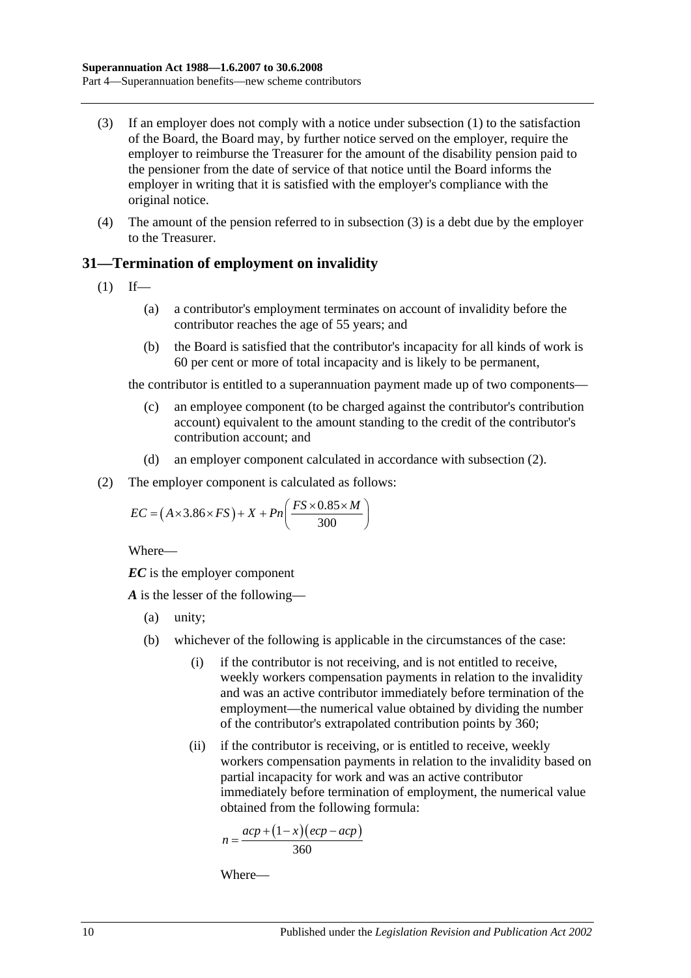- <span id="page-39-0"></span>(3) If an employer does not comply with a notice under [subsection](#page-38-0) (1) to the satisfaction of the Board, the Board may, by further notice served on the employer, require the employer to reimburse the Treasurer for the amount of the disability pension paid to the pensioner from the date of service of that notice until the Board informs the employer in writing that it is satisfied with the employer's compliance with the original notice.
- (4) The amount of the pension referred to in [subsection](#page-39-0) (3) is a debt due by the employer to the Treasurer.

## **31—Termination of employment on invalidity**

- <span id="page-39-2"></span> $(1)$  If—
	- (a) a contributor's employment terminates on account of invalidity before the contributor reaches the age of 55 years; and
	- (b) the Board is satisfied that the contributor's incapacity for all kinds of work is 60 per cent or more of total incapacity and is likely to be permanent,

the contributor is entitled to a superannuation payment made up of two components—

- (c) an employee component (to be charged against the contributor's contribution account) equivalent to the amount standing to the credit of the contributor's contribution account; and
- (d) an employer component calculated in accordance with [subsection](#page-39-1) (2).
- <span id="page-39-1"></span>(2) The employer component is calculated as follows:

$$
EC = (A \times 3.86 \times FS) + X + Pn\left(\frac{FS \times 0.85 \times M}{300}\right)
$$

Where—

*EC* is the employer component

*A* is the lesser of the following—

- (a) unity;
- (b) whichever of the following is applicable in the circumstances of the case:
	- (i) if the contributor is not receiving, and is not entitled to receive, weekly workers compensation payments in relation to the invalidity and was an active contributor immediately before termination of the employment—the numerical value obtained by dividing the number of the contributor's extrapolated contribution points by 360;
	- (ii) if the contributor is receiving, or is entitled to receive, weekly workers compensation payments in relation to the invalidity based on partial incapacity for work and was an active contributor immediately before termination of employment, the numerical value obtained from the following formula:

$$
n = \frac{acp + (1 - x)(ecp - acp)}{360}
$$

Where—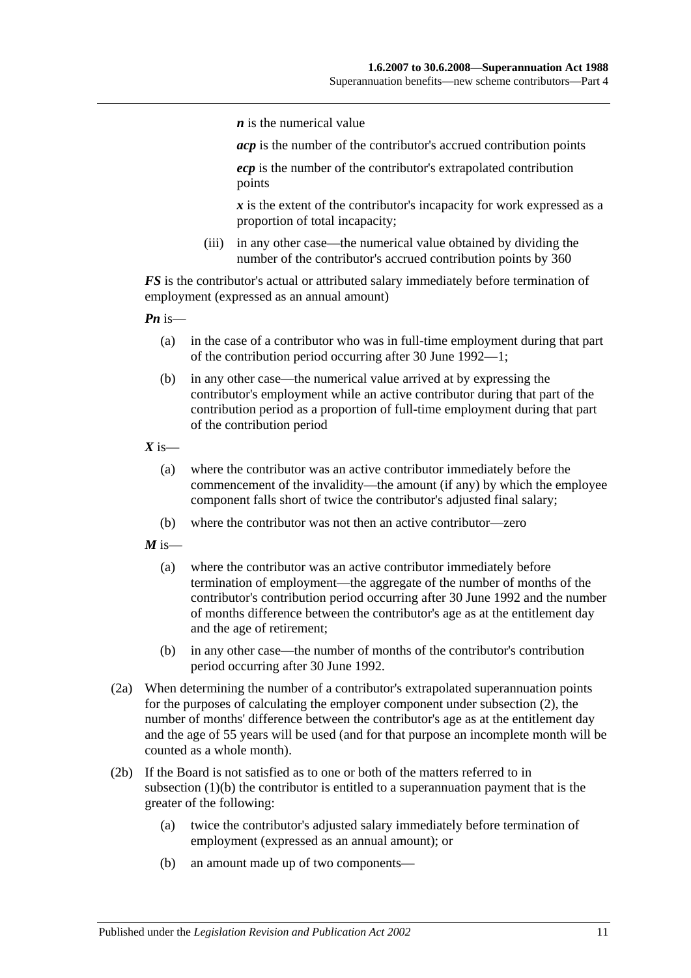*n* is the numerical value

*acp* is the number of the contributor's accrued contribution points

*ecp* is the number of the contributor's extrapolated contribution points

*x* is the extent of the contributor's incapacity for work expressed as a proportion of total incapacity;

(iii) in any other case—the numerical value obtained by dividing the number of the contributor's accrued contribution points by 360

*FS* is the contributor's actual or attributed salary immediately before termination of employment (expressed as an annual amount)

*Pn* is—

- (a) in the case of a contributor who was in full-time employment during that part of the contribution period occurring after 30 June 1992—1;
- (b) in any other case—the numerical value arrived at by expressing the contributor's employment while an active contributor during that part of the contribution period as a proportion of full-time employment during that part of the contribution period

 $X$  is—

- (a) where the contributor was an active contributor immediately before the commencement of the invalidity—the amount (if any) by which the employee component falls short of twice the contributor's adjusted final salary;
- (b) where the contributor was not then an active contributor—zero

 $M$  is—

- (a) where the contributor was an active contributor immediately before termination of employment—the aggregate of the number of months of the contributor's contribution period occurring after 30 June 1992 and the number of months difference between the contributor's age as at the entitlement day and the age of retirement;
- (b) in any other case—the number of months of the contributor's contribution period occurring after 30 June 1992.
- (2a) When determining the number of a contributor's extrapolated superannuation points for the purposes of calculating the employer component under [subsection](#page-39-1) (2), the number of months' difference between the contributor's age as at the entitlement day and the age of 55 years will be used (and for that purpose an incomplete month will be counted as a whole month).
- <span id="page-40-0"></span>(2b) If the Board is not satisfied as to one or both of the matters referred to in [subsection](#page-39-2) (1)(b) the contributor is entitled to a superannuation payment that is the greater of the following:
	- (a) twice the contributor's adjusted salary immediately before termination of employment (expressed as an annual amount); or
	- (b) an amount made up of two components—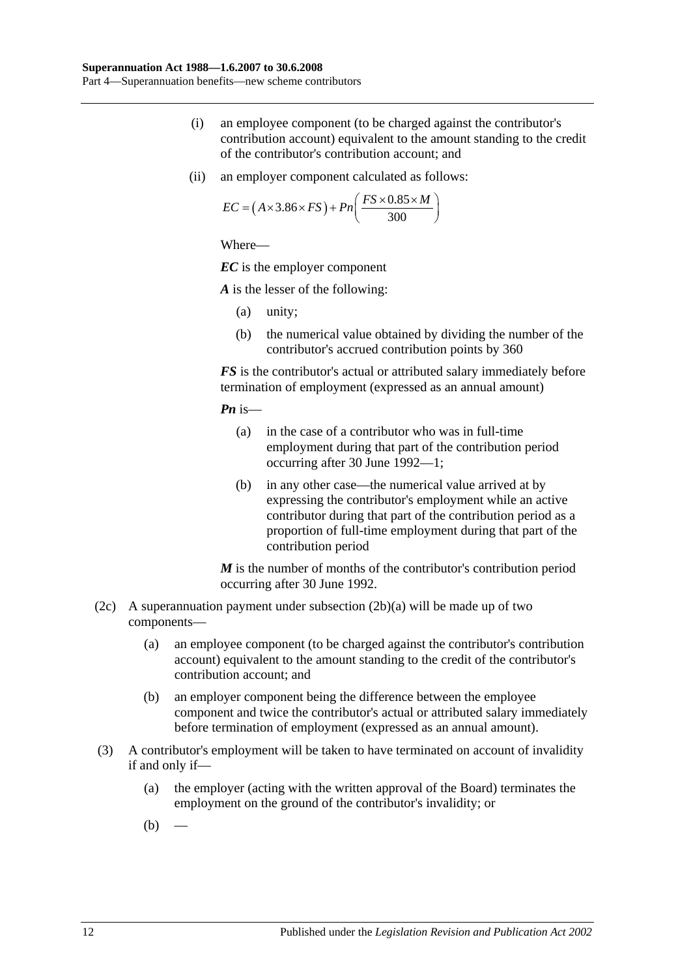- (i) an employee component (to be charged against the contributor's contribution account) equivalent to the amount standing to the credit of the contributor's contribution account; and
- (ii) an employer component calculated as follows:

$$
EC = (A \times 3.86 \times FS) + Pn\left(\frac{FS \times 0.85 \times M}{300}\right)
$$

Where—

*EC* is the employer component

*A* is the lesser of the following:

- (a) unity;
- (b) the numerical value obtained by dividing the number of the contributor's accrued contribution points by 360

*FS* is the contributor's actual or attributed salary immediately before termination of employment (expressed as an annual amount)

*Pn* is—

- (a) in the case of a contributor who was in full-time employment during that part of the contribution period occurring after 30 June 1992—1;
- (b) in any other case—the numerical value arrived at by expressing the contributor's employment while an active contributor during that part of the contribution period as a proportion of full-time employment during that part of the contribution period

*M* is the number of months of the contributor's contribution period occurring after 30 June 1992.

- (2c) A superannuation payment under [subsection](#page-40-0)  $(2b)(a)$  will be made up of two components—
	- (a) an employee component (to be charged against the contributor's contribution account) equivalent to the amount standing to the credit of the contributor's contribution account; and
	- (b) an employer component being the difference between the employee component and twice the contributor's actual or attributed salary immediately before termination of employment (expressed as an annual amount).
- <span id="page-41-1"></span><span id="page-41-0"></span>(3) A contributor's employment will be taken to have terminated on account of invalidity if and only if—
	- (a) the employer (acting with the written approval of the Board) terminates the employment on the ground of the contributor's invalidity; or
	- $(b)$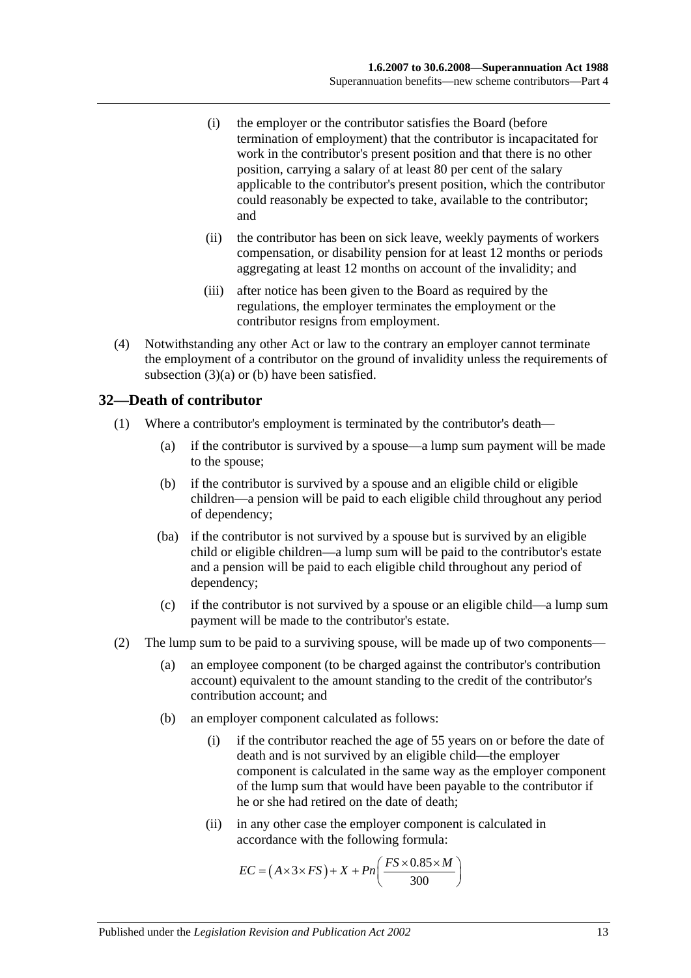- (i) the employer or the contributor satisfies the Board (before termination of employment) that the contributor is incapacitated for work in the contributor's present position and that there is no other position, carrying a salary of at least 80 per cent of the salary applicable to the contributor's present position, which the contributor could reasonably be expected to take, available to the contributor; and
- (ii) the contributor has been on sick leave, weekly payments of workers compensation, or disability pension for at least 12 months or periods aggregating at least 12 months on account of the invalidity; and
- (iii) after notice has been given to the Board as required by the regulations, the employer terminates the employment or the contributor resigns from employment.
- (4) Notwithstanding any other Act or law to the contrary an employer cannot terminate the employment of a contributor on the ground of invalidity unless the requirements of [subsection](#page-41-0) (3)(a) or [\(b\)](#page-41-1) have been satisfied.

### **32—Death of contributor**

- (1) Where a contributor's employment is terminated by the contributor's death—
	- (a) if the contributor is survived by a spouse—a lump sum payment will be made to the spouse;
	- (b) if the contributor is survived by a spouse and an eligible child or eligible children—a pension will be paid to each eligible child throughout any period of dependency;
	- (ba) if the contributor is not survived by a spouse but is survived by an eligible child or eligible children—a lump sum will be paid to the contributor's estate and a pension will be paid to each eligible child throughout any period of dependency;
	- (c) if the contributor is not survived by a spouse or an eligible child—a lump sum payment will be made to the contributor's estate.
- (2) The lump sum to be paid to a surviving spouse, will be made up of two components—
	- (a) an employee component (to be charged against the contributor's contribution account) equivalent to the amount standing to the credit of the contributor's contribution account; and
	- (b) an employer component calculated as follows:
		- (i) if the contributor reached the age of 55 years on or before the date of death and is not survived by an eligible child—the employer component is calculated in the same way as the employer component of the lump sum that would have been payable to the contributor if he or she had retired on the date of death;
		- (ii) in any other case the employer component is calculated in accordance with the following formula:

$$
EC = (A \times 3 \times FS) + X + Pn\left(\frac{FS \times 0.85 \times M}{300}\right)
$$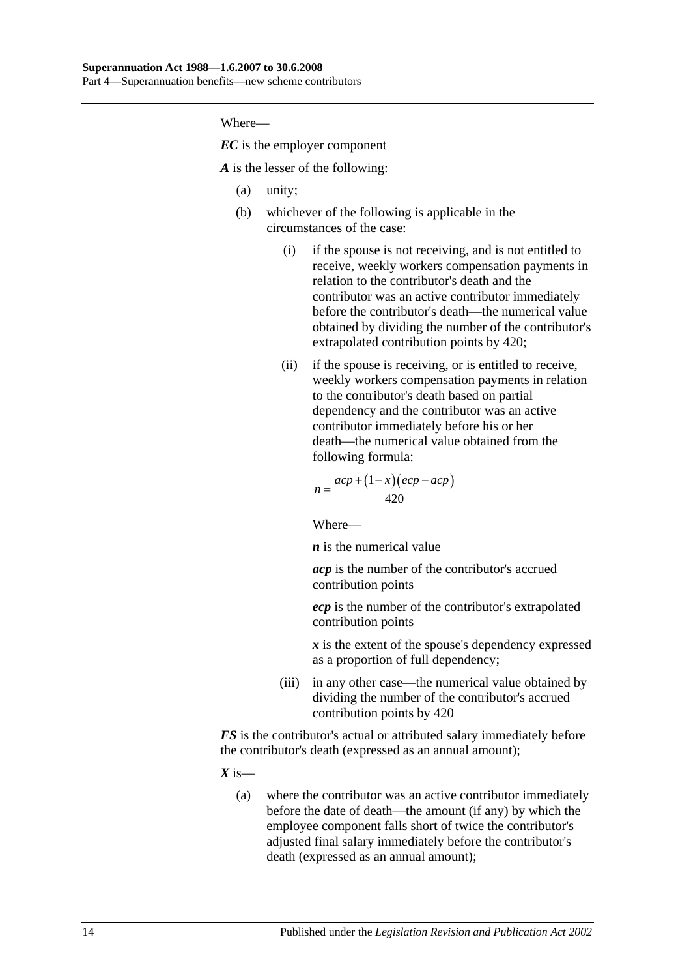Where—

*EC* is the employer component

*A* is the lesser of the following:

- (a) unity;
- (b) whichever of the following is applicable in the circumstances of the case:
	- (i) if the spouse is not receiving, and is not entitled to receive, weekly workers compensation payments in relation to the contributor's death and the contributor was an active contributor immediately before the contributor's death—the numerical value obtained by dividing the number of the contributor's extrapolated contribution points by 420;
	- (ii) if the spouse is receiving, or is entitled to receive, weekly workers compensation payments in relation to the contributor's death based on partial dependency and the contributor was an active contributor immediately before his or her death—the numerical value obtained from the following formula:

$$
n = \frac{acp + (1 - x)(ecp - acp)}{420}
$$

Where—

*n* is the numerical value

*acp* is the number of the contributor's accrued contribution points

*ecp* is the number of the contributor's extrapolated contribution points

*x* is the extent of the spouse's dependency expressed as a proportion of full dependency;

(iii) in any other case—the numerical value obtained by dividing the number of the contributor's accrued contribution points by 420

*FS* is the contributor's actual or attributed salary immediately before the contributor's death (expressed as an annual amount);

 $X$  is—

(a) where the contributor was an active contributor immediately before the date of death—the amount (if any) by which the employee component falls short of twice the contributor's adjusted final salary immediately before the contributor's death (expressed as an annual amount);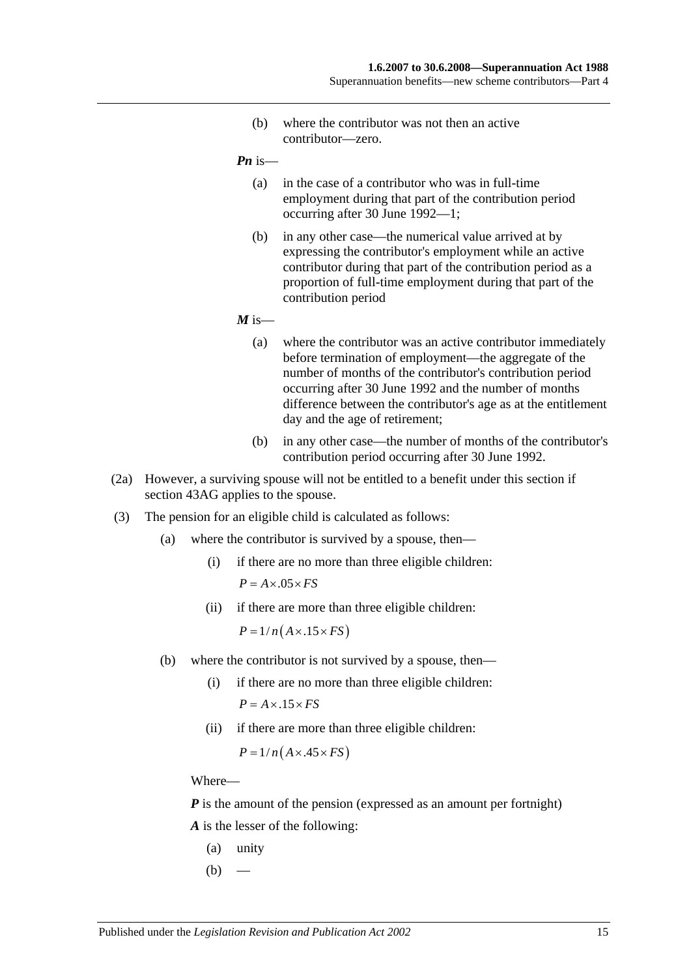(b) where the contributor was not then an active contributor—zero.

*Pn* is—

- (a) in the case of a contributor who was in full-time employment during that part of the contribution period occurring after 30 June 1992—1;
- (b) in any other case—the numerical value arrived at by expressing the contributor's employment while an active contributor during that part of the contribution period as a proportion of full-time employment during that part of the contribution period

 $M$  is—

- (a) where the contributor was an active contributor immediately before termination of employment—the aggregate of the number of months of the contributor's contribution period occurring after 30 June 1992 and the number of months difference between the contributor's age as at the entitlement day and the age of retirement;
- (b) in any other case—the number of months of the contributor's contribution period occurring after 30 June 1992.
- (2a) However, a surviving spouse will not be entitled to a benefit under this section if section 43AG applies to the spouse.
- (3) The pension for an eligible child is calculated as follows:
	- (a) where the contributor is survived by a spouse, then—
		- (i) if there are no more than three eligible children:  $P = A \times .05 \times FS$
		- (ii) if there are more than three eligible children:

 $P = 1/n(A \times .15 \times FS)$ 

- (b) where the contributor is not survived by a spouse, then—
	- (i) if there are no more than three eligible children:  $P = A \times 0.15 \times FS$
	- (ii) if there are more than three eligible children:

 $P = 1/n(A \times .45 \times FS)$ 

Where—

*P* is the amount of the pension (expressed as an amount per fortnight) *A* is the lesser of the following:

- (a) unity
- $(b)$  —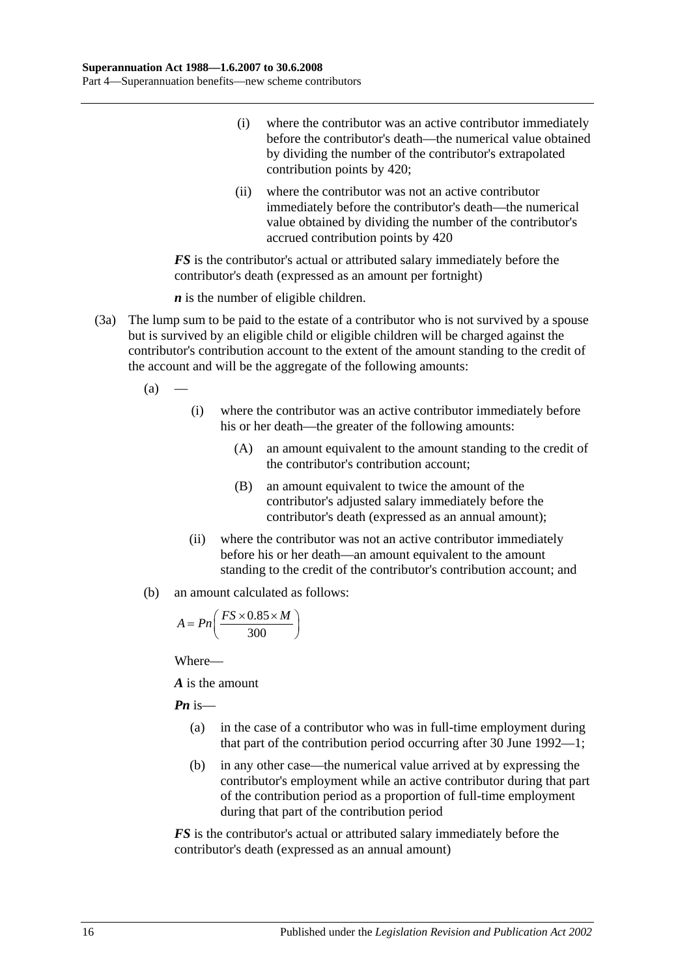- (i) where the contributor was an active contributor immediately before the contributor's death—the numerical value obtained by dividing the number of the contributor's extrapolated contribution points by 420;
- (ii) where the contributor was not an active contributor immediately before the contributor's death—the numerical value obtained by dividing the number of the contributor's accrued contribution points by 420

*FS* is the contributor's actual or attributed salary immediately before the contributor's death (expressed as an amount per fortnight)

*n* is the number of eligible children.

- (3a) The lump sum to be paid to the estate of a contributor who is not survived by a spouse but is survived by an eligible child or eligible children will be charged against the contributor's contribution account to the extent of the amount standing to the credit of the account and will be the aggregate of the following amounts:
	- $(a)$ 
		- (i) where the contributor was an active contributor immediately before his or her death—the greater of the following amounts:
			- (A) an amount equivalent to the amount standing to the credit of the contributor's contribution account;
			- (B) an amount equivalent to twice the amount of the contributor's adjusted salary immediately before the contributor's death (expressed as an annual amount);
		- (ii) where the contributor was not an active contributor immediately before his or her death—an amount equivalent to the amount standing to the credit of the contributor's contribution account; and
	- (b) an amount calculated as follows:

$$
A = P n \left( \frac{FS \times 0.85 \times M}{300} \right)
$$

Where—

*A* is the amount

*Pn* is—

- (a) in the case of a contributor who was in full-time employment during that part of the contribution period occurring after 30 June 1992—1;
- (b) in any other case—the numerical value arrived at by expressing the contributor's employment while an active contributor during that part of the contribution period as a proportion of full-time employment during that part of the contribution period

*FS* is the contributor's actual or attributed salary immediately before the contributor's death (expressed as an annual amount)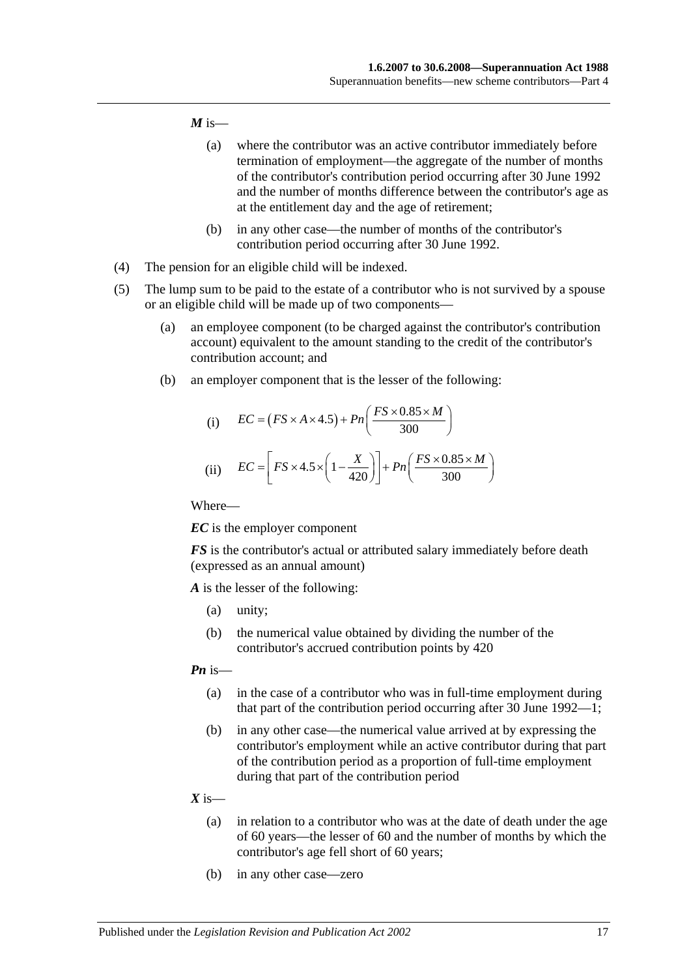#### $M$  is—

- (a) where the contributor was an active contributor immediately before termination of employment—the aggregate of the number of months of the contributor's contribution period occurring after 30 June 1992 and the number of months difference between the contributor's age as at the entitlement day and the age of retirement;
- (b) in any other case—the number of months of the contributor's contribution period occurring after 30 June 1992.
- (4) The pension for an eligible child will be indexed.
- (5) The lump sum to be paid to the estate of a contributor who is not survived by a spouse or an eligible child will be made up of two components—
	- (a) an employee component (to be charged against the contributor's contribution account) equivalent to the amount standing to the credit of the contributor's contribution account; and
	- (b) an employer component that is the lesser of the following:

(i) 
$$
EC = (FS \times A \times 4.5) + Pn\left(\frac{FS \times 0.85 \times M}{300}\right)
$$
  
(ii) 
$$
EC = \left[FS \times 4.5 \times \left(1 - \frac{X}{420}\right)\right] + Pn\left(\frac{FS \times 0.85 \times M}{300}\right)
$$

Where—

*EC* is the employer component

*FS* is the contributor's actual or attributed salary immediately before death (expressed as an annual amount)

*A* is the lesser of the following:

- (a) unity;
- (b) the numerical value obtained by dividing the number of the contributor's accrued contribution points by 420

#### *Pn* is—

- (a) in the case of a contributor who was in full-time employment during that part of the contribution period occurring after 30 June 1992—1;
- (b) in any other case—the numerical value arrived at by expressing the contributor's employment while an active contributor during that part of the contribution period as a proportion of full-time employment during that part of the contribution period
- $X$  is—
	- (a) in relation to a contributor who was at the date of death under the age of 60 years—the lesser of 60 and the number of months by which the contributor's age fell short of 60 years;
	- (b) in any other case—zero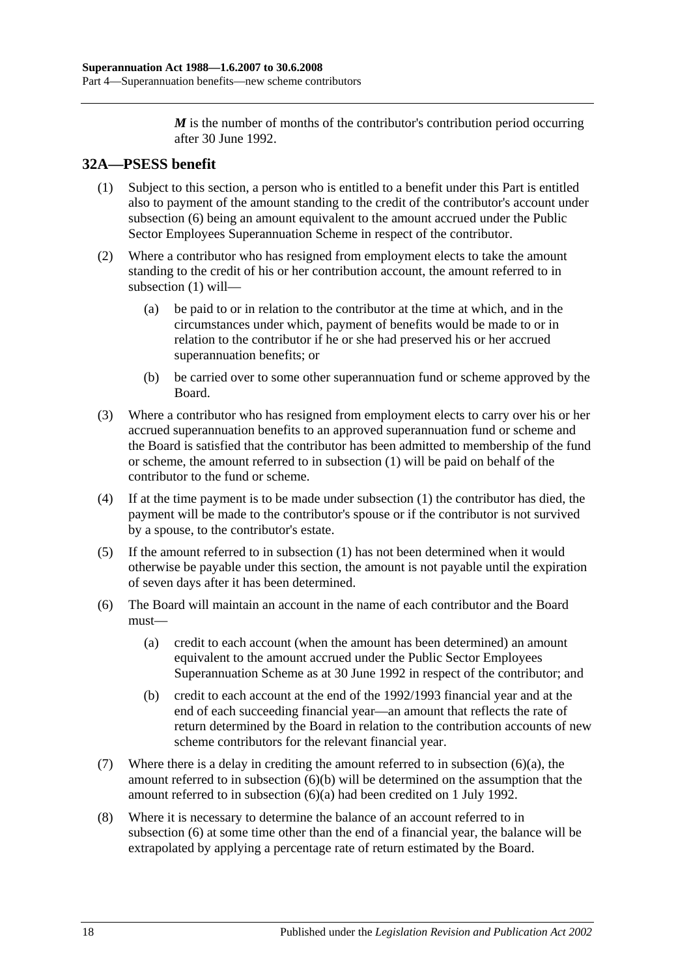*M* is the number of months of the contributor's contribution period occurring after 30 June 1992.

# <span id="page-47-1"></span>**32A—PSESS benefit**

- (1) Subject to this section, a person who is entitled to a benefit under this Part is entitled also to payment of the amount standing to the credit of the contributor's account under [subsection](#page-47-0) (6) being an amount equivalent to the amount accrued under the Public Sector Employees Superannuation Scheme in respect of the contributor.
- (2) Where a contributor who has resigned from employment elects to take the amount standing to the credit of his or her contribution account, the amount referred to in [subsection](#page-47-1) (1) will—
	- (a) be paid to or in relation to the contributor at the time at which, and in the circumstances under which, payment of benefits would be made to or in relation to the contributor if he or she had preserved his or her accrued superannuation benefits; or
	- (b) be carried over to some other superannuation fund or scheme approved by the Board.
- (3) Where a contributor who has resigned from employment elects to carry over his or her accrued superannuation benefits to an approved superannuation fund or scheme and the Board is satisfied that the contributor has been admitted to membership of the fund or scheme, the amount referred to in [subsection](#page-47-1) (1) will be paid on behalf of the contributor to the fund or scheme.
- (4) If at the time payment is to be made under [subsection](#page-47-1) (1) the contributor has died, the payment will be made to the contributor's spouse or if the contributor is not survived by a spouse, to the contributor's estate.
- (5) If the amount referred to in [subsection](#page-47-1) (1) has not been determined when it would otherwise be payable under this section, the amount is not payable until the expiration of seven days after it has been determined.
- <span id="page-47-2"></span><span id="page-47-0"></span>(6) The Board will maintain an account in the name of each contributor and the Board must—
	- (a) credit to each account (when the amount has been determined) an amount equivalent to the amount accrued under the Public Sector Employees Superannuation Scheme as at 30 June 1992 in respect of the contributor; and
	- (b) credit to each account at the end of the 1992/1993 financial year and at the end of each succeeding financial year—an amount that reflects the rate of return determined by the Board in relation to the contribution accounts of new scheme contributors for the relevant financial year.
- <span id="page-47-3"></span>(7) Where there is a delay in crediting the amount referred to in [subsection](#page-47-2) (6)(a), the amount referred to in [subsection](#page-47-3) (6)(b) will be determined on the assumption that the amount referred to in [subsection](#page-47-2) (6)(a) had been credited on 1 July 1992.
- (8) Where it is necessary to determine the balance of an account referred to in [subsection](#page-47-0) (6) at some time other than the end of a financial year, the balance will be extrapolated by applying a percentage rate of return estimated by the Board.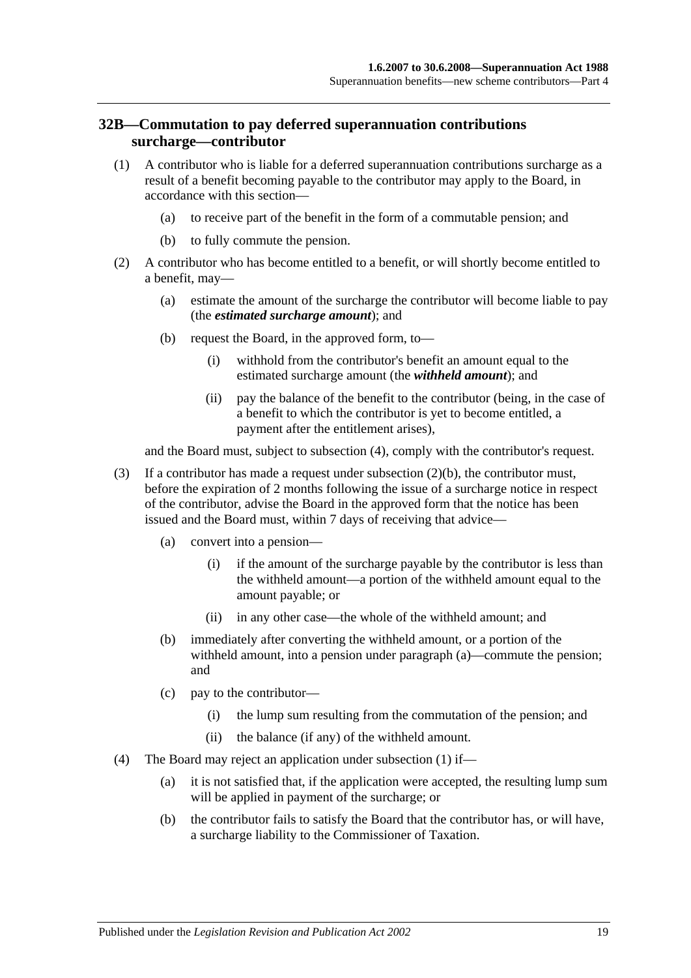### <span id="page-48-3"></span>**32B—Commutation to pay deferred superannuation contributions surcharge—contributor**

- <span id="page-48-2"></span>(1) A contributor who is liable for a deferred superannuation contributions surcharge as a result of a benefit becoming payable to the contributor may apply to the Board, in accordance with this section—
	- (a) to receive part of the benefit in the form of a commutable pension; and
	- (b) to fully commute the pension.
- <span id="page-48-1"></span>(2) A contributor who has become entitled to a benefit, or will shortly become entitled to a benefit, may—
	- (a) estimate the amount of the surcharge the contributor will become liable to pay (the *estimated surcharge amount*); and
	- (b) request the Board, in the approved form, to—
		- (i) withhold from the contributor's benefit an amount equal to the estimated surcharge amount (the *withheld amount*); and
		- (ii) pay the balance of the benefit to the contributor (being, in the case of a benefit to which the contributor is yet to become entitled, a payment after the entitlement arises),

and the Board must, subject to [subsection](#page-48-0) (4), comply with the contributor's request.

- (3) If a contributor has made a request under [subsection](#page-48-1) (2)(b), the contributor must, before the expiration of 2 months following the issue of a surcharge notice in respect of the contributor, advise the Board in the approved form that the notice has been issued and the Board must, within 7 days of receiving that advice—
	- (a) convert into a pension—
		- (i) if the amount of the surcharge payable by the contributor is less than the withheld amount—a portion of the withheld amount equal to the amount payable; or
		- (ii) in any other case—the whole of the withheld amount; and
	- (b) immediately after converting the withheld amount, or a portion of the withheld amount, into a pension under paragraph (a)—commute the pension; and
	- (c) pay to the contributor—
		- (i) the lump sum resulting from the commutation of the pension; and
		- (ii) the balance (if any) of the withheld amount.
- <span id="page-48-0"></span>(4) The Board may reject an application under [subsection](#page-48-2) (1) if—
	- (a) it is not satisfied that, if the application were accepted, the resulting lump sum will be applied in payment of the surcharge; or
	- (b) the contributor fails to satisfy the Board that the contributor has, or will have, a surcharge liability to the Commissioner of Taxation.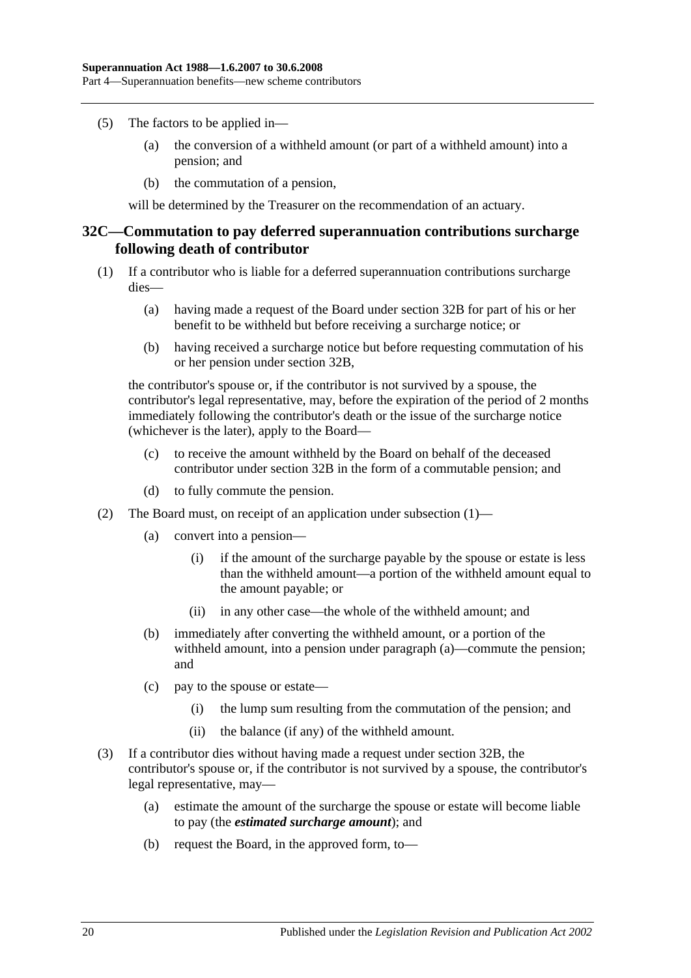- (5) The factors to be applied in—
	- (a) the conversion of a withheld amount (or part of a withheld amount) into a pension; and
	- (b) the commutation of a pension,

will be determined by the Treasurer on the recommendation of an actuary.

### <span id="page-49-2"></span>**32C—Commutation to pay deferred superannuation contributions surcharge following death of contributor**

- <span id="page-49-0"></span>(1) If a contributor who is liable for a deferred superannuation contributions surcharge dies—
	- (a) having made a request of the Board under [section](#page-48-3) 32B for part of his or her benefit to be withheld but before receiving a surcharge notice; or
	- (b) having received a surcharge notice but before requesting commutation of his or her pension under [section](#page-48-3) 32B,

the contributor's spouse or, if the contributor is not survived by a spouse, the contributor's legal representative, may, before the expiration of the period of 2 months immediately following the contributor's death or the issue of the surcharge notice (whichever is the later), apply to the Board—

- (c) to receive the amount withheld by the Board on behalf of the deceased contributor under [section](#page-48-3) 32B in the form of a commutable pension; and
- (d) to fully commute the pension.
- (2) The Board must, on receipt of an application under [subsection](#page-49-0) (1)—
	- (a) convert into a pension—
		- (i) if the amount of the surcharge payable by the spouse or estate is less than the withheld amount—a portion of the withheld amount equal to the amount payable; or
		- (ii) in any other case—the whole of the withheld amount; and
	- (b) immediately after converting the withheld amount, or a portion of the withheld amount, into a pension under paragraph (a)—commute the pension; and
	- (c) pay to the spouse or estate—
		- (i) the lump sum resulting from the commutation of the pension; and
		- (ii) the balance (if any) of the withheld amount.
- <span id="page-49-1"></span>(3) If a contributor dies without having made a request under [section](#page-48-3) 32B, the contributor's spouse or, if the contributor is not survived by a spouse, the contributor's legal representative, may—
	- (a) estimate the amount of the surcharge the spouse or estate will become liable to pay (the *estimated surcharge amount*); and
	- (b) request the Board, in the approved form, to—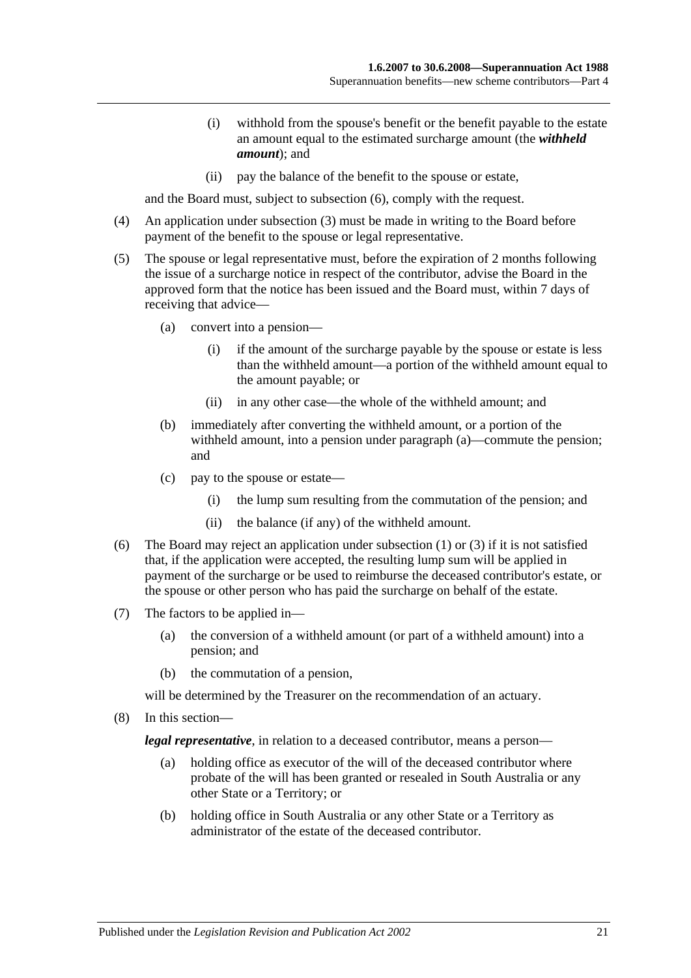- (i) withhold from the spouse's benefit or the benefit payable to the estate an amount equal to the estimated surcharge amount (the *withheld amount*); and
- (ii) pay the balance of the benefit to the spouse or estate,

and the Board must, subject to [subsection](#page-50-0) (6), comply with the request.

- (4) An application under [subsection](#page-49-1) (3) must be made in writing to the Board before payment of the benefit to the spouse or legal representative.
- (5) The spouse or legal representative must, before the expiration of 2 months following the issue of a surcharge notice in respect of the contributor, advise the Board in the approved form that the notice has been issued and the Board must, within 7 days of receiving that advice—
	- (a) convert into a pension—
		- (i) if the amount of the surcharge payable by the spouse or estate is less than the withheld amount—a portion of the withheld amount equal to the amount payable; or
		- (ii) in any other case—the whole of the withheld amount; and
	- (b) immediately after converting the withheld amount, or a portion of the withheld amount, into a pension under paragraph (a)—commute the pension; and
	- (c) pay to the spouse or estate—
		- (i) the lump sum resulting from the commutation of the pension; and
		- (ii) the balance (if any) of the withheld amount.
- <span id="page-50-0"></span>(6) The Board may reject an application under [subsection](#page-49-0) (1) or [\(3\)](#page-49-1) if it is not satisfied that, if the application were accepted, the resulting lump sum will be applied in payment of the surcharge or be used to reimburse the deceased contributor's estate, or the spouse or other person who has paid the surcharge on behalf of the estate.
- (7) The factors to be applied in—
	- (a) the conversion of a withheld amount (or part of a withheld amount) into a pension; and
	- (b) the commutation of a pension,

will be determined by the Treasurer on the recommendation of an actuary.

(8) In this section—

*legal representative*, in relation to a deceased contributor, means a person—

- (a) holding office as executor of the will of the deceased contributor where probate of the will has been granted or resealed in South Australia or any other State or a Territory; or
- (b) holding office in South Australia or any other State or a Territory as administrator of the estate of the deceased contributor.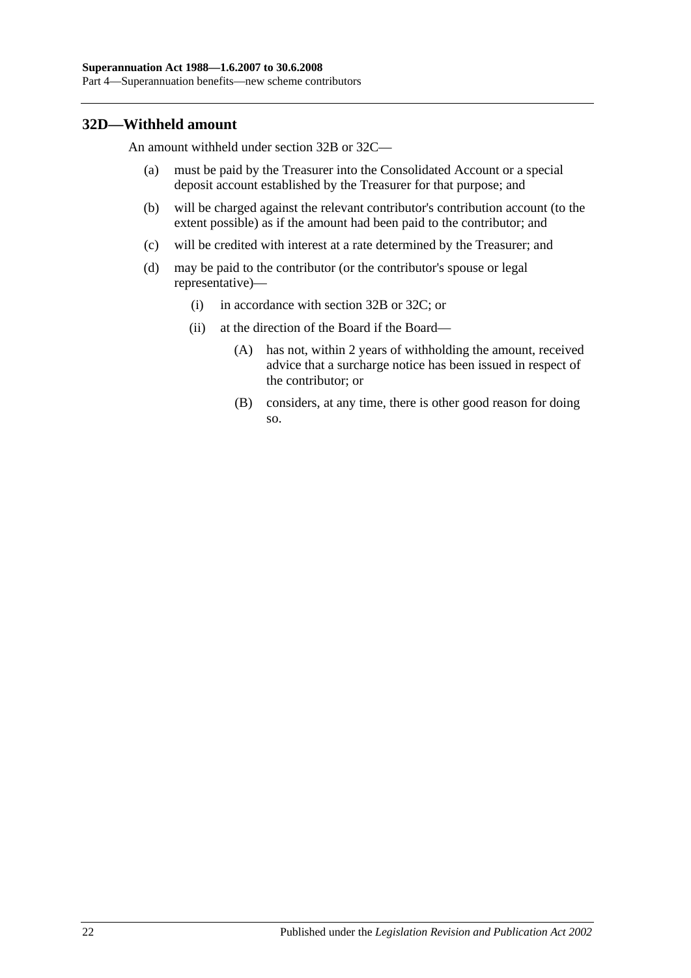### **32D—Withheld amount**

An amount withheld under [section](#page-48-3) 32B or [32C—](#page-49-2)

- (a) must be paid by the Treasurer into the Consolidated Account or a special deposit account established by the Treasurer for that purpose; and
- (b) will be charged against the relevant contributor's contribution account (to the extent possible) as if the amount had been paid to the contributor; and
- (c) will be credited with interest at a rate determined by the Treasurer; and
- (d) may be paid to the contributor (or the contributor's spouse or legal representative)—
	- (i) in accordance with [section](#page-48-3) 32B or [32C;](#page-49-2) or
	- (ii) at the direction of the Board if the Board—
		- (A) has not, within 2 years of withholding the amount, received advice that a surcharge notice has been issued in respect of the contributor; or
		- (B) considers, at any time, there is other good reason for doing so.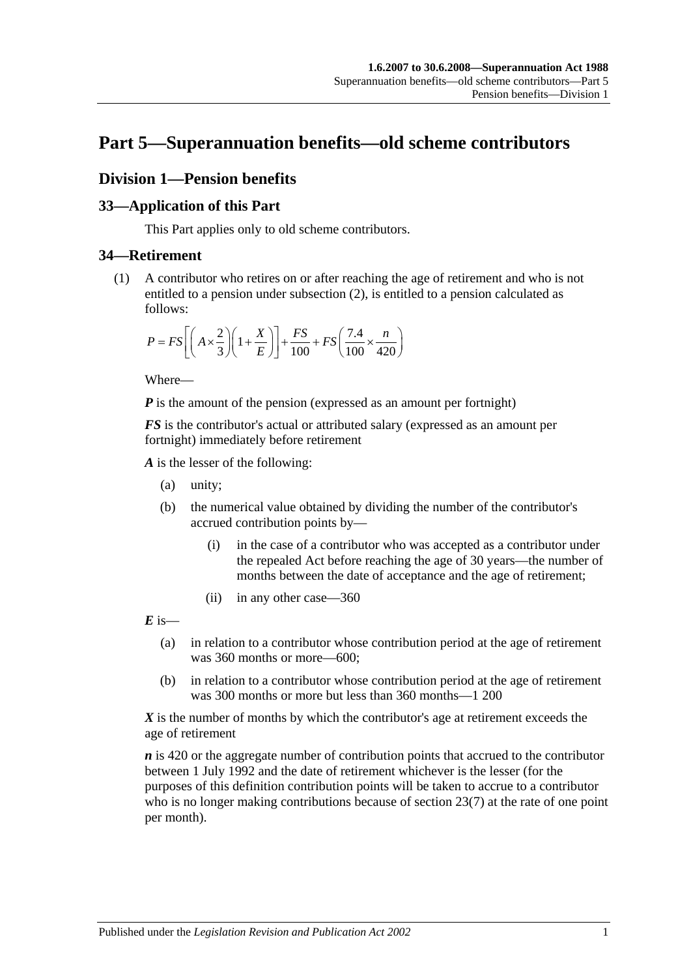# **Part 5—Superannuation benefits—old scheme contributors**

# **Division 1—Pension benefits**

### **33—Application of this Part**

This Part applies only to old scheme contributors.

### <span id="page-52-0"></span>**34—Retirement**

(1) A contributor who retires on or after reaching the age of retirement and who is not entitled to a pension under [subsection](#page-53-0) (2), is entitled to a pension calculated as follows:

$$
P = FS \left[ \left( A \times \frac{2}{3} \right) \left( 1 + \frac{X}{E} \right) \right] + \frac{FS}{100} + FS \left( \frac{7.4}{100} \times \frac{n}{420} \right)
$$

Where—

*P* is the amount of the pension (expressed as an amount per fortnight)

*FS* is the contributor's actual or attributed salary (expressed as an amount per fortnight) immediately before retirement

*A* is the lesser of the following:

- (a) unity;
- (b) the numerical value obtained by dividing the number of the contributor's accrued contribution points by—
	- (i) in the case of a contributor who was accepted as a contributor under the repealed Act before reaching the age of 30 years—the number of months between the date of acceptance and the age of retirement;
	- (ii) in any other case—360

 $\vec{E}$  is—

- (a) in relation to a contributor whose contribution period at the age of retirement was 360 months or more—600;
- (b) in relation to a contributor whose contribution period at the age of retirement was 300 months or more but less than 360 months—1 200

*X* is the number of months by which the contributor's age at retirement exceeds the age of retirement

*n* is 420 or the aggregate number of contribution points that accrued to the contributor between 1 July 1992 and the date of retirement whichever is the lesser (for the purposes of this definition contribution points will be taken to accrue to a contributor who is no longer making contributions because of [section](#page-28-0) 23(7) at the rate of one point per month).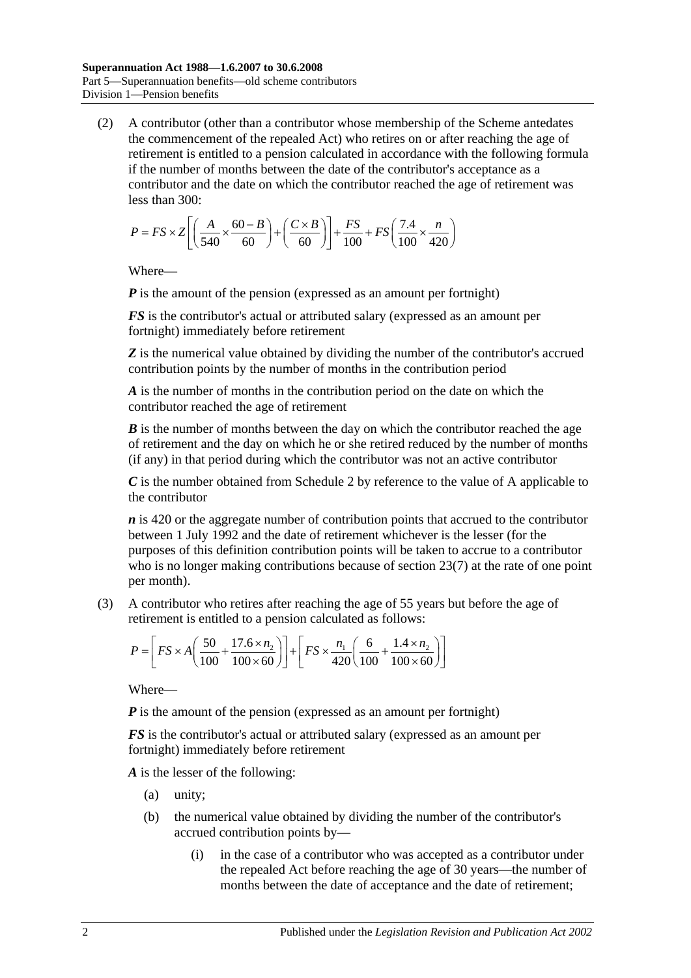<span id="page-53-0"></span>(2) A contributor (other than a contributor whose membership of the Scheme antedates the commencement of the repealed Act) who retires on or after reaching the age of retirement is entitled to a pension calculated in accordance with the following formula if the number of months between the date of the contributor's acceptance as a contributor and the date on which the contributor reached the age of retirement was less than 300:

$$
P = FS \times Z \left[ \left( \frac{A}{540} \times \frac{60 - B}{60} \right) + \left( \frac{C \times B}{60} \right) \right] + \frac{FS}{100} + FS \left( \frac{7.4}{100} \times \frac{n}{420} \right)
$$

Where—

*P* is the amount of the pension (expressed as an amount per fortnight)

*FS* is the contributor's actual or attributed salary (expressed as an amount per fortnight) immediately before retirement

**Z** is the numerical value obtained by dividing the number of the contributor's accrued contribution points by the number of months in the contribution period

*A* is the number of months in the contribution period on the date on which the contributor reached the age of retirement

*B* is the number of months between the day on which the contributor reached the age of retirement and the day on which he or she retired reduced by the number of months (if any) in that period during which the contributor was not an active contributor

*C* is the number obtained from [Schedule 2](#page-118-0) by reference to the value of A applicable to the contributor

*n* is 420 or the aggregate number of contribution points that accrued to the contributor between 1 July 1992 and the date of retirement whichever is the lesser (for the purposes of this definition contribution points will be taken to accrue to a contributor who is no longer making contributions because of [section](#page-28-0) 23(7) at the rate of one point per month).

(3) A contributor who retires after reaching the age of 55 years but before the age of retirement is entitled to a pension calculated as follows:

$$
P = \left[ FS \times A \left( \frac{50}{100} + \frac{17.6 \times n_2}{100 \times 60} \right) \right] + \left[ FS \times \frac{n_1}{420} \left( \frac{6}{100} + \frac{1.4 \times n_2}{100 \times 60} \right) \right]
$$

Where—

*P* is the amount of the pension (expressed as an amount per fortnight)

*FS* is the contributor's actual or attributed salary (expressed as an amount per fortnight) immediately before retirement

*A* is the lesser of the following:

- (a) unity;
- (b) the numerical value obtained by dividing the number of the contributor's accrued contribution points by—
	- (i) in the case of a contributor who was accepted as a contributor under the repealed Act before reaching the age of 30 years—the number of months between the date of acceptance and the date of retirement;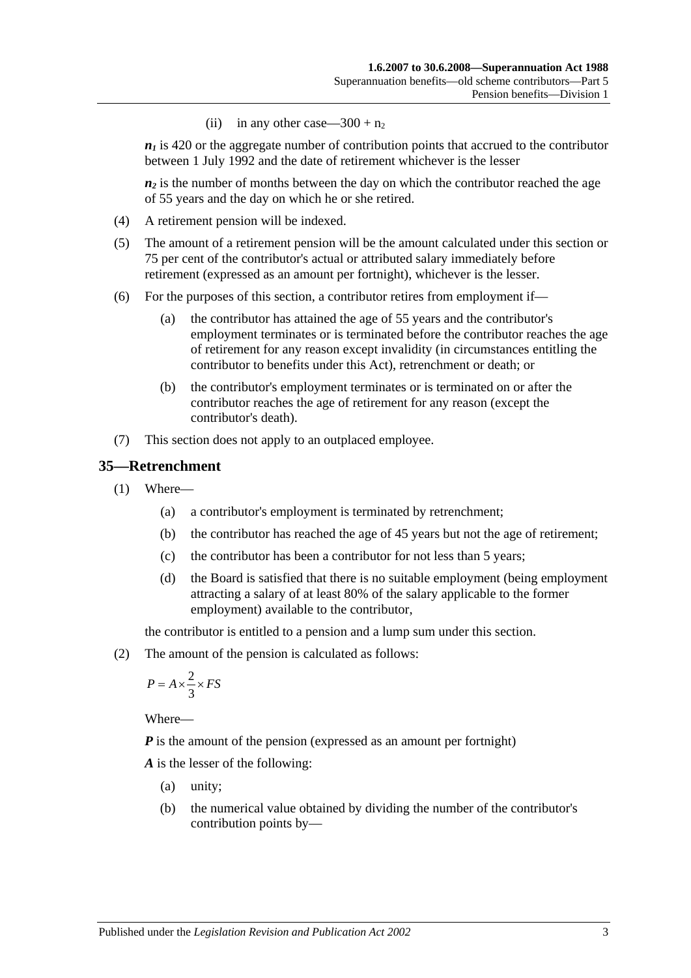(ii) in any other case— $300 + n_2$ 

 $n_1$  is 420 or the aggregate number of contribution points that accrued to the contributor between 1 July 1992 and the date of retirement whichever is the lesser

 $n_2$  is the number of months between the day on which the contributor reached the age of 55 years and the day on which he or she retired.

- (4) A retirement pension will be indexed.
- (5) The amount of a retirement pension will be the amount calculated under this section or 75 per cent of the contributor's actual or attributed salary immediately before retirement (expressed as an amount per fortnight), whichever is the lesser.
- (6) For the purposes of this section, a contributor retires from employment if—
	- (a) the contributor has attained the age of 55 years and the contributor's employment terminates or is terminated before the contributor reaches the age of retirement for any reason except invalidity (in circumstances entitling the contributor to benefits under this Act), retrenchment or death; or
	- (b) the contributor's employment terminates or is terminated on or after the contributor reaches the age of retirement for any reason (except the contributor's death).
- (7) This section does not apply to an outplaced employee.

### <span id="page-54-1"></span>**35—Retrenchment**

- (1) Where—
	- (a) a contributor's employment is terminated by retrenchment;
	- (b) the contributor has reached the age of 45 years but not the age of retirement;
	- (c) the contributor has been a contributor for not less than 5 years;
	- (d) the Board is satisfied that there is no suitable employment (being employment attracting a salary of at least 80% of the salary applicable to the former employment) available to the contributor,

the contributor is entitled to a pension and a lump sum under this section.

<span id="page-54-0"></span>(2) The amount of the pension is calculated as follows:

$$
P = A \times \frac{2}{3} \times FS
$$

Where—

*P* is the amount of the pension (expressed as an amount per fortnight)

*A* is the lesser of the following:

- (a) unity;
- (b) the numerical value obtained by dividing the number of the contributor's contribution points by—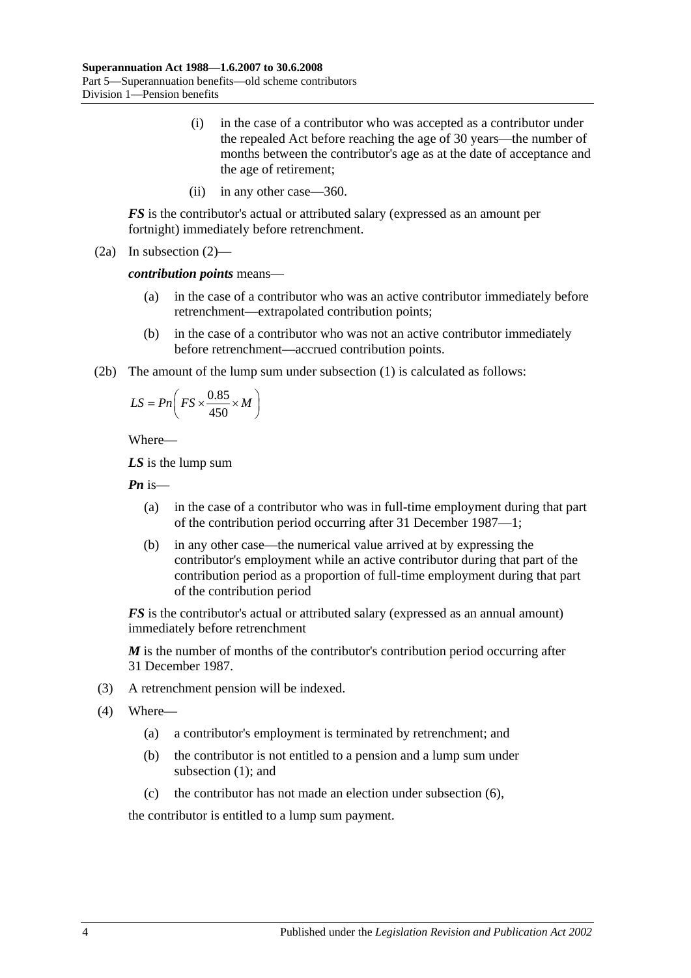- (i) in the case of a contributor who was accepted as a contributor under the repealed Act before reaching the age of 30 years—the number of months between the contributor's age as at the date of acceptance and the age of retirement;
- (ii) in any other case—360.

*FS* is the contributor's actual or attributed salary (expressed as an amount per fortnight) immediately before retrenchment.

(2a) In [subsection](#page-54-0) (2)—

*contribution points* means—

- (a) in the case of a contributor who was an active contributor immediately before retrenchment—extrapolated contribution points;
- (b) in the case of a contributor who was not an active contributor immediately before retrenchment—accrued contribution points.
- (2b) The amount of the lump sum under [subsection](#page-54-1) (1) is calculated as follows:

$$
LS = P n \left( FS \times \frac{0.85}{450} \times M \right)
$$

Where—

*LS* is the lump sum

*Pn* is—

- (a) in the case of a contributor who was in full-time employment during that part of the contribution period occurring after 31 December 1987—1;
- (b) in any other case—the numerical value arrived at by expressing the contributor's employment while an active contributor during that part of the contribution period as a proportion of full-time employment during that part of the contribution period

*FS* is the contributor's actual or attributed salary (expressed as an annual amount) immediately before retrenchment

*M* is the number of months of the contributor's contribution period occurring after 31 December 1987.

- (3) A retrenchment pension will be indexed.
- (4) Where—
	- (a) a contributor's employment is terminated by retrenchment; and
	- (b) the contributor is not entitled to a pension and a lump sum under [subsection](#page-54-1) (1); and
	- (c) the contributor has not made an election under [subsection](#page-56-0) (6),

the contributor is entitled to a lump sum payment.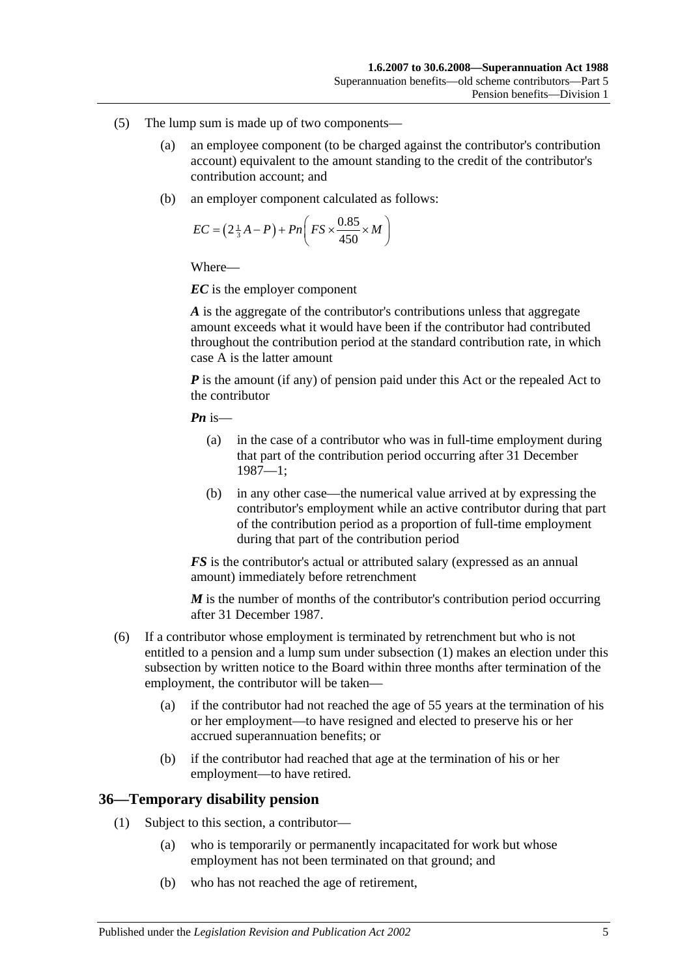- (5) The lump sum is made up of two components—
	- (a) an employee component (to be charged against the contributor's contribution account) equivalent to the amount standing to the credit of the contributor's contribution account; and
	- (b) an employer component calculated as follows:

$$
EC = \left(2\frac{1}{3}A - P\right) + Pn\left(FS \times \frac{0.85}{450} \times M\right)
$$

Where—

*EC* is the employer component

*A* is the aggregate of the contributor's contributions unless that aggregate amount exceeds what it would have been if the contributor had contributed throughout the contribution period at the standard contribution rate, in which case A is the latter amount

*P* is the amount (if any) of pension paid under this Act or the repealed Act to the contributor

*Pn* is—

- (a) in the case of a contributor who was in full-time employment during that part of the contribution period occurring after 31 December 1987—1;
- (b) in any other case—the numerical value arrived at by expressing the contributor's employment while an active contributor during that part of the contribution period as a proportion of full-time employment during that part of the contribution period

*FS* is the contributor's actual or attributed salary (expressed as an annual amount) immediately before retrenchment

*M* is the number of months of the contributor's contribution period occurring after 31 December 1987.

- <span id="page-56-0"></span>(6) If a contributor whose employment is terminated by retrenchment but who is not entitled to a pension and a lump sum under [subsection](#page-54-1) (1) makes an election under this subsection by written notice to the Board within three months after termination of the employment, the contributor will be taken—
	- (a) if the contributor had not reached the age of 55 years at the termination of his or her employment—to have resigned and elected to preserve his or her accrued superannuation benefits; or
	- (b) if the contributor had reached that age at the termination of his or her employment—to have retired.

### **36—Temporary disability pension**

- (1) Subject to this section, a contributor—
	- (a) who is temporarily or permanently incapacitated for work but whose employment has not been terminated on that ground; and
	- (b) who has not reached the age of retirement,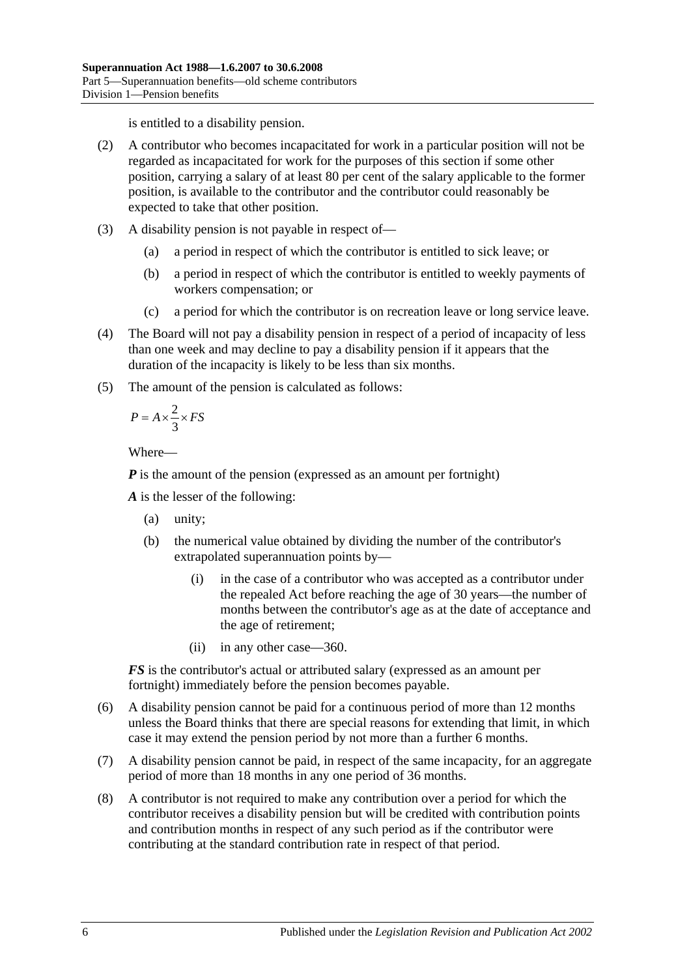is entitled to a disability pension.

- (2) A contributor who becomes incapacitated for work in a particular position will not be regarded as incapacitated for work for the purposes of this section if some other position, carrying a salary of at least 80 per cent of the salary applicable to the former position, is available to the contributor and the contributor could reasonably be expected to take that other position.
- (3) A disability pension is not payable in respect of—
	- (a) a period in respect of which the contributor is entitled to sick leave; or
	- (b) a period in respect of which the contributor is entitled to weekly payments of workers compensation; or
	- (c) a period for which the contributor is on recreation leave or long service leave.
- (4) The Board will not pay a disability pension in respect of a period of incapacity of less than one week and may decline to pay a disability pension if it appears that the duration of the incapacity is likely to be less than six months.
- (5) The amount of the pension is calculated as follows:

$$
P = A \times \frac{2}{3} \times FS
$$

Where—

*P* is the amount of the pension (expressed as an amount per fortnight)

*A* is the lesser of the following:

- (a) unity;
- (b) the numerical value obtained by dividing the number of the contributor's extrapolated superannuation points by—
	- (i) in the case of a contributor who was accepted as a contributor under the repealed Act before reaching the age of 30 years—the number of months between the contributor's age as at the date of acceptance and the age of retirement;
	- (ii) in any other case—360.

*FS* is the contributor's actual or attributed salary (expressed as an amount per fortnight) immediately before the pension becomes payable.

- (6) A disability pension cannot be paid for a continuous period of more than 12 months unless the Board thinks that there are special reasons for extending that limit, in which case it may extend the pension period by not more than a further 6 months.
- (7) A disability pension cannot be paid, in respect of the same incapacity, for an aggregate period of more than 18 months in any one period of 36 months.
- (8) A contributor is not required to make any contribution over a period for which the contributor receives a disability pension but will be credited with contribution points and contribution months in respect of any such period as if the contributor were contributing at the standard contribution rate in respect of that period.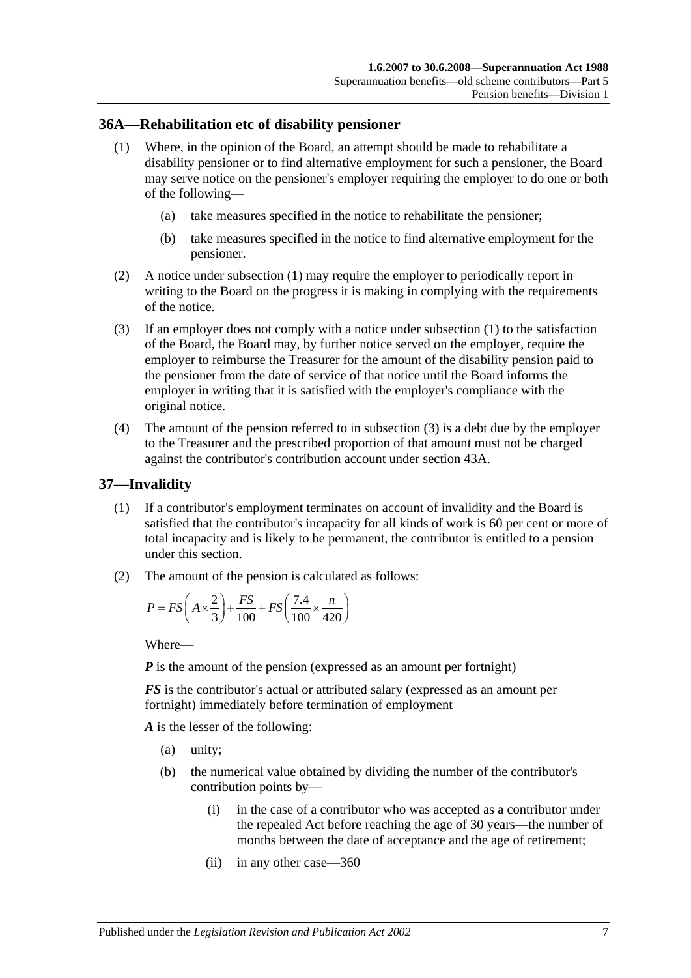### <span id="page-58-0"></span>**36A—Rehabilitation etc of disability pensioner**

- (1) Where, in the opinion of the Board, an attempt should be made to rehabilitate a disability pensioner or to find alternative employment for such a pensioner, the Board may serve notice on the pensioner's employer requiring the employer to do one or both of the following—
	- (a) take measures specified in the notice to rehabilitate the pensioner;
	- (b) take measures specified in the notice to find alternative employment for the pensioner.
- (2) A notice under [subsection](#page-58-0) (1) may require the employer to periodically report in writing to the Board on the progress it is making in complying with the requirements of the notice.
- <span id="page-58-1"></span>(3) If an employer does not comply with a notice under [subsection](#page-58-0) (1) to the satisfaction of the Board, the Board may, by further notice served on the employer, require the employer to reimburse the Treasurer for the amount of the disability pension paid to the pensioner from the date of service of that notice until the Board informs the employer in writing that it is satisfied with the employer's compliance with the original notice.
- (4) The amount of the pension referred to in [subsection](#page-58-1) (3) is a debt due by the employer to the Treasurer and the prescribed proportion of that amount must not be charged against the contributor's contribution account under [section](#page-77-0) 43A.

### <span id="page-58-3"></span>**37—Invalidity**

- (1) If a contributor's employment terminates on account of invalidity and the Board is satisfied that the contributor's incapacity for all kinds of work is 60 per cent or more of total incapacity and is likely to be permanent, the contributor is entitled to a pension under this section.
- <span id="page-58-2"></span>(2) The amount of the pension is calculated as follows:

$$
P = FS\left(A \times \frac{2}{3}\right) + \frac{FS}{100} + FS\left(\frac{7.4}{100} \times \frac{n}{420}\right)
$$

Where—

*P* is the amount of the pension (expressed as an amount per fortnight)

*FS* is the contributor's actual or attributed salary (expressed as an amount per fortnight) immediately before termination of employment

*A* is the lesser of the following:

- (a) unity;
- (b) the numerical value obtained by dividing the number of the contributor's contribution points by—
	- (i) in the case of a contributor who was accepted as a contributor under the repealed Act before reaching the age of 30 years—the number of months between the date of acceptance and the age of retirement;
	- (ii) in any other case—360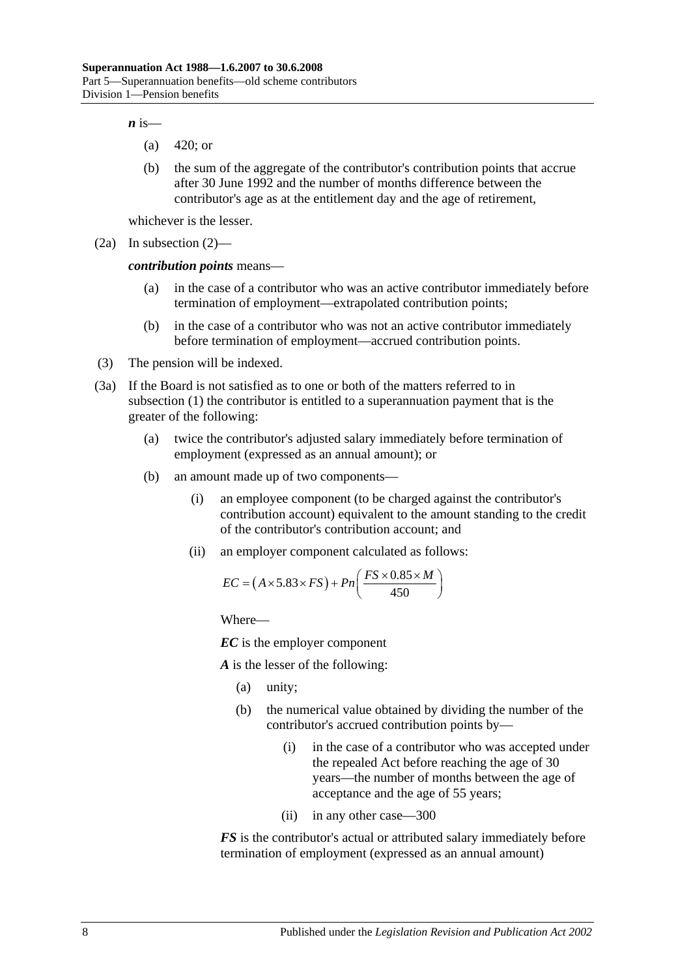$\boldsymbol{n}$  is—

- (a) 420; or
- (b) the sum of the aggregate of the contributor's contribution points that accrue after 30 June 1992 and the number of months difference between the contributor's age as at the entitlement day and the age of retirement,

whichever is the lesser.

(2a) In [subsection](#page-58-2) (2)—

*contribution points* means—

- (a) in the case of a contributor who was an active contributor immediately before termination of employment—extrapolated contribution points;
- (b) in the case of a contributor who was not an active contributor immediately before termination of employment—accrued contribution points.
- (3) The pension will be indexed.
- <span id="page-59-0"></span>(3a) If the Board is not satisfied as to one or both of the matters referred to in [subsection](#page-58-3) (1) the contributor is entitled to a superannuation payment that is the greater of the following:
	- (a) twice the contributor's adjusted salary immediately before termination of employment (expressed as an annual amount); or
	- (b) an amount made up of two components—
		- (i) an employee component (to be charged against the contributor's contribution account) equivalent to the amount standing to the credit of the contributor's contribution account; and
		- (ii) an employer component calculated as follows:

$$
EC = (A \times 5.83 \times FS) + Pn\left(\frac{FS \times 0.85 \times M}{450}\right)
$$

Where—

*EC* is the employer component

*A* is the lesser of the following:

- (a) unity;
- (b) the numerical value obtained by dividing the number of the contributor's accrued contribution points by—
	- (i) in the case of a contributor who was accepted under the repealed Act before reaching the age of 30 years—the number of months between the age of acceptance and the age of 55 years;
	- (ii) in any other case—300

*FS* is the contributor's actual or attributed salary immediately before termination of employment (expressed as an annual amount)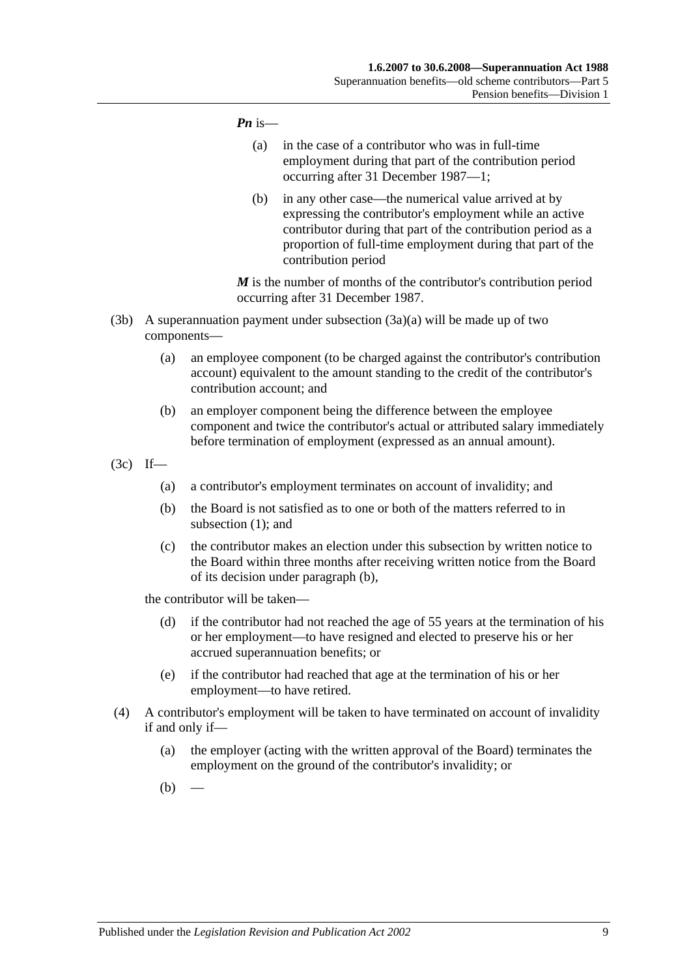#### *Pn* is—

- (a) in the case of a contributor who was in full-time employment during that part of the contribution period occurring after 31 December 1987—1;
- (b) in any other case—the numerical value arrived at by expressing the contributor's employment while an active contributor during that part of the contribution period as a proportion of full-time employment during that part of the contribution period

*M* is the number of months of the contributor's contribution period occurring after 31 December 1987.

- (3b) A superannuation payment under [subsection](#page-59-0)  $(3a)(a)$  will be made up of two components—
	- (a) an employee component (to be charged against the contributor's contribution account) equivalent to the amount standing to the credit of the contributor's contribution account; and
	- (b) an employer component being the difference between the employee component and twice the contributor's actual or attributed salary immediately before termination of employment (expressed as an annual amount).
- <span id="page-60-0"></span>(3c) If—
	- (a) a contributor's employment terminates on account of invalidity; and
	- (b) the Board is not satisfied as to one or both of the matters referred to in [subsection](#page-58-3) (1); and
	- (c) the contributor makes an election under this subsection by written notice to the Board within three months after receiving written notice from the Board of its decision under [paragraph](#page-60-0) (b),

the contributor will be taken—

- (d) if the contributor had not reached the age of 55 years at the termination of his or her employment—to have resigned and elected to preserve his or her accrued superannuation benefits; or
- (e) if the contributor had reached that age at the termination of his or her employment—to have retired.
- <span id="page-60-2"></span><span id="page-60-1"></span>(4) A contributor's employment will be taken to have terminated on account of invalidity if and only if—
	- (a) the employer (acting with the written approval of the Board) terminates the employment on the ground of the contributor's invalidity; or
	- $(b)$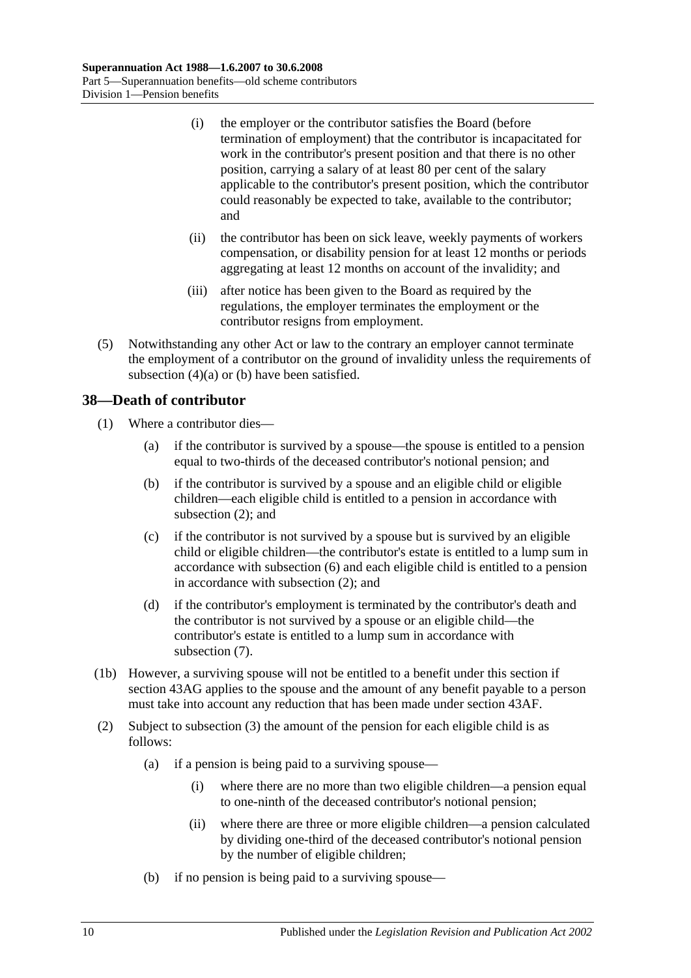- (i) the employer or the contributor satisfies the Board (before termination of employment) that the contributor is incapacitated for work in the contributor's present position and that there is no other position, carrying a salary of at least 80 per cent of the salary applicable to the contributor's present position, which the contributor could reasonably be expected to take, available to the contributor; and
- (ii) the contributor has been on sick leave, weekly payments of workers compensation, or disability pension for at least 12 months or periods aggregating at least 12 months on account of the invalidity; and
- (iii) after notice has been given to the Board as required by the regulations, the employer terminates the employment or the contributor resigns from employment.
- (5) Notwithstanding any other Act or law to the contrary an employer cannot terminate the employment of a contributor on the ground of invalidity unless the requirements of [subsection](#page-60-1)  $(4)(a)$  or  $(b)$  have been satisfied.

## **38—Death of contributor**

- (1) Where a contributor dies—
	- (a) if the contributor is survived by a spouse—the spouse is entitled to a pension equal to two-thirds of the deceased contributor's notional pension; and
	- (b) if the contributor is survived by a spouse and an eligible child or eligible children—each eligible child is entitled to a pension in accordance with [subsection](#page-61-0) (2); and
	- (c) if the contributor is not survived by a spouse but is survived by an eligible child or eligible children—the contributor's estate is entitled to a lump sum in accordance with [subsection](#page-63-0) (6) and each eligible child is entitled to a pension in accordance with [subsection](#page-61-0) (2); and
	- (d) if the contributor's employment is terminated by the contributor's death and the contributor is not survived by a spouse or an eligible child—the contributor's estate is entitled to a lump sum in accordance with [subsection](#page-63-1) (7).
- (1b) However, a surviving spouse will not be entitled to a benefit under this section if section 43AG applies to the spouse and the amount of any benefit payable to a person must take into account any reduction that has been made under [section](#page-81-0) 43AF.
- <span id="page-61-0"></span>(2) Subject to [subsection](#page-62-0) (3) the amount of the pension for each eligible child is as follows:
	- (a) if a pension is being paid to a surviving spouse—
		- (i) where there are no more than two eligible children—a pension equal to one-ninth of the deceased contributor's notional pension;
		- (ii) where there are three or more eligible children—a pension calculated by dividing one-third of the deceased contributor's notional pension by the number of eligible children;
	- (b) if no pension is being paid to a surviving spouse—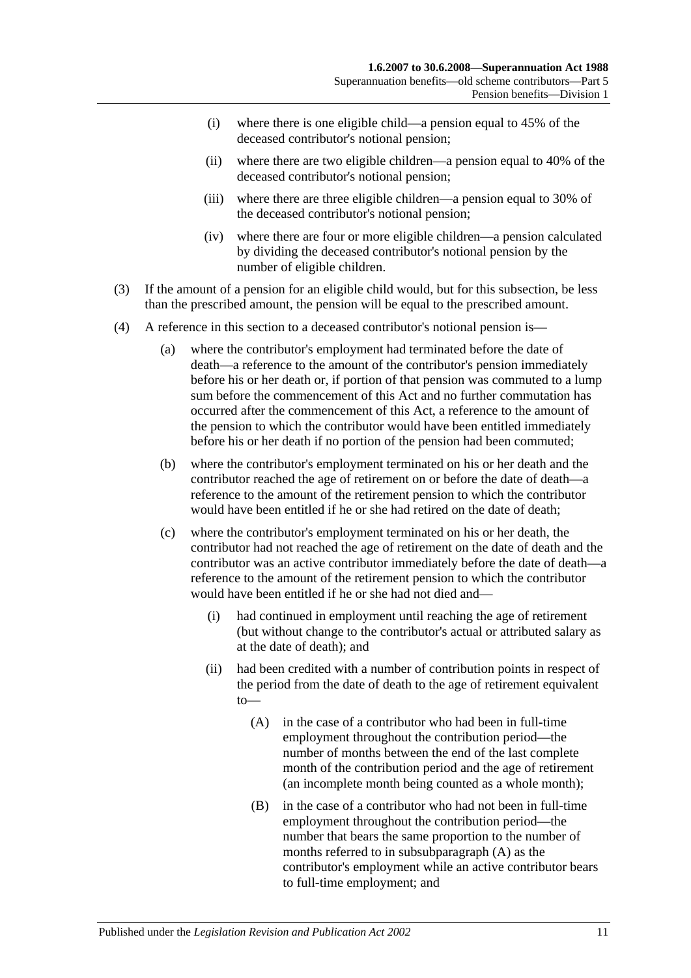- (i) where there is one eligible child—a pension equal to  $45\%$  of the deceased contributor's notional pension;
- (ii) where there are two eligible children—a pension equal to 40% of the deceased contributor's notional pension;
- (iii) where there are three eligible children—a pension equal to 30% of the deceased contributor's notional pension;
- (iv) where there are four or more eligible children—a pension calculated by dividing the deceased contributor's notional pension by the number of eligible children.
- <span id="page-62-0"></span>(3) If the amount of a pension for an eligible child would, but for this subsection, be less than the prescribed amount, the pension will be equal to the prescribed amount.
- <span id="page-62-1"></span>(4) A reference in this section to a deceased contributor's notional pension is—
	- (a) where the contributor's employment had terminated before the date of death—a reference to the amount of the contributor's pension immediately before his or her death or, if portion of that pension was commuted to a lump sum before the commencement of this Act and no further commutation has occurred after the commencement of this Act, a reference to the amount of the pension to which the contributor would have been entitled immediately before his or her death if no portion of the pension had been commuted;
	- (b) where the contributor's employment terminated on his or her death and the contributor reached the age of retirement on or before the date of death—a reference to the amount of the retirement pension to which the contributor would have been entitled if he or she had retired on the date of death;
	- (c) where the contributor's employment terminated on his or her death, the contributor had not reached the age of retirement on the date of death and the contributor was an active contributor immediately before the date of death—a reference to the amount of the retirement pension to which the contributor would have been entitled if he or she had not died and—
		- (i) had continued in employment until reaching the age of retirement (but without change to the contributor's actual or attributed salary as at the date of death); and
		- (ii) had been credited with a number of contribution points in respect of the period from the date of death to the age of retirement equivalent to—
			- (A) in the case of a contributor who had been in full-time employment throughout the contribution period—the number of months between the end of the last complete month of the contribution period and the age of retirement (an incomplete month being counted as a whole month);
			- (B) in the case of a contributor who had not been in full-time employment throughout the contribution period—the number that bears the same proportion to the number of months referred to in [subsubparagraph](#page-62-1) (A) as the contributor's employment while an active contributor bears to full-time employment; and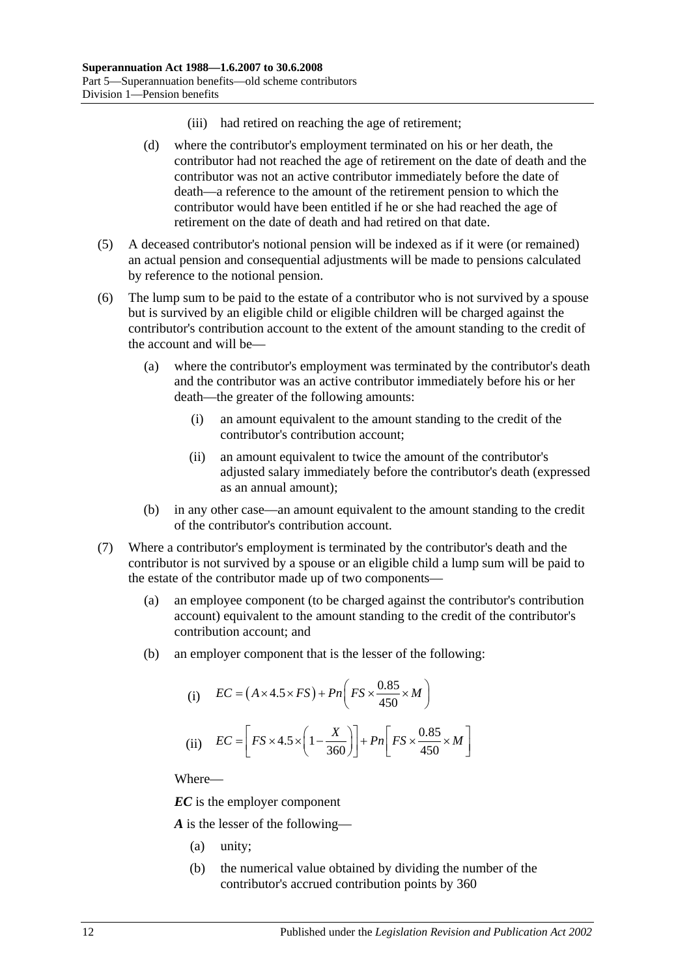- (iii) had retired on reaching the age of retirement;
- (d) where the contributor's employment terminated on his or her death, the contributor had not reached the age of retirement on the date of death and the contributor was not an active contributor immediately before the date of death—a reference to the amount of the retirement pension to which the contributor would have been entitled if he or she had reached the age of retirement on the date of death and had retired on that date.
- (5) A deceased contributor's notional pension will be indexed as if it were (or remained) an actual pension and consequential adjustments will be made to pensions calculated by reference to the notional pension.
- <span id="page-63-0"></span>(6) The lump sum to be paid to the estate of a contributor who is not survived by a spouse but is survived by an eligible child or eligible children will be charged against the contributor's contribution account to the extent of the amount standing to the credit of the account and will be—
	- (a) where the contributor's employment was terminated by the contributor's death and the contributor was an active contributor immediately before his or her death—the greater of the following amounts:
		- (i) an amount equivalent to the amount standing to the credit of the contributor's contribution account;
		- (ii) an amount equivalent to twice the amount of the contributor's adjusted salary immediately before the contributor's death (expressed as an annual amount);
	- (b) in any other case—an amount equivalent to the amount standing to the credit of the contributor's contribution account.
- <span id="page-63-1"></span>(7) Where a contributor's employment is terminated by the contributor's death and the contributor is not survived by a spouse or an eligible child a lump sum will be paid to the estate of the contributor made up of two components—
	- (a) an employee component (to be charged against the contributor's contribution account) equivalent to the amount standing to the credit of the contributor's contribution account; and
	- (b) an employer component that is the lesser of the following:

(i) 
$$
EC = (A \times 4.5 \times FS) + Pn \left( FS \times \frac{0.85}{450} \times M \right)
$$
  
(ii) 
$$
EC = \left[ FS \times 4.5 \times \left(1 - \frac{X}{360} \right) \right] + Pn \left[ FS \times \frac{0.85}{450} \times M \right]
$$

Where—

*EC* is the employer component

*A* is the lesser of the following—

- (a) unity;
- (b) the numerical value obtained by dividing the number of the contributor's accrued contribution points by 360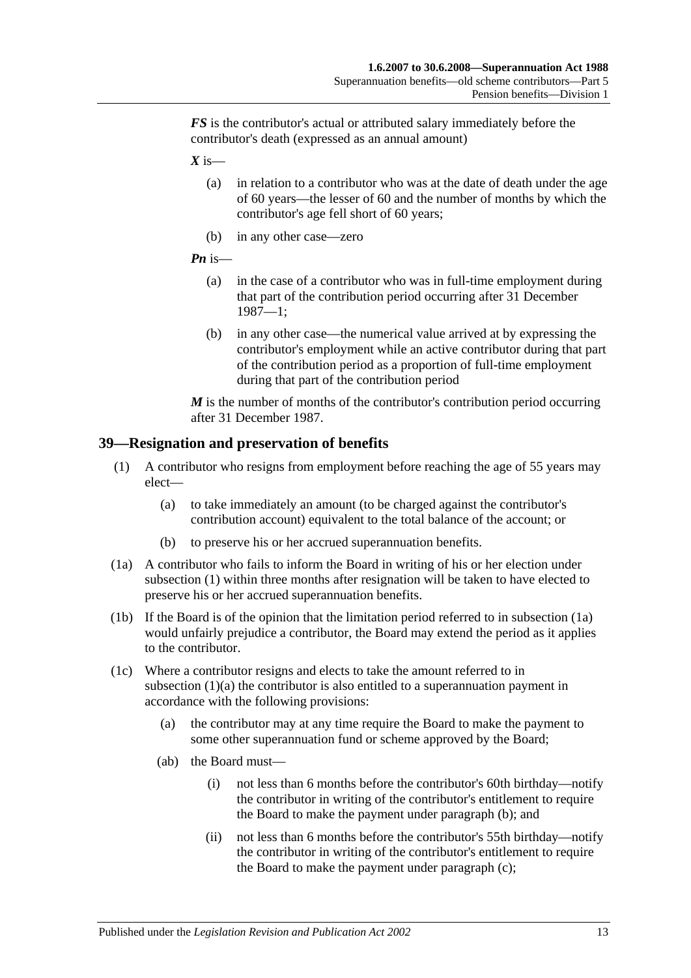*FS* is the contributor's actual or attributed salary immediately before the contributor's death (expressed as an annual amount)

 $X$  is—

- (a) in relation to a contributor who was at the date of death under the age of 60 years—the lesser of 60 and the number of months by which the contributor's age fell short of 60 years;
- (b) in any other case—zero
- *Pn* is—
	- (a) in the case of a contributor who was in full-time employment during that part of the contribution period occurring after 31 December 1987—1;
	- (b) in any other case—the numerical value arrived at by expressing the contributor's employment while an active contributor during that part of the contribution period as a proportion of full-time employment during that part of the contribution period

*M* is the number of months of the contributor's contribution period occurring after 31 December 1987.

### <span id="page-64-4"></span><span id="page-64-0"></span>**39—Resignation and preservation of benefits**

- <span id="page-64-2"></span>(1) A contributor who resigns from employment before reaching the age of 55 years may elect—
	- (a) to take immediately an amount (to be charged against the contributor's contribution account) equivalent to the total balance of the account; or
	- (b) to preserve his or her accrued superannuation benefits.
- <span id="page-64-1"></span>(1a) A contributor who fails to inform the Board in writing of his or her election under [subsection](#page-64-0) (1) within three months after resignation will be taken to have elected to preserve his or her accrued superannuation benefits.
- (1b) If the Board is of the opinion that the limitation period referred to in [subsection](#page-64-1) (1a) would unfairly prejudice a contributor, the Board may extend the period as it applies to the contributor.
- <span id="page-64-3"></span>(1c) Where a contributor resigns and elects to take the amount referred to in [subsection](#page-64-2) (1)(a) the contributor is also entitled to a superannuation payment in accordance with the following provisions:
	- (a) the contributor may at any time require the Board to make the payment to some other superannuation fund or scheme approved by the Board;
	- (ab) the Board must—
		- (i) not less than 6 months before the contributor's 60th birthday—notify the contributor in writing of the contributor's entitlement to require the Board to make the payment under [paragraph](#page-65-0) (b); and
		- (ii) not less than 6 months before the contributor's 55th birthday—notify the contributor in writing of the contributor's entitlement to require the Board to make the payment under [paragraph](#page-65-1) (c);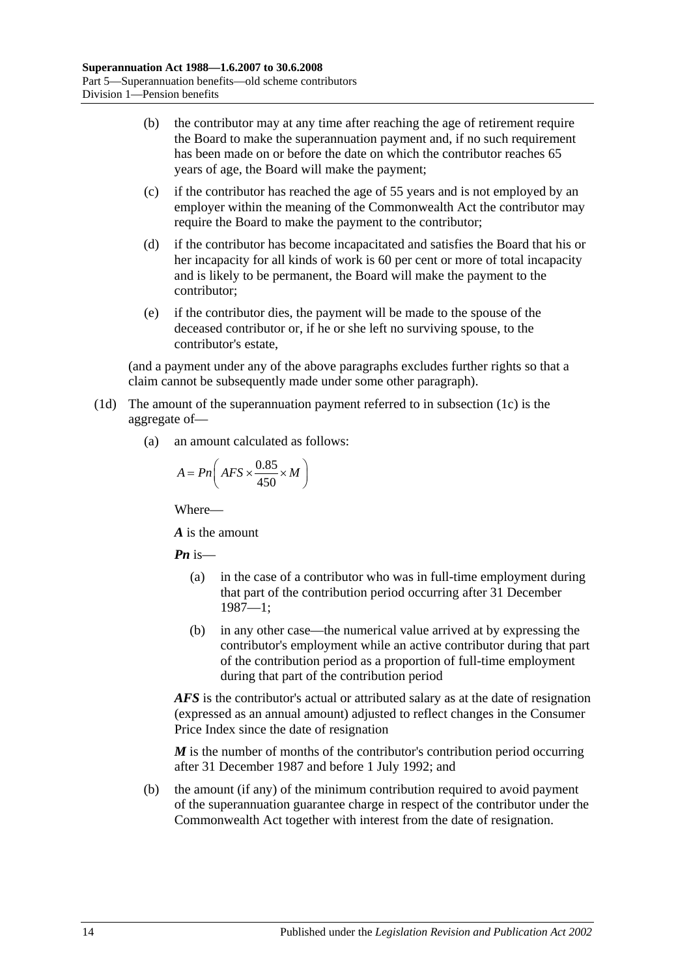- <span id="page-65-0"></span>(b) the contributor may at any time after reaching the age of retirement require the Board to make the superannuation payment and, if no such requirement has been made on or before the date on which the contributor reaches 65 years of age, the Board will make the payment;
- <span id="page-65-1"></span>(c) if the contributor has reached the age of 55 years and is not employed by an employer within the meaning of the Commonwealth Act the contributor may require the Board to make the payment to the contributor;
- (d) if the contributor has become incapacitated and satisfies the Board that his or her incapacity for all kinds of work is 60 per cent or more of total incapacity and is likely to be permanent, the Board will make the payment to the contributor;
- (e) if the contributor dies, the payment will be made to the spouse of the deceased contributor or, if he or she left no surviving spouse, to the contributor's estate,

(and a payment under any of the above paragraphs excludes further rights so that a claim cannot be subsequently made under some other paragraph).

- <span id="page-65-2"></span>(1d) The amount of the superannuation payment referred to in [subsection](#page-64-3) (1c) is the aggregate of—
	- (a) an amount calculated as follows:

$$
A = P_n \bigg( AFS \times \frac{0.85}{450} \times M \bigg)
$$

Where—

*A* is the amount

*Pn* is—

- (a) in the case of a contributor who was in full-time employment during that part of the contribution period occurring after 31 December 1987—1;
- (b) in any other case—the numerical value arrived at by expressing the contributor's employment while an active contributor during that part of the contribution period as a proportion of full-time employment during that part of the contribution period

*AFS* is the contributor's actual or attributed salary as at the date of resignation (expressed as an annual amount) adjusted to reflect changes in the Consumer Price Index since the date of resignation

*M* is the number of months of the contributor's contribution period occurring after 31 December 1987 and before 1 July 1992; and

(b) the amount (if any) of the minimum contribution required to avoid payment of the superannuation guarantee charge in respect of the contributor under the Commonwealth Act together with interest from the date of resignation.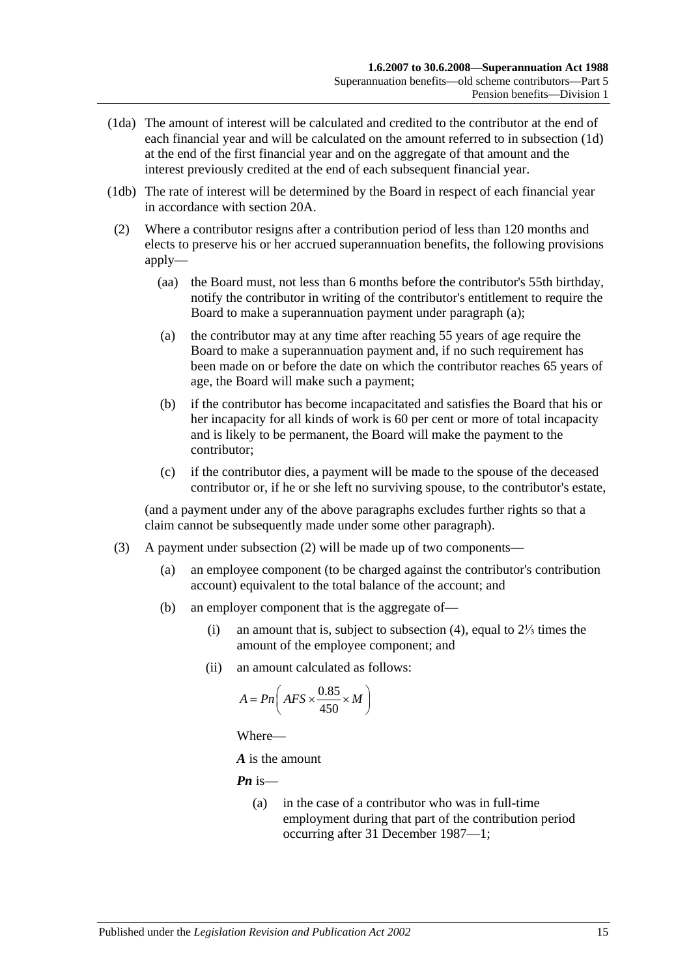- (1da) The amount of interest will be calculated and credited to the contributor at the end of each financial year and will be calculated on the amount referred to in [subsection](#page-65-2) (1d) at the end of the first financial year and on the aggregate of that amount and the interest previously credited at the end of each subsequent financial year.
- (1db) The rate of interest will be determined by the Board in respect of each financial year in accordance with [section](#page-21-0) 20A.
- <span id="page-66-1"></span><span id="page-66-0"></span>(2) Where a contributor resigns after a contribution period of less than 120 months and elects to preserve his or her accrued superannuation benefits, the following provisions apply—
	- (aa) the Board must, not less than 6 months before the contributor's 55th birthday, notify the contributor in writing of the contributor's entitlement to require the Board to make a superannuation payment under [paragraph](#page-66-0) (a);
	- (a) the contributor may at any time after reaching 55 years of age require the Board to make a superannuation payment and, if no such requirement has been made on or before the date on which the contributor reaches 65 years of age, the Board will make such a payment;
	- (b) if the contributor has become incapacitated and satisfies the Board that his or her incapacity for all kinds of work is 60 per cent or more of total incapacity and is likely to be permanent, the Board will make the payment to the contributor;
	- (c) if the contributor dies, a payment will be made to the spouse of the deceased contributor or, if he or she left no surviving spouse, to the contributor's estate,

(and a payment under any of the above paragraphs excludes further rights so that a claim cannot be subsequently made under some other paragraph).

- <span id="page-66-2"></span>(3) A payment under [subsection](#page-66-1) (2) will be made up of two components—
	- (a) an employee component (to be charged against the contributor's contribution account) equivalent to the total balance of the account; and
	- (b) an employer component that is the aggregate of—
		- (i) an amount that is, subject to [subsection](#page-67-0) (4), equal to 2⅓ times the amount of the employee component; and
		- (ii) an amount calculated as follows:

$$
A = P n \bigg( AFS \times \frac{0.85}{450} \times M \bigg)
$$

Where—

*A* is the amount

*Pn* is—

(a) in the case of a contributor who was in full-time employment during that part of the contribution period occurring after 31 December 1987—1;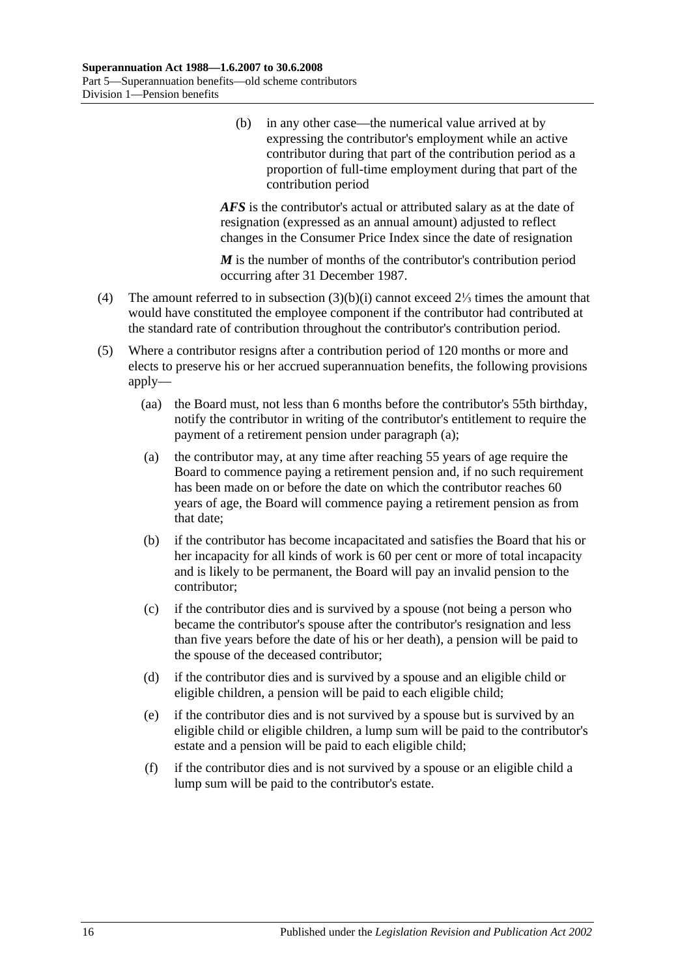(b) in any other case—the numerical value arrived at by expressing the contributor's employment while an active contributor during that part of the contribution period as a proportion of full-time employment during that part of the contribution period

*AFS* is the contributor's actual or attributed salary as at the date of resignation (expressed as an annual amount) adjusted to reflect changes in the Consumer Price Index since the date of resignation

*M* is the number of months of the contributor's contribution period occurring after 31 December 1987.

- <span id="page-67-0"></span>(4) The amount referred to in [subsection](#page-66-2) (3)(b)(i) cannot exceed 2⅓ times the amount that would have constituted the employee component if the contributor had contributed at the standard rate of contribution throughout the contributor's contribution period.
- <span id="page-67-3"></span><span id="page-67-2"></span><span id="page-67-1"></span>(5) Where a contributor resigns after a contribution period of 120 months or more and elects to preserve his or her accrued superannuation benefits, the following provisions apply—
	- (aa) the Board must, not less than 6 months before the contributor's 55th birthday, notify the contributor in writing of the contributor's entitlement to require the payment of a retirement pension under [paragraph](#page-67-1) (a);
	- (a) the contributor may, at any time after reaching 55 years of age require the Board to commence paying a retirement pension and, if no such requirement has been made on or before the date on which the contributor reaches 60 years of age, the Board will commence paying a retirement pension as from that date;
	- (b) if the contributor has become incapacitated and satisfies the Board that his or her incapacity for all kinds of work is 60 per cent or more of total incapacity and is likely to be permanent, the Board will pay an invalid pension to the contributor;
	- (c) if the contributor dies and is survived by a spouse (not being a person who became the contributor's spouse after the contributor's resignation and less than five years before the date of his or her death), a pension will be paid to the spouse of the deceased contributor;
	- (d) if the contributor dies and is survived by a spouse and an eligible child or eligible children, a pension will be paid to each eligible child;
	- (e) if the contributor dies and is not survived by a spouse but is survived by an eligible child or eligible children, a lump sum will be paid to the contributor's estate and a pension will be paid to each eligible child;
	- (f) if the contributor dies and is not survived by a spouse or an eligible child a lump sum will be paid to the contributor's estate.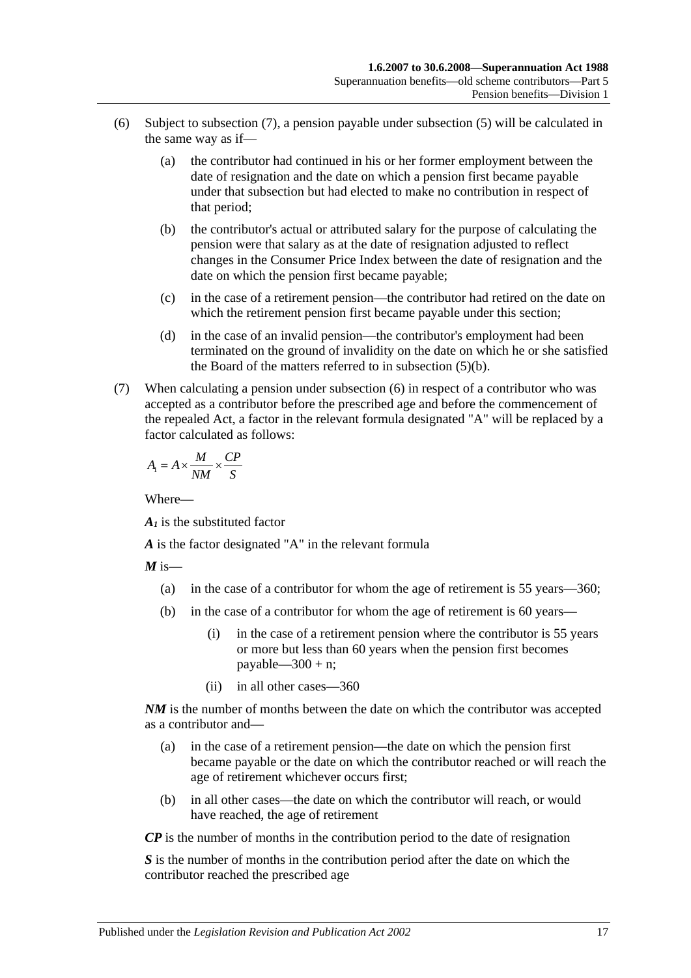- <span id="page-68-1"></span>(6) Subject to [subsection](#page-68-0) (7), a pension payable under [subsection](#page-67-2) (5) will be calculated in the same way as if—
	- (a) the contributor had continued in his or her former employment between the date of resignation and the date on which a pension first became payable under that subsection but had elected to make no contribution in respect of that period;
	- (b) the contributor's actual or attributed salary for the purpose of calculating the pension were that salary as at the date of resignation adjusted to reflect changes in the Consumer Price Index between the date of resignation and the date on which the pension first became payable;
	- (c) in the case of a retirement pension—the contributor had retired on the date on which the retirement pension first became payable under this section;
	- (d) in the case of an invalid pension—the contributor's employment had been terminated on the ground of invalidity on the date on which he or she satisfied the Board of the matters referred to in [subsection](#page-67-3) (5)(b).
- <span id="page-68-0"></span>(7) When calculating a pension under [subsection](#page-68-1) (6) in respect of a contributor who was accepted as a contributor before the prescribed age and before the commencement of the repealed Act, a factor in the relevant formula designated "A" will be replaced by a factor calculated as follows:

$$
A_{\rm I} = A \times \frac{M}{NM} \times \frac{CP}{S}
$$

Where—

*A1* is the substituted factor

*A* is the factor designated "A" in the relevant formula

 $M$  is—

- (a) in the case of a contributor for whom the age of retirement is 55 years—360;
- (b) in the case of a contributor for whom the age of retirement is 60 years—
	- (i) in the case of a retirement pension where the contributor is 55 years or more but less than 60 years when the pension first becomes payable— $300 + n$ ;
	- (ii) in all other cases—360

*NM* is the number of months between the date on which the contributor was accepted as a contributor and—

- (a) in the case of a retirement pension—the date on which the pension first became payable or the date on which the contributor reached or will reach the age of retirement whichever occurs first;
- (b) in all other cases—the date on which the contributor will reach, or would have reached, the age of retirement

*CP* is the number of months in the contribution period to the date of resignation

*S* is the number of months in the contribution period after the date on which the contributor reached the prescribed age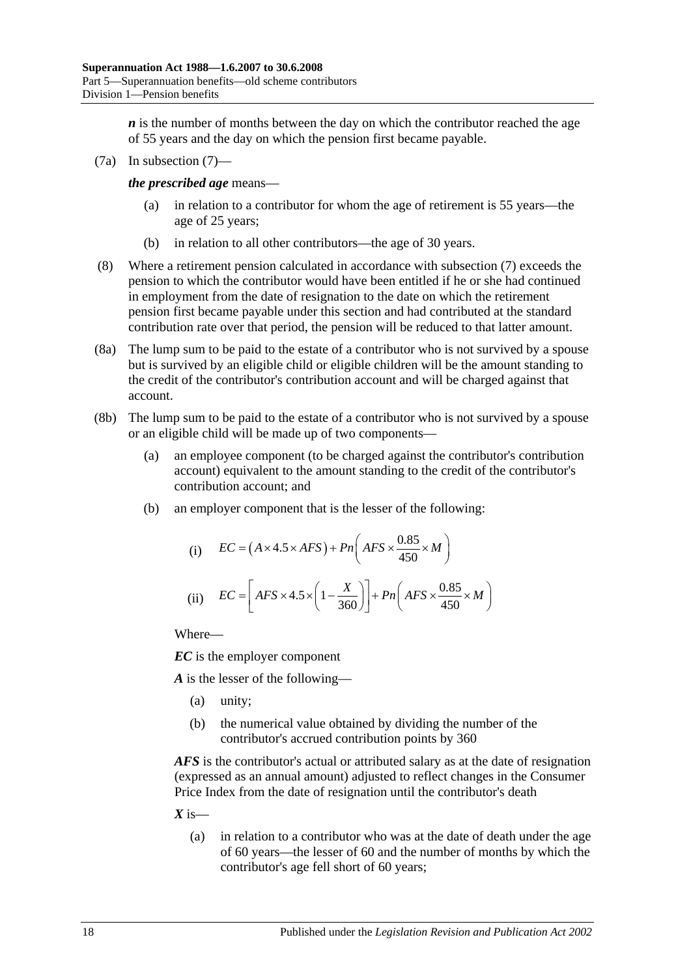*n* is the number of months between the day on which the contributor reached the age of 55 years and the day on which the pension first became payable.

(7a) In [subsection](#page-68-0) (7)—

*the prescribed age* means—

- (a) in relation to a contributor for whom the age of retirement is 55 years—the age of 25 years;
- (b) in relation to all other contributors—the age of 30 years.
- (8) Where a retirement pension calculated in accordance with [subsection](#page-68-0) (7) exceeds the pension to which the contributor would have been entitled if he or she had continued in employment from the date of resignation to the date on which the retirement pension first became payable under this section and had contributed at the standard contribution rate over that period, the pension will be reduced to that latter amount.
- (8a) The lump sum to be paid to the estate of a contributor who is not survived by a spouse but is survived by an eligible child or eligible children will be the amount standing to the credit of the contributor's contribution account and will be charged against that account.
- (8b) The lump sum to be paid to the estate of a contributor who is not survived by a spouse or an eligible child will be made up of two components—
	- (a) an employee component (to be charged against the contributor's contribution account) equivalent to the amount standing to the credit of the contributor's contribution account; and
	- (b) an employer component that is the lesser of the following:

(i) 
$$
EC = (A \times 4.5 \times AFS) + Pn\left(AFS \times \frac{0.85}{450} \times M\right)
$$
  
(ii) 
$$
EC = \left[AFS \times 4.5 \times \left(1 - \frac{X}{360}\right)\right] + Pn\left(AFS \times \frac{0.85}{450} \times M\right)
$$

Where—

*EC* is the employer component

*A* is the lesser of the following—

- (a) unity;
- (b) the numerical value obtained by dividing the number of the contributor's accrued contribution points by 360

*AFS* is the contributor's actual or attributed salary as at the date of resignation (expressed as an annual amount) adjusted to reflect changes in the Consumer Price Index from the date of resignation until the contributor's death

 $X$  is—

(a) in relation to a contributor who was at the date of death under the age of 60 years—the lesser of 60 and the number of months by which the contributor's age fell short of 60 years;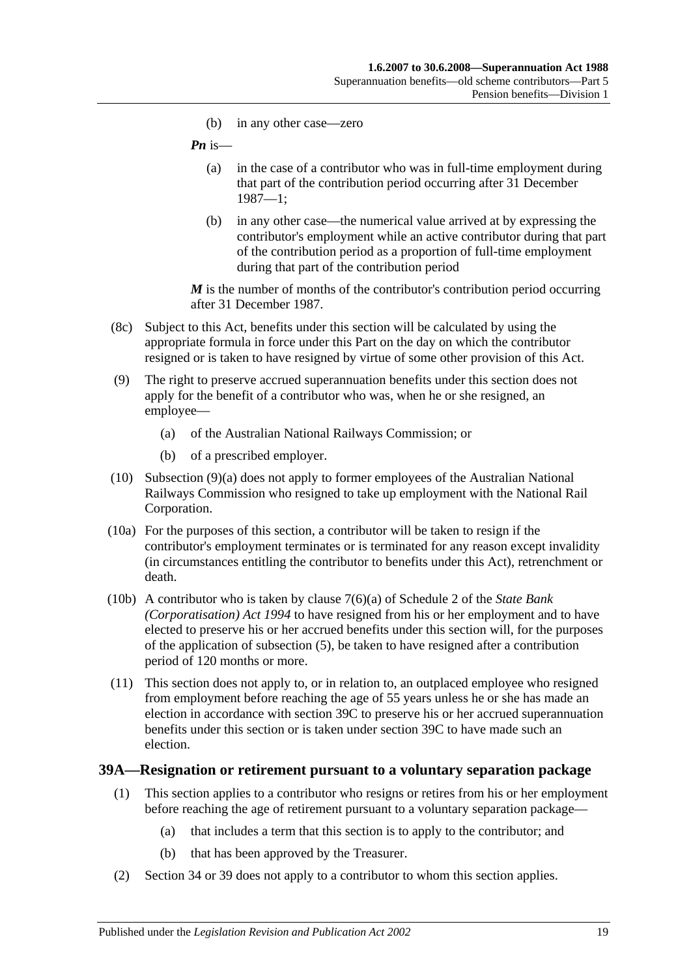(b) in any other case—zero

*Pn* is—

- (a) in the case of a contributor who was in full-time employment during that part of the contribution period occurring after 31 December 1987—1;
- (b) in any other case—the numerical value arrived at by expressing the contributor's employment while an active contributor during that part of the contribution period as a proportion of full-time employment during that part of the contribution period

*M* is the number of months of the contributor's contribution period occurring after 31 December 1987.

- (8c) Subject to this Act, benefits under this section will be calculated by using the appropriate formula in force under this Part on the day on which the contributor resigned or is taken to have resigned by virtue of some other provision of this Act.
- <span id="page-70-0"></span>(9) The right to preserve accrued superannuation benefits under this section does not apply for the benefit of a contributor who was, when he or she resigned, an employee—
	- (a) of the Australian National Railways Commission; or
	- (b) of a prescribed employer.
- (10) [Subsection](#page-70-0) (9)(a) does not apply to former employees of the Australian National Railways Commission who resigned to take up employment with the National Rail Corporation.
- (10a) For the purposes of this section, a contributor will be taken to resign if the contributor's employment terminates or is terminated for any reason except invalidity (in circumstances entitling the contributor to benefits under this Act), retrenchment or death.
- (10b) A contributor who is taken by clause 7(6)(a) of Schedule 2 of the *[State Bank](http://www.legislation.sa.gov.au/index.aspx?action=legref&type=act&legtitle=State%20Bank%20(Corporatisation)%20Act%201994)  [\(Corporatisation\) Act](http://www.legislation.sa.gov.au/index.aspx?action=legref&type=act&legtitle=State%20Bank%20(Corporatisation)%20Act%201994) 1994* to have resigned from his or her employment and to have elected to preserve his or her accrued benefits under this section will, for the purposes of the application of [subsection](#page-67-2) (5), be taken to have resigned after a contribution period of 120 months or more.
- (11) This section does not apply to, or in relation to, an outplaced employee who resigned from employment before reaching the age of 55 years unless he or she has made an election in accordance with [section](#page-73-0) 39C to preserve his or her accrued superannuation benefits under this section or is taken under [section](#page-73-0) 39C to have made such an election.

### **39A—Resignation or retirement pursuant to a voluntary separation package**

- (1) This section applies to a contributor who resigns or retires from his or her employment before reaching the age of retirement pursuant to a voluntary separation package—
	- (a) that includes a term that this section is to apply to the contributor; and
	- (b) that has been approved by the Treasurer.
- (2) [Section](#page-52-0) 34 or [39](#page-64-4) does not apply to a contributor to whom this section applies.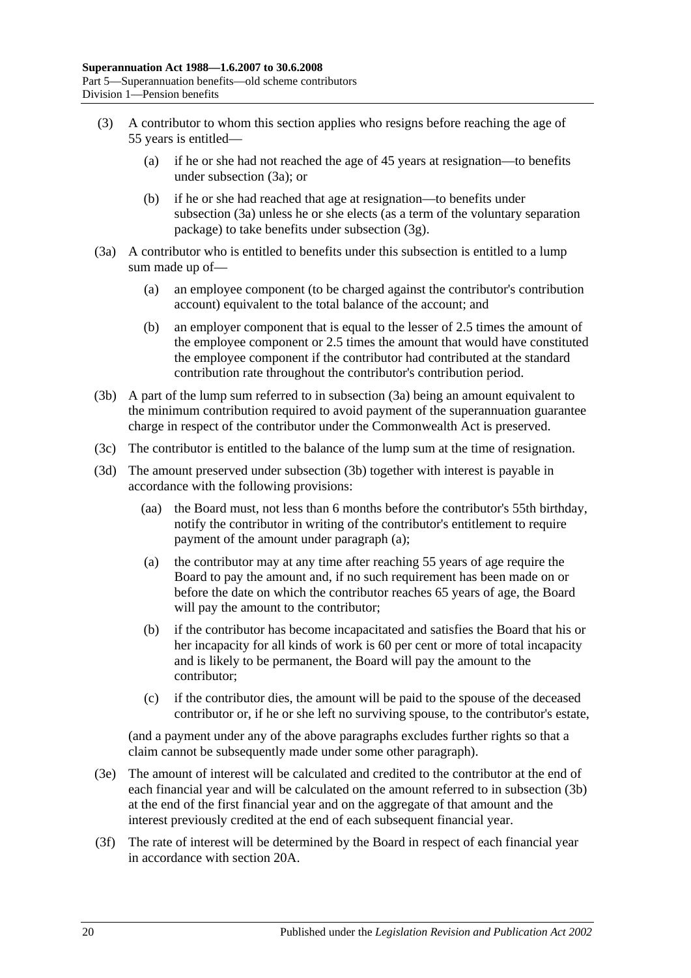- (3) A contributor to whom this section applies who resigns before reaching the age of 55 years is entitled—
	- (a) if he or she had not reached the age of 45 years at resignation—to benefits under [subsection](#page-71-0) (3a); or
	- (b) if he or she had reached that age at resignation—to benefits under [subsection](#page-71-0) (3a) unless he or she elects (as a term of the voluntary separation package) to take benefits under [subsection](#page-72-0) (3g).
- <span id="page-71-0"></span>(3a) A contributor who is entitled to benefits under this subsection is entitled to a lump sum made up of—
	- (a) an employee component (to be charged against the contributor's contribution account) equivalent to the total balance of the account; and
	- (b) an employer component that is equal to the lesser of 2.5 times the amount of the employee component or 2.5 times the amount that would have constituted the employee component if the contributor had contributed at the standard contribution rate throughout the contributor's contribution period.
- <span id="page-71-1"></span>(3b) A part of the lump sum referred to in [subsection](#page-71-0) (3a) being an amount equivalent to the minimum contribution required to avoid payment of the superannuation guarantee charge in respect of the contributor under the Commonwealth Act is preserved.
- (3c) The contributor is entitled to the balance of the lump sum at the time of resignation.
- <span id="page-71-2"></span>(3d) The amount preserved under [subsection](#page-71-1) (3b) together with interest is payable in accordance with the following provisions:
	- (aa) the Board must, not less than 6 months before the contributor's 55th birthday, notify the contributor in writing of the contributor's entitlement to require payment of the amount under [paragraph](#page-71-2) (a);
	- (a) the contributor may at any time after reaching 55 years of age require the Board to pay the amount and, if no such requirement has been made on or before the date on which the contributor reaches 65 years of age, the Board will pay the amount to the contributor;
	- (b) if the contributor has become incapacitated and satisfies the Board that his or her incapacity for all kinds of work is 60 per cent or more of total incapacity and is likely to be permanent, the Board will pay the amount to the contributor;
	- (c) if the contributor dies, the amount will be paid to the spouse of the deceased contributor or, if he or she left no surviving spouse, to the contributor's estate,

(and a payment under any of the above paragraphs excludes further rights so that a claim cannot be subsequently made under some other paragraph).

- (3e) The amount of interest will be calculated and credited to the contributor at the end of each financial year and will be calculated on the amount referred to in [subsection](#page-71-1) (3b) at the end of the first financial year and on the aggregate of that amount and the interest previously credited at the end of each subsequent financial year.
- (3f) The rate of interest will be determined by the Board in respect of each financial year in accordance with [section](#page-21-0) 20A.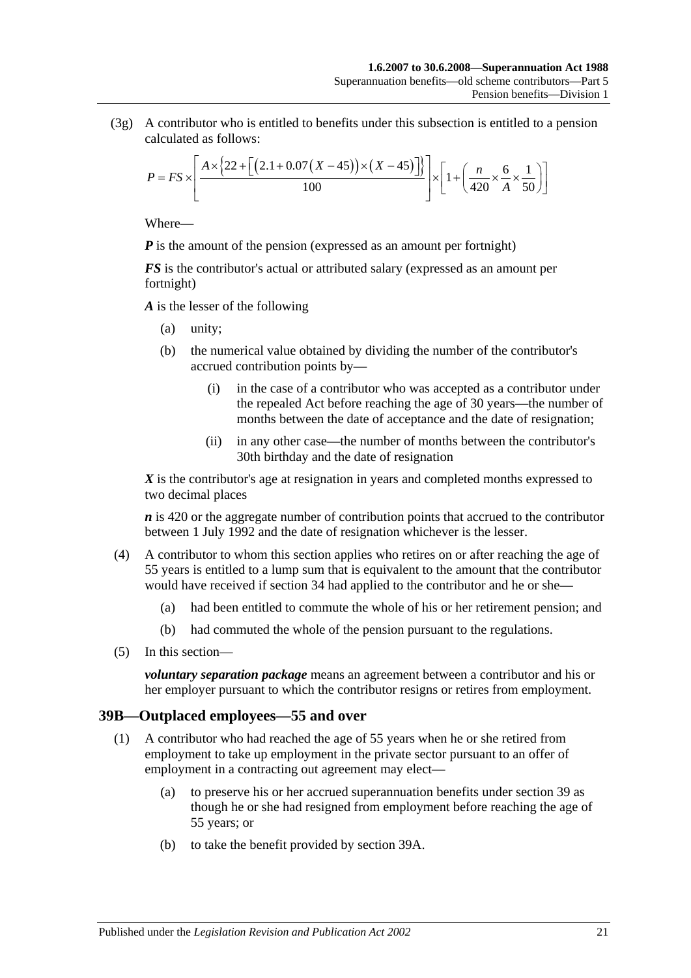(3g) A contributor who is entitled to benefits under this subsection is entitled to a pension calculated as follows:

$$
P = FS \times \left[ \frac{A \times \left\{ 22 + \left[ \left( 2.1 + 0.07 \left( X - 45 \right) \right) \times \left( X - 45 \right) \right] \right\}}{100} \right] \times \left[ 1 + \left( \frac{n}{420} \times \frac{6}{A} \times \frac{1}{50} \right) \right]
$$

Where—

*P* is the amount of the pension (expressed as an amount per fortnight)

*FS* is the contributor's actual or attributed salary (expressed as an amount per fortnight)

*A* is the lesser of the following

- (a) unity;
- (b) the numerical value obtained by dividing the number of the contributor's accrued contribution points by—
	- (i) in the case of a contributor who was accepted as a contributor under the repealed Act before reaching the age of 30 years—the number of months between the date of acceptance and the date of resignation;
	- (ii) in any other case—the number of months between the contributor's 30th birthday and the date of resignation

*X* is the contributor's age at resignation in years and completed months expressed to two decimal places

*n* is 420 or the aggregate number of contribution points that accrued to the contributor between 1 July 1992 and the date of resignation whichever is the lesser.

- (4) A contributor to whom this section applies who retires on or after reaching the age of 55 years is entitled to a lump sum that is equivalent to the amount that the contributor would have received if [section](#page-52-0) 34 had applied to the contributor and he or she—
	- (a) had been entitled to commute the whole of his or her retirement pension; and
	- (b) had commuted the whole of the pension pursuant to the regulations.
- (5) In this section—

*voluntary separation package* means an agreement between a contributor and his or her employer pursuant to which the contributor resigns or retires from employment.

# <span id="page-72-0"></span>**39B—Outplaced employees—55 and over**

- <span id="page-72-2"></span><span id="page-72-1"></span>(1) A contributor who had reached the age of 55 years when he or she retired from employment to take up employment in the private sector pursuant to an offer of employment in a contracting out agreement may elect—
	- (a) to preserve his or her accrued superannuation benefits under [section](#page-64-0) 39 as though he or she had resigned from employment before reaching the age of 55 years; or
	- (b) to take the benefit provided by [section](#page-70-0) 39A.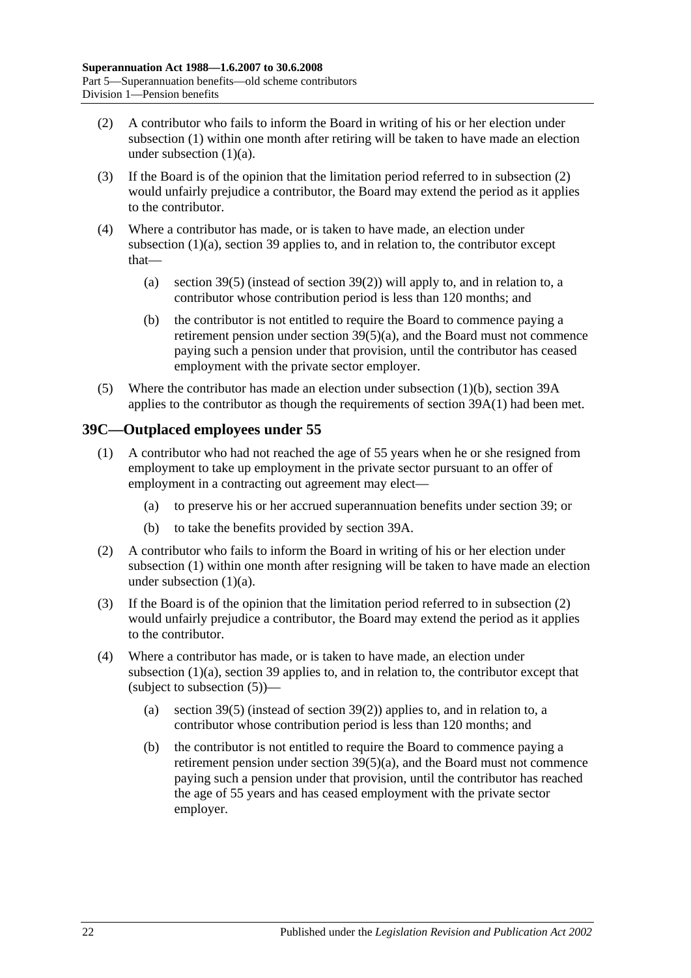- <span id="page-73-0"></span>(2) A contributor who fails to inform the Board in writing of his or her election under [subsection](#page-72-0) (1) within one month after retiring will be taken to have made an election under [subsection](#page-72-1)  $(1)(a)$ .
- (3) If the Board is of the opinion that the limitation period referred to in [subsection](#page-73-0) (2) would unfairly prejudice a contributor, the Board may extend the period as it applies to the contributor.
- (4) Where a contributor has made, or is taken to have made, an election under [subsection](#page-72-1) (1)(a), [section](#page-64-0) 39 applies to, and in relation to, the contributor except that—
	- (a) [section](#page-67-0) 39(5) (instead of [section](#page-66-0) 39(2)) will apply to, and in relation to, a contributor whose contribution period is less than 120 months; and
	- (b) the contributor is not entitled to require the Board to commence paying a retirement pension under section [39\(5\)\(a\),](#page-67-1) and the Board must not commence paying such a pension under that provision, until the contributor has ceased employment with the private sector employer.
- (5) Where the contributor has made an election under [subsection](#page-72-2) (1)(b), [section](#page-70-0) 39A applies to the contributor as though the requirements of [section](#page-70-1) 39A(1) had been met.

# <span id="page-73-1"></span>**39C—Outplaced employees under 55**

- <span id="page-73-2"></span>(1) A contributor who had not reached the age of 55 years when he or she resigned from employment to take up employment in the private sector pursuant to an offer of employment in a contracting out agreement may elect—
	- (a) to preserve his or her accrued superannuation benefits under [section](#page-64-0) 39; or
	- (b) to take the benefits provided by [section](#page-70-0) 39A.
- <span id="page-73-4"></span><span id="page-73-3"></span>(2) A contributor who fails to inform the Board in writing of his or her election under [subsection](#page-73-1) (1) within one month after resigning will be taken to have made an election under [subsection](#page-73-2) (1)(a).
- (3) If the Board is of the opinion that the limitation period referred to in [subsection](#page-73-3) (2) would unfairly prejudice a contributor, the Board may extend the period as it applies to the contributor.
- (4) Where a contributor has made, or is taken to have made, an election under [subsection](#page-73-2) (1)(a), [section](#page-64-0) 39 applies to, and in relation to, the contributor except that (subject to [subsection](#page-74-0) (5))—
	- (a) [section](#page-67-0) 39(5) (instead of [section](#page-66-0) 39(2)) applies to, and in relation to, a contributor whose contribution period is less than 120 months; and
	- (b) the contributor is not entitled to require the Board to commence paying a retirement pension under section [39\(5\)\(a\),](#page-67-1) and the Board must not commence paying such a pension under that provision, until the contributor has reached the age of 55 years and has ceased employment with the private sector employer.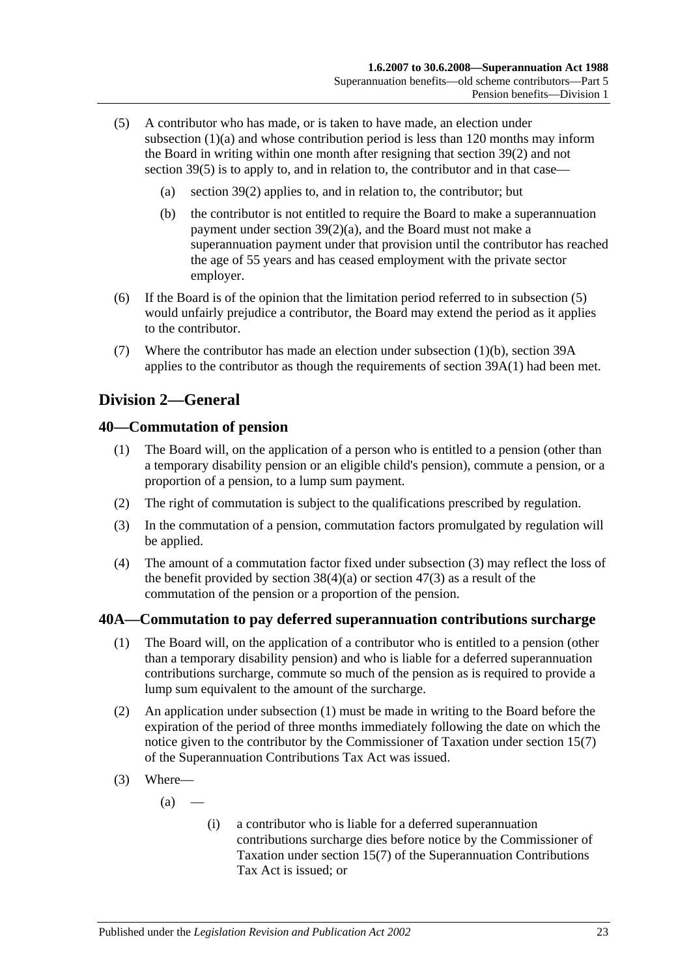- <span id="page-74-0"></span>(5) A contributor who has made, or is taken to have made, an election under [subsection](#page-73-2) (1)(a) and whose contribution period is less than 120 months may inform the Board in writing within one month after resigning that [section](#page-66-0) 39(2) and not [section](#page-67-0) 39(5) is to apply to, and in relation to, the contributor and in that case—
	- (a) [section](#page-66-0) 39(2) applies to, and in relation to, the contributor; but
	- (b) the contributor is not entitled to require the Board to make a superannuation payment under section [39\(2\)\(a\),](#page-66-1) and the Board must not make a superannuation payment under that provision until the contributor has reached the age of 55 years and has ceased employment with the private sector employer.
- (6) If the Board is of the opinion that the limitation period referred to in [subsection](#page-74-0) (5) would unfairly prejudice a contributor, the Board may extend the period as it applies to the contributor.
- (7) Where the contributor has made an election under [subsection](#page-73-4) (1)(b), [section](#page-70-0) 39A applies to the contributor as though the requirements of [section](#page-70-1) 39A(1) had been met.

# **Division 2—General**

## <span id="page-74-4"></span>**40—Commutation of pension**

- (1) The Board will, on the application of a person who is entitled to a pension (other than a temporary disability pension or an eligible child's pension), commute a pension, or a proportion of a pension, to a lump sum payment.
- (2) The right of commutation is subject to the qualifications prescribed by regulation.
- <span id="page-74-1"></span>(3) In the commutation of a pension, commutation factors promulgated by regulation will be applied.
- (4) The amount of a commutation factor fixed under [subsection](#page-74-1) (3) may reflect the loss of the benefit provided by [section](#page-91-0)  $38(4)(a)$  or section  $47(3)$  as a result of the commutation of the pension or a proportion of the pension.

# <span id="page-74-2"></span>**40A—Commutation to pay deferred superannuation contributions surcharge**

- (1) The Board will, on the application of a contributor who is entitled to a pension (other than a temporary disability pension) and who is liable for a deferred superannuation contributions surcharge, commute so much of the pension as is required to provide a lump sum equivalent to the amount of the surcharge.
- (2) An application under [subsection](#page-74-2) (1) must be made in writing to the Board before the expiration of the period of three months immediately following the date on which the notice given to the contributor by the Commissioner of Taxation under section 15(7) of the Superannuation Contributions Tax Act was issued.
- <span id="page-74-3"></span>(3) Where—
	- $(a)$
- (i) a contributor who is liable for a deferred superannuation contributions surcharge dies before notice by the Commissioner of Taxation under section 15(7) of the Superannuation Contributions Tax Act is issued; or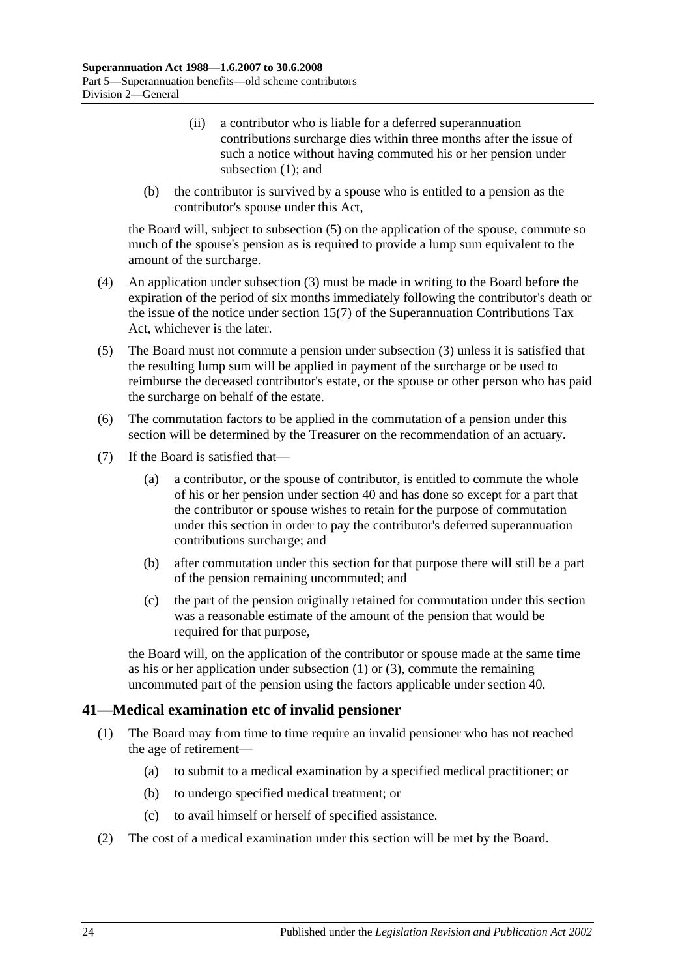- (ii) a contributor who is liable for a deferred superannuation contributions surcharge dies within three months after the issue of such a notice without having commuted his or her pension under [subsection](#page-74-2) (1); and
- (b) the contributor is survived by a spouse who is entitled to a pension as the contributor's spouse under this Act,

the Board will, subject to [subsection](#page-75-0) (5) on the application of the spouse, commute so much of the spouse's pension as is required to provide a lump sum equivalent to the amount of the surcharge.

- (4) An application under [subsection](#page-74-3) (3) must be made in writing to the Board before the expiration of the period of six months immediately following the contributor's death or the issue of the notice under section 15(7) of the Superannuation Contributions Tax Act, whichever is the later.
- <span id="page-75-0"></span>(5) The Board must not commute a pension under [subsection](#page-74-3) (3) unless it is satisfied that the resulting lump sum will be applied in payment of the surcharge or be used to reimburse the deceased contributor's estate, or the spouse or other person who has paid the surcharge on behalf of the estate.
- (6) The commutation factors to be applied in the commutation of a pension under this section will be determined by the Treasurer on the recommendation of an actuary.
- (7) If the Board is satisfied that—
	- (a) a contributor, or the spouse of contributor, is entitled to commute the whole of his or her pension under [section](#page-74-4) 40 and has done so except for a part that the contributor or spouse wishes to retain for the purpose of commutation under this section in order to pay the contributor's deferred superannuation contributions surcharge; and
	- (b) after commutation under this section for that purpose there will still be a part of the pension remaining uncommuted; and
	- (c) the part of the pension originally retained for commutation under this section was a reasonable estimate of the amount of the pension that would be required for that purpose,

the Board will, on the application of the contributor or spouse made at the same time as his or her application under [subsection](#page-74-2) (1) or [\(3\),](#page-74-3) commute the remaining uncommuted part of the pension using the factors applicable under [section](#page-74-4) 40.

# **41—Medical examination etc of invalid pensioner**

- (1) The Board may from time to time require an invalid pensioner who has not reached the age of retirement—
	- (a) to submit to a medical examination by a specified medical practitioner; or
	- (b) to undergo specified medical treatment; or
	- (c) to avail himself or herself of specified assistance.
- (2) The cost of a medical examination under this section will be met by the Board.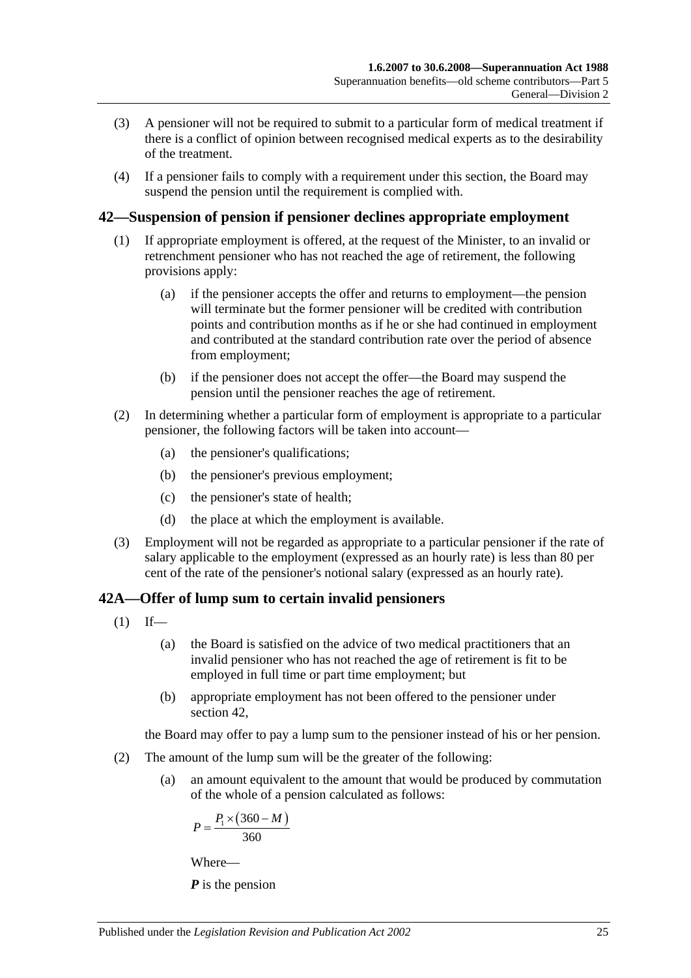- (3) A pensioner will not be required to submit to a particular form of medical treatment if there is a conflict of opinion between recognised medical experts as to the desirability of the treatment.
- (4) If a pensioner fails to comply with a requirement under this section, the Board may suspend the pension until the requirement is complied with.

# <span id="page-76-0"></span>**42—Suspension of pension if pensioner declines appropriate employment**

- (1) If appropriate employment is offered, at the request of the Minister, to an invalid or retrenchment pensioner who has not reached the age of retirement, the following provisions apply:
	- (a) if the pensioner accepts the offer and returns to employment—the pension will terminate but the former pensioner will be credited with contribution points and contribution months as if he or she had continued in employment and contributed at the standard contribution rate over the period of absence from employment;
	- (b) if the pensioner does not accept the offer—the Board may suspend the pension until the pensioner reaches the age of retirement.
- (2) In determining whether a particular form of employment is appropriate to a particular pensioner, the following factors will be taken into account—
	- (a) the pensioner's qualifications;
	- (b) the pensioner's previous employment;
	- (c) the pensioner's state of health;
	- (d) the place at which the employment is available.
- (3) Employment will not be regarded as appropriate to a particular pensioner if the rate of salary applicable to the employment (expressed as an hourly rate) is less than 80 per cent of the rate of the pensioner's notional salary (expressed as an hourly rate).

# <span id="page-76-2"></span>**42A—Offer of lump sum to certain invalid pensioners**

- $(1)$  If—
	- (a) the Board is satisfied on the advice of two medical practitioners that an invalid pensioner who has not reached the age of retirement is fit to be employed in full time or part time employment; but
	- (b) appropriate employment has not been offered to the pensioner under [section](#page-76-0) 42,

the Board may offer to pay a lump sum to the pensioner instead of his or her pension.

- <span id="page-76-1"></span>(2) The amount of the lump sum will be the greater of the following:
	- (a) an amount equivalent to the amount that would be produced by commutation of the whole of a pension calculated as follows:

$$
P = \frac{P_1 \times (360 - M)}{360}
$$

Where—

*P* is the pension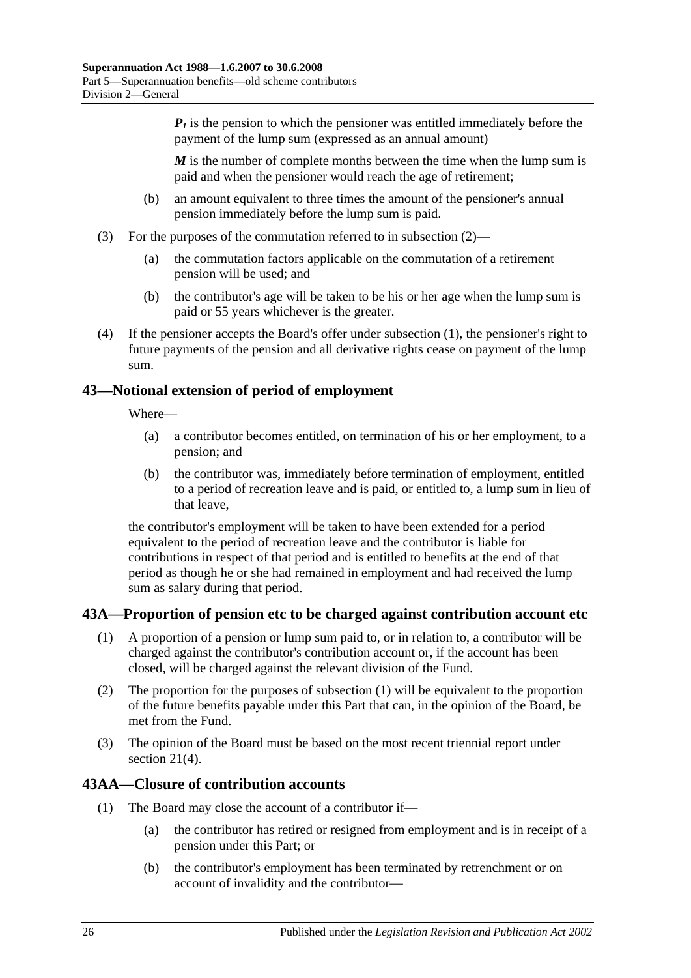*is the pension to which the pensioner was entitled immediately before the* payment of the lump sum (expressed as an annual amount)

*M* is the number of complete months between the time when the lump sum is paid and when the pensioner would reach the age of retirement;

- (b) an amount equivalent to three times the amount of the pensioner's annual pension immediately before the lump sum is paid.
- (3) For the purposes of the commutation referred to in [subsection](#page-76-1) (2)—
	- (a) the commutation factors applicable on the commutation of a retirement pension will be used; and
	- (b) the contributor's age will be taken to be his or her age when the lump sum is paid or 55 years whichever is the greater.
- (4) If the pensioner accepts the Board's offer under [subsection](#page-76-2) (1), the pensioner's right to future payments of the pension and all derivative rights cease on payment of the lump sum.

# **43—Notional extension of period of employment**

Where—

- (a) a contributor becomes entitled, on termination of his or her employment, to a pension; and
- (b) the contributor was, immediately before termination of employment, entitled to a period of recreation leave and is paid, or entitled to, a lump sum in lieu of that leave,

the contributor's employment will be taken to have been extended for a period equivalent to the period of recreation leave and the contributor is liable for contributions in respect of that period and is entitled to benefits at the end of that period as though he or she had remained in employment and had received the lump sum as salary during that period.

# <span id="page-77-0"></span>**43A—Proportion of pension etc to be charged against contribution account etc**

- (1) A proportion of a pension or lump sum paid to, or in relation to, a contributor will be charged against the contributor's contribution account or, if the account has been closed, will be charged against the relevant division of the Fund.
- (2) The proportion for the purposes of [subsection](#page-77-0) (1) will be equivalent to the proportion of the future benefits payable under this Part that can, in the opinion of the Board, be met from the Fund.
- (3) The opinion of the Board must be based on the most recent triennial report under [section](#page-23-0)  $21(4)$ .

# <span id="page-77-1"></span>**43AA—Closure of contribution accounts**

- (1) The Board may close the account of a contributor if—
	- (a) the contributor has retired or resigned from employment and is in receipt of a pension under this Part; or
	- (b) the contributor's employment has been terminated by retrenchment or on account of invalidity and the contributor—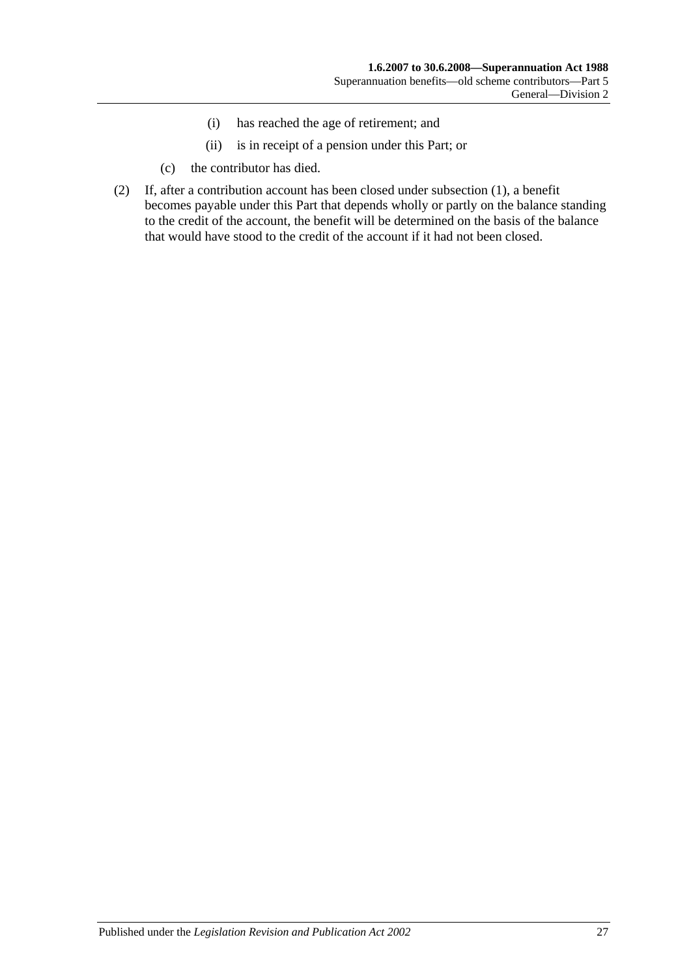- (i) has reached the age of retirement; and
- (ii) is in receipt of a pension under this Part; or
- (c) the contributor has died.
- (2) If, after a contribution account has been closed under [subsection](#page-77-1) (1), a benefit becomes payable under this Part that depends wholly or partly on the balance standing to the credit of the account, the benefit will be determined on the basis of the balance that would have stood to the credit of the account if it had not been closed.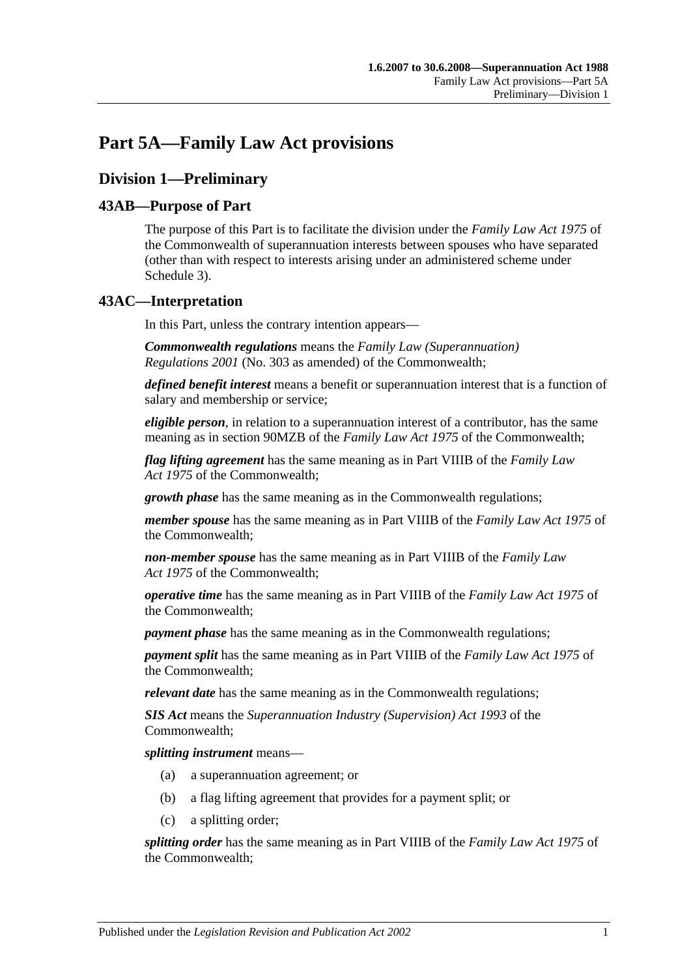# **Part 5A—Family Law Act provisions**

# **Division 1—Preliminary**

# **43AB—Purpose of Part**

The purpose of this Part is to facilitate the division under the *Family Law Act 1975* of the Commonwealth of superannuation interests between spouses who have separated (other than with respect to interests arising under an administered scheme under [Schedule 3\)](#page-122-0).

# **43AC—Interpretation**

In this Part, unless the contrary intention appears—

*Commonwealth regulations* means the *Family Law (Superannuation) Regulations 2001* (No. 303 as amended) of the Commonwealth;

*defined benefit interest* means a benefit or superannuation interest that is a function of salary and membership or service;

*eligible person*, in relation to a superannuation interest of a contributor, has the same meaning as in section 90MZB of the *Family Law Act 1975* of the Commonwealth;

*flag lifting agreement* has the same meaning as in Part VIIIB of the *Family Law Act 1975* of the Commonwealth;

*growth phase* has the same meaning as in the Commonwealth regulations;

*member spouse* has the same meaning as in Part VIIIB of the *Family Law Act 1975* of the Commonwealth;

*non-member spouse* has the same meaning as in Part VIIIB of the *Family Law Act 1975* of the Commonwealth;

*operative time* has the same meaning as in Part VIIIB of the *Family Law Act 1975* of the Commonwealth;

*payment phase* has the same meaning as in the Commonwealth regulations;

*payment split* has the same meaning as in Part VIIIB of the *Family Law Act 1975* of the Commonwealth;

*relevant date* has the same meaning as in the Commonwealth regulations;

*SIS Act* means the *Superannuation Industry (Supervision) Act 1993* of the Commonwealth;

*splitting instrument* means—

- (a) a superannuation agreement; or
- (b) a flag lifting agreement that provides for a payment split; or
- (c) a splitting order;

*splitting order* has the same meaning as in Part VIIIB of the *Family Law Act 1975* of the Commonwealth;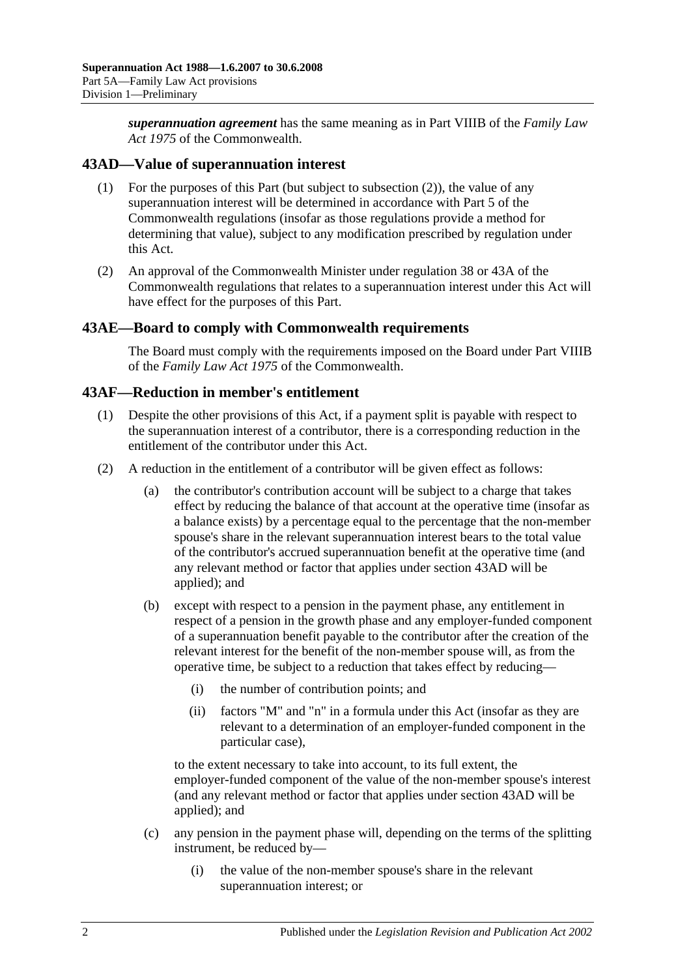*superannuation agreement* has the same meaning as in Part VIIIB of the *Family Law Act 1975* of the Commonwealth.

## <span id="page-81-1"></span>**43AD—Value of superannuation interest**

- (1) For the purposes of this Part (but subject to [subsection](#page-81-0) (2)), the value of any superannuation interest will be determined in accordance with Part 5 of the Commonwealth regulations (insofar as those regulations provide a method for determining that value), subject to any modification prescribed by regulation under this Act.
- <span id="page-81-0"></span>(2) An approval of the Commonwealth Minister under regulation 38 or 43A of the Commonwealth regulations that relates to a superannuation interest under this Act will have effect for the purposes of this Part.

#### **43AE—Board to comply with Commonwealth requirements**

The Board must comply with the requirements imposed on the Board under Part VIIIB of the *Family Law Act 1975* of the Commonwealth.

## **43AF—Reduction in member's entitlement**

- (1) Despite the other provisions of this Act, if a payment split is payable with respect to the superannuation interest of a contributor, there is a corresponding reduction in the entitlement of the contributor under this Act.
- <span id="page-81-2"></span>(2) A reduction in the entitlement of a contributor will be given effect as follows:
	- (a) the contributor's contribution account will be subject to a charge that takes effect by reducing the balance of that account at the operative time (insofar as a balance exists) by a percentage equal to the percentage that the non-member spouse's share in the relevant superannuation interest bears to the total value of the contributor's accrued superannuation benefit at the operative time (and any relevant method or factor that applies under [section](#page-81-1) 43AD will be applied); and
	- (b) except with respect to a pension in the payment phase, any entitlement in respect of a pension in the growth phase and any employer-funded component of a superannuation benefit payable to the contributor after the creation of the relevant interest for the benefit of the non-member spouse will, as from the operative time, be subject to a reduction that takes effect by reducing—
		- (i) the number of contribution points; and
		- (ii) factors "M" and "n" in a formula under this Act (insofar as they are relevant to a determination of an employer-funded component in the particular case),

to the extent necessary to take into account, to its full extent, the employer-funded component of the value of the non-member spouse's interest (and any relevant method or factor that applies under [section](#page-81-1) 43AD will be applied); and

- (c) any pension in the payment phase will, depending on the terms of the splitting instrument, be reduced by—
	- (i) the value of the non-member spouse's share in the relevant superannuation interest; or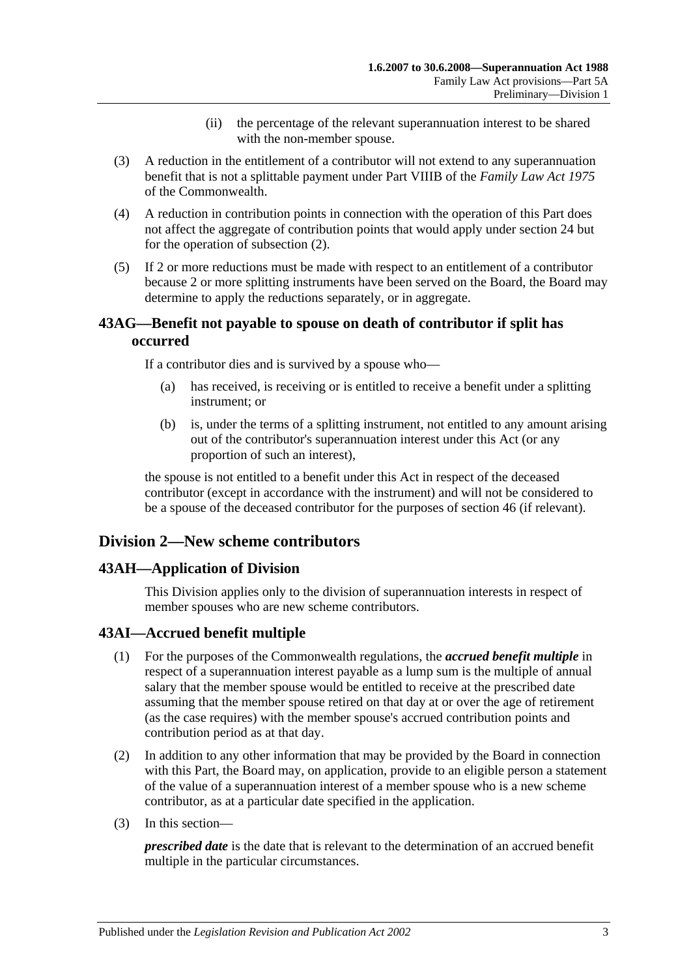- (ii) the percentage of the relevant superannuation interest to be shared with the non-member spouse.
- (3) A reduction in the entitlement of a contributor will not extend to any superannuation benefit that is not a splittable payment under Part VIIIB of the *Family Law Act 1975* of the Commonwealth.
- (4) A reduction in contribution points in connection with the operation of this Part does not affect the aggregate of contribution points that would apply under [section](#page-28-0) 24 but for the operation of [subsection](#page-81-2) (2).
- (5) If 2 or more reductions must be made with respect to an entitlement of a contributor because 2 or more splitting instruments have been served on the Board, the Board may determine to apply the reductions separately, or in aggregate.

# **43AG—Benefit not payable to spouse on death of contributor if split has occurred**

If a contributor dies and is survived by a spouse who—

- (a) has received, is receiving or is entitled to receive a benefit under a splitting instrument; or
- (b) is, under the terms of a splitting instrument, not entitled to any amount arising out of the contributor's superannuation interest under this Act (or any proportion of such an interest),

the spouse is not entitled to a benefit under this Act in respect of the deceased contributor (except in accordance with the instrument) and will not be considered to be a spouse of the deceased contributor for the purposes of [section](#page-90-0) 46 (if relevant).

# **Division 2—New scheme contributors**

# **43AH—Application of Division**

This Division applies only to the division of superannuation interests in respect of member spouses who are new scheme contributors.

# **43AI—Accrued benefit multiple**

- (1) For the purposes of the Commonwealth regulations, the *accrued benefit multiple* in respect of a superannuation interest payable as a lump sum is the multiple of annual salary that the member spouse would be entitled to receive at the prescribed date assuming that the member spouse retired on that day at or over the age of retirement (as the case requires) with the member spouse's accrued contribution points and contribution period as at that day.
- (2) In addition to any other information that may be provided by the Board in connection with this Part, the Board may, on application, provide to an eligible person a statement of the value of a superannuation interest of a member spouse who is a new scheme contributor, as at a particular date specified in the application.
- (3) In this section—

*prescribed date* is the date that is relevant to the determination of an accrued benefit multiple in the particular circumstances.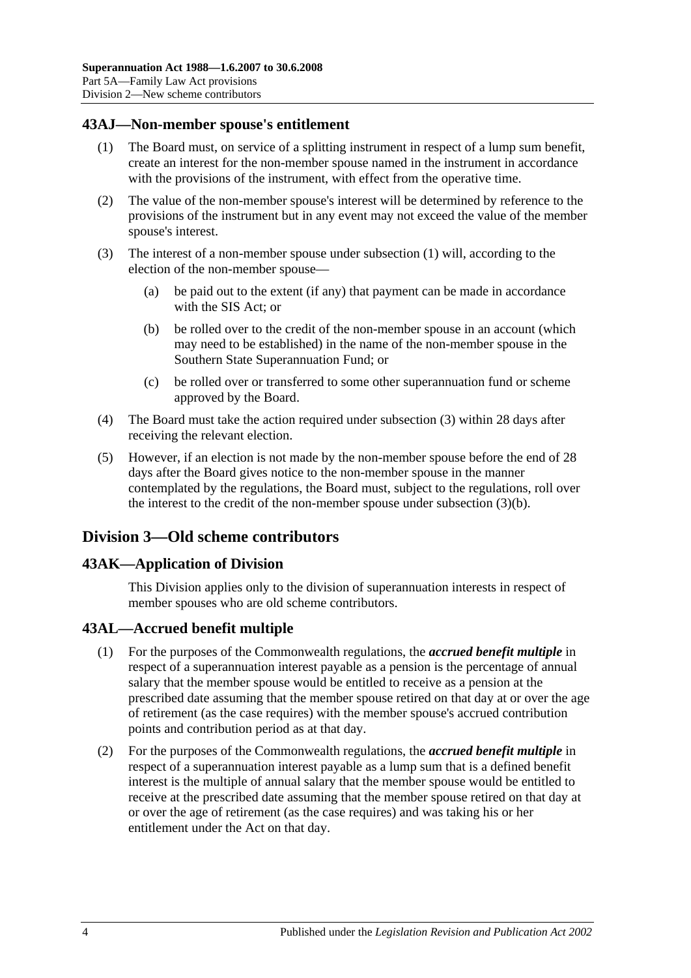# <span id="page-83-0"></span>**43AJ—Non-member spouse's entitlement**

- (1) The Board must, on service of a splitting instrument in respect of a lump sum benefit, create an interest for the non-member spouse named in the instrument in accordance with the provisions of the instrument, with effect from the operative time.
- (2) The value of the non-member spouse's interest will be determined by reference to the provisions of the instrument but in any event may not exceed the value of the member spouse's interest.
- <span id="page-83-2"></span><span id="page-83-1"></span>(3) The interest of a non-member spouse under [subsection](#page-83-0) (1) will, according to the election of the non-member spouse—
	- (a) be paid out to the extent (if any) that payment can be made in accordance with the SIS Act; or
	- (b) be rolled over to the credit of the non-member spouse in an account (which may need to be established) in the name of the non-member spouse in the Southern State Superannuation Fund; or
	- (c) be rolled over or transferred to some other superannuation fund or scheme approved by the Board.
- (4) The Board must take the action required under [subsection](#page-83-1) (3) within 28 days after receiving the relevant election.
- (5) However, if an election is not made by the non-member spouse before the end of 28 days after the Board gives notice to the non-member spouse in the manner contemplated by the regulations, the Board must, subject to the regulations, roll over the interest to the credit of the non-member spouse under [subsection](#page-83-2) (3)(b).

# **Division 3—Old scheme contributors**

#### **43AK—Application of Division**

This Division applies only to the division of superannuation interests in respect of member spouses who are old scheme contributors.

#### **43AL—Accrued benefit multiple**

- (1) For the purposes of the Commonwealth regulations, the *accrued benefit multiple* in respect of a superannuation interest payable as a pension is the percentage of annual salary that the member spouse would be entitled to receive as a pension at the prescribed date assuming that the member spouse retired on that day at or over the age of retirement (as the case requires) with the member spouse's accrued contribution points and contribution period as at that day.
- (2) For the purposes of the Commonwealth regulations, the *accrued benefit multiple* in respect of a superannuation interest payable as a lump sum that is a defined benefit interest is the multiple of annual salary that the member spouse would be entitled to receive at the prescribed date assuming that the member spouse retired on that day at or over the age of retirement (as the case requires) and was taking his or her entitlement under the Act on that day.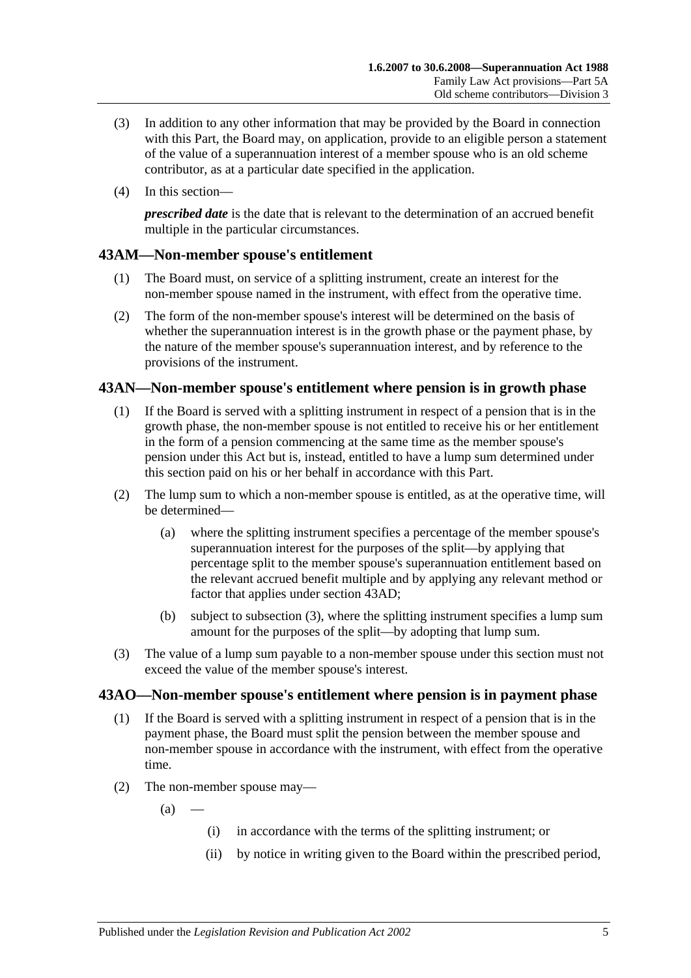- (3) In addition to any other information that may be provided by the Board in connection with this Part, the Board may, on application, provide to an eligible person a statement of the value of a superannuation interest of a member spouse who is an old scheme contributor, as at a particular date specified in the application.
- (4) In this section—

*prescribed date* is the date that is relevant to the determination of an accrued benefit multiple in the particular circumstances.

# **43AM—Non-member spouse's entitlement**

- (1) The Board must, on service of a splitting instrument, create an interest for the non-member spouse named in the instrument, with effect from the operative time.
- (2) The form of the non-member spouse's interest will be determined on the basis of whether the superannuation interest is in the growth phase or the payment phase, by the nature of the member spouse's superannuation interest, and by reference to the provisions of the instrument.

# **43AN—Non-member spouse's entitlement where pension is in growth phase**

- (1) If the Board is served with a splitting instrument in respect of a pension that is in the growth phase, the non-member spouse is not entitled to receive his or her entitlement in the form of a pension commencing at the same time as the member spouse's pension under this Act but is, instead, entitled to have a lump sum determined under this section paid on his or her behalf in accordance with this Part.
- (2) The lump sum to which a non-member spouse is entitled, as at the operative time, will be determined—
	- (a) where the splitting instrument specifies a percentage of the member spouse's superannuation interest for the purposes of the split—by applying that percentage split to the member spouse's superannuation entitlement based on the relevant accrued benefit multiple and by applying any relevant method or factor that applies under [section](#page-81-1) 43AD;
	- (b) subject to [subsection](#page-84-0) (3), where the splitting instrument specifies a lump sum amount for the purposes of the split—by adopting that lump sum.
- <span id="page-84-0"></span>(3) The value of a lump sum payable to a non-member spouse under this section must not exceed the value of the member spouse's interest.

# <span id="page-84-1"></span>**43AO—Non-member spouse's entitlement where pension is in payment phase**

- (1) If the Board is served with a splitting instrument in respect of a pension that is in the payment phase, the Board must split the pension between the member spouse and non-member spouse in accordance with the instrument, with effect from the operative time.
- (2) The non-member spouse may—

 $(a)$ 

- (i) in accordance with the terms of the splitting instrument; or
- (ii) by notice in writing given to the Board within the prescribed period,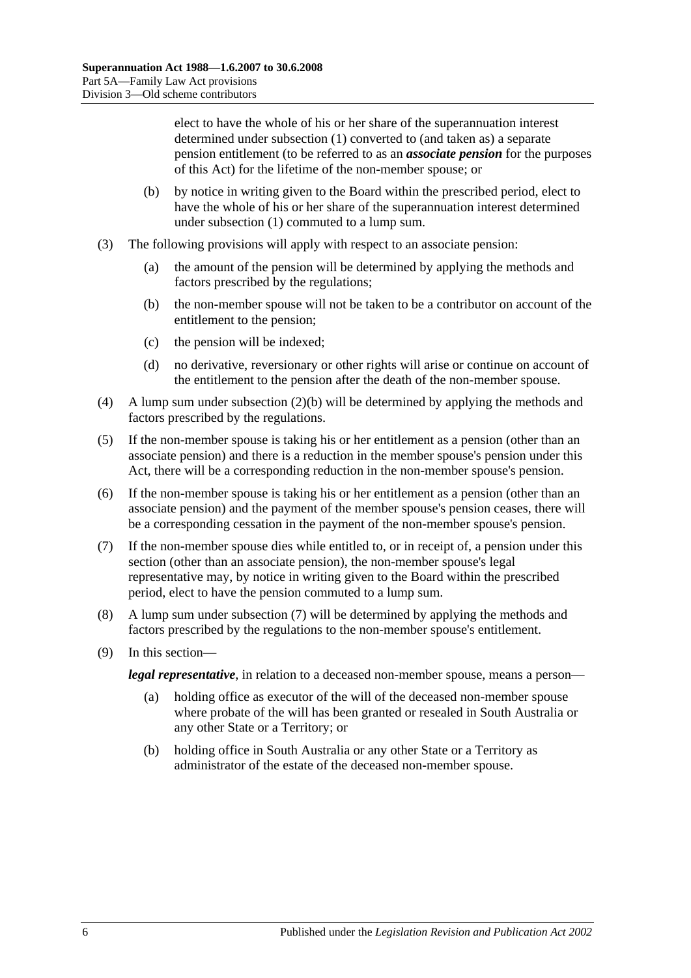elect to have the whole of his or her share of the superannuation interest determined under [subsection](#page-84-1) (1) converted to (and taken as) a separate pension entitlement (to be referred to as an *associate pension* for the purposes of this Act) for the lifetime of the non-member spouse; or

- <span id="page-85-0"></span>(b) by notice in writing given to the Board within the prescribed period, elect to have the whole of his or her share of the superannuation interest determined under [subsection](#page-84-1) (1) commuted to a lump sum.
- (3) The following provisions will apply with respect to an associate pension:
	- (a) the amount of the pension will be determined by applying the methods and factors prescribed by the regulations;
	- (b) the non-member spouse will not be taken to be a contributor on account of the entitlement to the pension;
	- (c) the pension will be indexed;
	- (d) no derivative, reversionary or other rights will arise or continue on account of the entitlement to the pension after the death of the non-member spouse.
- (4) A lump sum under [subsection](#page-85-0) (2)(b) will be determined by applying the methods and factors prescribed by the regulations.
- (5) If the non-member spouse is taking his or her entitlement as a pension (other than an associate pension) and there is a reduction in the member spouse's pension under this Act, there will be a corresponding reduction in the non-member spouse's pension.
- (6) If the non-member spouse is taking his or her entitlement as a pension (other than an associate pension) and the payment of the member spouse's pension ceases, there will be a corresponding cessation in the payment of the non-member spouse's pension.
- <span id="page-85-1"></span>(7) If the non-member spouse dies while entitled to, or in receipt of, a pension under this section (other than an associate pension), the non-member spouse's legal representative may, by notice in writing given to the Board within the prescribed period, elect to have the pension commuted to a lump sum.
- (8) A lump sum under [subsection](#page-85-1) (7) will be determined by applying the methods and factors prescribed by the regulations to the non-member spouse's entitlement.
- (9) In this section—

*legal representative*, in relation to a deceased non-member spouse, means a person—

- (a) holding office as executor of the will of the deceased non-member spouse where probate of the will has been granted or resealed in South Australia or any other State or a Territory; or
- (b) holding office in South Australia or any other State or a Territory as administrator of the estate of the deceased non-member spouse.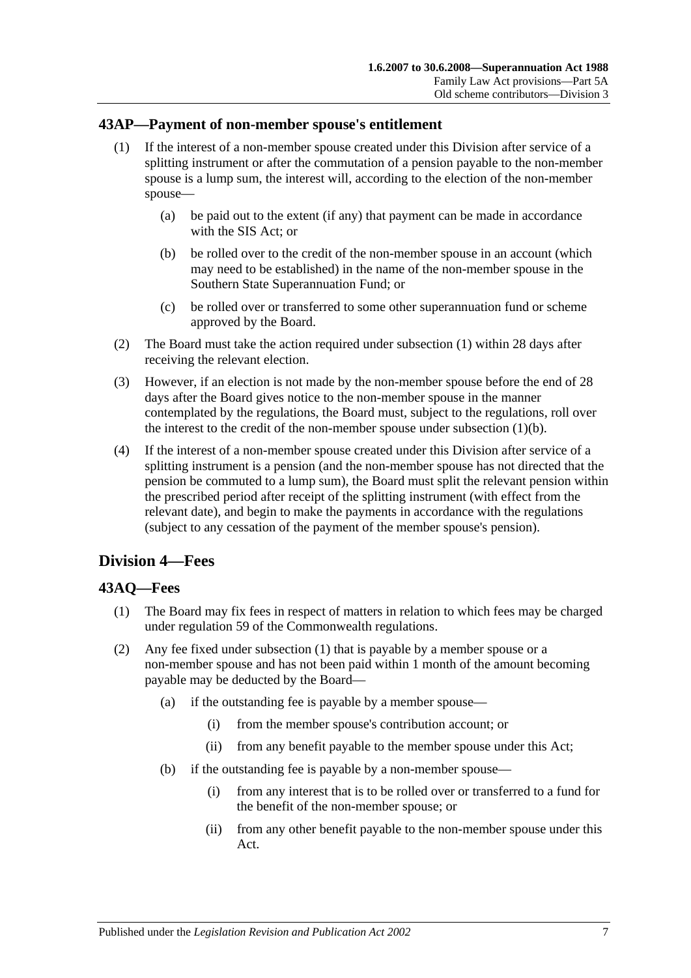## <span id="page-86-0"></span>**43AP—Payment of non-member spouse's entitlement**

- (1) If the interest of a non-member spouse created under this Division after service of a splitting instrument or after the commutation of a pension payable to the non-member spouse is a lump sum, the interest will, according to the election of the non-member spouse—
	- (a) be paid out to the extent (if any) that payment can be made in accordance with the SIS Act; or
	- (b) be rolled over to the credit of the non-member spouse in an account (which may need to be established) in the name of the non-member spouse in the Southern State Superannuation Fund; or
	- (c) be rolled over or transferred to some other superannuation fund or scheme approved by the Board.
- <span id="page-86-1"></span>(2) The Board must take the action required under [subsection](#page-86-0) (1) within 28 days after receiving the relevant election.
- (3) However, if an election is not made by the non-member spouse before the end of 28 days after the Board gives notice to the non-member spouse in the manner contemplated by the regulations, the Board must, subject to the regulations, roll over the interest to the credit of the non-member spouse under [subsection](#page-86-1)  $(1)(b)$ .
- (4) If the interest of a non-member spouse created under this Division after service of a splitting instrument is a pension (and the non-member spouse has not directed that the pension be commuted to a lump sum), the Board must split the relevant pension within the prescribed period after receipt of the splitting instrument (with effect from the relevant date), and begin to make the payments in accordance with the regulations (subject to any cessation of the payment of the member spouse's pension).

# **Division 4—Fees**

# <span id="page-86-2"></span>**43AQ—Fees**

- (1) The Board may fix fees in respect of matters in relation to which fees may be charged under regulation 59 of the Commonwealth regulations.
- (2) Any fee fixed under [subsection](#page-86-2) (1) that is payable by a member spouse or a non-member spouse and has not been paid within 1 month of the amount becoming payable may be deducted by the Board—
	- (a) if the outstanding fee is payable by a member spouse—
		- (i) from the member spouse's contribution account; or
		- (ii) from any benefit payable to the member spouse under this Act;
	- (b) if the outstanding fee is payable by a non-member spouse—
		- (i) from any interest that is to be rolled over or transferred to a fund for the benefit of the non-member spouse; or
		- (ii) from any other benefit payable to the non-member spouse under this Act.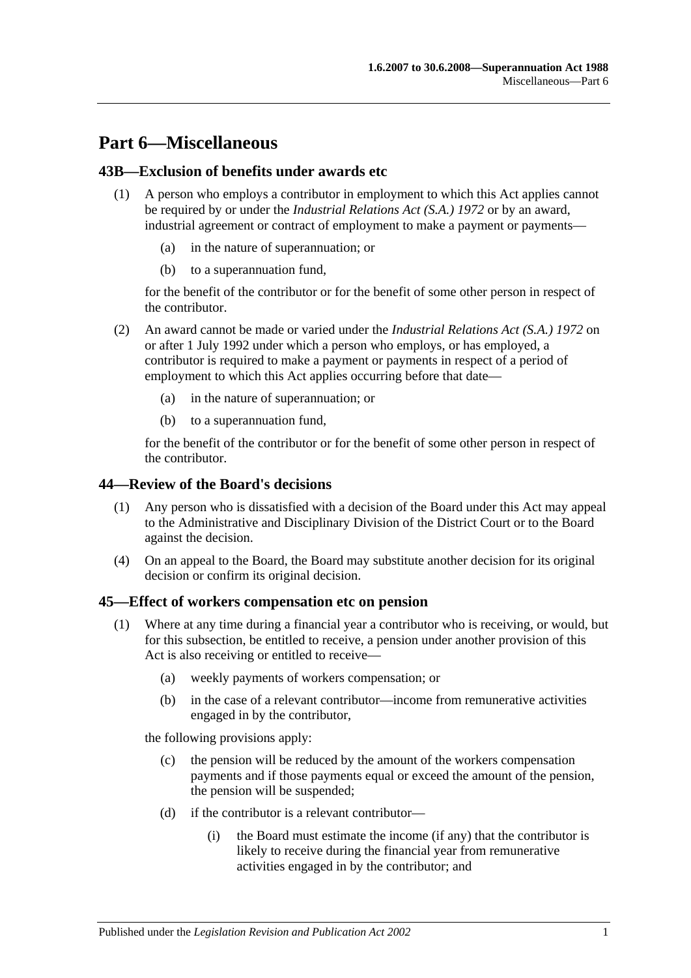# **Part 6—Miscellaneous**

# **43B—Exclusion of benefits under awards etc**

- (1) A person who employs a contributor in employment to which this Act applies cannot be required by or under the *[Industrial Relations Act \(S.A.\)](http://www.legislation.sa.gov.au/index.aspx?action=legref&type=act&legtitle=Industrial%20Relations%20Act%20(S.A.)%201972) 1972* or by an award, industrial agreement or contract of employment to make a payment or payments
	- in the nature of superannuation; or
	- (b) to a superannuation fund,

for the benefit of the contributor or for the benefit of some other person in respect of the contributor.

- (2) An award cannot be made or varied under the *[Industrial Relations](http://www.legislation.sa.gov.au/index.aspx?action=legref&type=act&legtitle=Industrial%20Relations%20Act%20(S.A.)%201972) Act (S.A.) 1972* on or after 1 July 1992 under which a person who employs, or has employed, a contributor is required to make a payment or payments in respect of a period of employment to which this Act applies occurring before that date—
	- (a) in the nature of superannuation; or
	- (b) to a superannuation fund,

for the benefit of the contributor or for the benefit of some other person in respect of the contributor.

#### **44—Review of the Board's decisions**

- (1) Any person who is dissatisfied with a decision of the Board under this Act may appeal to the Administrative and Disciplinary Division of the District Court or to the Board against the decision.
- (4) On an appeal to the Board, the Board may substitute another decision for its original decision or confirm its original decision.

#### <span id="page-88-1"></span>**45—Effect of workers compensation etc on pension**

- <span id="page-88-0"></span>(1) Where at any time during a financial year a contributor who is receiving, or would, but for this subsection, be entitled to receive, a pension under another provision of this Act is also receiving or entitled to receive—
	- (a) weekly payments of workers compensation; or
	- (b) in the case of a relevant contributor—income from remunerative activities engaged in by the contributor,

the following provisions apply:

- (c) the pension will be reduced by the amount of the workers compensation payments and if those payments equal or exceed the amount of the pension, the pension will be suspended;
- (d) if the contributor is a relevant contributor—
	- (i) the Board must estimate the income (if any) that the contributor is likely to receive during the financial year from remunerative activities engaged in by the contributor; and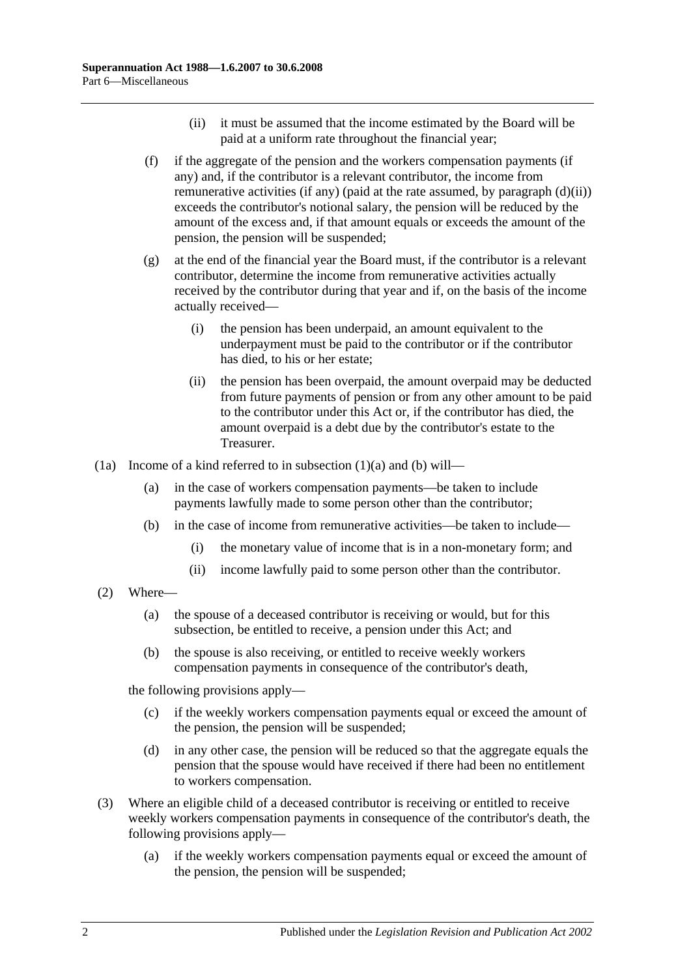- (ii) it must be assumed that the income estimated by the Board will be paid at a uniform rate throughout the financial year;
- <span id="page-89-2"></span><span id="page-89-0"></span>(f) if the aggregate of the pension and the workers compensation payments (if any) and, if the contributor is a relevant contributor, the income from remunerative activities (if any) (paid at the rate assumed, by [paragraph](#page-89-0)  $(d)(ii)$ ) exceeds the contributor's notional salary, the pension will be reduced by the amount of the excess and, if that amount equals or exceeds the amount of the pension, the pension will be suspended;
- (g) at the end of the financial year the Board must, if the contributor is a relevant contributor, determine the income from remunerative activities actually received by the contributor during that year and if, on the basis of the income actually received—
	- (i) the pension has been underpaid, an amount equivalent to the underpayment must be paid to the contributor or if the contributor has died, to his or her estate;
	- (ii) the pension has been overpaid, the amount overpaid may be deducted from future payments of pension or from any other amount to be paid to the contributor under this Act or, if the contributor has died, the amount overpaid is a debt due by the contributor's estate to the Treasurer.
- <span id="page-89-1"></span>(1a) Income of a kind referred to in [subsection](#page-88-0) (1)(a) and [\(b\)](#page-89-1) will—
	- (a) in the case of workers compensation payments—be taken to include payments lawfully made to some person other than the contributor;
	- (b) in the case of income from remunerative activities—be taken to include—
		- (i) the monetary value of income that is in a non-monetary form; and
		- (ii) income lawfully paid to some person other than the contributor.
- (2) Where—
	- (a) the spouse of a deceased contributor is receiving or would, but for this subsection, be entitled to receive, a pension under this Act; and
	- (b) the spouse is also receiving, or entitled to receive weekly workers compensation payments in consequence of the contributor's death,

the following provisions apply—

- (c) if the weekly workers compensation payments equal or exceed the amount of the pension, the pension will be suspended;
- (d) in any other case, the pension will be reduced so that the aggregate equals the pension that the spouse would have received if there had been no entitlement to workers compensation.
- (3) Where an eligible child of a deceased contributor is receiving or entitled to receive weekly workers compensation payments in consequence of the contributor's death, the following provisions apply—
	- (a) if the weekly workers compensation payments equal or exceed the amount of the pension, the pension will be suspended;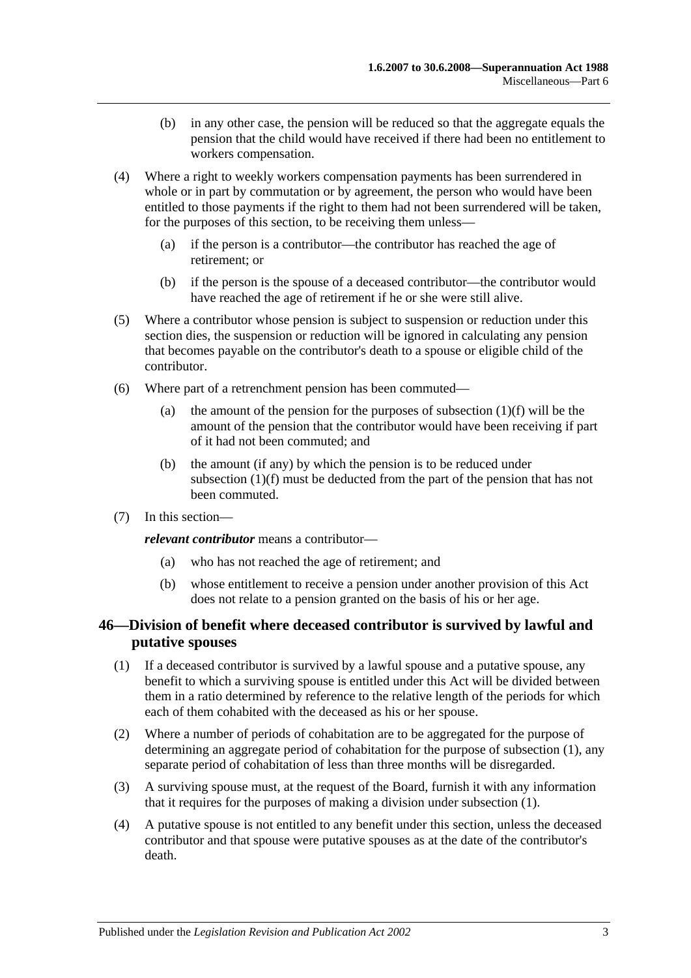- (b) in any other case, the pension will be reduced so that the aggregate equals the pension that the child would have received if there had been no entitlement to workers compensation.
- (4) Where a right to weekly workers compensation payments has been surrendered in whole or in part by commutation or by agreement, the person who would have been entitled to those payments if the right to them had not been surrendered will be taken, for the purposes of this section, to be receiving them unless—
	- (a) if the person is a contributor—the contributor has reached the age of retirement; or
	- (b) if the person is the spouse of a deceased contributor—the contributor would have reached the age of retirement if he or she were still alive.
- (5) Where a contributor whose pension is subject to suspension or reduction under this section dies, the suspension or reduction will be ignored in calculating any pension that becomes payable on the contributor's death to a spouse or eligible child of the contributor.
- (6) Where part of a retrenchment pension has been commuted
	- (a) the amount of the pension for the purposes of [subsection](#page-89-2)  $(1)(f)$  will be the amount of the pension that the contributor would have been receiving if part of it had not been commuted; and
	- (b) the amount (if any) by which the pension is to be reduced under [subsection](#page-89-2) (1)(f) must be deducted from the part of the pension that has not been commuted.
- (7) In this section—

*relevant contributor* means a contributor—

- (a) who has not reached the age of retirement; and
- (b) whose entitlement to receive a pension under another provision of this Act does not relate to a pension granted on the basis of his or her age.

# <span id="page-90-0"></span>**46—Division of benefit where deceased contributor is survived by lawful and putative spouses**

- <span id="page-90-1"></span>(1) If a deceased contributor is survived by a lawful spouse and a putative spouse, any benefit to which a surviving spouse is entitled under this Act will be divided between them in a ratio determined by reference to the relative length of the periods for which each of them cohabited with the deceased as his or her spouse.
- (2) Where a number of periods of cohabitation are to be aggregated for the purpose of determining an aggregate period of cohabitation for the purpose of [subsection](#page-90-1) (1), any separate period of cohabitation of less than three months will be disregarded.
- (3) A surviving spouse must, at the request of the Board, furnish it with any information that it requires for the purposes of making a division under [subsection](#page-90-1) (1).
- (4) A putative spouse is not entitled to any benefit under this section, unless the deceased contributor and that spouse were putative spouses as at the date of the contributor's death.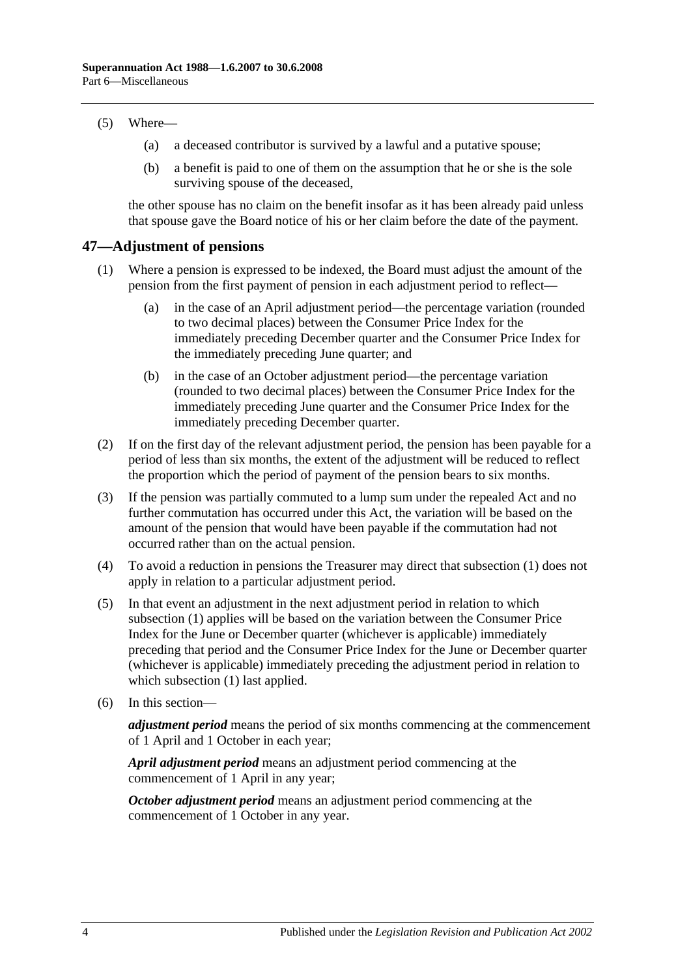#### (5) Where—

- (a) a deceased contributor is survived by a lawful and a putative spouse;
- (b) a benefit is paid to one of them on the assumption that he or she is the sole surviving spouse of the deceased,

the other spouse has no claim on the benefit insofar as it has been already paid unless that spouse gave the Board notice of his or her claim before the date of the payment.

## <span id="page-91-1"></span>**47—Adjustment of pensions**

- (1) Where a pension is expressed to be indexed, the Board must adjust the amount of the pension from the first payment of pension in each adjustment period to reflect—
	- (a) in the case of an April adjustment period—the percentage variation (rounded to two decimal places) between the Consumer Price Index for the immediately preceding December quarter and the Consumer Price Index for the immediately preceding June quarter; and
	- (b) in the case of an October adjustment period—the percentage variation (rounded to two decimal places) between the Consumer Price Index for the immediately preceding June quarter and the Consumer Price Index for the immediately preceding December quarter.
- (2) If on the first day of the relevant adjustment period, the pension has been payable for a period of less than six months, the extent of the adjustment will be reduced to reflect the proportion which the period of payment of the pension bears to six months.
- <span id="page-91-0"></span>(3) If the pension was partially commuted to a lump sum under the repealed Act and no further commutation has occurred under this Act, the variation will be based on the amount of the pension that would have been payable if the commutation had not occurred rather than on the actual pension.
- (4) To avoid a reduction in pensions the Treasurer may direct that [subsection](#page-91-1) (1) does not apply in relation to a particular adjustment period.
- (5) In that event an adjustment in the next adjustment period in relation to which [subsection](#page-91-1) (1) applies will be based on the variation between the Consumer Price Index for the June or December quarter (whichever is applicable) immediately preceding that period and the Consumer Price Index for the June or December quarter (whichever is applicable) immediately preceding the adjustment period in relation to which [subsection](#page-91-1) (1) last applied.
- (6) In this section—

*adjustment period* means the period of six months commencing at the commencement of 1 April and 1 October in each year;

*April adjustment period* means an adjustment period commencing at the commencement of 1 April in any year;

*October adjustment period* means an adjustment period commencing at the commencement of 1 October in any year.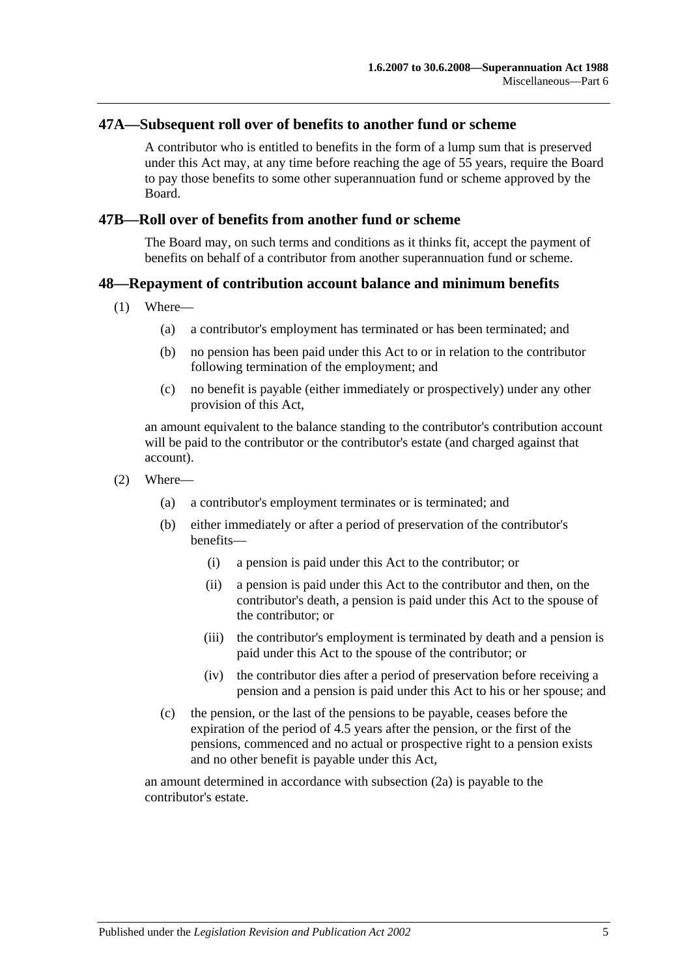#### **47A—Subsequent roll over of benefits to another fund or scheme**

A contributor who is entitled to benefits in the form of a lump sum that is preserved under this Act may, at any time before reaching the age of 55 years, require the Board to pay those benefits to some other superannuation fund or scheme approved by the Board.

#### **47B—Roll over of benefits from another fund or scheme**

The Board may, on such terms and conditions as it thinks fit, accept the payment of benefits on behalf of a contributor from another superannuation fund or scheme.

#### **48—Repayment of contribution account balance and minimum benefits**

- (1) Where—
	- (a) a contributor's employment has terminated or has been terminated; and
	- (b) no pension has been paid under this Act to or in relation to the contributor following termination of the employment; and
	- (c) no benefit is payable (either immediately or prospectively) under any other provision of this Act,

an amount equivalent to the balance standing to the contributor's contribution account will be paid to the contributor or the contributor's estate (and charged against that account).

- <span id="page-92-0"></span>(2) Where—
	- (a) a contributor's employment terminates or is terminated; and
	- (b) either immediately or after a period of preservation of the contributor's benefits—
		- (i) a pension is paid under this Act to the contributor; or
		- (ii) a pension is paid under this Act to the contributor and then, on the contributor's death, a pension is paid under this Act to the spouse of the contributor; or
		- (iii) the contributor's employment is terminated by death and a pension is paid under this Act to the spouse of the contributor; or
		- (iv) the contributor dies after a period of preservation before receiving a pension and a pension is paid under this Act to his or her spouse; and
	- (c) the pension, or the last of the pensions to be payable, ceases before the expiration of the period of 4.5 years after the pension, or the first of the pensions, commenced and no actual or prospective right to a pension exists and no other benefit is payable under this Act,

<span id="page-92-1"></span>an amount determined in accordance with [subsection](#page-93-0) (2a) is payable to the contributor's estate.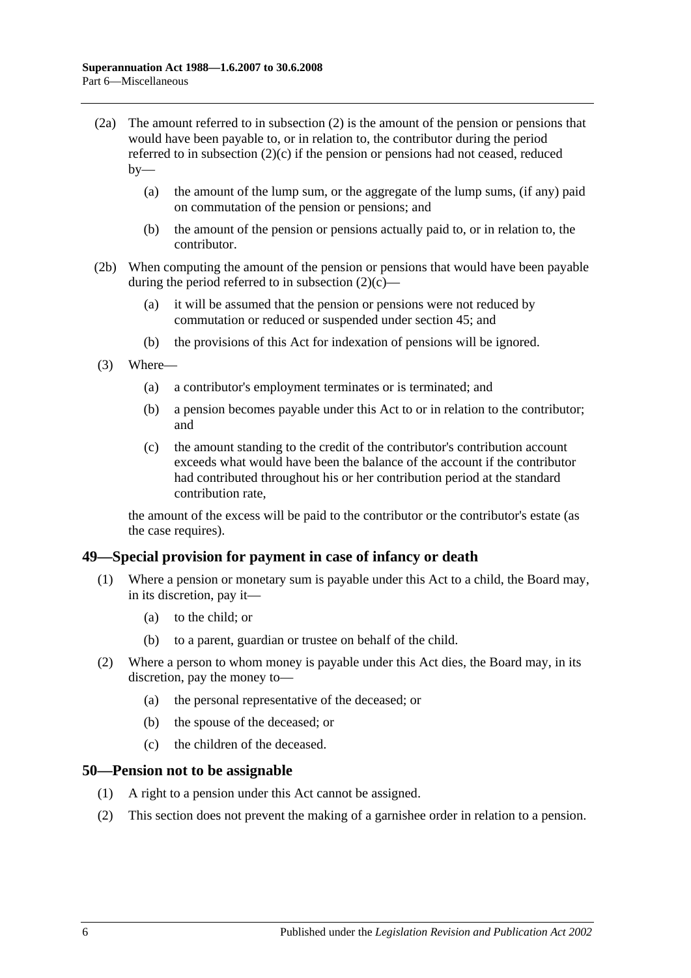- <span id="page-93-0"></span>(2a) The amount referred to in [subsection](#page-92-0) (2) is the amount of the pension or pensions that would have been payable to, or in relation to, the contributor during the period referred to in [subsection](#page-92-1) (2)(c) if the pension or pensions had not ceased, reduced  $bv$ —
	- (a) the amount of the lump sum, or the aggregate of the lump sums, (if any) paid on commutation of the pension or pensions; and
	- (b) the amount of the pension or pensions actually paid to, or in relation to, the contributor.
- (2b) When computing the amount of the pension or pensions that would have been payable during the period referred to in [subsection](#page-92-1)  $(2)(c)$ —
	- (a) it will be assumed that the pension or pensions were not reduced by commutation or reduced or suspended under [section](#page-88-1) 45; and
	- (b) the provisions of this Act for indexation of pensions will be ignored.
- (3) Where—
	- (a) a contributor's employment terminates or is terminated; and
	- (b) a pension becomes payable under this Act to or in relation to the contributor; and
	- (c) the amount standing to the credit of the contributor's contribution account exceeds what would have been the balance of the account if the contributor had contributed throughout his or her contribution period at the standard contribution rate,

the amount of the excess will be paid to the contributor or the contributor's estate (as the case requires).

#### **49—Special provision for payment in case of infancy or death**

- (1) Where a pension or monetary sum is payable under this Act to a child, the Board may, in its discretion, pay it—
	- (a) to the child; or
	- (b) to a parent, guardian or trustee on behalf of the child.
- (2) Where a person to whom money is payable under this Act dies, the Board may, in its discretion, pay the money to—
	- (a) the personal representative of the deceased; or
	- (b) the spouse of the deceased; or
	- (c) the children of the deceased.

#### **50—Pension not to be assignable**

- (1) A right to a pension under this Act cannot be assigned.
- (2) This section does not prevent the making of a garnishee order in relation to a pension.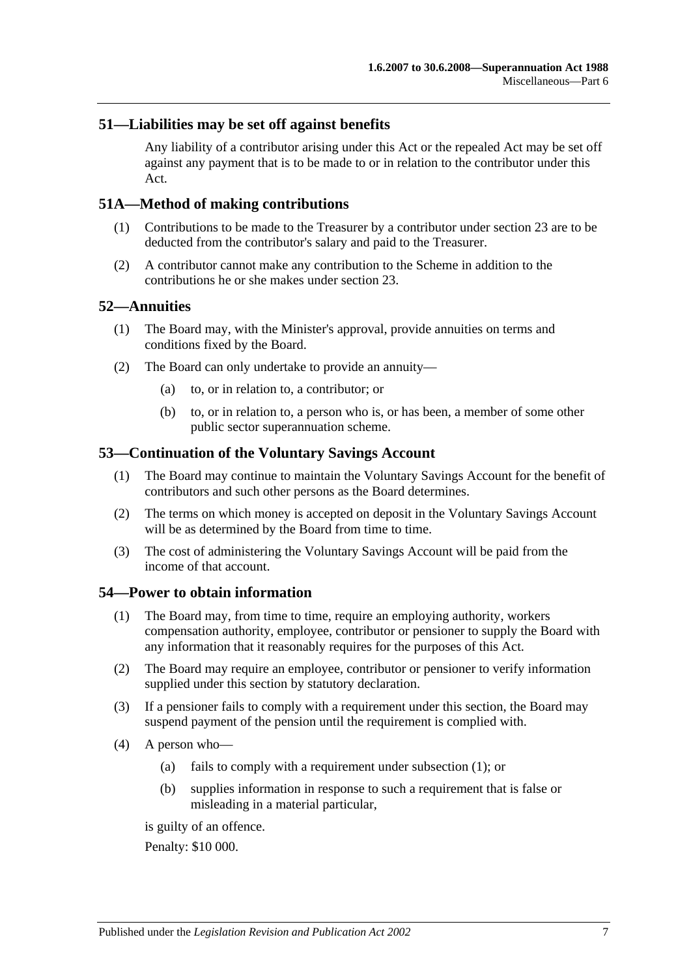## **51—Liabilities may be set off against benefits**

Any liability of a contributor arising under this Act or the repealed Act may be set off against any payment that is to be made to or in relation to the contributor under this Act.

## **51A—Method of making contributions**

- (1) Contributions to be made to the Treasurer by a contributor under [section](#page-26-0) 23 are to be deducted from the contributor's salary and paid to the Treasurer.
- (2) A contributor cannot make any contribution to the Scheme in addition to the contributions he or she makes under [section](#page-26-0) 23.

#### **52—Annuities**

- (1) The Board may, with the Minister's approval, provide annuities on terms and conditions fixed by the Board.
- (2) The Board can only undertake to provide an annuity—
	- (a) to, or in relation to, a contributor; or
	- (b) to, or in relation to, a person who is, or has been, a member of some other public sector superannuation scheme.

## **53—Continuation of the Voluntary Savings Account**

- (1) The Board may continue to maintain the Voluntary Savings Account for the benefit of contributors and such other persons as the Board determines.
- (2) The terms on which money is accepted on deposit in the Voluntary Savings Account will be as determined by the Board from time to time.
- (3) The cost of administering the Voluntary Savings Account will be paid from the income of that account.

#### <span id="page-94-0"></span>**54—Power to obtain information**

- (1) The Board may, from time to time, require an employing authority, workers compensation authority, employee, contributor or pensioner to supply the Board with any information that it reasonably requires for the purposes of this Act.
- (2) The Board may require an employee, contributor or pensioner to verify information supplied under this section by statutory declaration.
- (3) If a pensioner fails to comply with a requirement under this section, the Board may suspend payment of the pension until the requirement is complied with.
- <span id="page-94-1"></span>(4) A person who—
	- (a) fails to comply with a requirement under [subsection](#page-94-0) (1); or
	- (b) supplies information in response to such a requirement that is false or misleading in a material particular,

is guilty of an offence.

Penalty: \$10 000.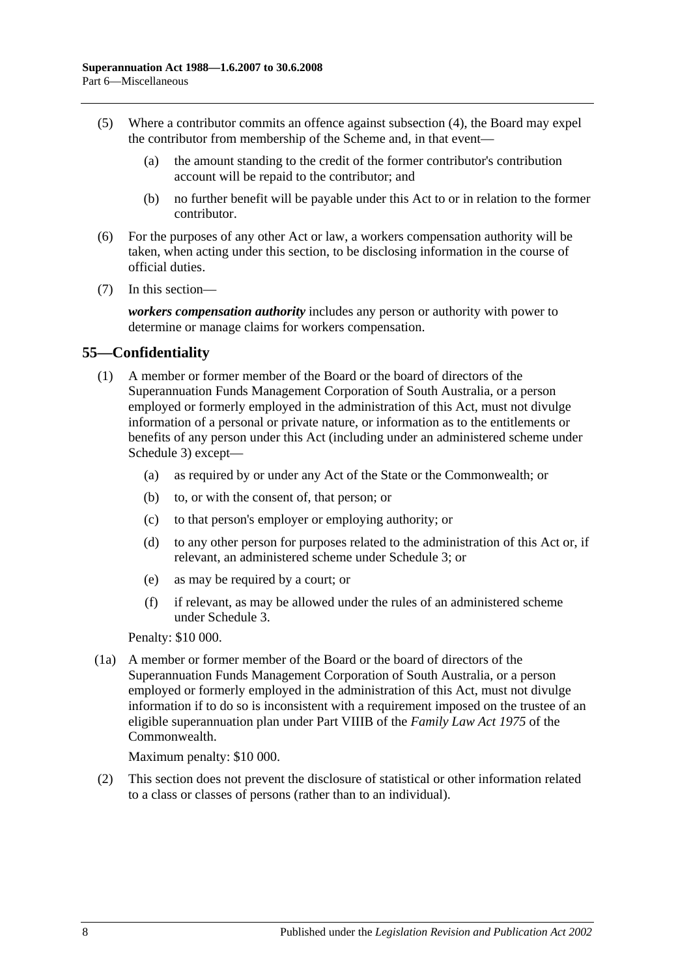- (5) Where a contributor commits an offence against [subsection](#page-94-1) (4), the Board may expel the contributor from membership of the Scheme and, in that event—
	- (a) the amount standing to the credit of the former contributor's contribution account will be repaid to the contributor; and
	- (b) no further benefit will be payable under this Act to or in relation to the former contributor.
- (6) For the purposes of any other Act or law, a workers compensation authority will be taken, when acting under this section, to be disclosing information in the course of official duties.
- (7) In this section—

*workers compensation authority* includes any person or authority with power to determine or manage claims for workers compensation.

# **55—Confidentiality**

- (1) A member or former member of the Board or the board of directors of the Superannuation Funds Management Corporation of South Australia, or a person employed or formerly employed in the administration of this Act, must not divulge information of a personal or private nature, or information as to the entitlements or benefits of any person under this Act (including under an administered scheme under [Schedule 3\)](#page-122-0) except—
	- (a) as required by or under any Act of the State or the Commonwealth; or
	- (b) to, or with the consent of, that person; or
	- (c) to that person's employer or employing authority; or
	- (d) to any other person for purposes related to the administration of this Act or, if relevant, an administered scheme under [Schedule 3;](#page-122-0) or
	- (e) as may be required by a court; or
	- (f) if relevant, as may be allowed under the rules of an administered scheme under [Schedule 3.](#page-122-0)

Penalty: \$10 000.

(1a) A member or former member of the Board or the board of directors of the Superannuation Funds Management Corporation of South Australia, or a person employed or formerly employed in the administration of this Act, must not divulge information if to do so is inconsistent with a requirement imposed on the trustee of an eligible superannuation plan under Part VIIIB of the *Family Law Act 1975* of the Commonwealth.

Maximum penalty: \$10 000.

(2) This section does not prevent the disclosure of statistical or other information related to a class or classes of persons (rather than to an individual).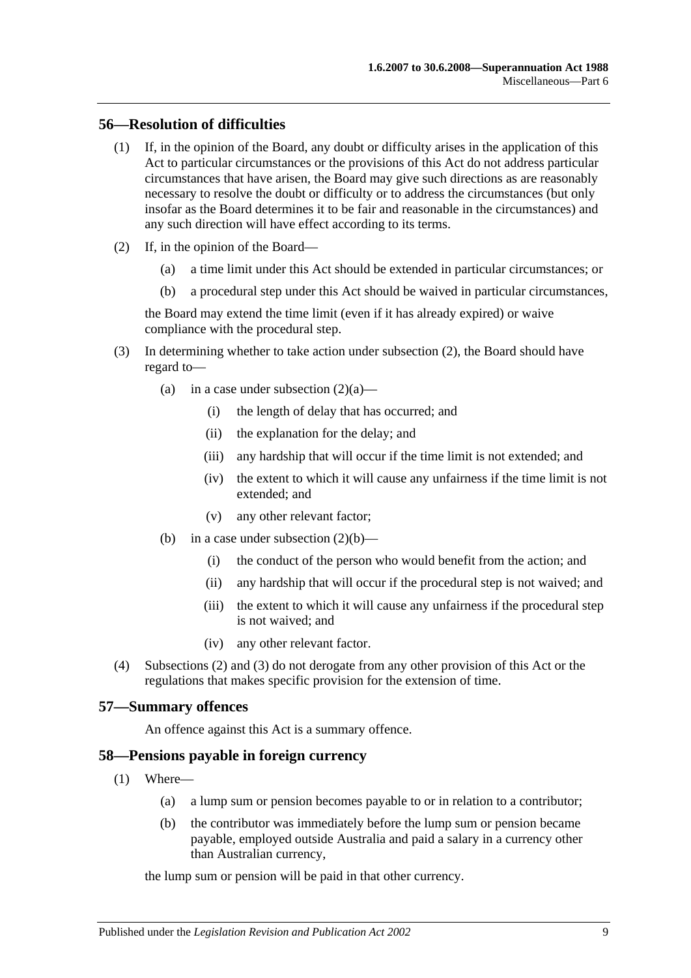# **56—Resolution of difficulties**

- (1) If, in the opinion of the Board, any doubt or difficulty arises in the application of this Act to particular circumstances or the provisions of this Act do not address particular circumstances that have arisen, the Board may give such directions as are reasonably necessary to resolve the doubt or difficulty or to address the circumstances (but only insofar as the Board determines it to be fair and reasonable in the circumstances) and any such direction will have effect according to its terms.
- <span id="page-96-2"></span><span id="page-96-1"></span><span id="page-96-0"></span>(2) If, in the opinion of the Board—
	- (a) a time limit under this Act should be extended in particular circumstances; or
	- (b) a procedural step under this Act should be waived in particular circumstances,

the Board may extend the time limit (even if it has already expired) or waive compliance with the procedural step.

- <span id="page-96-3"></span>(3) In determining whether to take action under [subsection](#page-96-0) (2), the Board should have regard to
	- (a) in a case under [subsection](#page-96-1)  $(2)(a)$ 
		- (i) the length of delay that has occurred; and
		- (ii) the explanation for the delay; and
		- (iii) any hardship that will occur if the time limit is not extended; and
		- (iv) the extent to which it will cause any unfairness if the time limit is not extended; and
		- (v) any other relevant factor;
	- (b) in a case under [subsection](#page-96-2)  $(2)(b)$ 
		- (i) the conduct of the person who would benefit from the action; and
		- (ii) any hardship that will occur if the procedural step is not waived; and
		- (iii) the extent to which it will cause any unfairness if the procedural step is not waived; and
		- (iv) any other relevant factor.
- (4) [Subsections](#page-96-0) (2) and [\(3\)](#page-96-3) do not derogate from any other provision of this Act or the regulations that makes specific provision for the extension of time.

#### **57—Summary offences**

An offence against this Act is a summary offence.

#### **58—Pensions payable in foreign currency**

- (1) Where—
	- (a) a lump sum or pension becomes payable to or in relation to a contributor;
	- (b) the contributor was immediately before the lump sum or pension became payable, employed outside Australia and paid a salary in a currency other than Australian currency,

the lump sum or pension will be paid in that other currency.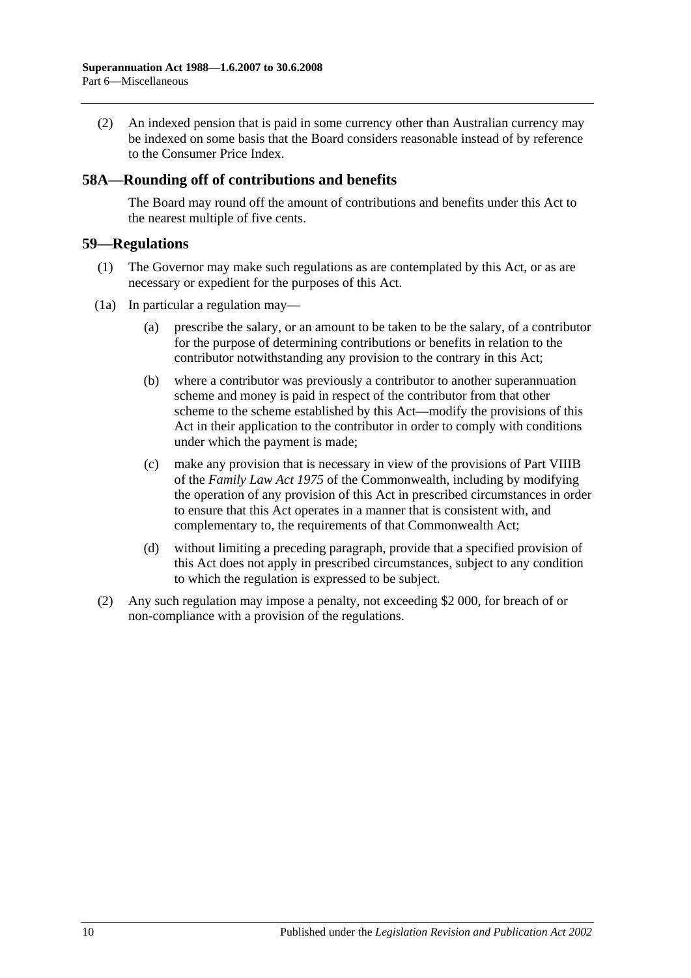(2) An indexed pension that is paid in some currency other than Australian currency may be indexed on some basis that the Board considers reasonable instead of by reference to the Consumer Price Index.

# **58A—Rounding off of contributions and benefits**

The Board may round off the amount of contributions and benefits under this Act to the nearest multiple of five cents.

#### **59—Regulations**

- (1) The Governor may make such regulations as are contemplated by this Act, or as are necessary or expedient for the purposes of this Act.
- (1a) In particular a regulation may—
	- (a) prescribe the salary, or an amount to be taken to be the salary, of a contributor for the purpose of determining contributions or benefits in relation to the contributor notwithstanding any provision to the contrary in this Act;
	- (b) where a contributor was previously a contributor to another superannuation scheme and money is paid in respect of the contributor from that other scheme to the scheme established by this Act—modify the provisions of this Act in their application to the contributor in order to comply with conditions under which the payment is made;
	- (c) make any provision that is necessary in view of the provisions of Part VIIIB of the *Family Law Act 1975* of the Commonwealth, including by modifying the operation of any provision of this Act in prescribed circumstances in order to ensure that this Act operates in a manner that is consistent with, and complementary to, the requirements of that Commonwealth Act;
	- (d) without limiting a preceding paragraph, provide that a specified provision of this Act does not apply in prescribed circumstances, subject to any condition to which the regulation is expressed to be subject.
- (2) Any such regulation may impose a penalty, not exceeding \$2 000, for breach of or non-compliance with a provision of the regulations.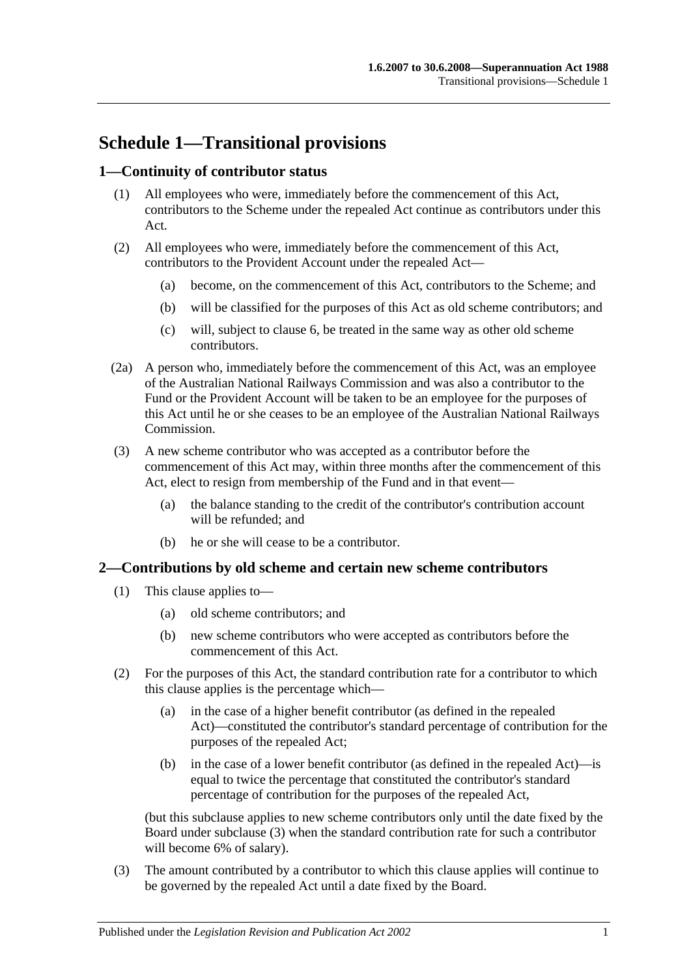# **Schedule 1—Transitional provisions**

# **1—Continuity of contributor status**

- (1) All employees who were, immediately before the commencement of this Act, contributors to the Scheme under the repealed Act continue as contributors under this Act.
- (2) All employees who were, immediately before the commencement of this Act, contributors to the Provident Account under the repealed Act—
	- (a) become, on the commencement of this Act, contributors to the Scheme; and
	- (b) will be classified for the purposes of this Act as old scheme contributors; and
	- (c) will, subject to [clause](#page-101-0) 6, be treated in the same way as other old scheme contributors.
- (2a) A person who, immediately before the commencement of this Act, was an employee of the Australian National Railways Commission and was also a contributor to the Fund or the Provident Account will be taken to be an employee for the purposes of this Act until he or she ceases to be an employee of the Australian National Railways Commission.
- (3) A new scheme contributor who was accepted as a contributor before the commencement of this Act may, within three months after the commencement of this Act, elect to resign from membership of the Fund and in that event—
	- (a) the balance standing to the credit of the contributor's contribution account will be refunded; and
	- (b) he or she will cease to be a contributor.

#### **2—Contributions by old scheme and certain new scheme contributors**

- (1) This clause applies to—
	- (a) old scheme contributors; and
	- (b) new scheme contributors who were accepted as contributors before the commencement of this Act.
- (2) For the purposes of this Act, the standard contribution rate for a contributor to which this clause applies is the percentage which—
	- (a) in the case of a higher benefit contributor (as defined in the repealed Act)—constituted the contributor's standard percentage of contribution for the purposes of the repealed Act;
	- (b) in the case of a lower benefit contributor (as defined in the repealed Act)—is equal to twice the percentage that constituted the contributor's standard percentage of contribution for the purposes of the repealed Act,

(but this subclause applies to new scheme contributors only until the date fixed by the Board under [subclause](#page-98-0) (3) when the standard contribution rate for such a contributor will become 6% of salary).

<span id="page-98-0"></span>(3) The amount contributed by a contributor to which this clause applies will continue to be governed by the repealed Act until a date fixed by the Board.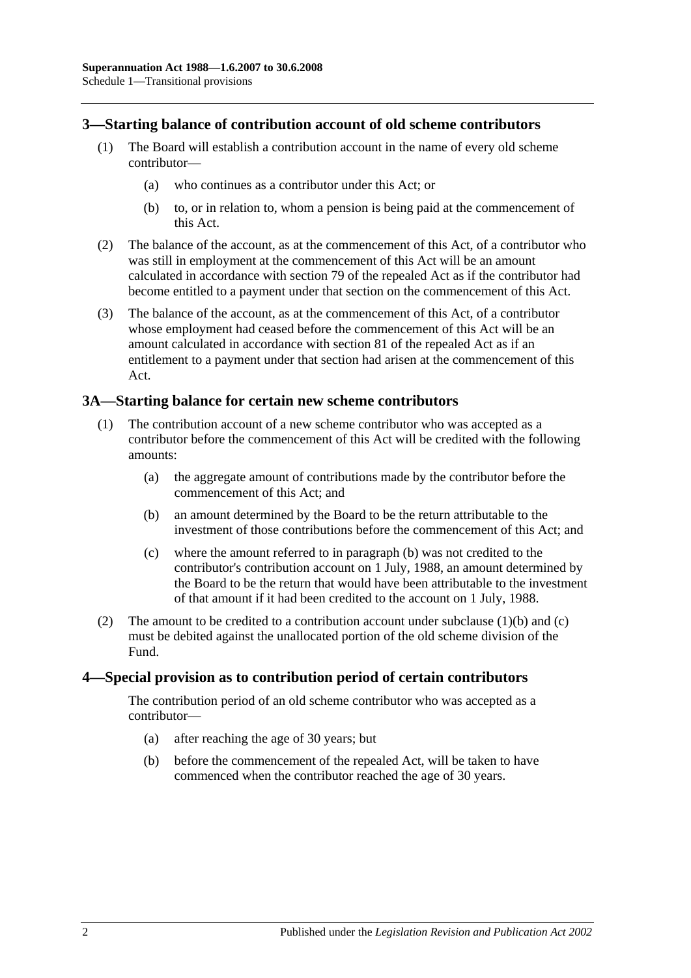## **3—Starting balance of contribution account of old scheme contributors**

- (1) The Board will establish a contribution account in the name of every old scheme contributor—
	- (a) who continues as a contributor under this Act; or
	- (b) to, or in relation to, whom a pension is being paid at the commencement of this Act.
- (2) The balance of the account, as at the commencement of this Act, of a contributor who was still in employment at the commencement of this Act will be an amount calculated in accordance with section 79 of the repealed Act as if the contributor had become entitled to a payment under that section on the commencement of this Act.
- (3) The balance of the account, as at the commencement of this Act, of a contributor whose employment had ceased before the commencement of this Act will be an amount calculated in accordance with section 81 of the repealed Act as if an entitlement to a payment under that section had arisen at the commencement of this Act.

## **3A—Starting balance for certain new scheme contributors**

- <span id="page-99-0"></span>(1) The contribution account of a new scheme contributor who was accepted as a contributor before the commencement of this Act will be credited with the following amounts:
	- (a) the aggregate amount of contributions made by the contributor before the commencement of this Act; and
	- (b) an amount determined by the Board to be the return attributable to the investment of those contributions before the commencement of this Act; and
	- (c) where the amount referred to in [paragraph](#page-99-0) (b) was not credited to the contributor's contribution account on 1 July, 1988, an amount determined by the Board to be the return that would have been attributable to the investment of that amount if it had been credited to the account on 1 July, 1988.
- <span id="page-99-1"></span>(2) The amount to be credited to a contribution account under [subclause](#page-99-0)  $(1)(b)$  and  $(c)$ must be debited against the unallocated portion of the old scheme division of the Fund.

#### **4—Special provision as to contribution period of certain contributors**

The contribution period of an old scheme contributor who was accepted as a contributor—

- (a) after reaching the age of 30 years; but
- (b) before the commencement of the repealed Act, will be taken to have commenced when the contributor reached the age of 30 years.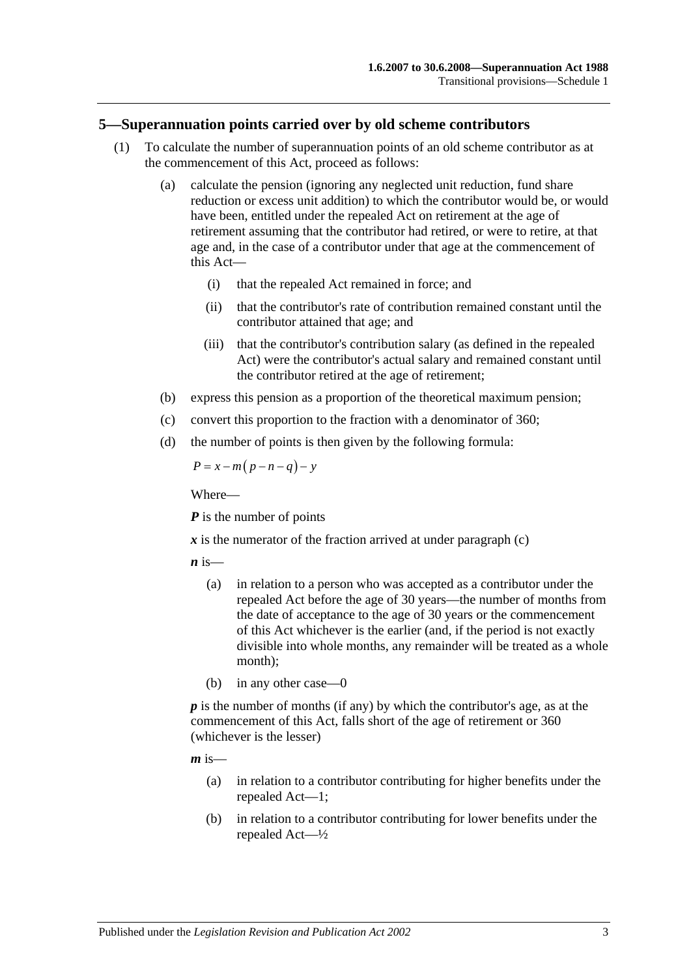#### **5—Superannuation points carried over by old scheme contributors**

- (1) To calculate the number of superannuation points of an old scheme contributor as at the commencement of this Act, proceed as follows:
	- (a) calculate the pension (ignoring any neglected unit reduction, fund share reduction or excess unit addition) to which the contributor would be, or would have been, entitled under the repealed Act on retirement at the age of retirement assuming that the contributor had retired, or were to retire, at that age and, in the case of a contributor under that age at the commencement of this Act—
		- (i) that the repealed Act remained in force; and
		- (ii) that the contributor's rate of contribution remained constant until the contributor attained that age; and
		- (iii) that the contributor's contribution salary (as defined in the repealed Act) were the contributor's actual salary and remained constant until the contributor retired at the age of retirement;
	- (b) express this pension as a proportion of the theoretical maximum pension;
	- (c) convert this proportion to the fraction with a denominator of 360;
	- (d) the number of points is then given by the following formula:

<span id="page-100-0"></span>
$$
P = x - m(p - n - q) - y
$$

Where—

*P* is the number of points

 $\boldsymbol{x}$  is the numerator of the fraction arrived at under [paragraph](#page-100-0) (c)

 $\boldsymbol{n}$  is—

- (a) in relation to a person who was accepted as a contributor under the repealed Act before the age of 30 years—the number of months from the date of acceptance to the age of 30 years or the commencement of this Act whichever is the earlier (and, if the period is not exactly divisible into whole months, any remainder will be treated as a whole month);
- (b) in any other case—0

*p* is the number of months (if any) by which the contributor's age, as at the commencement of this Act, falls short of the age of retirement or 360 (whichever is the lesser)

 $m$  is—

- (a) in relation to a contributor contributing for higher benefits under the repealed Act—1;
- (b) in relation to a contributor contributing for lower benefits under the repealed Act—½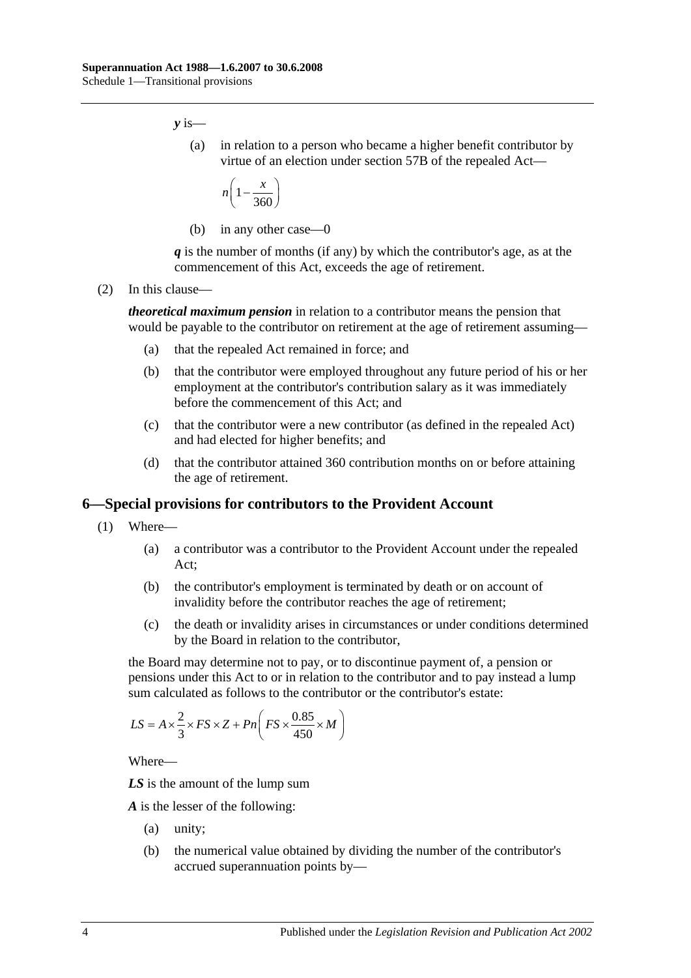*y* is—

(a) in relation to a person who became a higher benefit contributor by virtue of an election under section 57B of the repealed Act—

$$
n\left(1-\frac{x}{360}\right)
$$

(b) in any other case—0

*q* is the number of months (if any) by which the contributor's age, as at the commencement of this Act, exceeds the age of retirement.

(2) In this clause—

*theoretical maximum pension* in relation to a contributor means the pension that would be payable to the contributor on retirement at the age of retirement assuming—

- (a) that the repealed Act remained in force; and
- (b) that the contributor were employed throughout any future period of his or her employment at the contributor's contribution salary as it was immediately before the commencement of this Act; and
- (c) that the contributor were a new contributor (as defined in the repealed Act) and had elected for higher benefits; and
- (d) that the contributor attained 360 contribution months on or before attaining the age of retirement.

#### <span id="page-101-0"></span>**6—Special provisions for contributors to the Provident Account**

- (1) Where—
	- (a) a contributor was a contributor to the Provident Account under the repealed Act;
	- (b) the contributor's employment is terminated by death or on account of invalidity before the contributor reaches the age of retirement;
	- (c) the death or invalidity arises in circumstances or under conditions determined by the Board in relation to the contributor,

<span id="page-101-1"></span>the Board may determine not to pay, or to discontinue payment of, a pension or pensions under this Act to or in relation to the contributor and to pay instead a lump sum calculated as follows to the contributor or the contributor's estate:

$$
LS = A \times \frac{2}{3} \times FS \times Z + Pn \left( FS \times \frac{0.85}{450} \times M \right)
$$

Where—

*LS* is the amount of the lump sum

*A* is the lesser of the following:

- (a) unity;
- (b) the numerical value obtained by dividing the number of the contributor's accrued superannuation points by—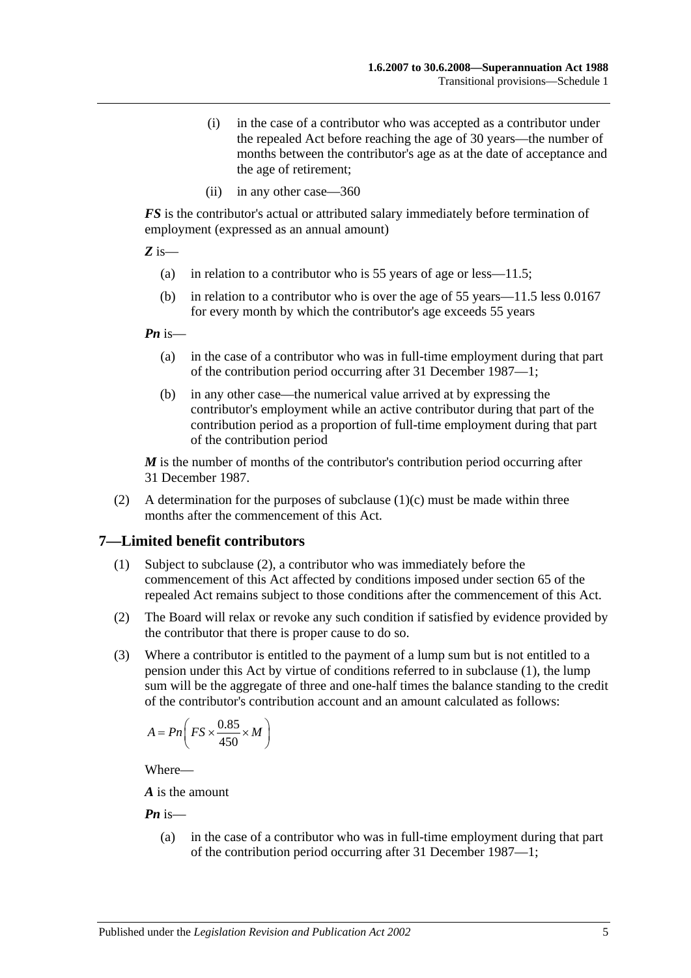- (i) in the case of a contributor who was accepted as a contributor under the repealed Act before reaching the age of 30 years—the number of months between the contributor's age as at the date of acceptance and the age of retirement;
- (ii) in any other case—360

*FS* is the contributor's actual or attributed salary immediately before termination of employment (expressed as an annual amount)

*Z* is—

- (a) in relation to a contributor who is 55 years of age or less—11.5;
- (b) in relation to a contributor who is over the age of 55 years—11.5 less 0.0167 for every month by which the contributor's age exceeds 55 years

*Pn* is—

- (a) in the case of a contributor who was in full-time employment during that part of the contribution period occurring after 31 December 1987—1;
- (b) in any other case—the numerical value arrived at by expressing the contributor's employment while an active contributor during that part of the contribution period as a proportion of full-time employment during that part of the contribution period

*M* is the number of months of the contributor's contribution period occurring after 31 December 1987.

(2) A determination for the purposes of [subclause](#page-101-1)  $(1)(c)$  must be made within three months after the commencement of this Act.

#### <span id="page-102-1"></span>**7—Limited benefit contributors**

- (1) Subject to [subclause](#page-102-0) (2), a contributor who was immediately before the commencement of this Act affected by conditions imposed under section 65 of the repealed Act remains subject to those conditions after the commencement of this Act.
- <span id="page-102-0"></span>(2) The Board will relax or revoke any such condition if satisfied by evidence provided by the contributor that there is proper cause to do so.
- (3) Where a contributor is entitled to the payment of a lump sum but is not entitled to a pension under this Act by virtue of conditions referred to in [subclause](#page-102-1) (1), the lump sum will be the aggregate of three and one-half times the balance standing to the credit of the contributor's contribution account and an amount calculated as follows:

$$
A = P n \bigg( FS \times \frac{0.85}{450} \times M \bigg)
$$

Where—

*A* is the amount

*Pn* is—

(a) in the case of a contributor who was in full-time employment during that part of the contribution period occurring after 31 December 1987—1;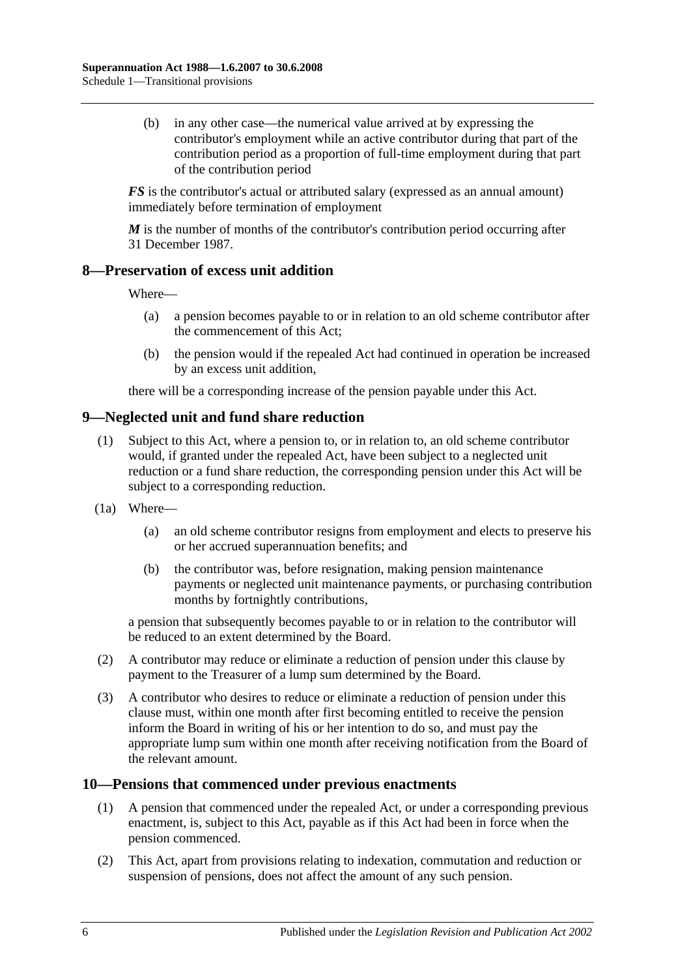(b) in any other case—the numerical value arrived at by expressing the contributor's employment while an active contributor during that part of the contribution period as a proportion of full-time employment during that part of the contribution period

*FS* is the contributor's actual or attributed salary (expressed as an annual amount) immediately before termination of employment

*M* is the number of months of the contributor's contribution period occurring after 31 December 1987.

#### **8—Preservation of excess unit addition**

Where—

- (a) a pension becomes payable to or in relation to an old scheme contributor after the commencement of this Act;
- (b) the pension would if the repealed Act had continued in operation be increased by an excess unit addition,

there will be a corresponding increase of the pension payable under this Act.

# **9—Neglected unit and fund share reduction**

- (1) Subject to this Act, where a pension to, or in relation to, an old scheme contributor would, if granted under the repealed Act, have been subject to a neglected unit reduction or a fund share reduction, the corresponding pension under this Act will be subject to a corresponding reduction.
- (1a) Where—
	- (a) an old scheme contributor resigns from employment and elects to preserve his or her accrued superannuation benefits; and
	- (b) the contributor was, before resignation, making pension maintenance payments or neglected unit maintenance payments, or purchasing contribution months by fortnightly contributions,

a pension that subsequently becomes payable to or in relation to the contributor will be reduced to an extent determined by the Board.

- (2) A contributor may reduce or eliminate a reduction of pension under this clause by payment to the Treasurer of a lump sum determined by the Board.
- (3) A contributor who desires to reduce or eliminate a reduction of pension under this clause must, within one month after first becoming entitled to receive the pension inform the Board in writing of his or her intention to do so, and must pay the appropriate lump sum within one month after receiving notification from the Board of the relevant amount.

#### **10—Pensions that commenced under previous enactments**

- (1) A pension that commenced under the repealed Act, or under a corresponding previous enactment, is, subject to this Act, payable as if this Act had been in force when the pension commenced.
- (2) This Act, apart from provisions relating to indexation, commutation and reduction or suspension of pensions, does not affect the amount of any such pension.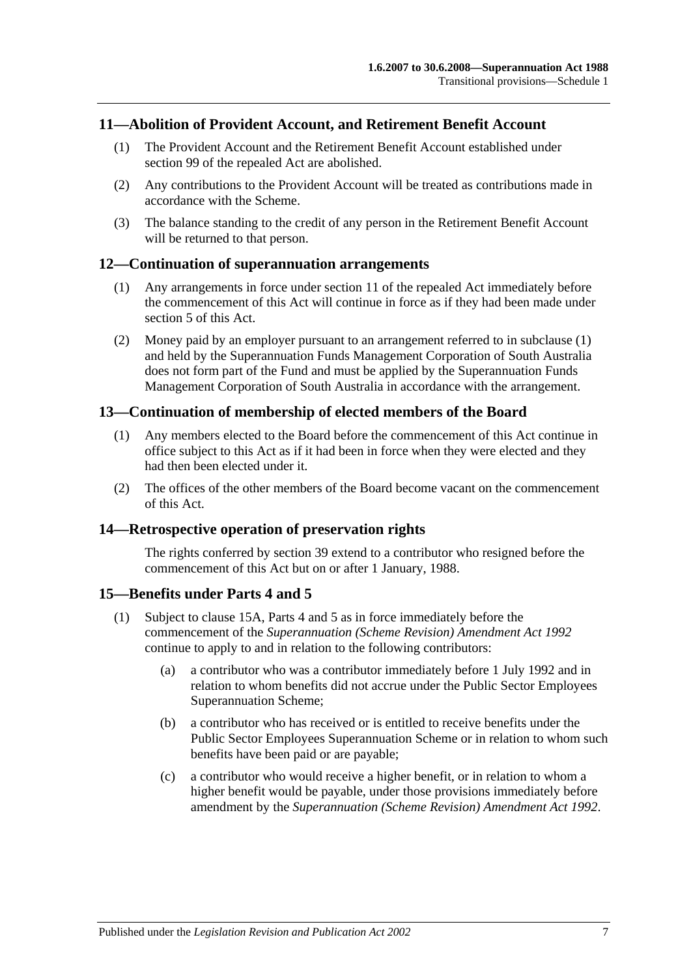## **11—Abolition of Provident Account, and Retirement Benefit Account**

- (1) The Provident Account and the Retirement Benefit Account established under section 99 of the repealed Act are abolished.
- (2) Any contributions to the Provident Account will be treated as contributions made in accordance with the Scheme.
- (3) The balance standing to the credit of any person in the Retirement Benefit Account will be returned to that person.

#### <span id="page-104-0"></span>**12—Continuation of superannuation arrangements**

- (1) Any arrangements in force under section 11 of the repealed Act immediately before the commencement of this Act will continue in force as if they had been made under [section](#page-14-0) 5 of this Act.
- (2) Money paid by an employer pursuant to an arrangement referred to in [subclause](#page-104-0) (1) and held by the Superannuation Funds Management Corporation of South Australia does not form part of the Fund and must be applied by the Superannuation Funds Management Corporation of South Australia in accordance with the arrangement.

#### **13—Continuation of membership of elected members of the Board**

- (1) Any members elected to the Board before the commencement of this Act continue in office subject to this Act as if it had been in force when they were elected and they had then been elected under it.
- (2) The offices of the other members of the Board become vacant on the commencement of this Act.

#### **14—Retrospective operation of preservation rights**

The rights conferred by [section](#page-64-0) 39 extend to a contributor who resigned before the commencement of this Act but on or after 1 January, 1988.

#### <span id="page-104-2"></span>**15—Benefits under [Parts 4](#page-30-0) and [5](#page-52-1)**

- <span id="page-104-1"></span>(1) Subject to [clause](#page-105-0) 15A, [Parts 4](#page-30-0) and [5](#page-52-1) as in force immediately before the commencement of the *[Superannuation \(Scheme Revision\) Amendment Act](http://www.legislation.sa.gov.au/index.aspx?action=legref&type=act&legtitle=Superannuation%20(Scheme%20Revision)%20Amendment%20Act%201992) 1992* continue to apply to and in relation to the following contributors:
	- (a) a contributor who was a contributor immediately before 1 July 1992 and in relation to whom benefits did not accrue under the Public Sector Employees Superannuation Scheme;
	- (b) a contributor who has received or is entitled to receive benefits under the Public Sector Employees Superannuation Scheme or in relation to whom such benefits have been paid or are payable;
	- (c) a contributor who would receive a higher benefit, or in relation to whom a higher benefit would be payable, under those provisions immediately before amendment by the *[Superannuation \(Scheme Revision\) Amendment Act](http://www.legislation.sa.gov.au/index.aspx?action=legref&type=act&legtitle=Superannuation%20(Scheme%20Revision)%20Amendment%20Act%201992) 1992*.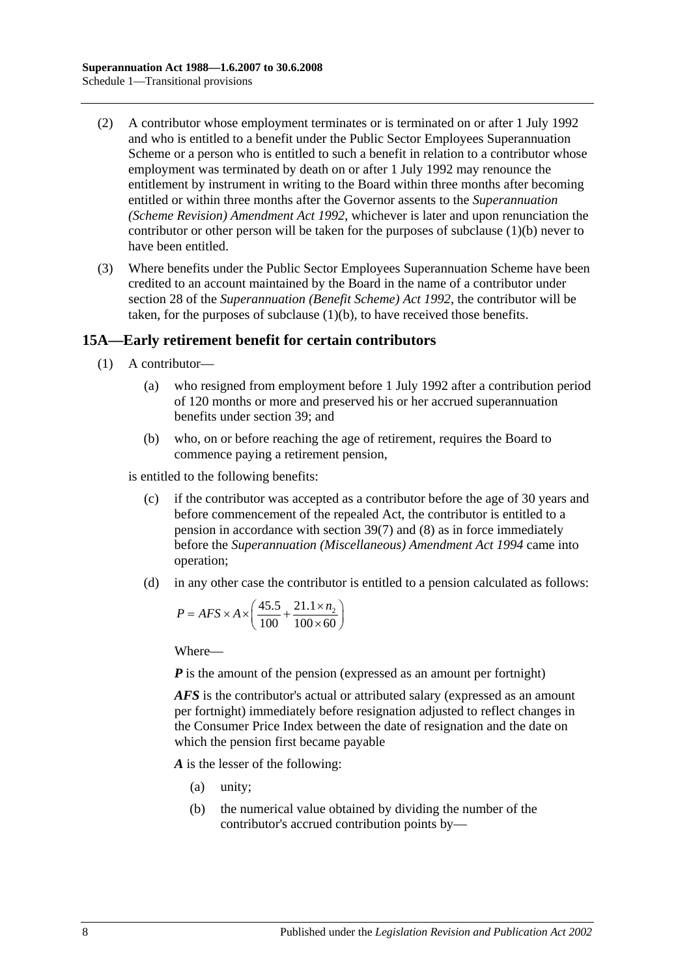- (2) A contributor whose employment terminates or is terminated on or after 1 July 1992 and who is entitled to a benefit under the Public Sector Employees Superannuation Scheme or a person who is entitled to such a benefit in relation to a contributor whose employment was terminated by death on or after 1 July 1992 may renounce the entitlement by instrument in writing to the Board within three months after becoming entitled or within three months after the Governor assents to the *[Superannuation](http://www.legislation.sa.gov.au/index.aspx?action=legref&type=act&legtitle=Superannuation%20(Scheme%20Revision)%20Amendment%20Act%201992)  [\(Scheme Revision\) Amendment Act](http://www.legislation.sa.gov.au/index.aspx?action=legref&type=act&legtitle=Superannuation%20(Scheme%20Revision)%20Amendment%20Act%201992) 1992*, whichever is later and upon renunciation the contributor or other person will be taken for the purposes of [subclause](#page-104-1) (1)(b) never to have been entitled.
- (3) Where benefits under the Public Sector Employees Superannuation Scheme have been credited to an account maintained by the Board in the name of a contributor under section 28 of the *[Superannuation \(Benefit Scheme\) Act](http://www.legislation.sa.gov.au/index.aspx?action=legref&type=act&legtitle=Superannuation%20(Benefit%20Scheme)%20Act%201992) 1992*, the contributor will be taken, for the purposes of [subclause](#page-104-1) (1)(b), to have received those benefits.

# <span id="page-105-0"></span>**15A—Early retirement benefit for certain contributors**

- (1) A contributor—
	- (a) who resigned from employment before 1 July 1992 after a contribution period of 120 months or more and preserved his or her accrued superannuation benefits under [section](#page-64-0) 39; and
	- (b) who, on or before reaching the age of retirement, requires the Board to commence paying a retirement pension,

<span id="page-105-1"></span>is entitled to the following benefits:

- (c) if the contributor was accepted as a contributor before the age of 30 years and before commencement of the repealed Act, the contributor is entitled to a pension in accordance with [section](#page-68-0) 39(7) and [\(8\)](#page-69-0) as in force immediately before the *[Superannuation \(Miscellaneous\) Amendment Act](http://www.legislation.sa.gov.au/index.aspx?action=legref&type=act&legtitle=Superannuation%20(Miscellaneous)%20Amendment%20Act%201994) 1994* came into operation;
- <span id="page-105-2"></span>(d) in any other case the contributor is entitled to a pension calculated as follows:

$$
P = AFS \times A \times \left(\frac{45.5}{100} + \frac{21.1 \times n_2}{100 \times 60}\right)
$$

Where—

*P* is the amount of the pension (expressed as an amount per fortnight)

*AFS* is the contributor's actual or attributed salary (expressed as an amount per fortnight) immediately before resignation adjusted to reflect changes in the Consumer Price Index between the date of resignation and the date on which the pension first became payable

*A* is the lesser of the following:

- (a) unity;
- (b) the numerical value obtained by dividing the number of the contributor's accrued contribution points by—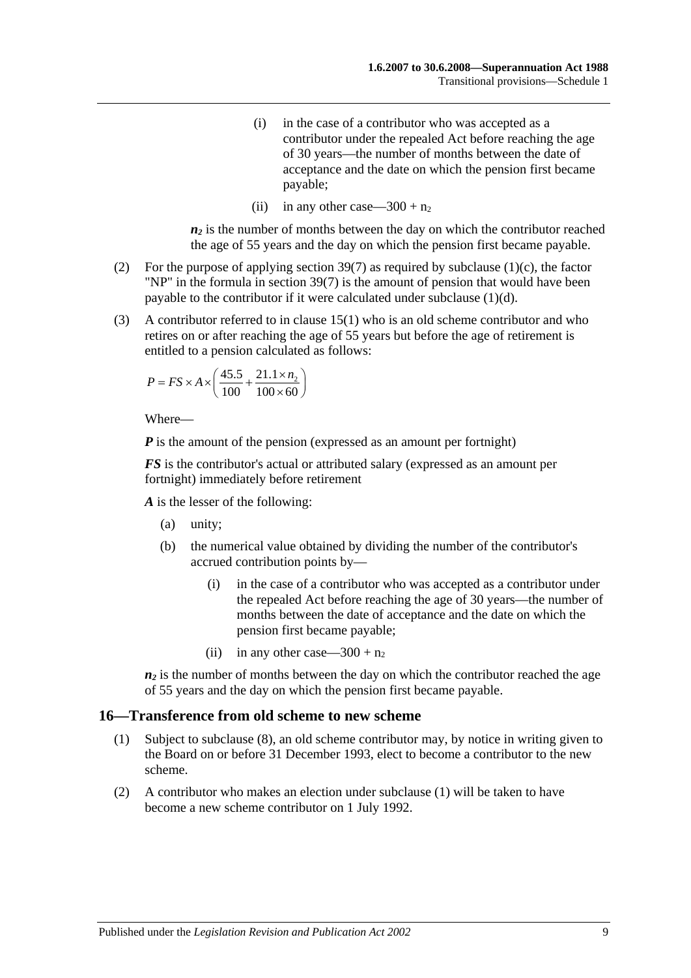- (i) in the case of a contributor who was accepted as a contributor under the repealed Act before reaching the age of 30 years—the number of months between the date of acceptance and the date on which the pension first became payable;
- (ii) in any other case—300 +  $n_2$

 $n_2$  is the number of months between the day on which the contributor reached the age of 55 years and the day on which the pension first became payable.

- (2) For the purpose of applying [section](#page-68-0) 39(7) as required by [subclause](#page-105-1) (1)(c), the factor "NP" in the formula in [section](#page-68-0) 39(7) is the amount of pension that would have been payable to the contributor if it were calculated under [subclause](#page-105-2) (1)(d).
- (3) A contributor referred to in [clause](#page-104-2) 15(1) who is an old scheme contributor and who retires on or after reaching the age of 55 years but before the age of retirement is entitled to a pension calculated as follows:

$$
P = FS \times A \times \left(\frac{45.5}{100} + \frac{21.1 \times n_2}{100 \times 60}\right)
$$

Where—

*P* is the amount of the pension (expressed as an amount per fortnight)

*FS* is the contributor's actual or attributed salary (expressed as an amount per fortnight) immediately before retirement

*A* is the lesser of the following:

- (a) unity;
- (b) the numerical value obtained by dividing the number of the contributor's accrued contribution points by—
	- (i) in the case of a contributor who was accepted as a contributor under the repealed Act before reaching the age of 30 years—the number of months between the date of acceptance and the date on which the pension first became payable;
	- (ii) in any other case—300 +  $n_2$

 $n_2$  is the number of months between the day on which the contributor reached the age of 55 years and the day on which the pension first became payable.

#### <span id="page-106-0"></span>**16—Transference from old scheme to new scheme**

- (1) Subject to [subclause](#page-107-0) (8), an old scheme contributor may, by notice in writing given to the Board on or before 31 December 1993, elect to become a contributor to the new scheme.
- (2) A contributor who makes an election under [subclause](#page-106-0) (1) will be taken to have become a new scheme contributor on 1 July 1992.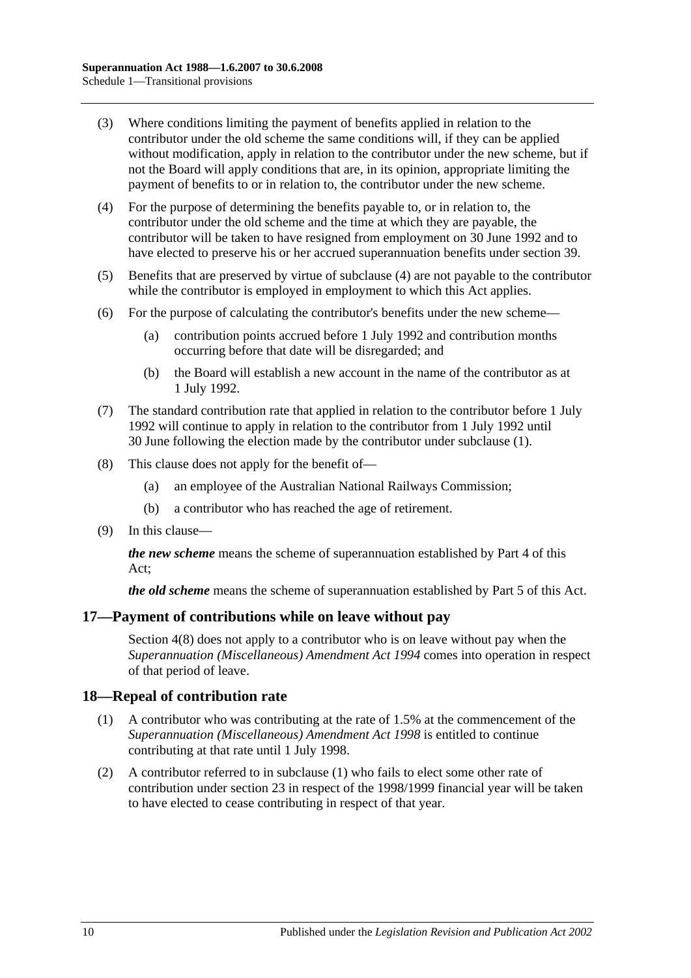- (3) Where conditions limiting the payment of benefits applied in relation to the contributor under the old scheme the same conditions will, if they can be applied without modification, apply in relation to the contributor under the new scheme, but if not the Board will apply conditions that are, in its opinion, appropriate limiting the payment of benefits to or in relation to, the contributor under the new scheme.
- <span id="page-107-1"></span>(4) For the purpose of determining the benefits payable to, or in relation to, the contributor under the old scheme and the time at which they are payable, the contributor will be taken to have resigned from employment on 30 June 1992 and to have elected to preserve his or her accrued superannuation benefits under [section](#page-64-0) 39.
- (5) Benefits that are preserved by virtue of [subclause](#page-107-1) (4) are not payable to the contributor while the contributor is employed in employment to which this Act applies.
- (6) For the purpose of calculating the contributor's benefits under the new scheme—
	- (a) contribution points accrued before 1 July 1992 and contribution months occurring before that date will be disregarded; and
	- (b) the Board will establish a new account in the name of the contributor as at 1 July 1992.
- (7) The standard contribution rate that applied in relation to the contributor before 1 July 1992 will continue to apply in relation to the contributor from 1 July 1992 until 30 June following the election made by the contributor under [subclause](#page-106-0) (1).
- <span id="page-107-0"></span>(8) This clause does not apply for the benefit of—
	- (a) an employee of the Australian National Railways Commission;
	- (b) a contributor who has reached the age of retirement.
- (9) In this clause—

*the new scheme* means the scheme of superannuation established by [Part 4](#page-30-0) of this Act;

*the old scheme* means the scheme of superannuation established by [Part 5](#page-52-1) of this Act.

#### **17—Payment of contributions while on leave without pay**

[Section](#page-13-0) 4(8) does not apply to a contributor who is on leave without pay when the *[Superannuation \(Miscellaneous\) Amendment Act](http://www.legislation.sa.gov.au/index.aspx?action=legref&type=act&legtitle=Superannuation%20(Miscellaneous)%20Amendment%20Act%201994) 1994* comes into operation in respect of that period of leave.

#### <span id="page-107-2"></span>**18—Repeal of contribution rate**

- (1) A contributor who was contributing at the rate of 1.5% at the commencement of the *[Superannuation \(Miscellaneous\) Amendment Act](http://www.legislation.sa.gov.au/index.aspx?action=legref&type=act&legtitle=Superannuation%20(Miscellaneous)%20Amendment%20Act%201998) 1998* is entitled to continue contributing at that rate until 1 July 1998.
- (2) A contributor referred to in [subclause](#page-107-2) (1) who fails to elect some other rate of contribution under [section](#page-26-0) 23 in respect of the 1998/1999 financial year will be taken to have elected to cease contributing in respect of that year.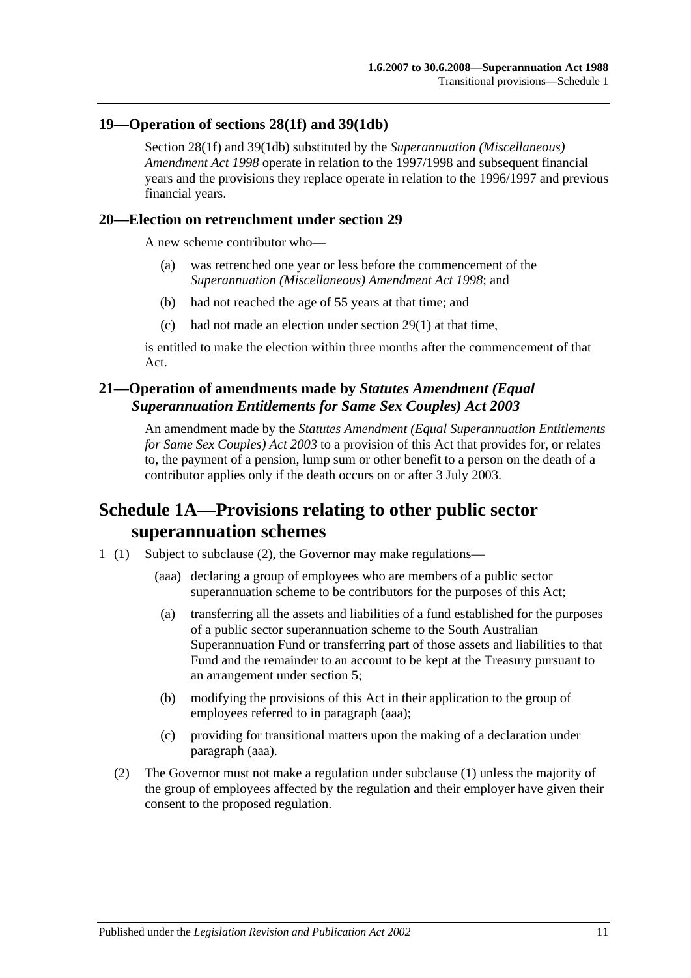#### **19—Operation of [sections](#page-32-0) 28(1f) and [39\(1db\)](#page-66-0)**

[Section](#page-32-0) 28(1f) and [39\(1db\)](#page-66-0) substituted by the *[Superannuation \(Miscellaneous\)](http://www.legislation.sa.gov.au/index.aspx?action=legref&type=act&legtitle=Superannuation%20(Miscellaneous)%20Amendment%20Act%201998)  [Amendment Act](http://www.legislation.sa.gov.au/index.aspx?action=legref&type=act&legtitle=Superannuation%20(Miscellaneous)%20Amendment%20Act%201998) 1998* operate in relation to the 1997/1998 and subsequent financial years and the provisions they replace operate in relation to the 1996/1997 and previous financial years.

#### **20—Election on retrenchment under [section](#page-36-0) 29**

A new scheme contributor who—

- (a) was retrenched one year or less before the commencement of the *[Superannuation \(Miscellaneous\) Amendment Act](http://www.legislation.sa.gov.au/index.aspx?action=legref&type=act&legtitle=Superannuation%20(Miscellaneous)%20Amendment%20Act%201998) 1998*; and
- (b) had not reached the age of 55 years at that time; and
- (c) had not made an election under [section](#page-36-1) 29(1) at that time,

is entitled to make the election within three months after the commencement of that Act.

## **21—Operation of amendments made by** *Statutes Amendment (Equal Superannuation Entitlements for Same Sex Couples) Act 2003*

An amendment made by the *[Statutes Amendment \(Equal Superannuation Entitlements](http://www.legislation.sa.gov.au/index.aspx?action=legref&type=act&legtitle=Statutes%20Amendment%20(Equal%20Superannuation%20Entitlements%20for%20Same%20Sex%20Couples)%20Act%202003)  [for Same Sex Couples\) Act 2003](http://www.legislation.sa.gov.au/index.aspx?action=legref&type=act&legtitle=Statutes%20Amendment%20(Equal%20Superannuation%20Entitlements%20for%20Same%20Sex%20Couples)%20Act%202003)* to a provision of this Act that provides for, or relates to, the payment of a pension, lump sum or other benefit to a person on the death of a contributor applies only if the death occurs on or after 3 July 2003.

# **Schedule 1A—Provisions relating to other public sector superannuation schemes**

- <span id="page-108-0"></span>1 (1) Subject to subclause (2), the Governor may make regulations—
	- (aaa) declaring a group of employees who are members of a public sector superannuation scheme to be contributors for the purposes of this Act;
	- (a) transferring all the assets and liabilities of a fund established for the purposes of a public sector superannuation scheme to the South Australian Superannuation Fund or transferring part of those assets and liabilities to that Fund and the remainder to an account to be kept at the Treasury pursuant to an arrangement under [section](#page-14-0) 5;
	- (b) modifying the provisions of this Act in their application to the group of employees referred to in [paragraph](#page-108-0) (aaa);
	- (c) providing for transitional matters upon the making of a declaration under [paragraph](#page-108-0) (aaa).
	- (2) The Governor must not make a regulation under subclause (1) unless the majority of the group of employees affected by the regulation and their employer have given their consent to the proposed regulation.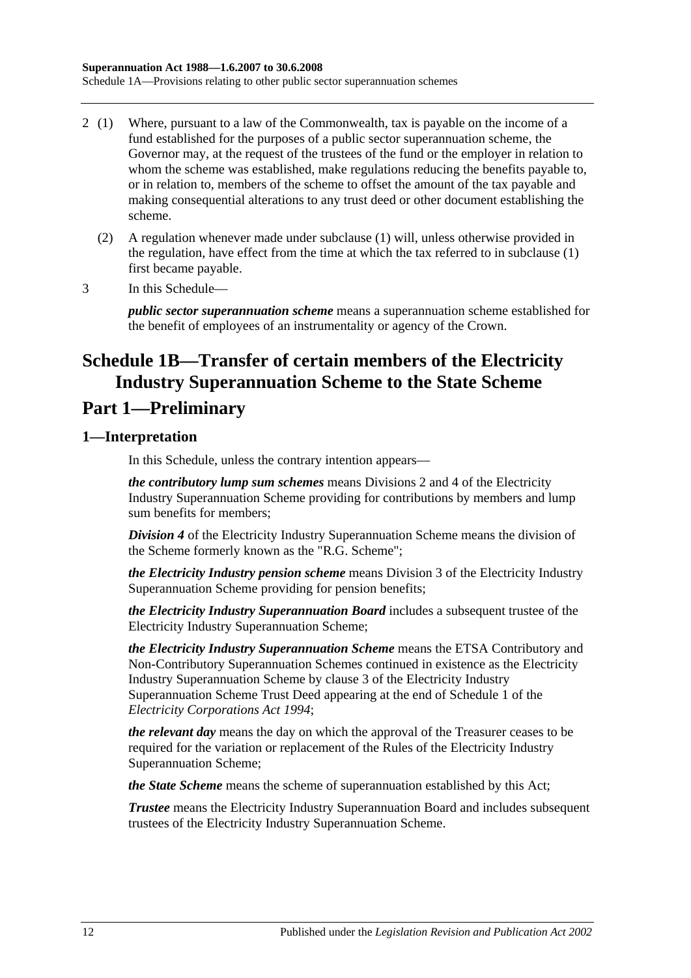- 2 (1) Where, pursuant to a law of the Commonwealth, tax is payable on the income of a fund established for the purposes of a public sector superannuation scheme, the Governor may, at the request of the trustees of the fund or the employer in relation to whom the scheme was established, make regulations reducing the benefits payable to, or in relation to, members of the scheme to offset the amount of the tax payable and making consequential alterations to any trust deed or other document establishing the scheme.
	- (2) A regulation whenever made under subclause (1) will, unless otherwise provided in the regulation, have effect from the time at which the tax referred to in subclause (1) first became payable.
- 3 In this Schedule—

*public sector superannuation scheme* means a superannuation scheme established for the benefit of employees of an instrumentality or agency of the Crown.

# **Schedule 1B—Transfer of certain members of the Electricity Industry Superannuation Scheme to the State Scheme**

# **Part 1—Preliminary**

## **1—Interpretation**

In this Schedule, unless the contrary intention appears—

*the contributory lump sum schemes* means Divisions 2 and 4 of the Electricity Industry Superannuation Scheme providing for contributions by members and lump sum benefits for members;

*Division 4* of the Electricity Industry Superannuation Scheme means the division of the Scheme formerly known as the "R.G. Scheme";

*the Electricity Industry pension scheme* means Division 3 of the Electricity Industry Superannuation Scheme providing for pension benefits;

*the Electricity Industry Superannuation Board* includes a subsequent trustee of the Electricity Industry Superannuation Scheme;

*the Electricity Industry Superannuation Scheme* means the ETSA Contributory and Non-Contributory Superannuation Schemes continued in existence as the Electricity Industry Superannuation Scheme by clause 3 of the Electricity Industry Superannuation Scheme Trust Deed appearing at the end of Schedule 1 of the *[Electricity Corporations Act](http://www.legislation.sa.gov.au/index.aspx?action=legref&type=act&legtitle=Electricity%20Corporations%20Act%201994) 1994*;

*the relevant day* means the day on which the approval of the Treasurer ceases to be required for the variation or replacement of the Rules of the Electricity Industry Superannuation Scheme;

*the State Scheme* means the scheme of superannuation established by this Act;

*Trustee* means the Electricity Industry Superannuation Board and includes subsequent trustees of the Electricity Industry Superannuation Scheme.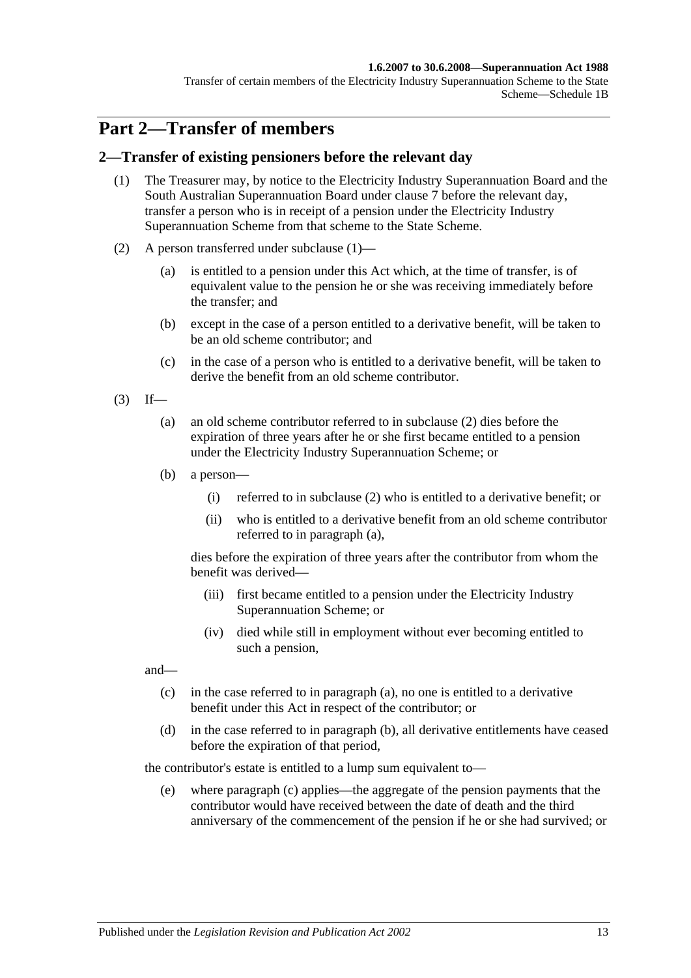#### **1.6.2007 to 30.6.2008—Superannuation Act 1988**

Transfer of certain members of the Electricity Industry Superannuation Scheme to the State Scheme—Schedule 1B

# **Part 2—Transfer of members**

#### <span id="page-110-0"></span>**2—Transfer of existing pensioners before the relevant day**

- (1) The Treasurer may, by notice to the Electricity Industry Superannuation Board and the South Australian Superannuation Board under [clause](#page-117-0) 7 before the relevant day, transfer a person who is in receipt of a pension under the Electricity Industry Superannuation Scheme from that scheme to the State Scheme.
- <span id="page-110-1"></span>(2) A person transferred under [subclause](#page-110-0) (1)—
	- (a) is entitled to a pension under this Act which, at the time of transfer, is of equivalent value to the pension he or she was receiving immediately before the transfer; and
	- (b) except in the case of a person entitled to a derivative benefit, will be taken to be an old scheme contributor; and
	- (c) in the case of a person who is entitled to a derivative benefit, will be taken to derive the benefit from an old scheme contributor.
- <span id="page-110-3"></span><span id="page-110-2"></span> $(3)$  If—
	- (a) an old scheme contributor referred to in [subclause](#page-110-1) (2) dies before the expiration of three years after he or she first became entitled to a pension under the Electricity Industry Superannuation Scheme; or
	- (b) a person—
		- (i) referred to in [subclause](#page-110-1) (2) who is entitled to a derivative benefit; or
		- (ii) who is entitled to a derivative benefit from an old scheme contributor referred to in [paragraph](#page-110-2) (a),

dies before the expiration of three years after the contributor from whom the benefit was derived—

- (iii) first became entitled to a pension under the Electricity Industry Superannuation Scheme; or
- (iv) died while still in employment without ever becoming entitled to such a pension,

<span id="page-110-4"></span>and—

- (c) in the case referred to in [paragraph](#page-110-2) (a), no one is entitled to a derivative benefit under this Act in respect of the contributor; or
- <span id="page-110-5"></span>(d) in the case referred to in [paragraph](#page-110-3) (b), all derivative entitlements have ceased before the expiration of that period,

the contributor's estate is entitled to a lump sum equivalent to—

(e) where [paragraph](#page-110-4) (c) applies—the aggregate of the pension payments that the contributor would have received between the date of death and the third anniversary of the commencement of the pension if he or she had survived; or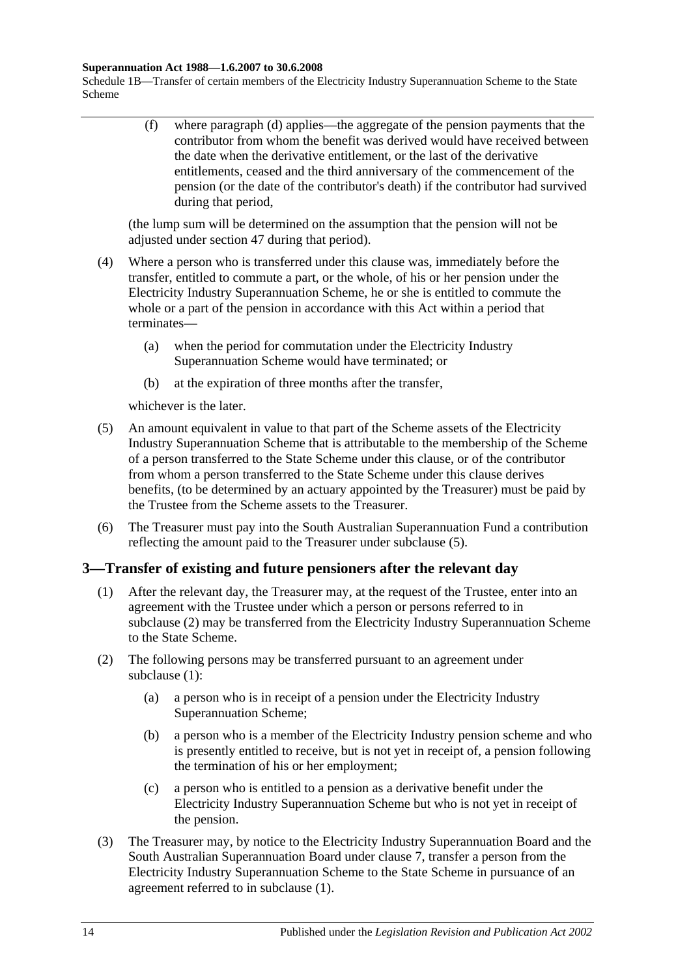#### **Superannuation Act 1988—1.6.2007 to 30.6.2008**

Schedule 1B—Transfer of certain members of the Electricity Industry Superannuation Scheme to the State Scheme

> (f) where [paragraph](#page-110-5) (d) applies—the aggregate of the pension payments that the contributor from whom the benefit was derived would have received between the date when the derivative entitlement, or the last of the derivative entitlements, ceased and the third anniversary of the commencement of the pension (or the date of the contributor's death) if the contributor had survived during that period,

(the lump sum will be determined on the assumption that the pension will not be adjusted under [section](#page-91-0) 47 during that period).

- (4) Where a person who is transferred under this clause was, immediately before the transfer, entitled to commute a part, or the whole, of his or her pension under the Electricity Industry Superannuation Scheme, he or she is entitled to commute the whole or a part of the pension in accordance with this Act within a period that terminates—
	- (a) when the period for commutation under the Electricity Industry Superannuation Scheme would have terminated; or
	- (b) at the expiration of three months after the transfer,

whichever is the later.

- <span id="page-111-0"></span>(5) An amount equivalent in value to that part of the Scheme assets of the Electricity Industry Superannuation Scheme that is attributable to the membership of the Scheme of a person transferred to the State Scheme under this clause, or of the contributor from whom a person transferred to the State Scheme under this clause derives benefits, (to be determined by an actuary appointed by the Treasurer) must be paid by the Trustee from the Scheme assets to the Treasurer.
- (6) The Treasurer must pay into the South Australian Superannuation Fund a contribution reflecting the amount paid to the Treasurer under [subclause](#page-111-0) (5).

### <span id="page-111-2"></span>**3—Transfer of existing and future pensioners after the relevant day**

- (1) After the relevant day, the Treasurer may, at the request of the Trustee, enter into an agreement with the Trustee under which a person or persons referred to in [subclause](#page-111-1) (2) may be transferred from the Electricity Industry Superannuation Scheme to the State Scheme.
- <span id="page-111-4"></span><span id="page-111-1"></span>(2) The following persons may be transferred pursuant to an agreement under [subclause](#page-111-2) (1):
	- (a) a person who is in receipt of a pension under the Electricity Industry Superannuation Scheme;
	- (b) a person who is a member of the Electricity Industry pension scheme and who is presently entitled to receive, but is not yet in receipt of, a pension following the termination of his or her employment;
	- (c) a person who is entitled to a pension as a derivative benefit under the Electricity Industry Superannuation Scheme but who is not yet in receipt of the pension.
- <span id="page-111-5"></span><span id="page-111-3"></span>(3) The Treasurer may, by notice to the Electricity Industry Superannuation Board and the South Australian Superannuation Board under [clause](#page-117-0) 7, transfer a person from the Electricity Industry Superannuation Scheme to the State Scheme in pursuance of an agreement referred to in [subclause](#page-111-2) (1).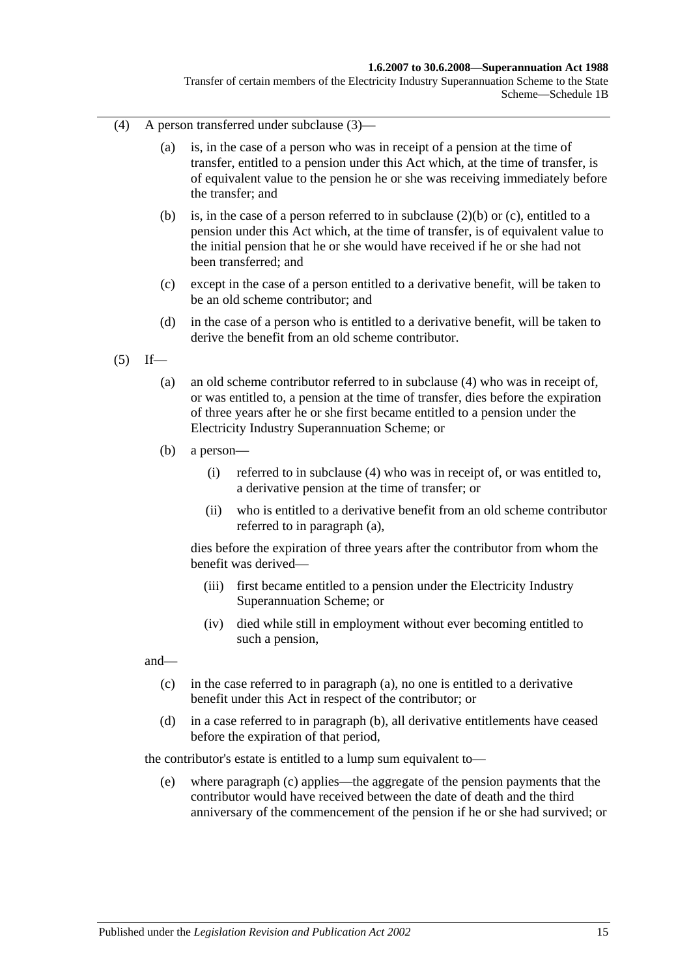#### **1.6.2007 to 30.6.2008—Superannuation Act 1988**

Transfer of certain members of the Electricity Industry Superannuation Scheme to the State Scheme—Schedule 1B

- <span id="page-112-0"></span>(4) A person transferred under [subclause](#page-111-3) (3)—
	- (a) is, in the case of a person who was in receipt of a pension at the time of transfer, entitled to a pension under this Act which, at the time of transfer, is of equivalent value to the pension he or she was receiving immediately before the transfer; and
	- (b) is, in the case of a person referred to in [subclause](#page-111-4) (2)(b) or [\(c\),](#page-111-5) entitled to a pension under this Act which, at the time of transfer, is of equivalent value to the initial pension that he or she would have received if he or she had not been transferred; and
	- (c) except in the case of a person entitled to a derivative benefit, will be taken to be an old scheme contributor; and
	- (d) in the case of a person who is entitled to a derivative benefit, will be taken to derive the benefit from an old scheme contributor.
- <span id="page-112-2"></span><span id="page-112-1"></span> $(5)$  If—
	- (a) an old scheme contributor referred to in [subclause](#page-112-0) (4) who was in receipt of, or was entitled to, a pension at the time of transfer, dies before the expiration of three years after he or she first became entitled to a pension under the Electricity Industry Superannuation Scheme; or
	- (b) a person—
		- (i) referred to in [subclause](#page-112-0) (4) who was in receipt of, or was entitled to, a derivative pension at the time of transfer; or
		- (ii) who is entitled to a derivative benefit from an old scheme contributor referred to in [paragraph](#page-112-1) (a),

dies before the expiration of three years after the contributor from whom the benefit was derived—

- (iii) first became entitled to a pension under the Electricity Industry Superannuation Scheme; or
- (iv) died while still in employment without ever becoming entitled to such a pension,

<span id="page-112-3"></span>and—

- (c) in the case referred to in [paragraph](#page-112-1) (a), no one is entitled to a derivative benefit under this Act in respect of the contributor; or
- <span id="page-112-4"></span>(d) in a case referred to in [paragraph](#page-112-2) (b), all derivative entitlements have ceased before the expiration of that period,

the contributor's estate is entitled to a lump sum equivalent to—

(e) where [paragraph](#page-112-3) (c) applies—the aggregate of the pension payments that the contributor would have received between the date of death and the third anniversary of the commencement of the pension if he or she had survived; or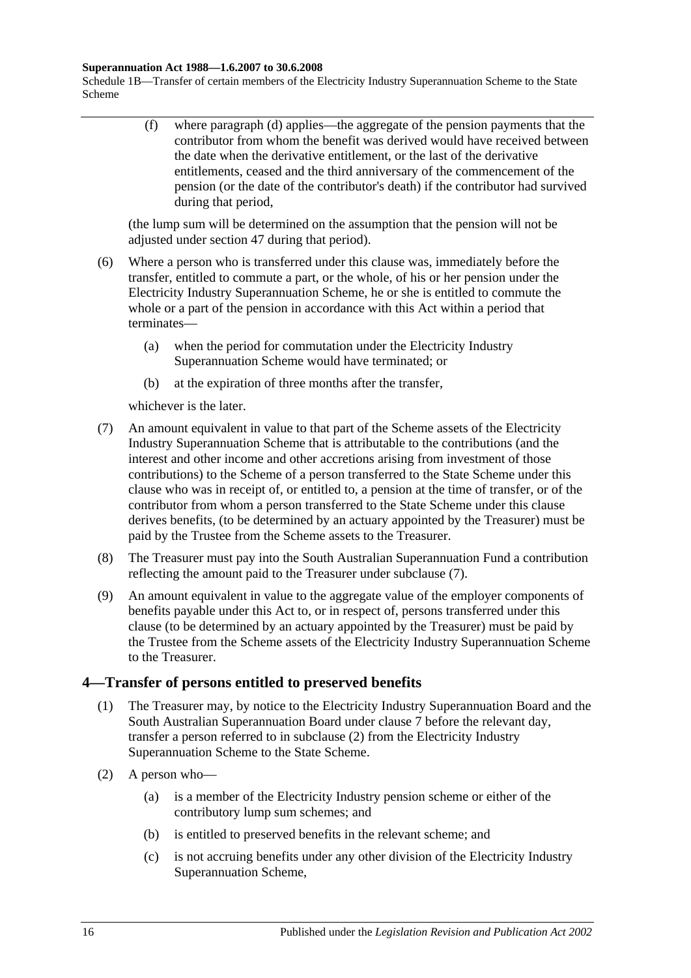#### **Superannuation Act 1988—1.6.2007 to 30.6.2008**

Schedule 1B—Transfer of certain members of the Electricity Industry Superannuation Scheme to the State Scheme

> (f) where [paragraph](#page-112-4) (d) applies—the aggregate of the pension payments that the contributor from whom the benefit was derived would have received between the date when the derivative entitlement, or the last of the derivative entitlements, ceased and the third anniversary of the commencement of the pension (or the date of the contributor's death) if the contributor had survived during that period,

(the lump sum will be determined on the assumption that the pension will not be adjusted under [section](#page-91-0) 47 during that period).

- (6) Where a person who is transferred under this clause was, immediately before the transfer, entitled to commute a part, or the whole, of his or her pension under the Electricity Industry Superannuation Scheme, he or she is entitled to commute the whole or a part of the pension in accordance with this Act within a period that terminates—
	- (a) when the period for commutation under the Electricity Industry Superannuation Scheme would have terminated; or
	- (b) at the expiration of three months after the transfer,

whichever is the later.

- <span id="page-113-0"></span>(7) An amount equivalent in value to that part of the Scheme assets of the Electricity Industry Superannuation Scheme that is attributable to the contributions (and the interest and other income and other accretions arising from investment of those contributions) to the Scheme of a person transferred to the State Scheme under this clause who was in receipt of, or entitled to, a pension at the time of transfer, or of the contributor from whom a person transferred to the State Scheme under this clause derives benefits, (to be determined by an actuary appointed by the Treasurer) must be paid by the Trustee from the Scheme assets to the Treasurer.
- (8) The Treasurer must pay into the South Australian Superannuation Fund a contribution reflecting the amount paid to the Treasurer under [subclause](#page-113-0) (7).
- (9) An amount equivalent in value to the aggregate value of the employer components of benefits payable under this Act to, or in respect of, persons transferred under this clause (to be determined by an actuary appointed by the Treasurer) must be paid by the Trustee from the Scheme assets of the Electricity Industry Superannuation Scheme to the Treasurer.

### <span id="page-113-2"></span>**4—Transfer of persons entitled to preserved benefits**

- (1) The Treasurer may, by notice to the Electricity Industry Superannuation Board and the South Australian Superannuation Board under [clause](#page-117-0) 7 before the relevant day, transfer a person referred to in [subclause](#page-113-1) (2) from the Electricity Industry Superannuation Scheme to the State Scheme.
- <span id="page-113-1"></span>(2) A person who—
	- (a) is a member of the Electricity Industry pension scheme or either of the contributory lump sum schemes; and
	- (b) is entitled to preserved benefits in the relevant scheme; and
	- (c) is not accruing benefits under any other division of the Electricity Industry Superannuation Scheme,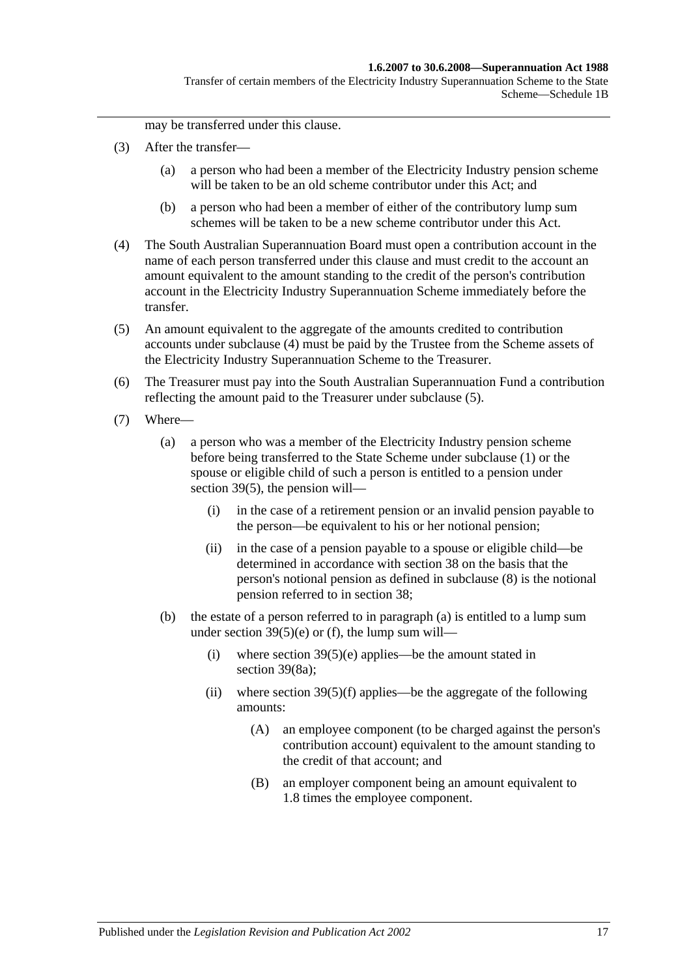Transfer of certain members of the Electricity Industry Superannuation Scheme to the State Scheme—Schedule 1B

may be transferred under this clause.

- (3) After the transfer—
	- (a) a person who had been a member of the Electricity Industry pension scheme will be taken to be an old scheme contributor under this Act; and
	- (b) a person who had been a member of either of the contributory lump sum schemes will be taken to be a new scheme contributor under this Act.
- <span id="page-114-0"></span>(4) The South Australian Superannuation Board must open a contribution account in the name of each person transferred under this clause and must credit to the account an amount equivalent to the amount standing to the credit of the person's contribution account in the Electricity Industry Superannuation Scheme immediately before the transfer.
- <span id="page-114-1"></span>(5) An amount equivalent to the aggregate of the amounts credited to contribution accounts under [subclause](#page-114-0) (4) must be paid by the Trustee from the Scheme assets of the Electricity Industry Superannuation Scheme to the Treasurer.
- (6) The Treasurer must pay into the South Australian Superannuation Fund a contribution reflecting the amount paid to the Treasurer under [subclause](#page-114-1) (5).
- <span id="page-114-3"></span><span id="page-114-2"></span>(7) Where—
	- (a) a person who was a member of the Electricity Industry pension scheme before being transferred to the State Scheme under [subclause](#page-113-2) (1) or the spouse or eligible child of such a person is entitled to a pension under [section](#page-67-0) 39(5), the pension will—
		- (i) in the case of a retirement pension or an invalid pension payable to the person—be equivalent to his or her notional pension;
		- (ii) in the case of a pension payable to a spouse or eligible child—be determined in accordance with [section](#page-61-0) 38 on the basis that the person's notional pension as defined in [subclause](#page-115-0) (8) is the notional pension referred to in [section](#page-61-0) 38;
	- (b) the estate of a person referred to in [paragraph](#page-114-2) (a) is entitled to a lump sum under section  $39(5)(e)$  or [\(f\),](#page-67-2) the lump sum will—
		- (i) where section  $39(5)(e)$  applies—be the amount stated in [section](#page-69-0) 39(8a);
		- (ii) where section  $39(5)(f)$  applies—be the aggregate of the following amounts:
			- (A) an employee component (to be charged against the person's contribution account) equivalent to the amount standing to the credit of that account; and
			- (B) an employer component being an amount equivalent to 1.8 times the employee component.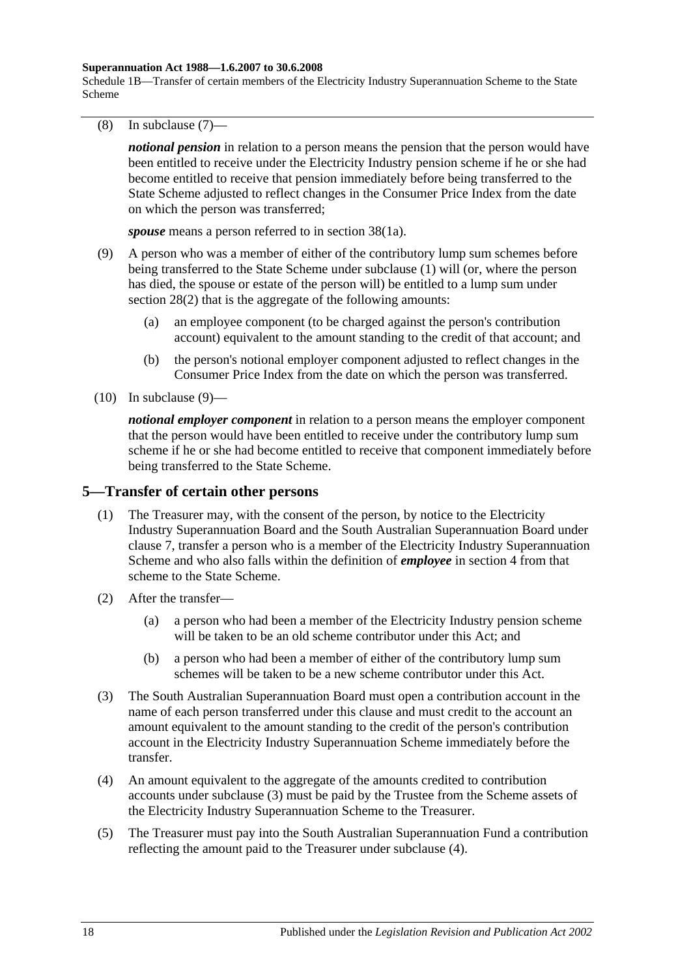#### **Superannuation Act 1988—1.6.2007 to 30.6.2008**

Schedule 1B—Transfer of certain members of the Electricity Industry Superannuation Scheme to the State Scheme

<span id="page-115-0"></span>(8) In [subclause](#page-114-3) (7)—

*notional pension* in relation to a person means the pension that the person would have been entitled to receive under the Electricity Industry pension scheme if he or she had become entitled to receive that pension immediately before being transferred to the State Scheme adjusted to reflect changes in the Consumer Price Index from the date on which the person was transferred;

*spouse* means a person referred to in section 38(1a).

- <span id="page-115-1"></span>(9) A person who was a member of either of the contributory lump sum schemes before being transferred to the State Scheme under [subclause](#page-113-2) (1) will (or, where the person has died, the spouse or estate of the person will) be entitled to a lump sum under [section](#page-32-1) 28(2) that is the aggregate of the following amounts:
	- (a) an employee component (to be charged against the person's contribution account) equivalent to the amount standing to the credit of that account; and
	- (b) the person's notional employer component adjusted to reflect changes in the Consumer Price Index from the date on which the person was transferred.
- $(10)$  In [subclause](#page-115-1)  $(9)$ —

*notional employer component* in relation to a person means the employer component that the person would have been entitled to receive under the contributory lump sum scheme if he or she had become entitled to receive that component immediately before being transferred to the State Scheme.

#### <span id="page-115-4"></span>**5—Transfer of certain other persons**

- (1) The Treasurer may, with the consent of the person, by notice to the Electricity Industry Superannuation Board and the South Australian Superannuation Board under [clause](#page-117-0) 7, transfer a person who is a member of the Electricity Industry Superannuation Scheme and who also falls within the definition of *employee* in [section](#page-6-0) 4 from that scheme to the State Scheme.
- (2) After the transfer—
	- (a) a person who had been a member of the Electricity Industry pension scheme will be taken to be an old scheme contributor under this Act; and
	- (b) a person who had been a member of either of the contributory lump sum schemes will be taken to be a new scheme contributor under this Act.
- <span id="page-115-2"></span>(3) The South Australian Superannuation Board must open a contribution account in the name of each person transferred under this clause and must credit to the account an amount equivalent to the amount standing to the credit of the person's contribution account in the Electricity Industry Superannuation Scheme immediately before the transfer.
- <span id="page-115-3"></span>(4) An amount equivalent to the aggregate of the amounts credited to contribution accounts under [subclause](#page-115-2) (3) must be paid by the Trustee from the Scheme assets of the Electricity Industry Superannuation Scheme to the Treasurer.
- (5) The Treasurer must pay into the South Australian Superannuation Fund a contribution reflecting the amount paid to the Treasurer under [subclause](#page-115-3) (4).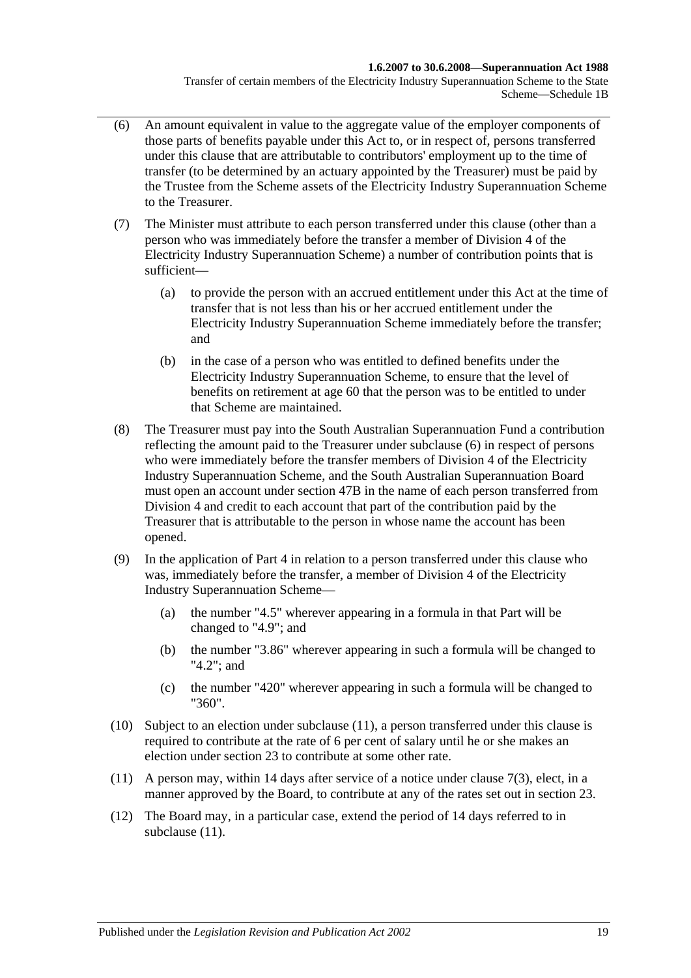#### **1.6.2007 to 30.6.2008—Superannuation Act 1988**

Transfer of certain members of the Electricity Industry Superannuation Scheme to the State Scheme—Schedule 1B

- <span id="page-116-0"></span>(6) An amount equivalent in value to the aggregate value of the employer components of those parts of benefits payable under this Act to, or in respect of, persons transferred under this clause that are attributable to contributors' employment up to the time of transfer (to be determined by an actuary appointed by the Treasurer) must be paid by the Trustee from the Scheme assets of the Electricity Industry Superannuation Scheme to the Treasurer.
- (7) The Minister must attribute to each person transferred under this clause (other than a person who was immediately before the transfer a member of Division 4 of the Electricity Industry Superannuation Scheme) a number of contribution points that is sufficient—
	- (a) to provide the person with an accrued entitlement under this Act at the time of transfer that is not less than his or her accrued entitlement under the Electricity Industry Superannuation Scheme immediately before the transfer; and
	- (b) in the case of a person who was entitled to defined benefits under the Electricity Industry Superannuation Scheme, to ensure that the level of benefits on retirement at age 60 that the person was to be entitled to under that Scheme are maintained.
- (8) The Treasurer must pay into the South Australian Superannuation Fund a contribution reflecting the amount paid to the Treasurer under [subclause](#page-116-0) (6) in respect of persons who were immediately before the transfer members of Division 4 of the Electricity Industry Superannuation Scheme, and the South Australian Superannuation Board must open an account under [section](#page-92-0) 47B in the name of each person transferred from Division 4 and credit to each account that part of the contribution paid by the Treasurer that is attributable to the person in whose name the account has been opened.
- (9) In the application of [Part 4](#page-30-0) in relation to a person transferred under this clause who was, immediately before the transfer, a member of Division 4 of the Electricity Industry Superannuation Scheme—
	- (a) the number "4.5" wherever appearing in a formula in that Part will be changed to "4.9"; and
	- (b) the number "3.86" wherever appearing in such a formula will be changed to "4.2"; and
	- (c) the number "420" wherever appearing in such a formula will be changed to "360".
- (10) Subject to an election under [subclause](#page-116-1) (11), a person transferred under this clause is required to contribute at the rate of 6 per cent of salary until he or she makes an election under [section](#page-26-0) 23 to contribute at some other rate.
- <span id="page-116-1"></span>(11) A person may, within 14 days after service of a notice under [clause](#page-117-1) 7(3), elect, in a manner approved by the Board, to contribute at any of the rates set out in [section](#page-26-0) 23.
- (12) The Board may, in a particular case, extend the period of 14 days referred to in [subclause](#page-116-1)  $(11)$ .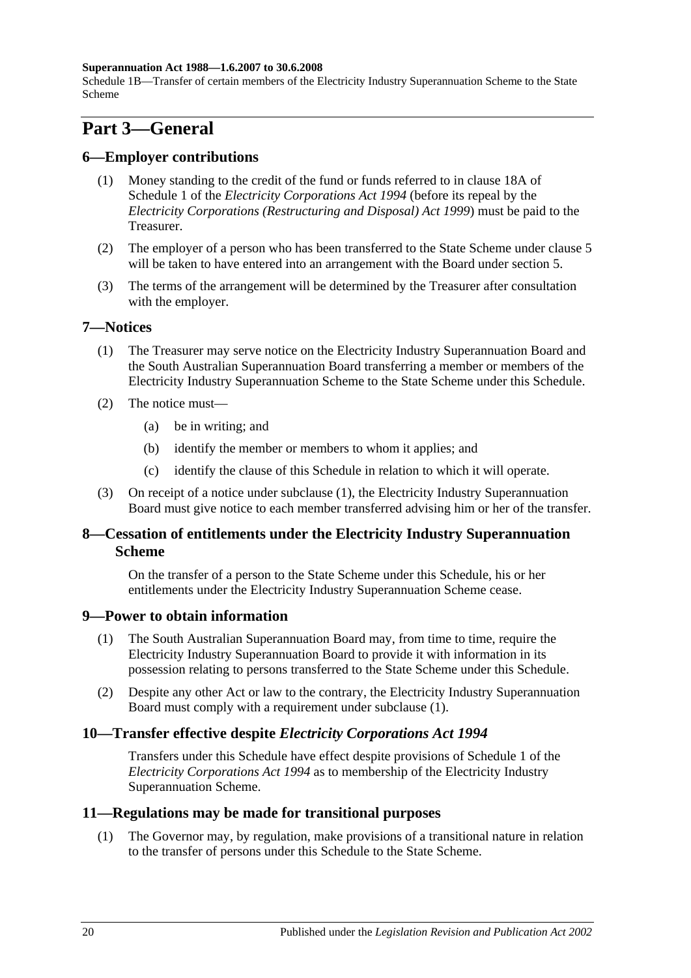#### **Superannuation Act 1988—1.6.2007 to 30.6.2008**

Schedule 1B—Transfer of certain members of the Electricity Industry Superannuation Scheme to the State Scheme

# **Part 3—General**

#### **6—Employer contributions**

- (1) Money standing to the credit of the fund or funds referred to in clause 18A of Schedule 1 of the *[Electricity Corporations Act](http://www.legislation.sa.gov.au/index.aspx?action=legref&type=act&legtitle=Electricity%20Corporations%20Act%201994) 1994* (before its repeal by the *[Electricity Corporations \(Restructuring and Disposal\) Act](http://www.legislation.sa.gov.au/index.aspx?action=legref&type=act&legtitle=Electricity%20Corporations%20(Restructuring%20and%20Disposal)%20Act%201999) 1999*) must be paid to the Treasurer.
- (2) The employer of a person who has been transferred to the State Scheme under [clause](#page-115-4) 5 will be taken to have entered into an arrangement with the Board under [section](#page-14-0) 5.
- (3) The terms of the arrangement will be determined by the Treasurer after consultation with the employer.

#### <span id="page-117-2"></span><span id="page-117-0"></span>**7—Notices**

- (1) The Treasurer may serve notice on the Electricity Industry Superannuation Board and the South Australian Superannuation Board transferring a member or members of the Electricity Industry Superannuation Scheme to the State Scheme under this Schedule.
- (2) The notice must—
	- (a) be in writing; and
	- (b) identify the member or members to whom it applies; and
	- (c) identify the clause of this Schedule in relation to which it will operate.
- <span id="page-117-1"></span>(3) On receipt of a notice under [subclause](#page-117-2) (1), the Electricity Industry Superannuation Board must give notice to each member transferred advising him or her of the transfer.

### **8—Cessation of entitlements under the Electricity Industry Superannuation Scheme**

On the transfer of a person to the State Scheme under this Schedule, his or her entitlements under the Electricity Industry Superannuation Scheme cease.

#### <span id="page-117-3"></span>**9—Power to obtain information**

- (1) The South Australian Superannuation Board may, from time to time, require the Electricity Industry Superannuation Board to provide it with information in its possession relating to persons transferred to the State Scheme under this Schedule.
- (2) Despite any other Act or law to the contrary, the Electricity Industry Superannuation Board must comply with a requirement under [subclause](#page-117-3) (1).

### **10—Transfer effective despite** *Electricity Corporations Act 1994*

Transfers under this Schedule have effect despite provisions of Schedule 1 of the *[Electricity Corporations Act](http://www.legislation.sa.gov.au/index.aspx?action=legref&type=act&legtitle=Electricity%20Corporations%20Act%201994) 1994* as to membership of the Electricity Industry Superannuation Scheme.

#### **11—Regulations may be made for transitional purposes**

(1) The Governor may, by regulation, make provisions of a transitional nature in relation to the transfer of persons under this Schedule to the State Scheme.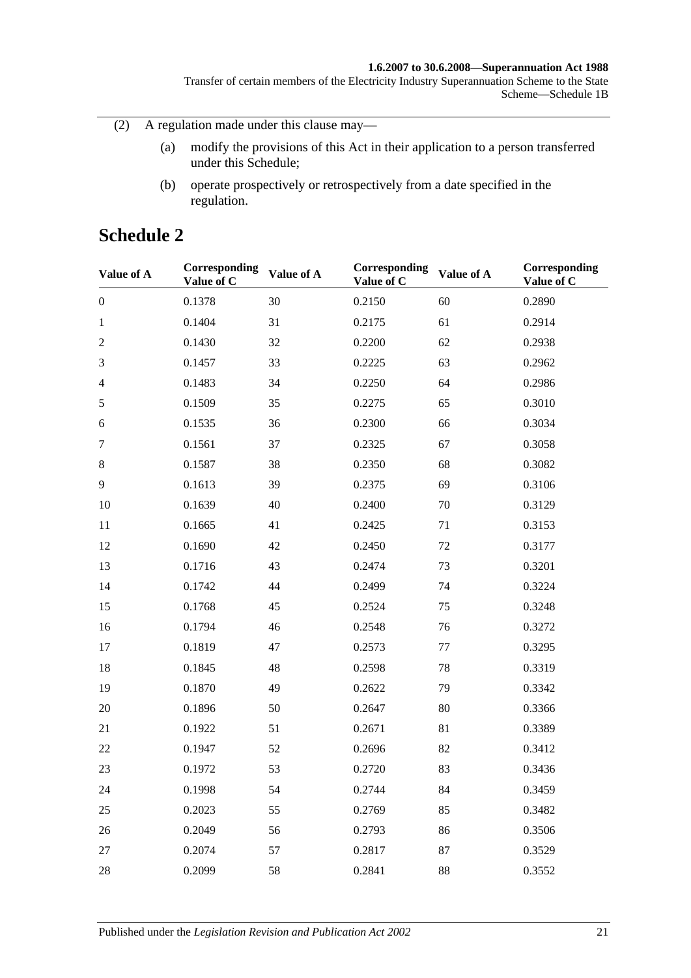#### **1.6.2007 to 30.6.2008—Superannuation Act 1988**

Transfer of certain members of the Electricity Industry Superannuation Scheme to the State Scheme—Schedule 1B

(2) A regulation made under this clause may—

- (a) modify the provisions of this Act in their application to a person transferred under this Schedule;
- (b) operate prospectively or retrospectively from a date specified in the regulation.

# **Schedule 2**

| Value of A       | Corresponding<br>Value of C | Value of A | Corresponding<br>Value of C | Value of A | Corresponding<br>Value of C |
|------------------|-----------------------------|------------|-----------------------------|------------|-----------------------------|
| $\boldsymbol{0}$ | 0.1378                      | 30         | 0.2150                      | 60         | 0.2890                      |
| $\mathbf{1}$     | 0.1404                      | 31         | 0.2175                      | 61         | 0.2914                      |
| $\mathfrak{2}$   | 0.1430                      | 32         | 0.2200                      | 62         | 0.2938                      |
| 3                | 0.1457                      | 33         | 0.2225                      | 63         | 0.2962                      |
| $\overline{4}$   | 0.1483                      | 34         | 0.2250                      | 64         | 0.2986                      |
| $\sqrt{5}$       | 0.1509                      | 35         | 0.2275                      | 65         | 0.3010                      |
| 6                | 0.1535                      | 36         | 0.2300                      | 66         | 0.3034                      |
| $\tau$           | 0.1561                      | 37         | 0.2325                      | 67         | 0.3058                      |
| $8\,$            | 0.1587                      | 38         | 0.2350                      | 68         | 0.3082                      |
| 9                | 0.1613                      | 39         | 0.2375                      | 69         | 0.3106                      |
| 10               | 0.1639                      | 40         | 0.2400                      | 70         | 0.3129                      |
| 11               | 0.1665                      | 41         | 0.2425                      | 71         | 0.3153                      |
| 12               | 0.1690                      | 42         | 0.2450                      | 72         | 0.3177                      |
| 13               | 0.1716                      | 43         | 0.2474                      | 73         | 0.3201                      |
| 14               | 0.1742                      | 44         | 0.2499                      | 74         | 0.3224                      |
| 15               | 0.1768                      | 45         | 0.2524                      | 75         | 0.3248                      |
| 16               | 0.1794                      | 46         | 0.2548                      | 76         | 0.3272                      |
| 17               | 0.1819                      | 47         | 0.2573                      | 77         | 0.3295                      |
| 18               | 0.1845                      | 48         | 0.2598                      | 78         | 0.3319                      |
| 19               | 0.1870                      | 49         | 0.2622                      | 79         | 0.3342                      |
| 20               | 0.1896                      | 50         | 0.2647                      | 80         | 0.3366                      |
| 21               | 0.1922                      | 51         | 0.2671                      | 81         | 0.3389                      |
| 22               | 0.1947                      | 52         | 0.2696                      | 82         | 0.3412                      |
| 23               | 0.1972                      | 53         | 0.2720                      | 83         | 0.3436                      |
| 24               | 0.1998                      | 54         | 0.2744                      | 84         | 0.3459                      |
| 25               | 0.2023                      | 55         | 0.2769                      | 85         | 0.3482                      |
| 26               | 0.2049                      | 56         | 0.2793                      | 86         | 0.3506                      |
| 27               | 0.2074                      | 57         | 0.2817                      | 87         | 0.3529                      |
| 28               | 0.2099                      | 58         | 0.2841                      | 88         | 0.3552                      |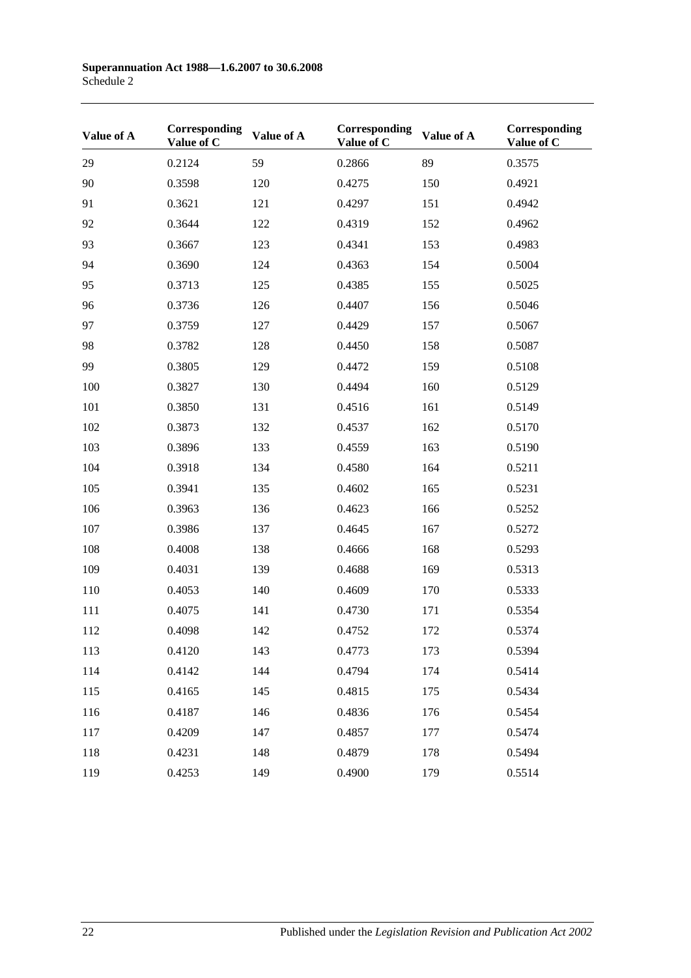| Value of A | Corresponding<br>Value of C | Value of A | Corresponding<br>Value of C | Value of A | Corresponding<br>Value of C |
|------------|-----------------------------|------------|-----------------------------|------------|-----------------------------|
| 29         | 0.2124                      | 59         | 0.2866                      | 89         | 0.3575                      |
| 90         | 0.3598                      | 120        | 0.4275                      | 150        | 0.4921                      |
| 91         | 0.3621                      | 121        | 0.4297                      | 151        | 0.4942                      |
| 92         | 0.3644                      | 122        | 0.4319                      | 152        | 0.4962                      |
| 93         | 0.3667                      | 123        | 0.4341                      | 153        | 0.4983                      |
| 94         | 0.3690                      | 124        | 0.4363                      | 154        | 0.5004                      |
| 95         | 0.3713                      | 125        | 0.4385                      | 155        | 0.5025                      |
| 96         | 0.3736                      | 126        | 0.4407                      | 156        | 0.5046                      |
| 97         | 0.3759                      | 127        | 0.4429                      | 157        | 0.5067                      |
| 98         | 0.3782                      | 128        | 0.4450                      | 158        | 0.5087                      |
| 99         | 0.3805                      | 129        | 0.4472                      | 159        | 0.5108                      |
| 100        | 0.3827                      | 130        | 0.4494                      | 160        | 0.5129                      |
| 101        | 0.3850                      | 131        | 0.4516                      | 161        | 0.5149                      |
| 102        | 0.3873                      | 132        | 0.4537                      | 162        | 0.5170                      |
| 103        | 0.3896                      | 133        | 0.4559                      | 163        | 0.5190                      |
| 104        | 0.3918                      | 134        | 0.4580                      | 164        | 0.5211                      |
| 105        | 0.3941                      | 135        | 0.4602                      | 165        | 0.5231                      |
| 106        | 0.3963                      | 136        | 0.4623                      | 166        | 0.5252                      |
| 107        | 0.3986                      | 137        | 0.4645                      | 167        | 0.5272                      |
| 108        | 0.4008                      | 138        | 0.4666                      | 168        | 0.5293                      |
| 109        | 0.4031                      | 139        | 0.4688                      | 169        | 0.5313                      |
| 110        | 0.4053                      | 140        | 0.4609                      | 170        | 0.5333                      |
| 111        | 0.4075                      | 141        | 0.4730                      | 171        | 0.5354                      |
| 112        | 0.4098                      | 142        | 0.4752                      | 172        | 0.5374                      |
| 113        | 0.4120                      | 143        | 0.4773                      | 173        | 0.5394                      |
| 114        | 0.4142                      | 144        | 0.4794                      | 174        | 0.5414                      |
| 115        | 0.4165                      | 145        | 0.4815                      | 175        | 0.5434                      |
| 116        | 0.4187                      | 146        | 0.4836                      | 176        | 0.5454                      |
| 117        | 0.4209                      | 147        | 0.4857                      | 177        | 0.5474                      |
| 118        | 0.4231                      | 148        | 0.4879                      | 178        | 0.5494                      |
| 119        | 0.4253                      | 149        | 0.4900                      | 179        | 0.5514                      |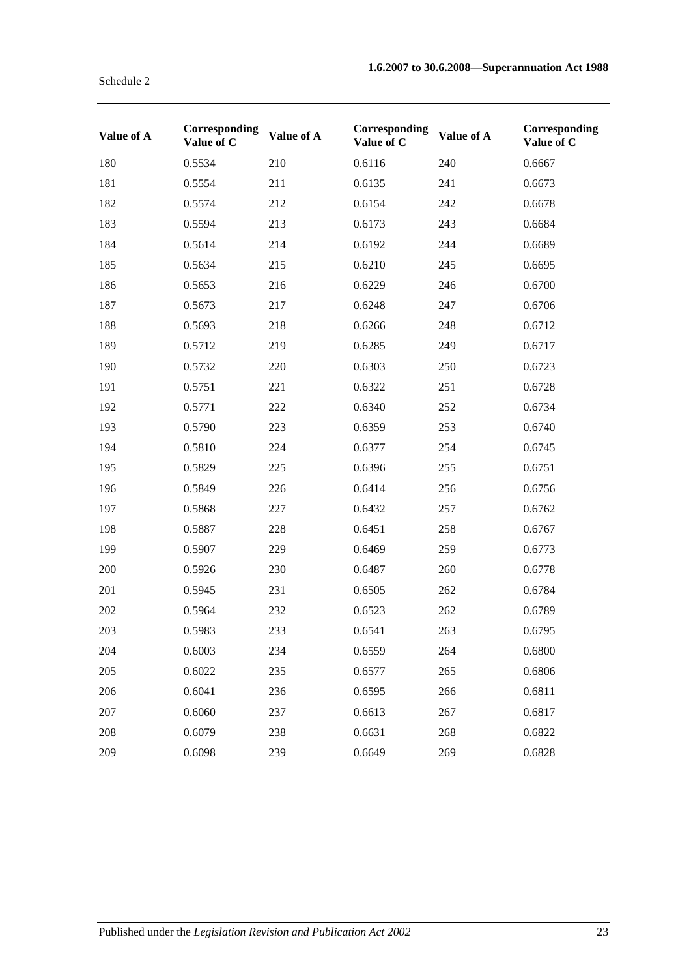| Value of A | Corresponding<br>Value of C | Value of A | Corresponding<br>Value of C | Value of A | Corresponding<br>Value of C |
|------------|-----------------------------|------------|-----------------------------|------------|-----------------------------|
| 180        | 0.5534                      | 210        | 0.6116                      | 240        | 0.6667                      |
| 181        | 0.5554                      | 211        | 0.6135                      | 241        | 0.6673                      |
| 182        | 0.5574                      | 212        | 0.6154                      | 242        | 0.6678                      |
| 183        | 0.5594                      | 213        | 0.6173                      | 243        | 0.6684                      |
| 184        | 0.5614                      | 214        | 0.6192                      | 244        | 0.6689                      |
| 185        | 0.5634                      | 215        | 0.6210                      | 245        | 0.6695                      |
| 186        | 0.5653                      | 216        | 0.6229                      | 246        | 0.6700                      |
| 187        | 0.5673                      | 217        | 0.6248                      | 247        | 0.6706                      |
| 188        | 0.5693                      | 218        | 0.6266                      | 248        | 0.6712                      |
| 189        | 0.5712                      | 219        | 0.6285                      | 249        | 0.6717                      |
| 190        | 0.5732                      | 220        | 0.6303                      | 250        | 0.6723                      |
| 191        | 0.5751                      | 221        | 0.6322                      | 251        | 0.6728                      |
| 192        | 0.5771                      | 222        | 0.6340                      | 252        | 0.6734                      |
| 193        | 0.5790                      | 223        | 0.6359                      | 253        | 0.6740                      |
| 194        | 0.5810                      | 224        | 0.6377                      | 254        | 0.6745                      |
| 195        | 0.5829                      | 225        | 0.6396                      | 255        | 0.6751                      |
| 196        | 0.5849                      | 226        | 0.6414                      | 256        | 0.6756                      |
| 197        | 0.5868                      | 227        | 0.6432                      | 257        | 0.6762                      |
| 198        | 0.5887                      | 228        | 0.6451                      | 258        | 0.6767                      |
| 199        | 0.5907                      | 229        | 0.6469                      | 259        | 0.6773                      |
| 200        | 0.5926                      | 230        | 0.6487                      | 260        | 0.6778                      |
| 201        | 0.5945                      | 231        | 0.6505                      | 262        | 0.6784                      |
| 202        | 0.5964                      | 232        | 0.6523                      | 262        | 0.6789                      |
| 203        | 0.5983                      | 233        | 0.6541                      | 263        | 0.6795                      |
| 204        | 0.6003                      | 234        | 0.6559                      | 264        | 0.6800                      |
| 205        | 0.6022                      | 235        | 0.6577                      | 265        | 0.6806                      |
| 206        | 0.6041                      | 236        | 0.6595                      | 266        | 0.6811                      |
| 207        | 0.6060                      | 237        | 0.6613                      | 267        | 0.6817                      |
| 208        | 0.6079                      | 238        | 0.6631                      | 268        | 0.6822                      |
| 209        | 0.6098                      | 239        | 0.6649                      | 269        | 0.6828                      |

Schedule 2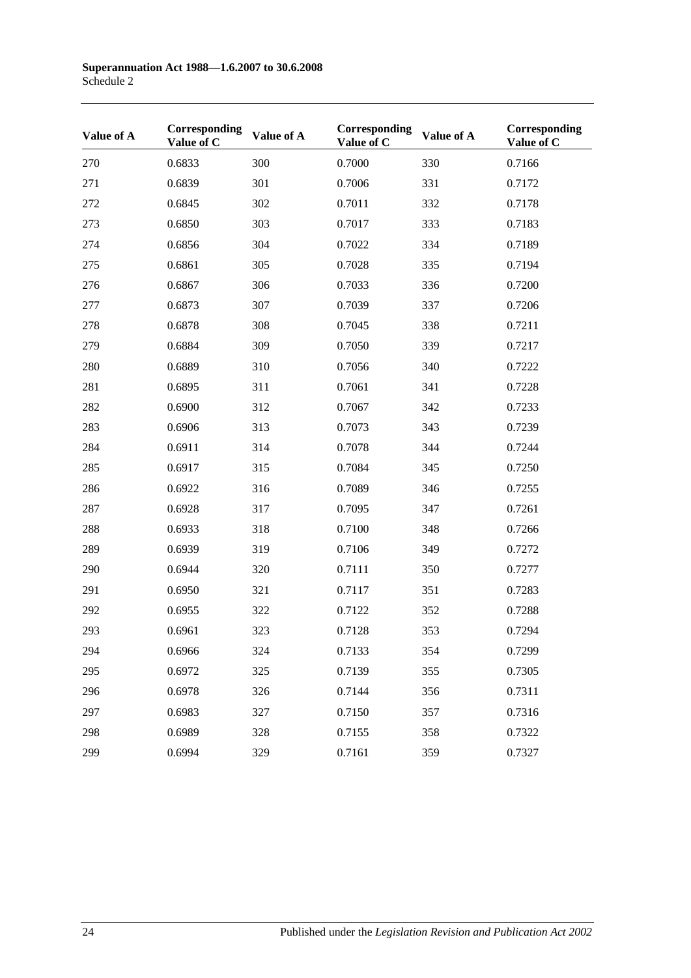| Value of A | Corresponding<br>Value of C | Value of A | Corresponding<br>Value of C | Value of A | Corresponding<br>Value of C |
|------------|-----------------------------|------------|-----------------------------|------------|-----------------------------|
| 270        | 0.6833                      | 300        | 0.7000                      | 330        | 0.7166                      |
| 271        | 0.6839                      | 301        | 0.7006                      | 331        | 0.7172                      |
| 272        | 0.6845                      | 302        | 0.7011                      | 332        | 0.7178                      |
| 273        | 0.6850                      | 303        | 0.7017                      | 333        | 0.7183                      |
| 274        | 0.6856                      | 304        | 0.7022                      | 334        | 0.7189                      |
| 275        | 0.6861                      | 305        | 0.7028                      | 335        | 0.7194                      |
| 276        | 0.6867                      | 306        | 0.7033                      | 336        | 0.7200                      |
| 277        | 0.6873                      | 307        | 0.7039                      | 337        | 0.7206                      |
| 278        | 0.6878                      | 308        | 0.7045                      | 338        | 0.7211                      |
| 279        | 0.6884                      | 309        | 0.7050                      | 339        | 0.7217                      |
| 280        | 0.6889                      | 310        | 0.7056                      | 340        | 0.7222                      |
| 281        | 0.6895                      | 311        | 0.7061                      | 341        | 0.7228                      |
| 282        | 0.6900                      | 312        | 0.7067                      | 342        | 0.7233                      |
| 283        | 0.6906                      | 313        | 0.7073                      | 343        | 0.7239                      |
| 284        | 0.6911                      | 314        | 0.7078                      | 344        | 0.7244                      |
| 285        | 0.6917                      | 315        | 0.7084                      | 345        | 0.7250                      |
| 286        | 0.6922                      | 316        | 0.7089                      | 346        | 0.7255                      |
| 287        | 0.6928                      | 317        | 0.7095                      | 347        | 0.7261                      |
| 288        | 0.6933                      | 318        | 0.7100                      | 348        | 0.7266                      |
| 289        | 0.6939                      | 319        | 0.7106                      | 349        | 0.7272                      |
| 290        | 0.6944                      | 320        | 0.7111                      | 350        | 0.7277                      |
| 291        | 0.6950                      | 321        | 0.7117                      | 351        | 0.7283                      |
| 292        | 0.6955                      | 322        | 0.7122                      | 352        | 0.7288                      |
| 293        | 0.6961                      | 323        | 0.7128                      | 353        | 0.7294                      |
| 294        | 0.6966                      | 324        | 0.7133                      | 354        | 0.7299                      |
| 295        | 0.6972                      | 325        | 0.7139                      | 355        | 0.7305                      |
| 296        | 0.6978                      | 326        | 0.7144                      | 356        | 0.7311                      |
| 297        | 0.6983                      | 327        | 0.7150                      | 357        | 0.7316                      |
| 298        | 0.6989                      | 328        | 0.7155                      | 358        | 0.7322                      |
| 299        | 0.6994                      | 329        | 0.7161                      | 359        | 0.7327                      |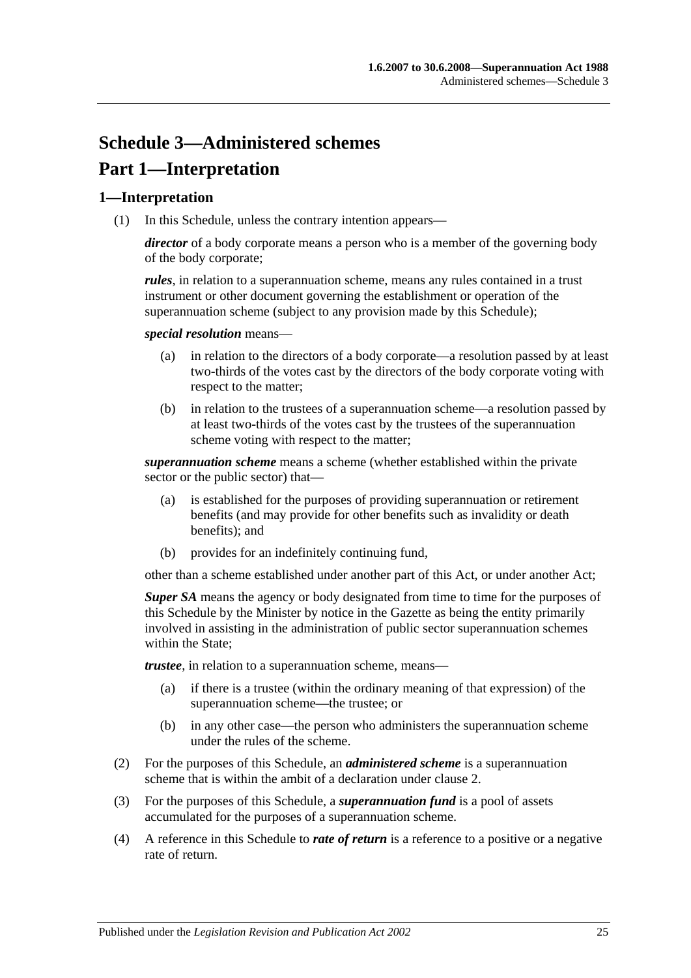# **Schedule 3—Administered schemes Part 1—Interpretation**

### **1—Interpretation**

(1) In this Schedule, unless the contrary intention appears—

*director* of a body corporate means a person who is a member of the governing body of the body corporate;

*rules*, in relation to a superannuation scheme, means any rules contained in a trust instrument or other document governing the establishment or operation of the superannuation scheme (subject to any provision made by this Schedule);

*special resolution* means—

- (a) in relation to the directors of a body corporate—a resolution passed by at least two-thirds of the votes cast by the directors of the body corporate voting with respect to the matter;
- (b) in relation to the trustees of a superannuation scheme—a resolution passed by at least two-thirds of the votes cast by the trustees of the superannuation scheme voting with respect to the matter;

*superannuation scheme* means a scheme (whether established within the private sector or the public sector) that—

- (a) is established for the purposes of providing superannuation or retirement benefits (and may provide for other benefits such as invalidity or death benefits); and
- (b) provides for an indefinitely continuing fund,

other than a scheme established under another part of this Act, or under another Act;

*Super SA* means the agency or body designated from time to time for the purposes of this Schedule by the Minister by notice in the Gazette as being the entity primarily involved in assisting in the administration of public sector superannuation schemes within the State:

*trustee*, in relation to a superannuation scheme, means—

- (a) if there is a trustee (within the ordinary meaning of that expression) of the superannuation scheme—the trustee; or
- (b) in any other case—the person who administers the superannuation scheme under the rules of the scheme.
- (2) For the purposes of this Schedule, an *administered scheme* is a superannuation scheme that is within the ambit of a declaration under [clause](#page-123-0) 2.
- (3) For the purposes of this Schedule, a *superannuation fund* is a pool of assets accumulated for the purposes of a superannuation scheme.
- (4) A reference in this Schedule to *rate of return* is a reference to a positive or a negative rate of return.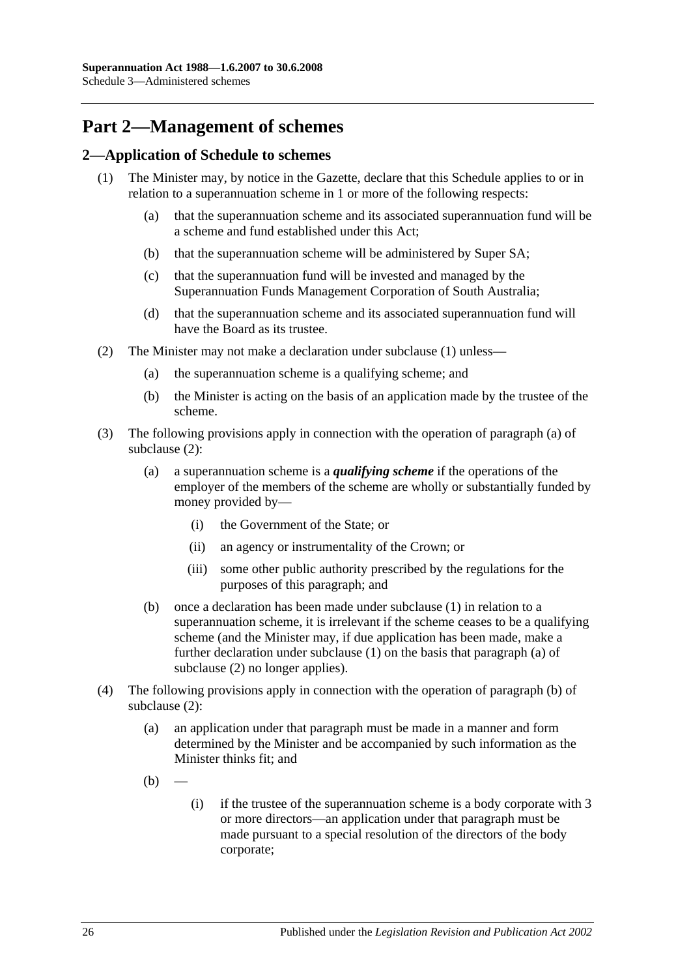# **Part 2—Management of schemes**

### <span id="page-123-1"></span><span id="page-123-0"></span>**2—Application of Schedule to schemes**

- <span id="page-123-6"></span><span id="page-123-5"></span>(1) The Minister may, by notice in the Gazette, declare that this Schedule applies to or in relation to a superannuation scheme in 1 or more of the following respects:
	- (a) that the superannuation scheme and its associated superannuation fund will be a scheme and fund established under this Act;
	- (b) that the superannuation scheme will be administered by Super SA;
	- (c) that the superannuation fund will be invested and managed by the Superannuation Funds Management Corporation of South Australia;
	- (d) that the superannuation scheme and its associated superannuation fund will have the Board as its trustee.
- <span id="page-123-8"></span><span id="page-123-7"></span><span id="page-123-4"></span><span id="page-123-3"></span><span id="page-123-2"></span>(2) The Minister may not make a declaration under [subclause](#page-123-1) (1) unless—
	- (a) the superannuation scheme is a qualifying scheme; and
	- (b) the Minister is acting on the basis of an application made by the trustee of the scheme.
- (3) The following provisions apply in connection with the operation of [paragraph](#page-123-2) (a) of [subclause](#page-123-3) (2):
	- (a) a superannuation scheme is a *qualifying scheme* if the operations of the employer of the members of the scheme are wholly or substantially funded by money provided by—
		- (i) the Government of the State; or
		- (ii) an agency or instrumentality of the Crown; or
		- (iii) some other public authority prescribed by the regulations for the purposes of this paragraph; and
	- (b) once a declaration has been made under [subclause](#page-123-1) (1) in relation to a superannuation scheme, it is irrelevant if the scheme ceases to be a qualifying scheme (and the Minister may, if due application has been made, make a further declaration under [subclause](#page-123-1) (1) on the basis that [paragraph](#page-123-2) (a) of [subclause](#page-123-3) (2) no longer applies).
- (4) The following provisions apply in connection with the operation of [paragraph](#page-123-4) (b) of [subclause](#page-123-3) (2):
	- (a) an application under that paragraph must be made in a manner and form determined by the Minister and be accompanied by such information as the Minister thinks fit; and
	- $(b)$
- (i) if the trustee of the superannuation scheme is a body corporate with 3 or more directors—an application under that paragraph must be made pursuant to a special resolution of the directors of the body corporate;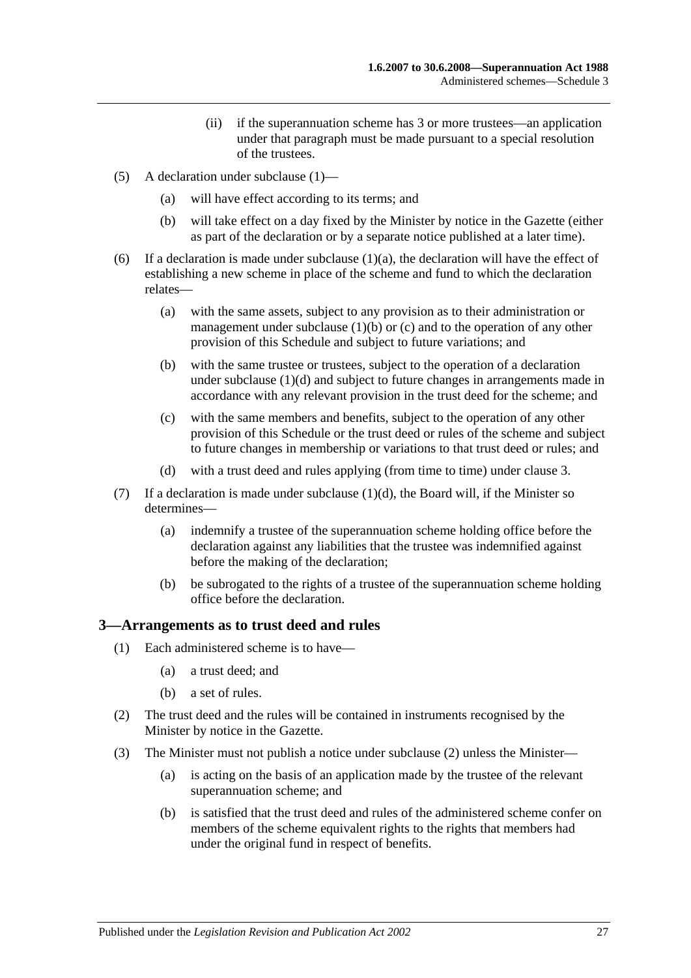- (ii) if the superannuation scheme has 3 or more trustees—an application under that paragraph must be made pursuant to a special resolution of the trustees.
- (5) A declaration under [subclause](#page-123-1) (1)—
	- (a) will have effect according to its terms; and
	- (b) will take effect on a day fixed by the Minister by notice in the Gazette (either as part of the declaration or by a separate notice published at a later time).
- (6) If a declaration is made under [subclause](#page-123-5)  $(1)(a)$ , the declaration will have the effect of establishing a new scheme in place of the scheme and fund to which the declaration relates—
	- (a) with the same assets, subject to any provision as to their administration or management under [subclause](#page-123-6)  $(1)(b)$  or  $(c)$  and to the operation of any other provision of this Schedule and subject to future variations; and
	- (b) with the same trustee or trustees, subject to the operation of a declaration under [subclause](#page-123-8) (1)(d) and subject to future changes in arrangements made in accordance with any relevant provision in the trust deed for the scheme; and
	- (c) with the same members and benefits, subject to the operation of any other provision of this Schedule or the trust deed or rules of the scheme and subject to future changes in membership or variations to that trust deed or rules; and
	- (d) with a trust deed and rules applying (from time to time) under [clause](#page-124-0) 3.
- (7) If a declaration is made under [subclause](#page-123-8)  $(1)(d)$ , the Board will, if the Minister so determines—
	- (a) indemnify a trustee of the superannuation scheme holding office before the declaration against any liabilities that the trustee was indemnified against before the making of the declaration;
	- (b) be subrogated to the rights of a trustee of the superannuation scheme holding office before the declaration.

#### <span id="page-124-0"></span>**3—Arrangements as to trust deed and rules**

- (1) Each administered scheme is to have—
	- (a) a trust deed; and
	- (b) a set of rules.
- <span id="page-124-1"></span>(2) The trust deed and the rules will be contained in instruments recognised by the Minister by notice in the Gazette.
- <span id="page-124-2"></span>(3) The Minister must not publish a notice under [subclause](#page-124-1) (2) unless the Minister—
	- (a) is acting on the basis of an application made by the trustee of the relevant superannuation scheme; and
	- (b) is satisfied that the trust deed and rules of the administered scheme confer on members of the scheme equivalent rights to the rights that members had under the original fund in respect of benefits.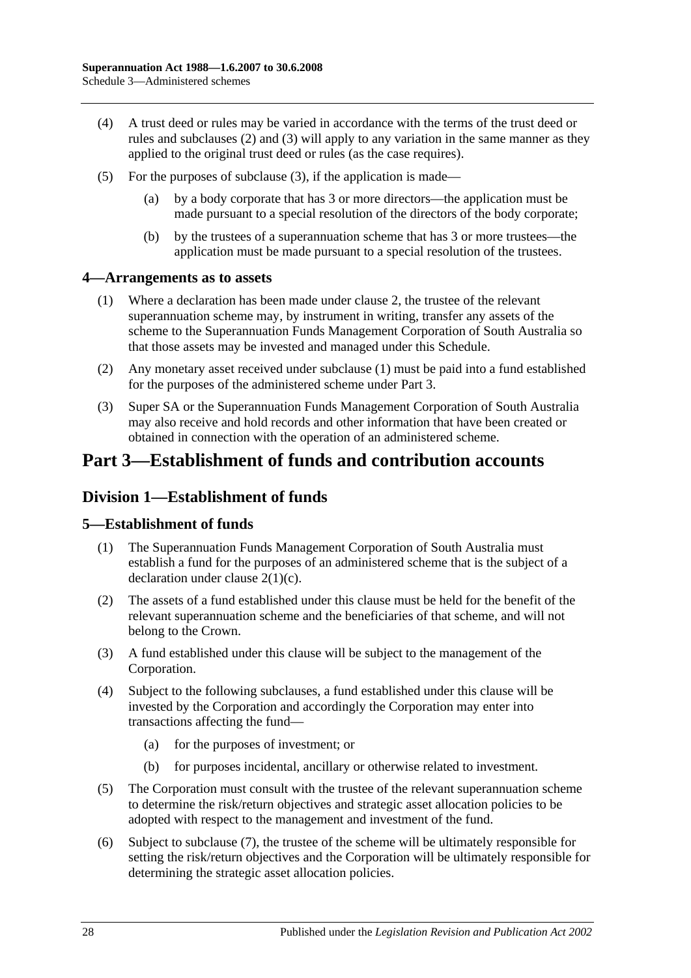- (4) A trust deed or rules may be varied in accordance with the terms of the trust deed or rules and [subclauses](#page-124-1) (2) and [\(3\)](#page-124-2) will apply to any variation in the same manner as they applied to the original trust deed or rules (as the case requires).
- (5) For the purposes of [subclause](#page-124-2) (3), if the application is made—
	- (a) by a body corporate that has 3 or more directors—the application must be made pursuant to a special resolution of the directors of the body corporate;
	- (b) by the trustees of a superannuation scheme that has 3 or more trustees—the application must be made pursuant to a special resolution of the trustees.

#### <span id="page-125-0"></span>**4—Arrangements as to assets**

- (1) Where a declaration has been made under [clause](#page-123-0) 2, the trustee of the relevant superannuation scheme may, by instrument in writing, transfer any assets of the scheme to the Superannuation Funds Management Corporation of South Australia so that those assets may be invested and managed under this Schedule.
- (2) Any monetary asset received under [subclause](#page-125-0) (1) must be paid into a fund established for the purposes of the administered scheme under Part 3.
- (3) Super SA or the Superannuation Funds Management Corporation of South Australia may also receive and hold records and other information that have been created or obtained in connection with the operation of an administered scheme.

# **Part 3—Establishment of funds and contribution accounts**

### **Division 1—Establishment of funds**

#### **5—Establishment of funds**

- (1) The Superannuation Funds Management Corporation of South Australia must establish a fund for the purposes of an administered scheme that is the subject of a declaration under clause [2\(1\)\(c\).](#page-123-7)
- (2) The assets of a fund established under this clause must be held for the benefit of the relevant superannuation scheme and the beneficiaries of that scheme, and will not belong to the Crown.
- (3) A fund established under this clause will be subject to the management of the Corporation.
- (4) Subject to the following subclauses, a fund established under this clause will be invested by the Corporation and accordingly the Corporation may enter into transactions affecting the fund—
	- (a) for the purposes of investment; or
	- (b) for purposes incidental, ancillary or otherwise related to investment.
- (5) The Corporation must consult with the trustee of the relevant superannuation scheme to determine the risk/return objectives and strategic asset allocation policies to be adopted with respect to the management and investment of the fund.
- (6) Subject to [subclause](#page-126-0) (7), the trustee of the scheme will be ultimately responsible for setting the risk/return objectives and the Corporation will be ultimately responsible for determining the strategic asset allocation policies.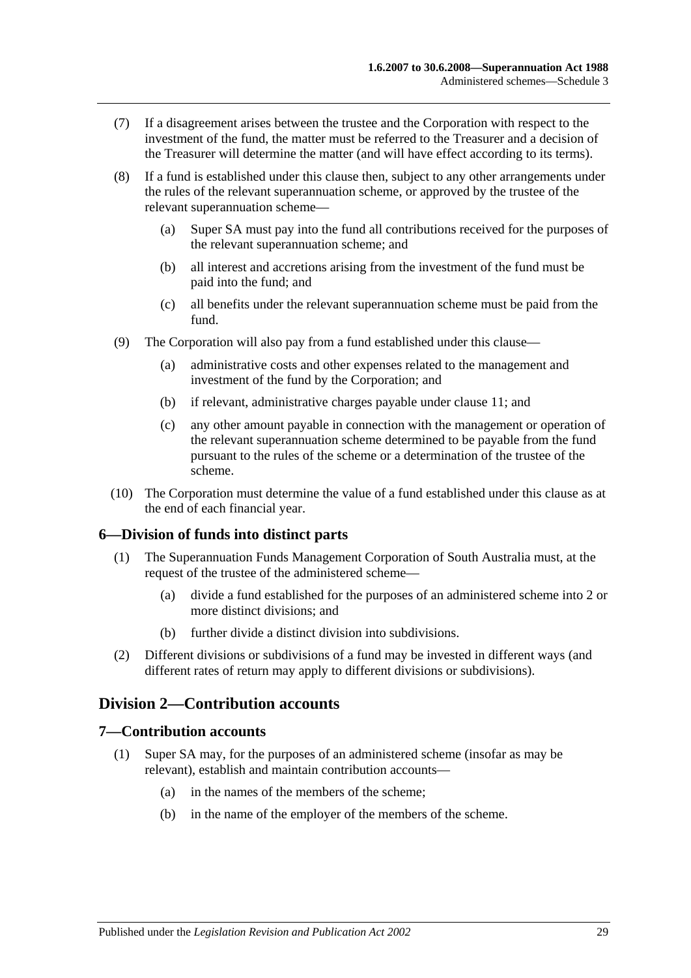- <span id="page-126-0"></span>(7) If a disagreement arises between the trustee and the Corporation with respect to the investment of the fund, the matter must be referred to the Treasurer and a decision of the Treasurer will determine the matter (and will have effect according to its terms).
- (8) If a fund is established under this clause then, subject to any other arrangements under the rules of the relevant superannuation scheme, or approved by the trustee of the relevant superannuation scheme—
	- (a) Super SA must pay into the fund all contributions received for the purposes of the relevant superannuation scheme; and
	- (b) all interest and accretions arising from the investment of the fund must be paid into the fund; and
	- (c) all benefits under the relevant superannuation scheme must be paid from the fund.
- (9) The Corporation will also pay from a fund established under this clause—
	- (a) administrative costs and other expenses related to the management and investment of the fund by the Corporation; and
	- (b) if relevant, administrative charges payable under [clause](#page-128-0) 11; and
	- (c) any other amount payable in connection with the management or operation of the relevant superannuation scheme determined to be payable from the fund pursuant to the rules of the scheme or a determination of the trustee of the scheme.
- (10) The Corporation must determine the value of a fund established under this clause as at the end of each financial year.

### **6—Division of funds into distinct parts**

- (1) The Superannuation Funds Management Corporation of South Australia must, at the request of the trustee of the administered scheme—
	- (a) divide a fund established for the purposes of an administered scheme into 2 or more distinct divisions; and
	- (b) further divide a distinct division into subdivisions.
- (2) Different divisions or subdivisions of a fund may be invested in different ways (and different rates of return may apply to different divisions or subdivisions).

# **Division 2—Contribution accounts**

#### **7—Contribution accounts**

- (1) Super SA may, for the purposes of an administered scheme (insofar as may be relevant), establish and maintain contribution accounts—
	- (a) in the names of the members of the scheme;
	- (b) in the name of the employer of the members of the scheme.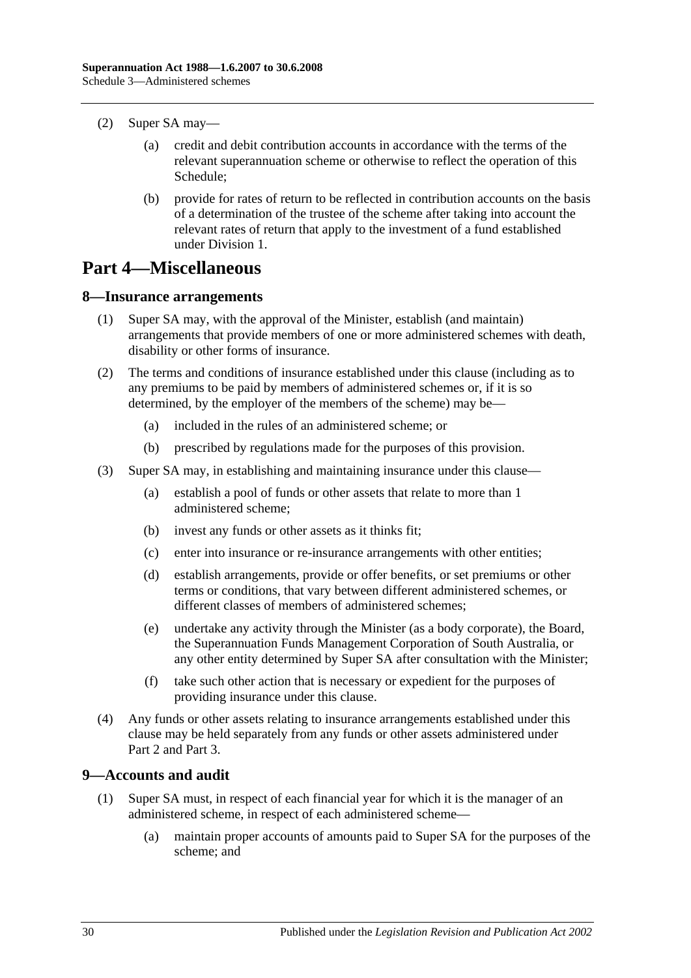- (2) Super SA may—
	- (a) credit and debit contribution accounts in accordance with the terms of the relevant superannuation scheme or otherwise to reflect the operation of this Schedule;
	- (b) provide for rates of return to be reflected in contribution accounts on the basis of a determination of the trustee of the scheme after taking into account the relevant rates of return that apply to the investment of a fund established under Division 1.

# **Part 4—Miscellaneous**

#### **8—Insurance arrangements**

- (1) Super SA may, with the approval of the Minister, establish (and maintain) arrangements that provide members of one or more administered schemes with death, disability or other forms of insurance.
- (2) The terms and conditions of insurance established under this clause (including as to any premiums to be paid by members of administered schemes or, if it is so determined, by the employer of the members of the scheme) may be—
	- (a) included in the rules of an administered scheme; or
	- (b) prescribed by regulations made for the purposes of this provision.
- (3) Super SA may, in establishing and maintaining insurance under this clause—
	- (a) establish a pool of funds or other assets that relate to more than 1 administered scheme;
	- (b) invest any funds or other assets as it thinks fit;
	- (c) enter into insurance or re-insurance arrangements with other entities;
	- (d) establish arrangements, provide or offer benefits, or set premiums or other terms or conditions, that vary between different administered schemes, or different classes of members of administered schemes;
	- (e) undertake any activity through the Minister (as a body corporate), the Board, the Superannuation Funds Management Corporation of South Australia, or any other entity determined by Super SA after consultation with the Minister;
	- (f) take such other action that is necessary or expedient for the purposes of providing insurance under this clause.
- (4) Any funds or other assets relating to insurance arrangements established under this clause may be held separately from any funds or other assets administered under Part 2 and Part 3.

### <span id="page-127-0"></span>**9—Accounts and audit**

- (1) Super SA must, in respect of each financial year for which it is the manager of an administered scheme, in respect of each administered scheme—
	- (a) maintain proper accounts of amounts paid to Super SA for the purposes of the scheme; and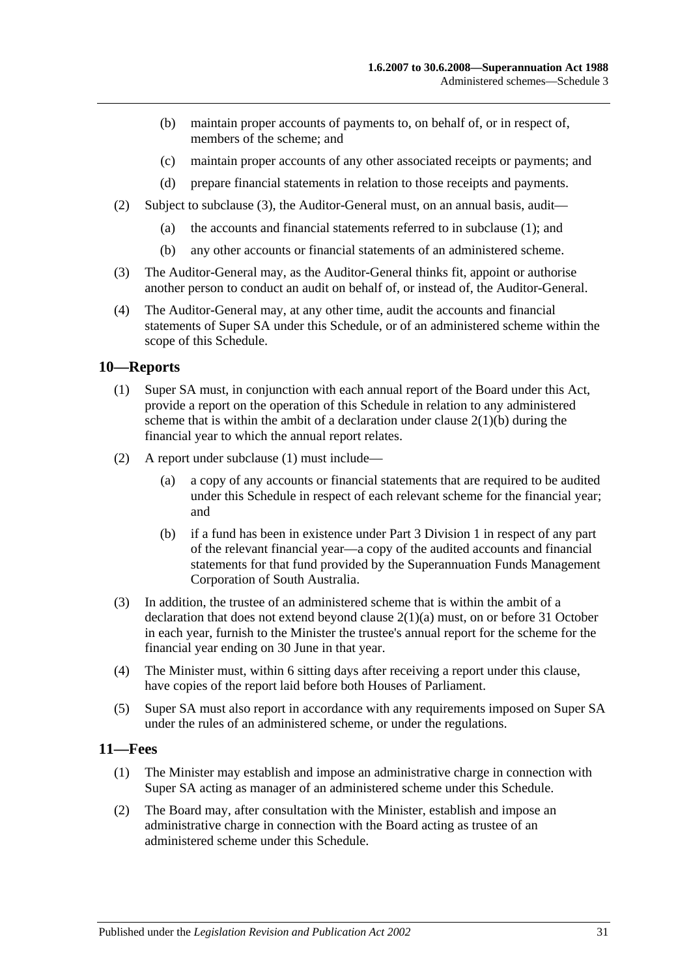- (b) maintain proper accounts of payments to, on behalf of, or in respect of, members of the scheme; and
- (c) maintain proper accounts of any other associated receipts or payments; and
- (d) prepare financial statements in relation to those receipts and payments.
- (2) Subject to [subclause](#page-128-1) (3), the Auditor-General must, on an annual basis, audit—
	- (a) the accounts and financial statements referred to in [subclause](#page-127-0) (1); and
	- (b) any other accounts or financial statements of an administered scheme.
- <span id="page-128-1"></span>(3) The Auditor-General may, as the Auditor-General thinks fit, appoint or authorise another person to conduct an audit on behalf of, or instead of, the Auditor-General.
- (4) The Auditor-General may, at any other time, audit the accounts and financial statements of Super SA under this Schedule, or of an administered scheme within the scope of this Schedule.

#### <span id="page-128-2"></span>**10—Reports**

- (1) Super SA must, in conjunction with each annual report of the Board under this Act, provide a report on the operation of this Schedule in relation to any administered scheme that is within the ambit of a declaration under clause  $2(1)(b)$  during the financial year to which the annual report relates.
- (2) A report under [subclause](#page-128-2) (1) must include—
	- (a) a copy of any accounts or financial statements that are required to be audited under this Schedule in respect of each relevant scheme for the financial year; and
	- (b) if a fund has been in existence under Part 3 Division 1 in respect of any part of the relevant financial year—a copy of the audited accounts and financial statements for that fund provided by the Superannuation Funds Management Corporation of South Australia.
- (3) In addition, the trustee of an administered scheme that is within the ambit of a declaration that does not extend beyond clause [2\(1\)\(a\)](#page-123-5) must, on or before 31 October in each year, furnish to the Minister the trustee's annual report for the scheme for the financial year ending on 30 June in that year.
- (4) The Minister must, within 6 sitting days after receiving a report under this clause, have copies of the report laid before both Houses of Parliament.
- (5) Super SA must also report in accordance with any requirements imposed on Super SA under the rules of an administered scheme, or under the regulations.

#### <span id="page-128-3"></span><span id="page-128-0"></span>**11—Fees**

- (1) The Minister may establish and impose an administrative charge in connection with Super SA acting as manager of an administered scheme under this Schedule.
- <span id="page-128-4"></span>(2) The Board may, after consultation with the Minister, establish and impose an administrative charge in connection with the Board acting as trustee of an administered scheme under this Schedule.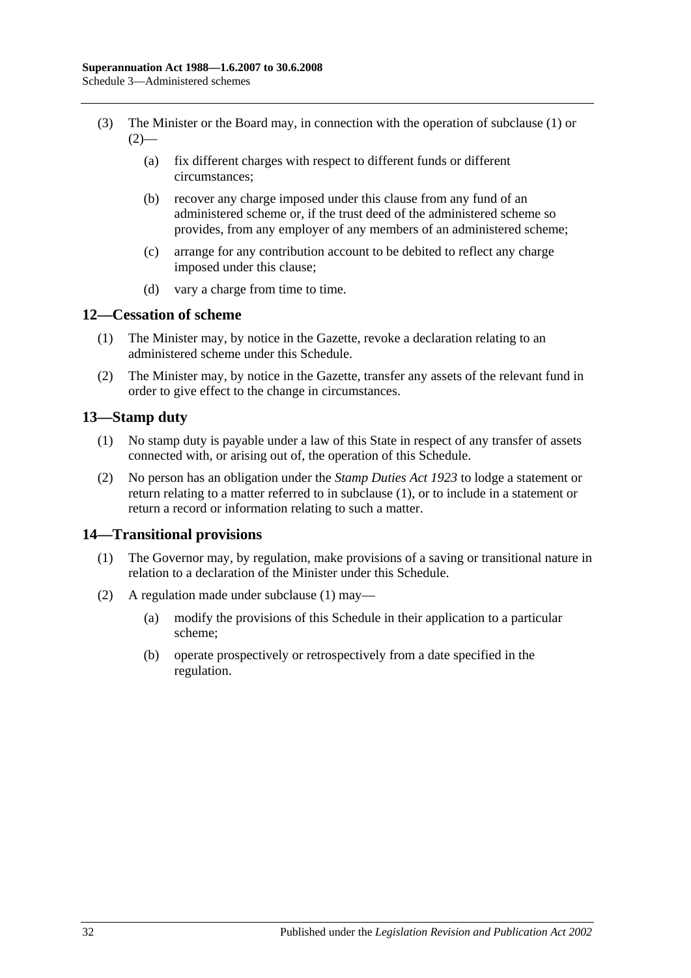- (3) The Minister or the Board may, in connection with the operation of [subclause](#page-128-3) (1) or  $(2)$ —
	- (a) fix different charges with respect to different funds or different circumstances;
	- (b) recover any charge imposed under this clause from any fund of an administered scheme or, if the trust deed of the administered scheme so provides, from any employer of any members of an administered scheme;
	- (c) arrange for any contribution account to be debited to reflect any charge imposed under this clause;
	- (d) vary a charge from time to time.

## **12—Cessation of scheme**

- (1) The Minister may, by notice in the Gazette, revoke a declaration relating to an administered scheme under this Schedule.
- (2) The Minister may, by notice in the Gazette, transfer any assets of the relevant fund in order to give effect to the change in circumstances.

## <span id="page-129-0"></span>**13—Stamp duty**

- (1) No stamp duty is payable under a law of this State in respect of any transfer of assets connected with, or arising out of, the operation of this Schedule.
- (2) No person has an obligation under the *[Stamp Duties Act](http://www.legislation.sa.gov.au/index.aspx?action=legref&type=act&legtitle=Stamp%20Duties%20Act%201923) 1923* to lodge a statement or return relating to a matter referred to in [subclause](#page-129-0) (1), or to include in a statement or return a record or information relating to such a matter.

### <span id="page-129-1"></span>**14—Transitional provisions**

- (1) The Governor may, by regulation, make provisions of a saving or transitional nature in relation to a declaration of the Minister under this Schedule.
- (2) A regulation made under [subclause](#page-129-1) (1) may—
	- (a) modify the provisions of this Schedule in their application to a particular scheme;
	- (b) operate prospectively or retrospectively from a date specified in the regulation.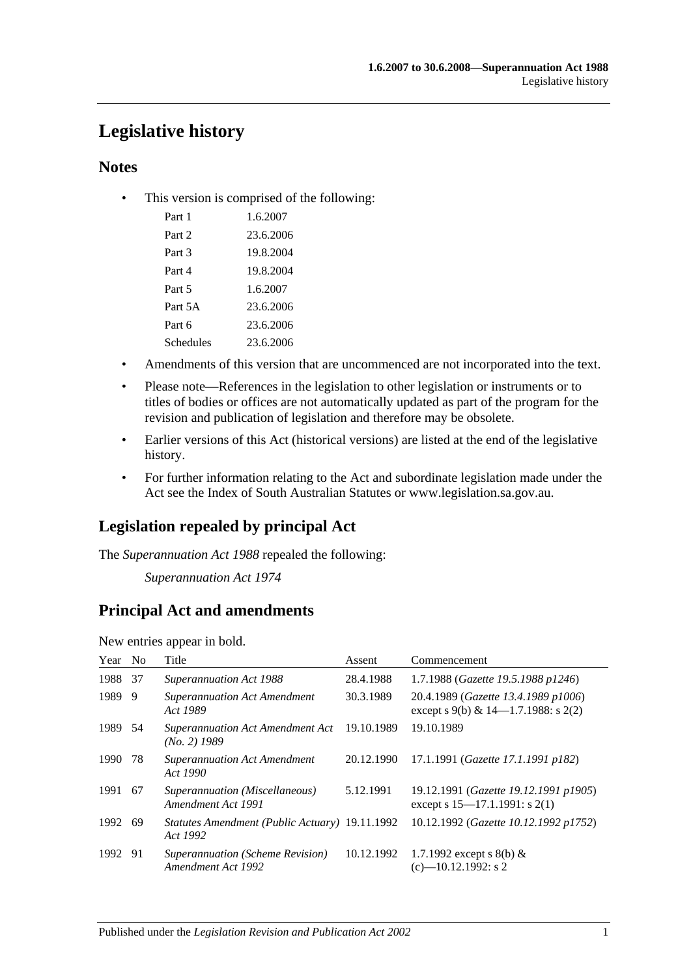# **Legislative history**

## **Notes**

• This version is comprised of the following:

| Part 1    | 1.6.2007  |
|-----------|-----------|
| Part 2    | 23.6.2006 |
| Part 3    | 19.8.2004 |
| Part 4    | 19.8.2004 |
| Part 5    | 1.6.2007  |
| Part 5A   | 23.6.2006 |
| Part 6    | 23.6.2006 |
| Schedules | 23.6.2006 |

- Amendments of this version that are uncommenced are not incorporated into the text.
- Please note—References in the legislation to other legislation or instruments or to titles of bodies or offices are not automatically updated as part of the program for the revision and publication of legislation and therefore may be obsolete.
- Earlier versions of this Act (historical versions) are listed at the end of the legislative history.
- For further information relating to the Act and subordinate legislation made under the Act see the Index of South Australian Statutes or www.legislation.sa.gov.au.

# **Legislation repealed by principal Act**

The *Superannuation Act 1988* repealed the following:

*Superannuation Act 1974*

# **Principal Act and amendments**

New entries appear in bold.

| Year No |     | Title                                                      | Assent     | Commencement                                                                  |
|---------|-----|------------------------------------------------------------|------------|-------------------------------------------------------------------------------|
| 1988    | -37 | <b>Superannuation Act 1988</b>                             | 28.4.1988  | 1.7.1988 (Gazette 19.5.1988 p1246)                                            |
| 1989    | 9   | <b>Superannuation Act Amendment</b><br>Act 1989            | 30.3.1989  | 20.4.1989 (Gazette 13.4.1989 p1006)<br>except s 9(b) & $14-1.7.1988$ : s 2(2) |
| 1989 54 |     | <b>Superannuation Act Amendment Act</b><br>$(No. 2)$ 1989  | 19.10.1989 | 19.10.1989                                                                    |
| 1990    | 78  | <b>Superannuation Act Amendment</b><br>Act 1990            | 20.12.1990 | 17.1.1991 (Gazette 17.1.1991 p182)                                            |
| 1991    | -67 | Superannuation (Miscellaneous)<br>Amendment Act 1991       | 5.12.1991  | 19.12.1991 (Gazette 19.12.1991 p1905)<br>except s $15-17.1.1991$ : s $2(1)$   |
| 1992    | -69 | Statutes Amendment (Public Actuary) 19.11.1992<br>Act 1992 |            | 10.12.1992 (Gazette 10.12.1992 p1752)                                         |
| 1992 91 |     | Superannuation (Scheme Revision)<br>Amendment Act 1992     | 10.12.1992 | 1.7.1992 except s 8(b) $&$<br>$(c)$ —10.12.1992: s 2                          |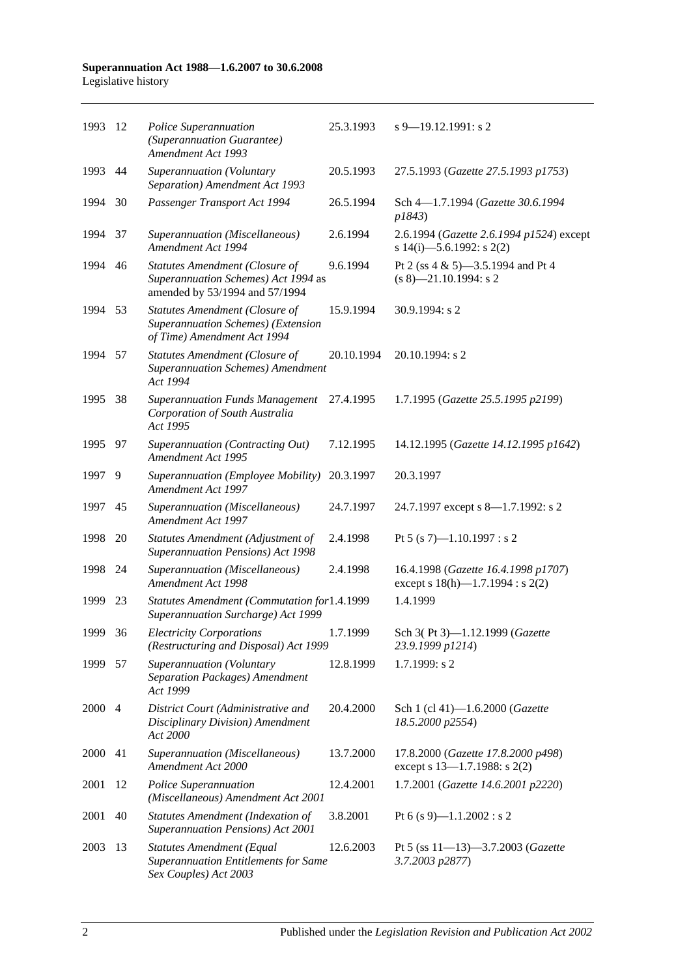| 1993    | -12            | Police Superannuation<br>(Superannuation Guarantee)<br>Amendment Act 1993                                  | 25.3.1993  | $s$ 9–19.12.1991: s 2                                                        |
|---------|----------------|------------------------------------------------------------------------------------------------------------|------------|------------------------------------------------------------------------------|
| 1993    | 44             | Superannuation (Voluntary<br>Separation) Amendment Act 1993                                                | 20.5.1993  | 27.5.1993 (Gazette 27.5.1993 p1753)                                          |
| 1994    | 30             | Passenger Transport Act 1994                                                                               | 26.5.1994  | Sch 4-1.7.1994 (Gazette 30.6.1994<br>p1843)                                  |
| 1994    | 37             | Superannuation (Miscellaneous)<br><b>Amendment Act 1994</b>                                                | 2.6.1994   | 2.6.1994 (Gazette 2.6.1994 p1524) except<br>s 14(i)-5.6.1992: s 2(2)         |
| 1994    | 46             | Statutes Amendment (Closure of<br>Superannuation Schemes) Act 1994 as<br>amended by 53/1994 and 57/1994    | 9.6.1994   | Pt 2 (ss 4 & 5)-3.5.1994 and Pt 4<br>$(s 8)$ —21.10.1994: s 2                |
| 1994    | 53             | <b>Statutes Amendment (Closure of</b><br>Superannuation Schemes) (Extension<br>of Time) Amendment Act 1994 | 15.9.1994  | $30.9.1994$ : s 2                                                            |
| 1994    | 57             | <b>Statutes Amendment (Closure of</b><br><b>Superannuation Schemes)</b> Amendment<br>Act 1994              | 20.10.1994 | 20.10.1994: s 2                                                              |
| 1995    | 38             | <b>Superannuation Funds Management</b><br>Corporation of South Australia<br>Act 1995                       | 27.4.1995  | 1.7.1995 (Gazette 25.5.1995 p2199)                                           |
| 1995    | 97             | Superannuation (Contracting Out)<br>Amendment Act 1995                                                     | 7.12.1995  | 14.12.1995 (Gazette 14.12.1995 p1642)                                        |
| 1997    | 9              | Superannuation (Employee Mobility)<br>Amendment Act 1997                                                   | 20.3.1997  | 20.3.1997                                                                    |
| 1997    | 45             | Superannuation (Miscellaneous)<br>Amendment Act 1997                                                       | 24.7.1997  | 24.7.1997 except s 8—1.7.1992: s 2                                           |
| 1998    | 20             | Statutes Amendment (Adjustment of<br>Superannuation Pensions) Act 1998                                     | 2.4.1998   | Pt 5 (s 7)-1.10.1997 : s 2                                                   |
| 1998    | -24            | Superannuation (Miscellaneous)<br><b>Amendment Act 1998</b>                                                | 2.4.1998   | 16.4.1998 (Gazette 16.4.1998 p1707)<br>except s $18(h)$ —1.7.1994 : s $2(2)$ |
| 1999    | 23             | Statutes Amendment (Commutation for1.4.1999<br>Superannuation Surcharge) Act 1999                          |            | 1.4.1999                                                                     |
| 1999    | 36             | <b>Electricity Corporations</b><br>(Restructuring and Disposal) Act 1999                                   | 1.7.1999   | Sch 3(Pt 3)-1.12.1999 (Gazette<br>23.9.1999 p1214)                           |
| 1999 57 |                | Superannuation (Voluntary<br>Separation Packages) Amendment<br>Act 1999                                    | 12.8.1999  | 1.7.1999: s2                                                                 |
| 2000    | $\overline{4}$ | District Court (Administrative and<br>Disciplinary Division) Amendment<br>Act 2000                         | 20.4.2000  | Sch 1 (cl 41)-1.6.2000 (Gazette<br>18.5.2000 p2554)                          |
| 2000    | 41             | Superannuation (Miscellaneous)<br>Amendment Act 2000                                                       | 13.7.2000  | 17.8.2000 (Gazette 17.8.2000 p498)<br>except s $13-1.7.1988$ : s $2(2)$      |
| 2001    | 12             | Police Superannuation<br>(Miscellaneous) Amendment Act 2001                                                | 12.4.2001  | 1.7.2001 (Gazette 14.6.2001 p2220)                                           |
| 2001    | 40             | <b>Statutes Amendment (Indexation of</b><br>Superannuation Pensions) Act 2001                              | 3.8.2001   | Pt 6 (s 9)-1.1.2002 : s 2                                                    |
| 2003    | 13             | Statutes Amendment (Equal<br><b>Superannuation Entitlements for Same</b><br>Sex Couples) Act 2003          | 12.6.2003  | Pt 5 (ss $11-13-3.7.2003$ (Gazette<br>3.7.2003 p2877)                        |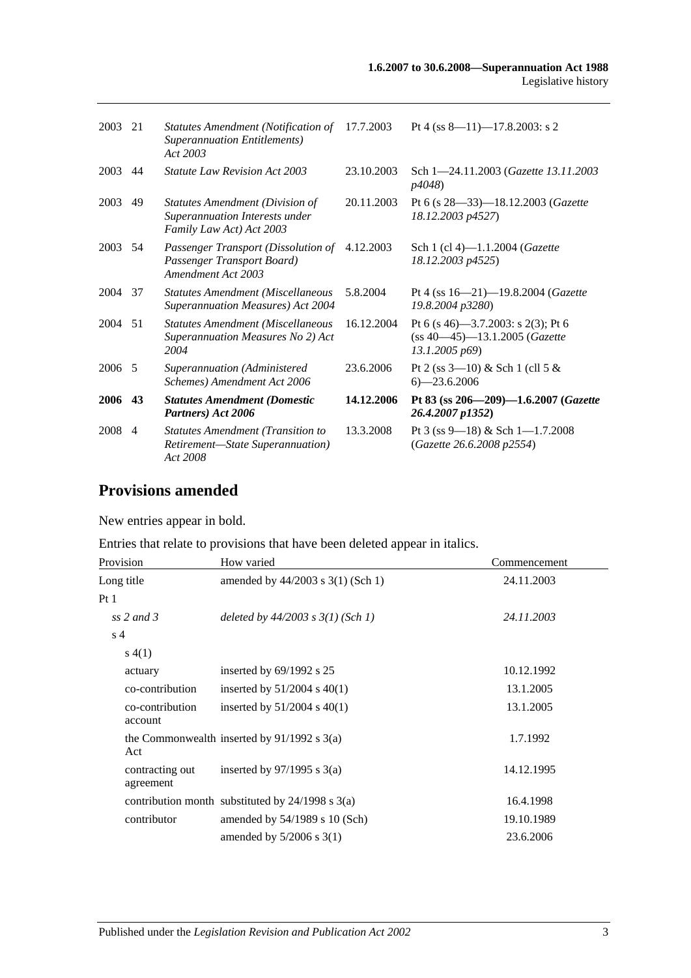| 2003    | 21 | Statutes Amendment (Notification of 17.7.2003<br><b>Superannuation Entitlements</b> )<br>Act 2003 |            | Pt 4 (ss $8-11$ )-17.8.2003: s 2                                                      |
|---------|----|---------------------------------------------------------------------------------------------------|------------|---------------------------------------------------------------------------------------|
| 2003    | 44 | <b>Statute Law Revision Act 2003</b>                                                              | 23.10.2003 | Sch 1-24.11.2003 (Gazette 13.11.2003)<br>p4048)                                       |
| 2003    | 49 | Statutes Amendment (Division of<br>Superannuation Interests under<br>Family Law Act) Act 2003     | 20.11.2003 | Pt 6 (s $28 - 33$ ) - 18.12.2003 ( <i>Gazette</i><br>18.12.2003 p4527)                |
| 2003 54 |    | Passenger Transport (Dissolution of<br>Passenger Transport Board)<br>Amendment Act 2003           | 4.12.2003  | Sch 1 (cl 4)-1.1.2004 (Gazette<br>18.12.2003 p4525)                                   |
| 2004 37 |    | Statutes Amendment (Miscellaneous<br><b>Superannuation Measures) Act 2004</b>                     | 5.8.2004   | Pt 4 (ss $16 - 21$ ) -19.8.2004 (Gazette<br>19.8.2004 p3280)                          |
| 2004 51 |    | <b>Statutes Amendment (Miscellaneous</b><br>Superannuation Measures No 2) Act<br>2004             | 16.12.2004 | Pt 6 (s 46)–3.7.2003: s 2(3); Pt 6<br>(ss 40-45)-13.1.2005 (Gazette<br>13.1.2005 p69) |
| 2006 5  |    | Superannuation (Administered<br>Schemes) Amendment Act 2006                                       | 23.6.2006  | Pt 2 (ss $3-10$ ) & Sch 1 (cll 5 &<br>$6 - 23.6.2006$                                 |
| 2006    | 43 | <b>Statutes Amendment (Domestic</b><br>Partners) Act 2006                                         | 14.12.2006 | Pt 83 (ss $206 - 209 - 1.6.2007$ (Gazette<br>26.4.2007 p1352)                         |
| 2008 4  |    | <b>Statutes Amendment (Transition to</b><br>Retirement-State Superannuation)<br>Act 2008          | 13.3.2008  | Pt 3 (ss 9—18) & Sch 1—1.7.2008<br>(Gazette 26.6.2008 p2554)                          |

# **Provisions amended**

New entries appear in bold.

Entries that relate to provisions that have been deleted appear in italics.

| Provision                    | How varied                                           | Commencement |
|------------------------------|------------------------------------------------------|--------------|
| Long title                   | amended by $44/2003$ s $3(1)$ (Sch 1)                | 24.11.2003   |
| Pt <sub>1</sub>              |                                                      |              |
| ss 2 and 3                   | deleted by $44/2003$ s $3(1)$ (Sch 1)                | 24.11.2003   |
| s <sub>4</sub>               |                                                      |              |
| s(4(1))                      |                                                      |              |
| actuary                      | inserted by $69/1992$ s 25                           | 10.12.1992   |
| co-contribution              | inserted by $51/2004$ s $40(1)$                      | 13.1.2005    |
| co-contribution<br>account   | inserted by $51/2004$ s $40(1)$                      | 13.1.2005    |
| Act                          | the Commonwealth inserted by $91/1992$ s 3(a)        | 1.7.1992     |
| contracting out<br>agreement | inserted by $97/1995$ s 3(a)                         | 14.12.1995   |
|                              | contribution month substituted by $24/1998$ s $3(a)$ | 16.4.1998    |
| contributor                  | amended by $54/1989$ s 10 (Sch)                      | 19.10.1989   |
|                              | amended by $5/2006$ s 3(1)                           | 23.6.2006    |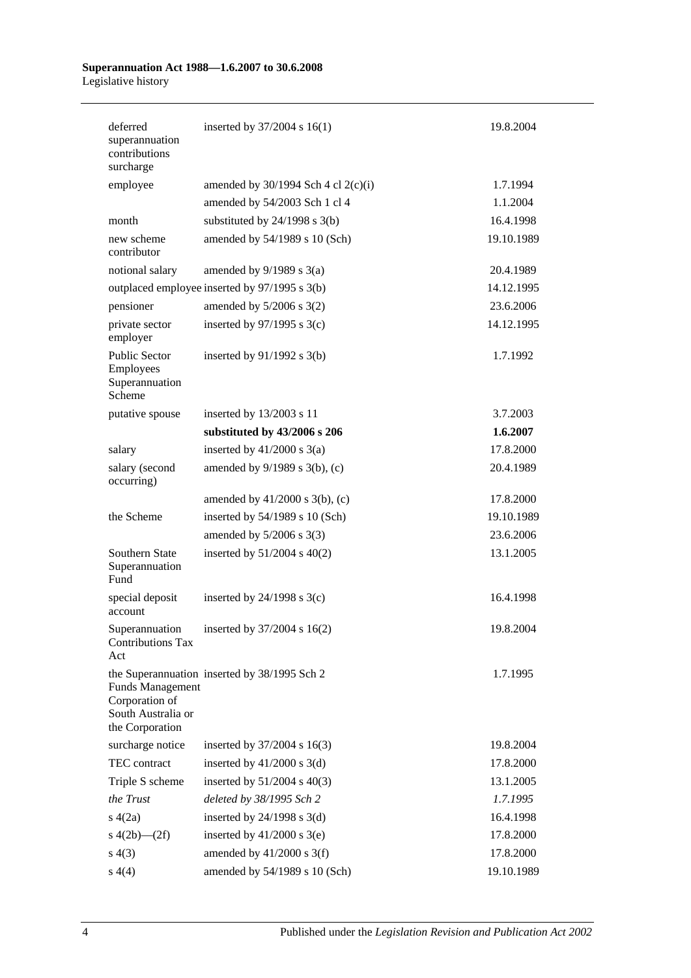| deferred<br>superannuation<br>contributions<br>surcharge                           | inserted by $37/2004$ s $16(1)$               | 19.8.2004  |
|------------------------------------------------------------------------------------|-----------------------------------------------|------------|
| employee                                                                           | amended by $30/1994$ Sch 4 cl 2(c)(i)         | 1.7.1994   |
|                                                                                    | amended by 54/2003 Sch 1 cl 4                 | 1.1.2004   |
| month                                                                              | substituted by $24/1998$ s $3(b)$             | 16.4.1998  |
| new scheme<br>contributor                                                          | amended by 54/1989 s 10 (Sch)                 | 19.10.1989 |
| notional salary                                                                    | amended by $9/1989$ s $3(a)$                  | 20.4.1989  |
|                                                                                    | outplaced employee inserted by 97/1995 s 3(b) | 14.12.1995 |
| pensioner                                                                          | amended by $5/2006$ s $3(2)$                  | 23.6.2006  |
| private sector<br>employer                                                         | inserted by $97/1995$ s 3(c)                  | 14.12.1995 |
| <b>Public Sector</b><br>Employees<br>Superannuation<br>Scheme                      | inserted by $91/1992$ s $3(b)$                | 1.7.1992   |
| putative spouse                                                                    | inserted by 13/2003 s 11                      | 3.7.2003   |
|                                                                                    | substituted by 43/2006 s 206                  | 1.6.2007   |
| salary                                                                             | inserted by $41/2000$ s $3(a)$                | 17.8.2000  |
| salary (second<br>occurring)                                                       | amended by 9/1989 s 3(b), (c)                 | 20.4.1989  |
|                                                                                    | amended by $41/2000$ s $3(b)$ , (c)           | 17.8.2000  |
| the Scheme                                                                         | inserted by 54/1989 s 10 (Sch)                | 19.10.1989 |
|                                                                                    | amended by $5/2006$ s 3(3)                    | 23.6.2006  |
| Southern State<br>Superannuation<br>Fund                                           | inserted by $51/2004$ s $40(2)$               | 13.1.2005  |
| special deposit<br>account                                                         | inserted by $24/1998$ s $3(c)$                | 16.4.1998  |
| Superannuation<br><b>Contributions Tax</b><br>Act                                  | inserted by 37/2004 s 16(2)                   | 19.8.2004  |
| <b>Funds Management</b><br>Corporation of<br>South Australia or<br>the Corporation | the Superannuation inserted by 38/1995 Sch 2  | 1.7.1995   |
| surcharge notice                                                                   | inserted by 37/2004 s 16(3)                   | 19.8.2004  |
| TEC contract                                                                       | inserted by $41/2000$ s $3(d)$                | 17.8.2000  |
| Triple S scheme                                                                    | inserted by $51/2004$ s $40(3)$               | 13.1.2005  |
| the Trust                                                                          | deleted by 38/1995 Sch 2                      | 1.7.1995   |
| s(4(2a))                                                                           | inserted by $24/1998$ s $3(d)$                | 16.4.1998  |
| s $4(2b)$ — $(2f)$                                                                 | inserted by $41/2000$ s 3(e)                  | 17.8.2000  |
| s(4(3))                                                                            | amended by $41/2000$ s 3(f)                   | 17.8.2000  |
| s(4)                                                                               | amended by 54/1989 s 10 (Sch)                 | 19.10.1989 |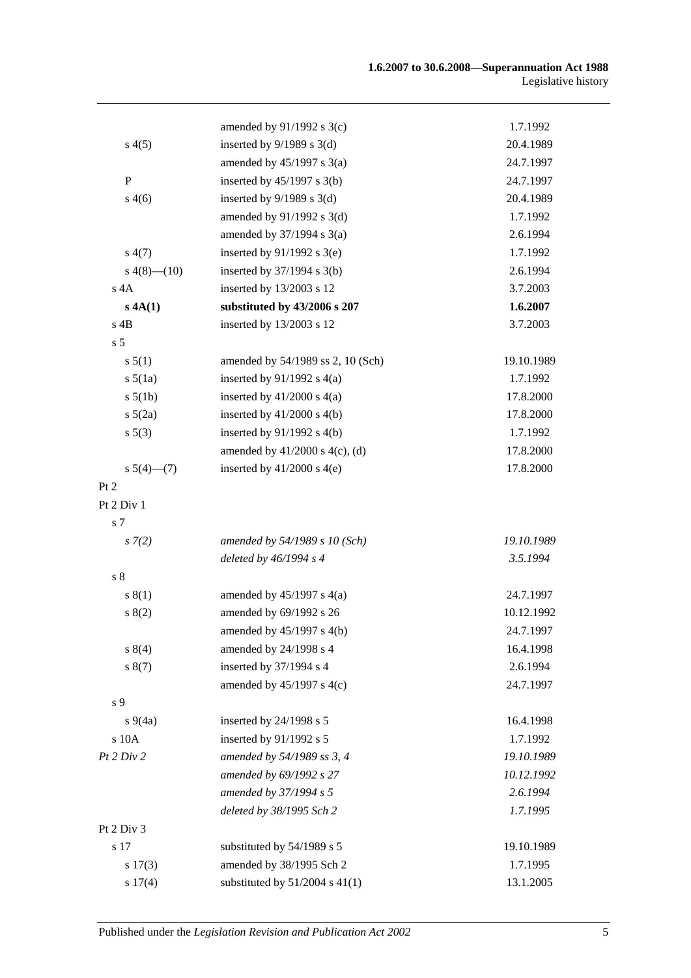|                | amended by $91/1992$ s 3(c)         | 1.7.1992   |
|----------------|-------------------------------------|------------|
| s(4(5))        | inserted by $9/1989$ s 3(d)         | 20.4.1989  |
|                | amended by $45/1997$ s $3(a)$       | 24.7.1997  |
| $\, {\bf P}$   | inserted by $45/1997$ s 3(b)        | 24.7.1997  |
| s(4(6)         | inserted by $9/1989$ s 3(d)         | 20.4.1989  |
|                | amended by $91/1992$ s 3(d)         | 1.7.1992   |
|                | amended by $37/1994$ s $3(a)$       | 2.6.1994   |
| s(4(7))        | inserted by $91/1992$ s 3(e)        | 1.7.1992   |
| $s\ 4(8)$ (10) | inserted by $37/1994$ s $3(b)$      | 2.6.1994   |
| $s$ 4A         | inserted by 13/2003 s 12            | 3.7.2003   |
| s 4A(1)        | substituted by 43/2006 s 207        | 1.6.2007   |
| $s$ 4B         | inserted by 13/2003 s 12            | 3.7.2003   |
| s <sub>5</sub> |                                     |            |
| s 5(1)         | amended by 54/1989 ss 2, 10 (Sch)   | 19.10.1989 |
| $s\,5(1a)$     | inserted by $91/1992$ s $4(a)$      | 1.7.1992   |
| $s\ 5(1b)$     | inserted by $41/2000$ s $4(a)$      | 17.8.2000  |
| $s\ 5(2a)$     | inserted by $41/2000$ s $4(b)$      | 17.8.2000  |
| $s\,5(3)$      | inserted by $91/1992$ s $4(b)$      | 1.7.1992   |
|                | amended by $41/2000$ s $4(c)$ , (d) | 17.8.2000  |
| $s\ 5(4)$ (7)  | inserted by $41/2000$ s $4(e)$      | 17.8.2000  |
| Pt 2           |                                     |            |
| Pt 2 Div 1     |                                     |            |
| s 7            |                                     |            |
| $s \, 7(2)$    | amended by 54/1989 s 10 (Sch)       | 19.10.1989 |
|                | deleted by $46/1994 s 4$            | 3.5.1994   |
| s <sub>8</sub> |                                     |            |
| s(1)           | amended by $45/1997$ s $4(a)$       | 24.7.1997  |
| s(2)           | amended by 69/1992 s 26             | 10.12.1992 |
|                | amended by $45/1997$ s $4(b)$       | 24.7.1997  |
| s 8(4)         | amended by 24/1998 s 4              | 16.4.1998  |
| s(7)           | inserted by 37/1994 s 4             | 2.6.1994   |
|                | amended by 45/1997 s 4(c)           | 24.7.1997  |
| s 9            |                                     |            |
| $s\,9(4a)$     | inserted by 24/1998 s 5             | 16.4.1998  |
| s 10A          | inserted by 91/1992 s 5             | 1.7.1992   |
| Pt 2 Div 2     | amended by 54/1989 ss 3, 4          | 19.10.1989 |
|                | amended by 69/1992 s 27             | 10.12.1992 |
|                | amended by 37/1994 s 5              | 2.6.1994   |
|                | deleted by 38/1995 Sch 2            | 1.7.1995   |
| Pt 2 Div 3     |                                     |            |
| s 17           | substituted by 54/1989 s 5          | 19.10.1989 |
| $s\ 17(3)$     | amended by 38/1995 Sch 2            | 1.7.1995   |
| s 17(4)        | substituted by $51/2004$ s $41(1)$  | 13.1.2005  |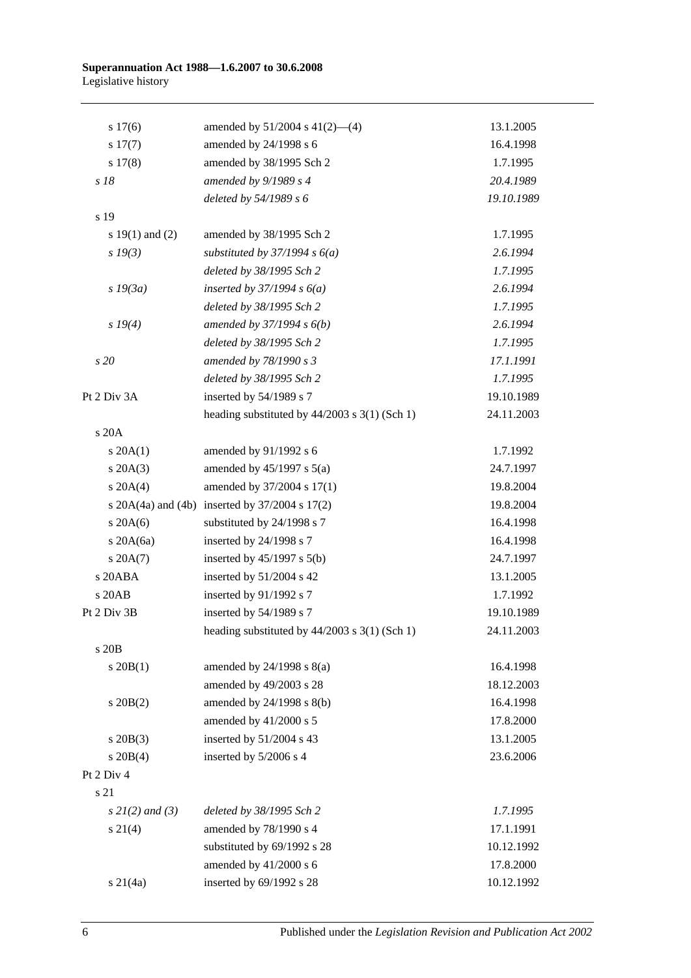| s 17(6)             | amended by $51/2004$ s $41(2)$ —(4)                    | 13.1.2005  |
|---------------------|--------------------------------------------------------|------------|
| s 17(7)             | amended by 24/1998 s 6                                 | 16.4.1998  |
| s 17(8)             | amended by 38/1995 Sch 2                               | 1.7.1995   |
| s 18                | amended by 9/1989 s 4                                  | 20.4.1989  |
|                     | deleted by 54/1989 s 6                                 | 19.10.1989 |
| s 19                |                                                        |            |
| s $19(1)$ and $(2)$ | amended by 38/1995 Sch 2                               | 1.7.1995   |
| $s\,19(3)$          | substituted by $37/1994 s 6(a)$                        | 2.6.1994   |
|                     | deleted by 38/1995 Sch 2                               | 1.7.1995   |
| $s$ 19 $(3a)$       | inserted by $37/1994 s 6(a)$                           | 2.6.1994   |
|                     | deleted by 38/1995 Sch 2                               | 1.7.1995   |
| s 19(4)             | amended by $37/1994 s 6(b)$                            | 2.6.1994   |
|                     | deleted by 38/1995 Sch 2                               | 1.7.1995   |
| s 20                | amended by 78/1990 s 3                                 | 17.1.1991  |
|                     | deleted by 38/1995 Sch 2                               | 1.7.1995   |
| Pt 2 Div 3A         | inserted by 54/1989 s 7                                | 19.10.1989 |
|                     | heading substituted by $44/2003$ s $3(1)$ (Sch 1)      | 24.11.2003 |
| s 20A               |                                                        |            |
| $s \, 20A(1)$       | amended by 91/1992 s 6                                 | 1.7.1992   |
| $s \, 20A(3)$       | amended by $45/1997$ s $5(a)$                          | 24.7.1997  |
| $s \ 20A(4)$        | amended by 37/2004 s 17(1)                             | 19.8.2004  |
|                     | s $20A(4a)$ and $(4b)$ inserted by $37/2004$ s $17(2)$ | 19.8.2004  |
| $s \, 20A(6)$       | substituted by 24/1998 s 7                             | 16.4.1998  |
| $s$ 20A(6a)         | inserted by 24/1998 s 7                                | 16.4.1998  |
| $s \, 20A(7)$       | inserted by $45/1997$ s $5(b)$                         | 24.7.1997  |
| s 20ABA             | inserted by 51/2004 s 42                               | 13.1.2005  |
| s 20AB              | inserted by 91/1992 s 7                                | 1.7.1992   |
| Pt 2 Div 3B         | inserted by 54/1989 s 7                                | 19.10.1989 |
|                     | heading substituted by $44/2003$ s $3(1)$ (Sch 1)      | 24.11.2003 |
| s 20 <sub>B</sub>   |                                                        |            |
| $s \ 20B(1)$        | amended by $24/1998$ s $8(a)$                          | 16.4.1998  |
|                     | amended by 49/2003 s 28                                | 18.12.2003 |
| $s$ 20B $(2)$       | amended by 24/1998 s 8(b)                              | 16.4.1998  |
|                     | amended by 41/2000 s 5                                 | 17.8.2000  |
| $s$ 20B(3)          | inserted by 51/2004 s 43                               | 13.1.2005  |
| $s \ 20B(4)$        | inserted by 5/2006 s 4                                 | 23.6.2006  |
| Pt 2 Div 4          |                                                        |            |
| s 21                |                                                        |            |
| $s 2I(2)$ and (3)   | deleted by 38/1995 Sch 2                               | 1.7.1995   |
| $s \, 21(4)$        | amended by 78/1990 s 4                                 | 17.1.1991  |
|                     | substituted by 69/1992 s 28                            | 10.12.1992 |
|                     | amended by 41/2000 s 6                                 | 17.8.2000  |
| $s \ 21(4a)$        | inserted by 69/1992 s 28                               | 10.12.1992 |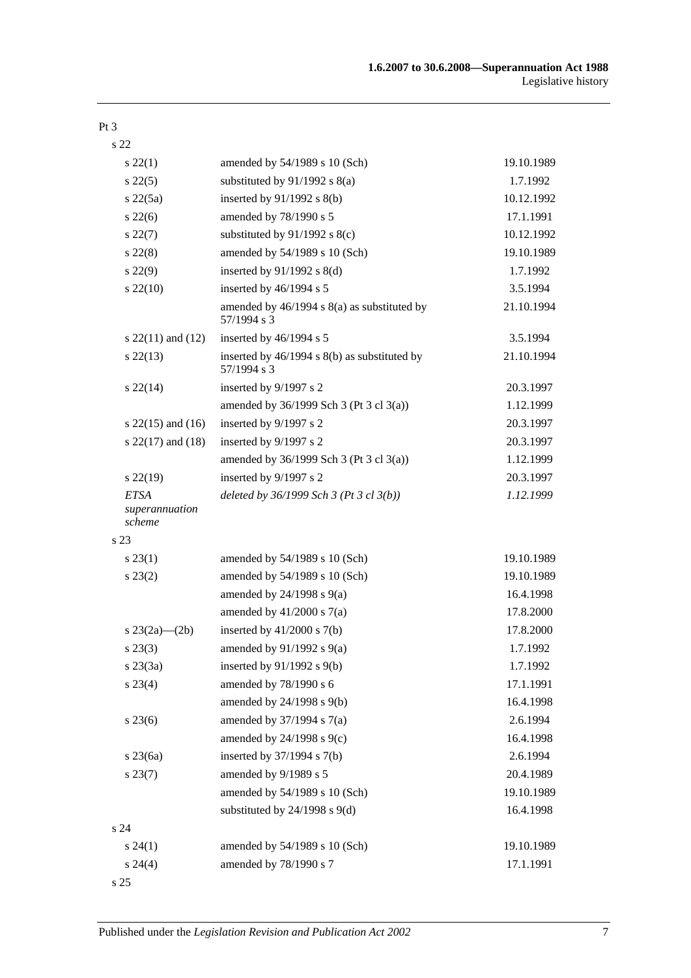#### Pt 3

s 22

| $s\,22(1)$                              | amended by 54/1989 s 10 (Sch)                                  | 19.10.1989 |
|-----------------------------------------|----------------------------------------------------------------|------------|
| $s\,22(5)$                              | substituted by $91/1992$ s $8(a)$                              | 1.7.1992   |
| $s\,22(5a)$                             | inserted by 91/1992 s 8(b)                                     | 10.12.1992 |
| $s\,22(6)$                              | amended by 78/1990 s 5                                         | 17.1.1991  |
| $s\,22(7)$                              | substituted by $91/1992$ s $8(c)$                              | 10.12.1992 |
| $s\,22(8)$                              | amended by 54/1989 s 10 (Sch)                                  | 19.10.1989 |
| $s\ 22(9)$                              | inserted by $91/1992$ s $8(d)$                                 | 1.7.1992   |
| $s\,22(10)$                             | inserted by 46/1994 s 5                                        | 3.5.1994   |
|                                         | amended by $46/1994$ s $8(a)$ as substituted by<br>57/1994 s 3 | 21.10.1994 |
| s $22(11)$ and $(12)$                   | inserted by 46/1994 s 5                                        | 3.5.1994   |
| $s\,22(13)$                             | inserted by 46/1994 s 8(b) as substituted by<br>57/1994 s 3    | 21.10.1994 |
| $s\,22(14)$                             | inserted by 9/1997 s 2                                         | 20.3.1997  |
|                                         | amended by 36/1999 Sch 3 (Pt 3 cl 3(a))                        | 1.12.1999  |
| s $22(15)$ and $(16)$                   | inserted by 9/1997 s 2                                         | 20.3.1997  |
| s $22(17)$ and $(18)$                   | inserted by 9/1997 s 2                                         | 20.3.1997  |
|                                         | amended by 36/1999 Sch 3 (Pt 3 cl 3(a))                        | 1.12.1999  |
| $s$ 22(19)                              | inserted by 9/1997 s 2                                         | 20.3.1997  |
| <b>ETSA</b><br>superannuation<br>scheme | deleted by $36/1999$ Sch 3 (Pt 3 cl $3(b)$ )                   | 1.12.1999  |
| s 23                                    |                                                                |            |
| $s\,23(1)$                              | amended by 54/1989 s 10 (Sch)                                  | 19.10.1989 |
| $s\,23(2)$                              | amended by 54/1989 s 10 (Sch)                                  | 19.10.1989 |
|                                         | amended by $24/1998$ s $9(a)$                                  | 16.4.1998  |
|                                         | amended by $41/2000$ s $7(a)$                                  | 17.8.2000  |
| s $23(2a)$ (2b)                         | inserted by $41/2000$ s $7(b)$                                 | 17.8.2000  |
| $s\,23(3)$                              | amended by $91/1992$ s $9(a)$                                  | 1.7.1992   |
| $s\,23(3a)$                             | inserted by 91/1992 s 9(b)                                     | 1.7.1992   |
| s 23(4)                                 | amended by 78/1990 s 6                                         | 17.1.1991  |
|                                         | amended by 24/1998 s 9(b)                                      | 16.4.1998  |
| $s\,23(6)$                              | amended by $37/1994$ s $7(a)$                                  | 2.6.1994   |
|                                         | amended by 24/1998 s 9(c)                                      | 16.4.1998  |
| $s$ 23 $(6a)$                           | inserted by 37/1994 s 7(b)                                     | 2.6.1994   |
| $s\,23(7)$                              | amended by 9/1989 s 5                                          | 20.4.1989  |
|                                         | amended by 54/1989 s 10 (Sch)                                  | 19.10.1989 |
|                                         | substituted by $24/1998$ s $9(d)$                              | 16.4.1998  |
| s 24                                    |                                                                |            |
| $s\,24(1)$                              | amended by 54/1989 s 10 (Sch)                                  | 19.10.1989 |
| $s\,24(4)$                              | amended by 78/1990 s 7                                         | 17.1.1991  |
| s 25                                    |                                                                |            |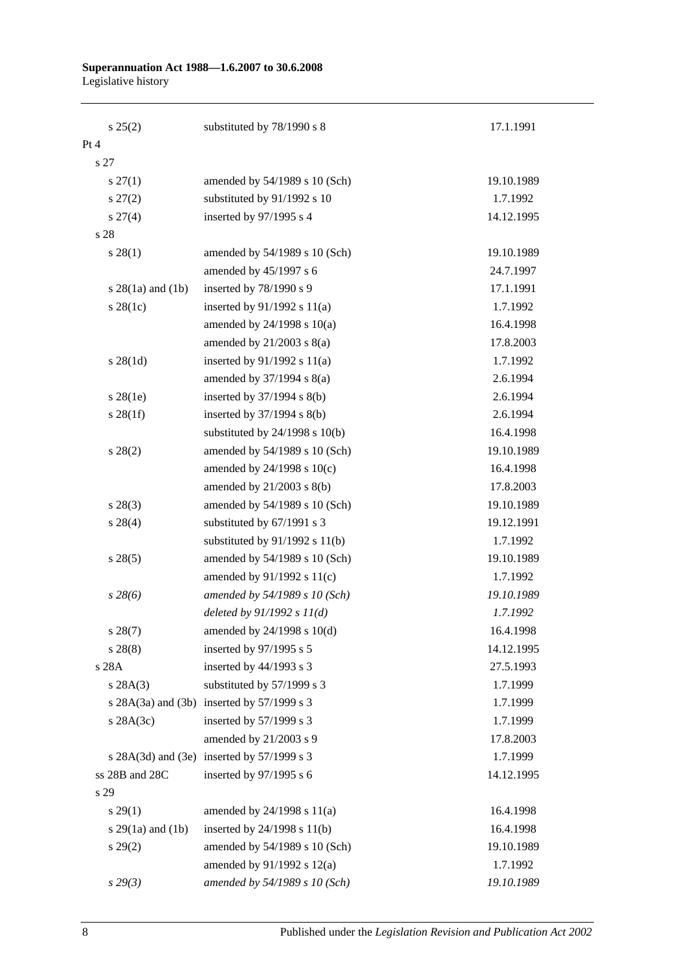| s 25(2)                | substituted by 78/1990 s 8                       | 17.1.1991  |
|------------------------|--------------------------------------------------|------------|
| Pt 4                   |                                                  |            |
| s 27                   |                                                  |            |
| $s \, 27(1)$           | amended by 54/1989 s 10 (Sch)                    | 19.10.1989 |
| $s\,27(2)$             | substituted by 91/1992 s 10                      | 1.7.1992   |
| $s \, 27(4)$           | inserted by 97/1995 s 4                          | 14.12.1995 |
| s 28                   |                                                  |            |
| $s\,28(1)$             | amended by 54/1989 s 10 (Sch)                    | 19.10.1989 |
|                        | amended by 45/1997 s 6                           | 24.7.1997  |
| s $28(1a)$ and $(1b)$  | inserted by 78/1990 s 9                          | 17.1.1991  |
| $s$ 28(1c)             | inserted by $91/1992$ s $11(a)$                  | 1.7.1992   |
|                        | amended by $24/1998$ s $10(a)$                   | 16.4.1998  |
|                        | amended by $21/2003$ s $8(a)$                    | 17.8.2003  |
| $s \, 28(1d)$          | inserted by $91/1992$ s $11(a)$                  | 1.7.1992   |
|                        | amended by $37/1994$ s $8(a)$                    | 2.6.1994   |
| $s$ 28(1e)             | inserted by $37/1994$ s $8(b)$                   | 2.6.1994   |
| $s \, 28(1f)$          | inserted by $37/1994$ s $8(b)$                   | 2.6.1994   |
|                        | substituted by $24/1998$ s $10(b)$               | 16.4.1998  |
| $s\,28(2)$             | amended by 54/1989 s 10 (Sch)                    | 19.10.1989 |
|                        | amended by $24/1998$ s $10(c)$                   | 16.4.1998  |
|                        | amended by 21/2003 s 8(b)                        | 17.8.2003  |
| $s\,28(3)$             | amended by 54/1989 s 10 (Sch)                    | 19.10.1989 |
| $s\,28(4)$             | substituted by 67/1991 s 3                       | 19.12.1991 |
|                        | substituted by $91/1992$ s $11(b)$               | 1.7.1992   |
| $s\,28(5)$             | amended by 54/1989 s 10 (Sch)                    | 19.10.1989 |
|                        | amended by $91/1992$ s $11(c)$                   | 1.7.1992   |
| $s\,28(6)$             | amended by 54/1989 s 10 (Sch)                    | 19.10.1989 |
|                        | deleted by $91/1992 s 11(d)$                     | 1.7.1992   |
| s 28(7)                | amended by 24/1998 s 10(d)                       | 16.4.1998  |
| $s\,28(8)$             | inserted by 97/1995 s 5                          | 14.12.1995 |
| s 28A                  | inserted by 44/1993 s 3                          | 27.5.1993  |
| s 28A(3)               | substituted by 57/1999 s 3                       | 1.7.1999   |
| s $28A(3a)$ and $(3b)$ | inserted by $57/1999$ s 3                        | 1.7.1999   |
| s $28A(3c)$            | inserted by 57/1999 s 3                          | 1.7.1999   |
|                        | amended by 21/2003 s 9                           | 17.8.2003  |
|                        | s $28A(3d)$ and $(3e)$ inserted by $57/1999$ s 3 | 1.7.1999   |
| ss 28B and 28C         | inserted by 97/1995 s 6                          | 14.12.1995 |
| s 29                   |                                                  |            |
| s 29(1)                | amended by $24/1998$ s $11(a)$                   | 16.4.1998  |
| s $29(1a)$ and $(1b)$  | inserted by 24/1998 s 11(b)                      | 16.4.1998  |
| $s\,29(2)$             | amended by 54/1989 s 10 (Sch)                    | 19.10.1989 |
|                        | amended by $91/1992$ s $12(a)$                   | 1.7.1992   |
| $s\,29(3)$             | amended by 54/1989 s 10 (Sch)                    | 19.10.1989 |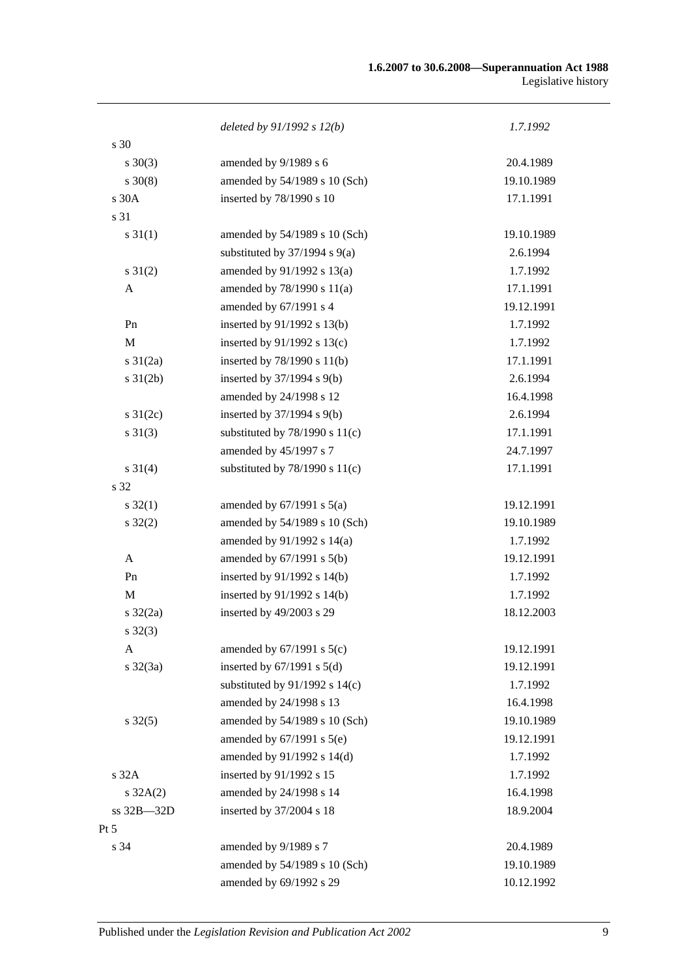#### **1.6.2007 to 30.6.2008—Superannuation Act 1988** Legislative history

|                   | deleted by $91/1992 s 12(b)$       | 1.7.1992   |
|-------------------|------------------------------------|------------|
| s 30              |                                    |            |
| $s \ 30(3)$       | amended by 9/1989 s 6              | 20.4.1989  |
| $s \ 30(8)$       | amended by 54/1989 s 10 (Sch)      | 19.10.1989 |
| s 30A             | inserted by 78/1990 s 10           | 17.1.1991  |
| s 31              |                                    |            |
| $s \, 31(1)$      | amended by 54/1989 s 10 (Sch)      | 19.10.1989 |
|                   | substituted by $37/1994$ s $9(a)$  | 2.6.1994   |
| $s \, 31(2)$      | amended by 91/1992 s 13(a)         | 1.7.1992   |
| A                 | amended by 78/1990 s 11(a)         | 17.1.1991  |
|                   | amended by 67/1991 s 4             | 19.12.1991 |
| Pn                | inserted by 91/1992 s 13(b)        | 1.7.1992   |
| M                 | inserted by $91/1992$ s $13(c)$    | 1.7.1992   |
| $s \frac{31}{2a}$ | inserted by $78/1990$ s $11(b)$    | 17.1.1991  |
| $s \, 31(2b)$     | inserted by 37/1994 s 9(b)         | 2.6.1994   |
|                   | amended by 24/1998 s 12            | 16.4.1998  |
| s $31(2c)$        | inserted by 37/1994 s 9(b)         | 2.6.1994   |
| $s \ 31(3)$       | substituted by $78/1990$ s $11(c)$ | 17.1.1991  |
|                   | amended by 45/1997 s 7             | 24.7.1997  |
| $s \ 31(4)$       | substituted by $78/1990$ s $11(c)$ | 17.1.1991  |
| s 32              |                                    |            |
| $s \, 32(1)$      | amended by $67/1991$ s $5(a)$      | 19.12.1991 |
| $s \, 32(2)$      | amended by 54/1989 s 10 (Sch)      | 19.10.1989 |
|                   | amended by 91/1992 s 14(a)         | 1.7.1992   |
| A                 | amended by $67/1991$ s $5(b)$      | 19.12.1991 |
| Pn                | inserted by $91/1992$ s $14(b)$    | 1.7.1992   |
| M                 | inserted by 91/1992 s 14(b)        | 1.7.1992   |
| $s \frac{32}{2a}$ | inserted by 49/2003 s 29           | 18.12.2003 |
| $s \, 32(3)$      |                                    |            |
| A                 | amended by $67/1991$ s $5(c)$      | 19.12.1991 |
| $s \frac{32}{3a}$ | inserted by $67/1991$ s $5(d)$     | 19.12.1991 |
|                   | substituted by $91/1992$ s $14(c)$ | 1.7.1992   |
|                   | amended by 24/1998 s 13            | 16.4.1998  |
| $s \, 32(5)$      | amended by 54/1989 s 10 (Sch)      | 19.10.1989 |
|                   | amended by $67/1991$ s $5(e)$      | 19.12.1991 |
|                   | amended by 91/1992 s 14(d)         | 1.7.1992   |
| s 32A             | inserted by 91/1992 s 15           | 1.7.1992   |
| $s \, 32A(2)$     | amended by 24/1998 s 14            | 16.4.1998  |
| ss 32B-32D        | inserted by 37/2004 s 18           | 18.9.2004  |
| $Pt\,5$           |                                    |            |
| s 34              | amended by 9/1989 s 7              | 20.4.1989  |
|                   | amended by 54/1989 s 10 (Sch)      | 19.10.1989 |
|                   | amended by 69/1992 s 29            | 10.12.1992 |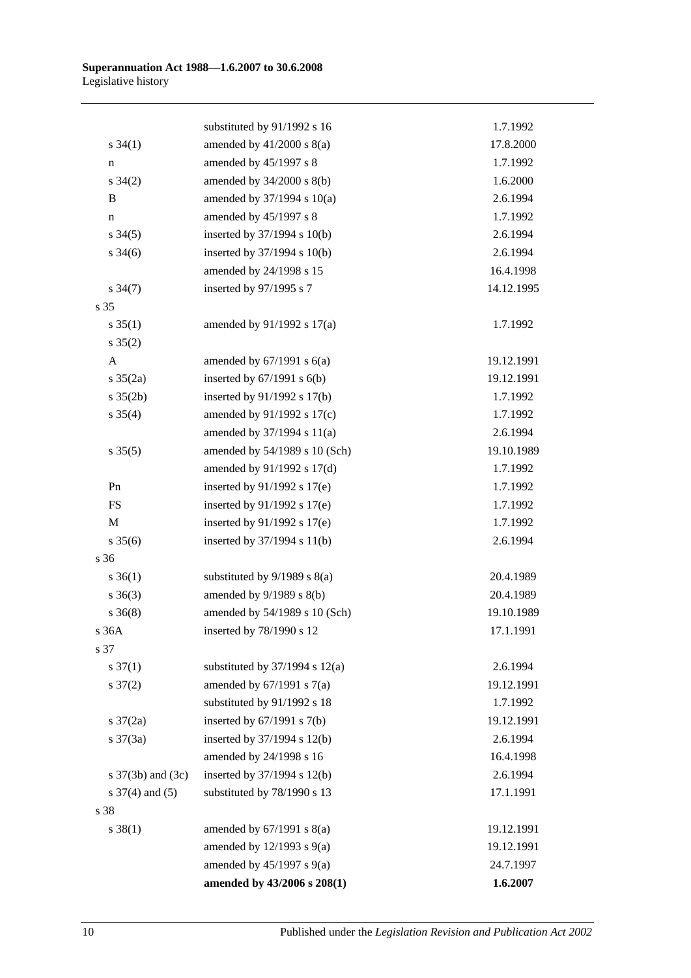|                       | substituted by 91/1992 s 16        | 1.7.1992   |
|-----------------------|------------------------------------|------------|
| $s \; 34(1)$          | amended by $41/2000$ s $8(a)$      | 17.8.2000  |
| n                     | amended by 45/1997 s 8             | 1.7.1992   |
| $s \; 34(2)$          | amended by $34/2000$ s $8(b)$      | 1.6.2000   |
| B                     | amended by 37/1994 s 10(a)         | 2.6.1994   |
| n                     | amended by 45/1997 s 8             | 1.7.1992   |
| $s \; 34(5)$          | inserted by 37/1994 s 10(b)        | 2.6.1994   |
| $s \frac{34(6)}{2}$   | inserted by $37/1994$ s $10(b)$    | 2.6.1994   |
|                       | amended by 24/1998 s 15            | 16.4.1998  |
| $s \frac{34(7)}{2}$   | inserted by 97/1995 s 7            | 14.12.1995 |
| s 35                  |                                    |            |
| $s \, 35(1)$          | amended by 91/1992 s 17(a)         | 1.7.1992   |
| $s \; 35(2)$          |                                    |            |
| A                     | amended by $67/1991$ s $6(a)$      | 19.12.1991 |
| $s \frac{35(2a)}{2}$  | inserted by $67/1991$ s $6(b)$     | 19.12.1991 |
| $s \, 35(2b)$         | inserted by 91/1992 s 17(b)        | 1.7.1992   |
| $s \; 35(4)$          | amended by $91/1992$ s $17(c)$     | 1.7.1992   |
|                       | amended by 37/1994 s 11(a)         | 2.6.1994   |
| $s \, 35(5)$          | amended by 54/1989 s 10 (Sch)      | 19.10.1989 |
|                       | amended by 91/1992 s 17(d)         | 1.7.1992   |
| Pn                    | inserted by $91/1992$ s $17(e)$    | 1.7.1992   |
| <b>FS</b>             | inserted by $91/1992$ s $17(e)$    | 1.7.1992   |
| $\mathbf{M}$          | inserted by $91/1992$ s $17(e)$    | 1.7.1992   |
| $s \; 35(6)$          | inserted by 37/1994 s 11(b)        | 2.6.1994   |
| s 36                  |                                    |            |
| $s \; 36(1)$          | substituted by $9/1989$ s $8(a)$   | 20.4.1989  |
| $s \; 36(3)$          | amended by $9/1989$ s $8(b)$       | 20.4.1989  |
| $s \; 36(8)$          | amended by 54/1989 s 10 (Sch)      | 19.10.1989 |
| s 36A                 | inserted by 78/1990 s 12           | 17.1.1991  |
| s 37                  |                                    |            |
| $s \frac{37(1)}{2}$   | substituted by $37/1994$ s $12(a)$ | 2.6.1994   |
| $s \frac{37(2)}{2}$   | amended by 67/1991 s 7(a)          | 19.12.1991 |
|                       | substituted by 91/1992 s 18        | 1.7.1992   |
| $s \frac{37}{2a}$     | inserted by $67/1991$ s $7(b)$     | 19.12.1991 |
| $s \frac{37(3a)}{2}$  | inserted by 37/1994 s 12(b)        | 2.6.1994   |
|                       | amended by 24/1998 s 16            | 16.4.1998  |
| s $37(3b)$ and $(3c)$ | inserted by 37/1994 s 12(b)        | 2.6.1994   |
| s $37(4)$ and $(5)$   | substituted by 78/1990 s 13        | 17.1.1991  |
| s 38                  |                                    |            |
| $s \ 38(1)$           | amended by $67/1991$ s $8(a)$      | 19.12.1991 |
|                       | amended by $12/1993$ s $9(a)$      | 19.12.1991 |
|                       | amended by $45/1997$ s $9(a)$      | 24.7.1997  |
|                       | amended by 43/2006 s 208(1)        | 1.6.2007   |
|                       |                                    |            |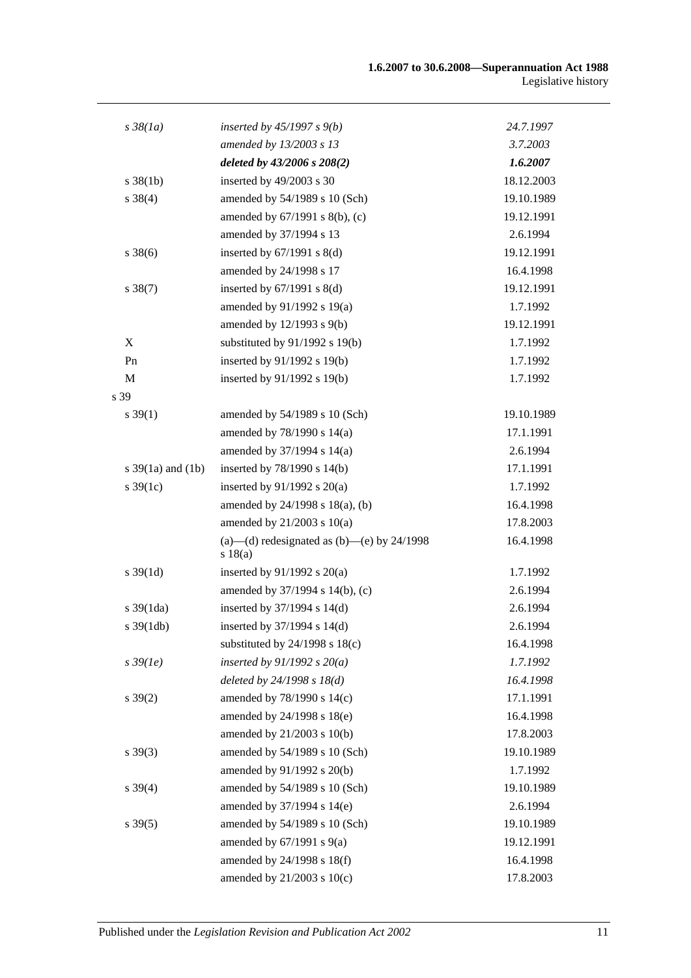| $s\,38(1a)$           | inserted by $45/1997 s 9(b)$                            | 24.7.1997  |
|-----------------------|---------------------------------------------------------|------------|
|                       | amended by 13/2003 s 13                                 | 3.7.2003   |
|                       | deleted by 43/2006 s 208(2)                             | 1.6.2007   |
| $s \frac{38}{1b}$     | inserted by 49/2003 s 30                                | 18.12.2003 |
| $s \, 38(4)$          | amended by 54/1989 s 10 (Sch)                           | 19.10.1989 |
|                       | amended by 67/1991 s 8(b), (c)                          | 19.12.1991 |
|                       | amended by 37/1994 s 13                                 | 2.6.1994   |
| $s \, 38(6)$          | inserted by $67/1991$ s $8(d)$                          | 19.12.1991 |
|                       | amended by 24/1998 s 17                                 | 16.4.1998  |
| $s \, 38(7)$          | inserted by $67/1991$ s $8(d)$                          | 19.12.1991 |
|                       | amended by $91/1992$ s $19(a)$                          | 1.7.1992   |
|                       | amended by 12/1993 s 9(b)                               | 19.12.1991 |
| $\mathbf X$           | substituted by 91/1992 s 19(b)                          | 1.7.1992   |
| Pn                    | inserted by 91/1992 s 19(b)                             | 1.7.1992   |
| M                     | inserted by 91/1992 s 19(b)                             | 1.7.1992   |
| s 39                  |                                                         |            |
| $s \, 39(1)$          | amended by 54/1989 s 10 (Sch)                           | 19.10.1989 |
|                       | amended by 78/1990 s 14(a)                              | 17.1.1991  |
|                       | amended by 37/1994 s 14(a)                              | 2.6.1994   |
| s $39(1a)$ and $(1b)$ | inserted by $78/1990$ s $14(b)$                         | 17.1.1991  |
| $s \, 39(1c)$         | inserted by $91/1992$ s $20(a)$                         | 1.7.1992   |
|                       | amended by 24/1998 s 18(a), (b)                         | 16.4.1998  |
|                       | amended by $21/2003$ s $10(a)$                          | 17.8.2003  |
|                       | (a)—(d) redesignated as (b)—(e) by $24/1998$<br>s 18(a) | 16.4.1998  |
| $s \, 39(1d)$         | inserted by $91/1992$ s $20(a)$                         | 1.7.1992   |
|                       | amended by 37/1994 s 14(b), (c)                         | 2.6.1994   |
| $s \frac{39(1da)}{2}$ | inserted by $37/1994$ s $14(d)$                         | 2.6.1994   |
| $s \frac{39(1db)}{2}$ | inserted by 37/1994 s 14(d)                             | 2.6.1994   |
|                       | substituted by $24/1998$ s $18(c)$                      | 16.4.1998  |
| $s\,39(1e)$           | inserted by $91/1992 s 20(a)$                           | 1.7.1992   |
|                       | deleted by $24/1998 s 18(d)$                            | 16.4.1998  |
| $s \, 39(2)$          | amended by 78/1990 s 14(c)                              | 17.1.1991  |
|                       | amended by 24/1998 s 18(e)                              | 16.4.1998  |
|                       | amended by 21/2003 s 10(b)                              | 17.8.2003  |
| $s \, 39(3)$          | amended by 54/1989 s 10 (Sch)                           | 19.10.1989 |
|                       | amended by 91/1992 s 20(b)                              | 1.7.1992   |
| $s \, 39(4)$          | amended by 54/1989 s 10 (Sch)                           | 19.10.1989 |
|                       | amended by 37/1994 s 14(e)                              | 2.6.1994   |
| $s \, 39(5)$          | amended by 54/1989 s 10 (Sch)                           | 19.10.1989 |
|                       | amended by $67/1991$ s $9(a)$                           | 19.12.1991 |
|                       | amended by 24/1998 s 18(f)                              | 16.4.1998  |
|                       | amended by 21/2003 s 10(c)                              | 17.8.2003  |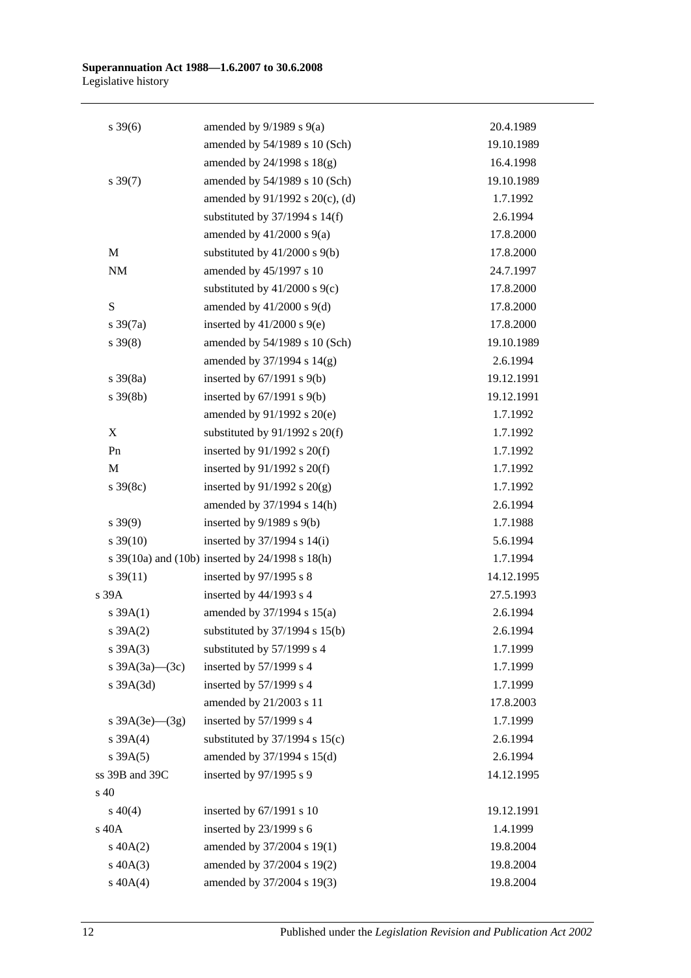| $s \, 39(6)$         | amended by $9/1989$ s $9(a)$                    | 20.4.1989  |
|----------------------|-------------------------------------------------|------------|
|                      | amended by 54/1989 s 10 (Sch)                   | 19.10.1989 |
|                      | amended by 24/1998 s 18(g)                      | 16.4.1998  |
| $s \frac{39(7)}{2}$  | amended by 54/1989 s 10 (Sch)                   | 19.10.1989 |
|                      | amended by 91/1992 s 20(c), (d)                 | 1.7.1992   |
|                      | substituted by $37/1994$ s $14(f)$              | 2.6.1994   |
|                      | amended by $41/2000$ s $9(a)$                   | 17.8.2000  |
| $\mathbf M$          | substituted by $41/2000$ s $9(b)$               | 17.8.2000  |
| $\rm{NM}$            | amended by 45/1997 s 10                         | 24.7.1997  |
|                      | substituted by $41/2000$ s $9(c)$               | 17.8.2000  |
| ${\bf S}$            | amended by $41/2000$ s $9(d)$                   | 17.8.2000  |
| $s \frac{39(7a)}{2}$ | inserted by $41/2000$ s $9(e)$                  | 17.8.2000  |
| $s \, 39(8)$         | amended by 54/1989 s 10 (Sch)                   | 19.10.1989 |
|                      | amended by $37/1994$ s $14(g)$                  | 2.6.1994   |
| $s \frac{39(8a)}{2}$ | inserted by $67/1991$ s $9(b)$                  | 19.12.1991 |
| $s \, 39(8b)$        | inserted by $67/1991$ s $9(b)$                  | 19.12.1991 |
|                      | amended by 91/1992 s 20(e)                      | 1.7.1992   |
| X                    | substituted by $91/1992$ s $20(f)$              | 1.7.1992   |
| Pn                   | inserted by $91/1992$ s $20(f)$                 | 1.7.1992   |
| M                    | inserted by $91/1992$ s $20(f)$                 | 1.7.1992   |
| $s \, 39(8c)$        | inserted by $91/1992$ s $20(g)$                 | 1.7.1992   |
|                      | amended by 37/1994 s 14(h)                      | 2.6.1994   |
| $s \, 39(9)$         | inserted by $9/1989$ s $9(b)$                   | 1.7.1988   |
| $s \, 39(10)$        | inserted by $37/1994$ s $14(i)$                 | 5.6.1994   |
|                      | s 39(10a) and (10b) inserted by 24/1998 s 18(h) | 1.7.1994   |
| $s \frac{39(11)}{2}$ | inserted by 97/1995 s 8                         | 14.12.1995 |
| s39A                 | inserted by $44/1993$ s 4                       | 27.5.1993  |
| s 39A(1)             | amended by 37/1994 s 15(a)                      | 2.6.1994   |
| $s \, 39A(2)$        | substituted by $37/1994$ s $15(b)$              | 2.6.1994   |
| $s \, 39A(3)$        | substituted by 57/1999 s 4                      | 1.7.1999   |
| s $39A(3a)$ (3c)     | inserted by 57/1999 s 4                         | 1.7.1999   |
| $s$ 39A $(3d)$       | inserted by 57/1999 s 4                         | 1.7.1999   |
|                      | amended by 21/2003 s 11                         | 17.8.2003  |
| s $39A(3e)$ (3g)     | inserted by 57/1999 s 4                         | 1.7.1999   |
| s 39A(4)             | substituted by $37/1994$ s $15(c)$              | 2.6.1994   |
| s 39A(5)             | amended by 37/1994 s 15(d)                      | 2.6.1994   |
| ss 39B and 39C       | inserted by 97/1995 s 9                         | 14.12.1995 |
| s 40                 |                                                 |            |
| $s\ 40(4)$           | inserted by 67/1991 s 10                        | 19.12.1991 |
| s 40A                | inserted by 23/1999 s 6                         | 1.4.1999   |
| $s\ 40A(2)$          | amended by 37/2004 s 19(1)                      | 19.8.2004  |
| $s\ 40A(3)$          | amended by 37/2004 s 19(2)                      | 19.8.2004  |
| $s\ 40A(4)$          | amended by 37/2004 s 19(3)                      | 19.8.2004  |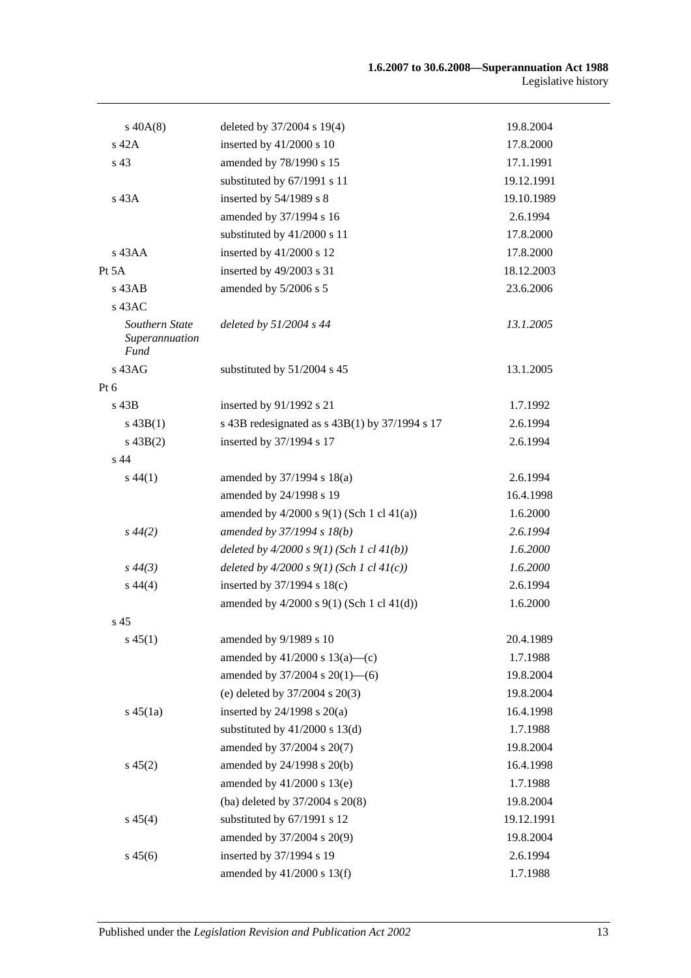| $s\,40A(8)$                                     | deleted by 37/2004 s 19(4)                       | 19.8.2004  |
|-------------------------------------------------|--------------------------------------------------|------------|
| s 42A                                           | inserted by $41/2000$ s 10                       | 17.8.2000  |
| s 43                                            | amended by 78/1990 s 15                          | 17.1.1991  |
|                                                 | substituted by 67/1991 s 11                      | 19.12.1991 |
| s 43A                                           | inserted by 54/1989 s 8                          | 19.10.1989 |
|                                                 | amended by 37/1994 s 16                          | 2.6.1994   |
|                                                 | substituted by 41/2000 s 11                      | 17.8.2000  |
| s 43AA                                          | inserted by 41/2000 s 12                         | 17.8.2000  |
| Pt $5A$                                         | inserted by 49/2003 s 31                         | 18.12.2003 |
| $s$ 43AB                                        | amended by 5/2006 s 5                            | 23.6.2006  |
| s 43AC                                          |                                                  |            |
| Southern State<br>Superannuation<br><b>Fund</b> | deleted by $51/2004$ s 44                        | 13.1.2005  |
| s 43AG                                          | substituted by 51/2004 s 45                      | 13.1.2005  |
| Pt $6$                                          |                                                  |            |
| s 43B                                           | inserted by 91/1992 s 21                         | 1.7.1992   |
| $s\,43B(1)$                                     | s 43B redesignated as $s$ 43B(1) by 37/1994 s 17 | 2.6.1994   |
| $s\,43B(2)$                                     | inserted by 37/1994 s 17                         | 2.6.1994   |
| s 44                                            |                                                  |            |
| $s\,44(1)$                                      | amended by $37/1994$ s $18(a)$                   | 2.6.1994   |
|                                                 | amended by 24/1998 s 19                          | 16.4.1998  |
|                                                 | amended by $4/2000$ s $9(1)$ (Sch 1 cl $41(a)$ ) | 1.6.2000   |
| $s\,44(2)$                                      | amended by 37/1994 s 18(b)                       | 2.6.1994   |
|                                                 | deleted by $4/2000 s 9(1)$ (Sch 1 cl $41(b)$ )   | 1.6.2000   |
| $s\,44(3)$                                      | deleted by $4/2000 s 9(1)$ (Sch 1 cl $41(c)$ )   | 1.6.2000   |
| $s\,44(4)$                                      | inserted by $37/1994$ s $18(c)$                  | 2.6.1994   |
|                                                 | amended by $4/2000$ s $9(1)$ (Sch 1 cl $41(d)$ ) | 1.6.2000   |
| s <sub>45</sub>                                 |                                                  |            |
| $s\,45(1)$                                      | amended by 9/1989 s 10                           | 20.4.1989  |
|                                                 | amended by $41/2000$ s $13(a)$ —(c)              | 1.7.1988   |
|                                                 | amended by $37/2004$ s $20(1)$ —(6)              | 19.8.2004  |
|                                                 | (e) deleted by 37/2004 s 20(3)                   | 19.8.2004  |
| $s\,45(1a)$                                     | inserted by $24/1998$ s $20(a)$                  | 16.4.1998  |
|                                                 | substituted by $41/2000$ s $13(d)$               | 1.7.1988   |
|                                                 | amended by 37/2004 s 20(7)                       | 19.8.2004  |
| $s\,45(2)$                                      | amended by 24/1998 s 20(b)                       | 16.4.1998  |
|                                                 | amended by $41/2000$ s $13(e)$                   | 1.7.1988   |
|                                                 | (ba) deleted by 37/2004 s 20(8)                  | 19.8.2004  |
| $s\,45(4)$                                      | substituted by 67/1991 s 12                      | 19.12.1991 |
|                                                 | amended by 37/2004 s 20(9)                       | 19.8.2004  |
| $s\,45(6)$                                      | inserted by 37/1994 s 19                         | 2.6.1994   |
|                                                 | amended by 41/2000 s 13(f)                       | 1.7.1988   |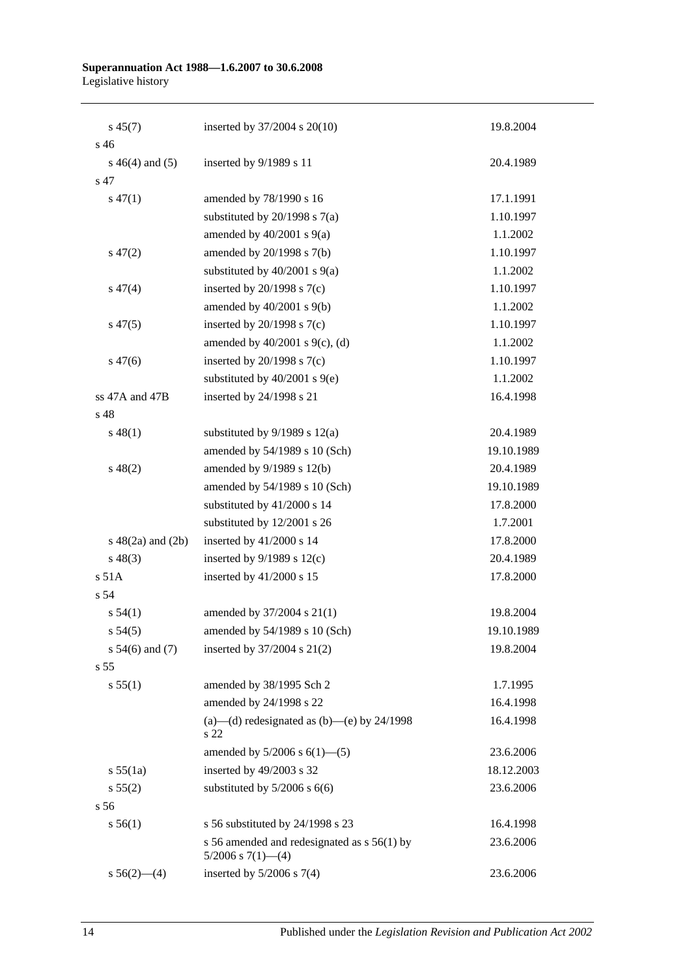| $s\,45(7)$             | inserted by 37/2004 s 20(10)                                            | 19.8.2004  |
|------------------------|-------------------------------------------------------------------------|------------|
| s <sub>46</sub>        |                                                                         |            |
| $s\ 46(4)$ and (5)     | inserted by 9/1989 s 11                                                 | 20.4.1989  |
| s 47                   |                                                                         |            |
| $s\,47(1)$             | amended by 78/1990 s 16                                                 | 17.1.1991  |
|                        | substituted by $20/1998$ s $7(a)$                                       | 1.10.1997  |
|                        | amended by $40/2001$ s $9(a)$                                           | 1.1.2002   |
| $s\,47(2)$             | amended by 20/1998 s 7(b)                                               | 1.10.1997  |
|                        | substituted by $40/2001$ s $9(a)$                                       | 1.1.2002   |
| $s\,47(4)$             | inserted by $20/1998$ s $7(c)$                                          | 1.10.1997  |
|                        | amended by 40/2001 s 9(b)                                               | 1.1.2002   |
| $s\,47(5)$             | inserted by $20/1998$ s $7(c)$                                          | 1.10.1997  |
|                        | amended by $40/2001$ s $9(c)$ , (d)                                     | 1.1.2002   |
| $s\,47(6)$             | inserted by $20/1998$ s $7(c)$                                          | 1.10.1997  |
|                        | substituted by $40/2001$ s $9(e)$                                       | 1.1.2002   |
| ss 47A and 47B         | inserted by 24/1998 s 21                                                | 16.4.1998  |
| s 48                   |                                                                         |            |
| $s\,48(1)$             | substituted by $9/1989$ s $12(a)$                                       | 20.4.1989  |
|                        | amended by 54/1989 s 10 (Sch)                                           | 19.10.1989 |
| $s\ 48(2)$             | amended by 9/1989 s 12(b)                                               | 20.4.1989  |
|                        | amended by 54/1989 s 10 (Sch)                                           | 19.10.1989 |
|                        | substituted by 41/2000 s 14                                             | 17.8.2000  |
|                        | substituted by 12/2001 s 26                                             | 1.7.2001   |
| $s\ 48(2a)$ and $(2b)$ | inserted by 41/2000 s 14                                                | 17.8.2000  |
| $s\,48(3)$             | inserted by $9/1989$ s $12(c)$                                          | 20.4.1989  |
| s 51A                  | inserted by $41/2000$ s 15                                              | 17.8.2000  |
| s 54                   |                                                                         |            |
| s 54(1)                | amended by 37/2004 s 21(1)                                              | 19.8.2004  |
| $s\,54(5)$             | amended by $54/1989$ s 10 (Sch)                                         | 19.10.1989 |
| s $54(6)$ and $(7)$    | inserted by 37/2004 s 21(2)                                             | 19.8.2004  |
| s 55                   |                                                                         |            |
| s 55(1)                | amended by 38/1995 Sch 2                                                | 1.7.1995   |
|                        | amended by 24/1998 s 22                                                 | 16.4.1998  |
|                        | (a)—(d) redesignated as (b)—(e) by $24/1998$<br>s 22                    | 16.4.1998  |
|                        | amended by $5/2006$ s $6(1)$ — $(5)$                                    | 23.6.2006  |
| s 55(1a)               | inserted by 49/2003 s 32                                                | 18.12.2003 |
| s 55(2)                | substituted by $5/2006$ s $6(6)$                                        | 23.6.2006  |
| s 56                   |                                                                         |            |
| s 56(1)                | s 56 substituted by 24/1998 s 23                                        | 16.4.1998  |
|                        | s 56 amended and redesignated as $s$ 56(1) by<br>$5/2006$ s $7(1)$ —(4) | 23.6.2006  |
| $s\,56(2)$ —(4)        | inserted by $5/2006$ s $7(4)$                                           | 23.6.2006  |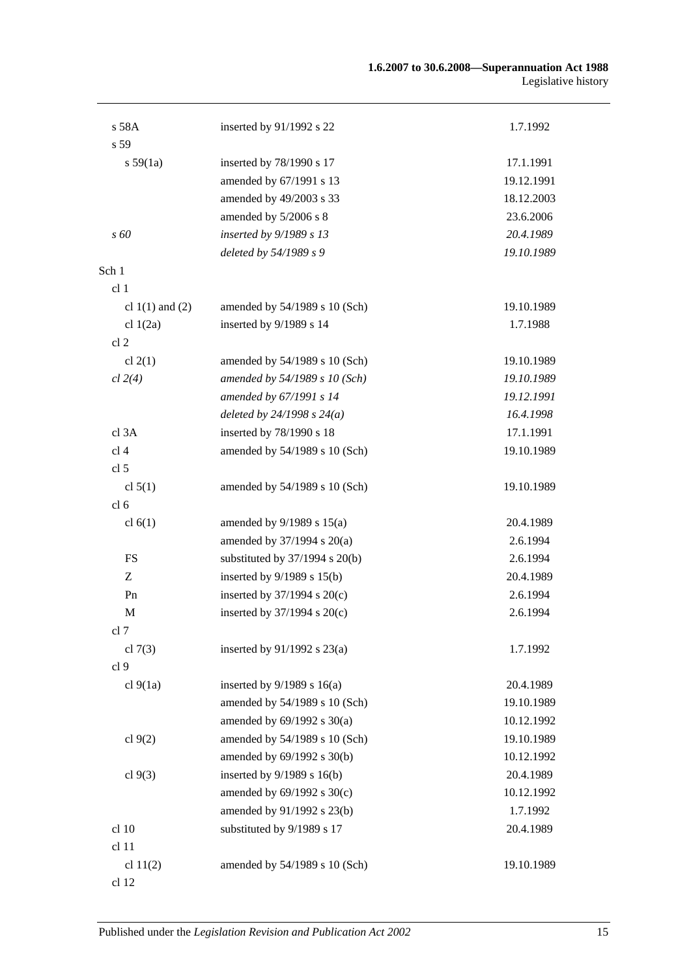#### **1.6.2007 to 30.6.2008—Superannuation Act 1988** Legislative history

| s 58A               | inserted by 91/1992 s 22           | 1.7.1992   |
|---------------------|------------------------------------|------------|
| s 59                |                                    |            |
| s 59(1a)            | inserted by 78/1990 s 17           | 17.1.1991  |
|                     | amended by 67/1991 s 13            | 19.12.1991 |
|                     | amended by 49/2003 s 33            | 18.12.2003 |
|                     | amended by 5/2006 s 8              | 23.6.2006  |
| $\overline{s}$ 60   | inserted by 9/1989 s 13            | 20.4.1989  |
|                     | deleted by 54/1989 s 9             | 19.10.1989 |
| Sch 1               |                                    |            |
| cl <sub>1</sub>     |                                    |            |
| cl $1(1)$ and $(2)$ | amended by 54/1989 s 10 (Sch)      | 19.10.1989 |
| cl $1(2a)$          | inserted by 9/1989 s 14            | 1.7.1988   |
| cl <sub>2</sub>     |                                    |            |
| cl $2(1)$           | amended by 54/1989 s 10 (Sch)      | 19.10.1989 |
| cl 2(4)             | amended by 54/1989 s 10 (Sch)      | 19.10.1989 |
|                     | amended by 67/1991 s 14            | 19.12.1991 |
|                     | deleted by $24/1998 s 24(a)$       | 16.4.1998  |
| cl 3A               | inserted by 78/1990 s 18           | 17.1.1991  |
| cl <sub>4</sub>     | amended by 54/1989 s 10 (Sch)      | 19.10.1989 |
| cl <sub>5</sub>     |                                    |            |
| cl $5(1)$           | amended by 54/1989 s 10 (Sch)      | 19.10.1989 |
| cl <sub>6</sub>     |                                    |            |
| cl $6(1)$           | amended by $9/1989$ s $15(a)$      | 20.4.1989  |
|                     | amended by 37/1994 s 20(a)         | 2.6.1994   |
| FS                  | substituted by $37/1994$ s $20(b)$ | 2.6.1994   |
| Ζ                   | inserted by $9/1989$ s $15(b)$     | 20.4.1989  |
| Pn                  | inserted by $37/1994$ s $20(c)$    | 2.6.1994   |
| M                   | inserted by $37/1994$ s $20(c)$    | 2.6.1994   |
| cl 7                |                                    |            |
| cl $7(3)$           | inserted by $91/1992$ s $23(a)$    | 1.7.1992   |
| cl <sub>9</sub>     |                                    |            |
| cl $9(1a)$          | inserted by $9/1989$ s $16(a)$     | 20.4.1989  |
|                     | amended by 54/1989 s 10 (Sch)      | 19.10.1989 |
|                     | amended by $69/1992$ s $30(a)$     | 10.12.1992 |
| cl $9(2)$           | amended by 54/1989 s 10 (Sch)      | 19.10.1989 |
|                     | amended by 69/1992 s 30(b)         | 10.12.1992 |
| cl $9(3)$           | inserted by $9/1989$ s $16(b)$     | 20.4.1989  |
|                     | amended by 69/1992 s 30(c)         | 10.12.1992 |
|                     | amended by 91/1992 s 23(b)         | 1.7.1992   |
| cl 10               | substituted by 9/1989 s 17         | 20.4.1989  |
| cl 11               |                                    |            |
| cl $11(2)$          | amended by 54/1989 s 10 (Sch)      | 19.10.1989 |
| cl 12               |                                    |            |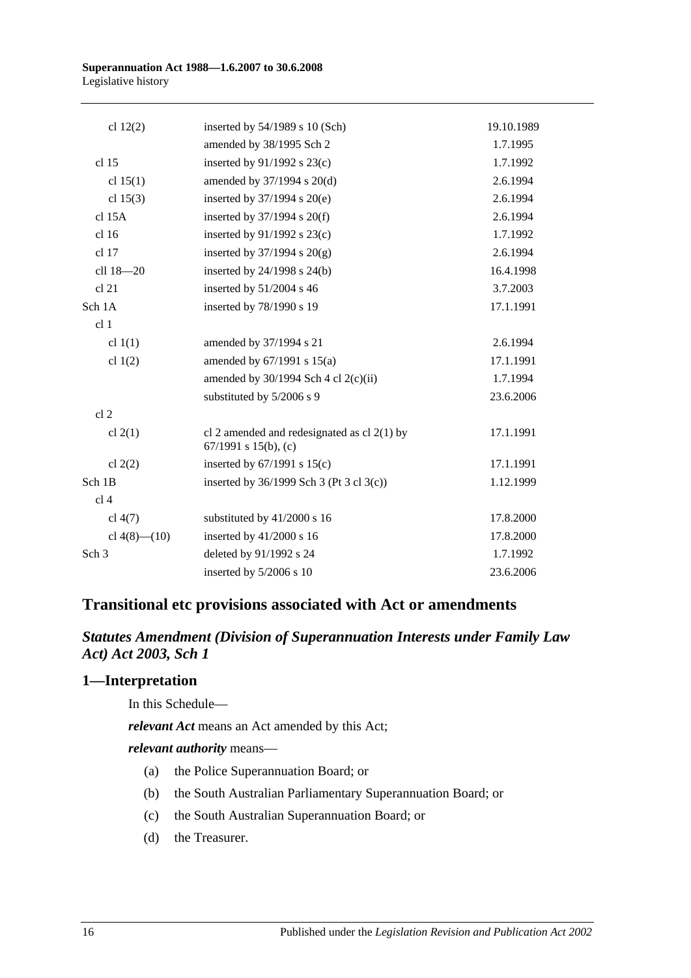#### **Superannuation Act 1988—1.6.2007 to 30.6.2008** Legislative history

| cl $12(2)$         | inserted by $54/1989$ s 10 (Sch)                                      | 19.10.1989 |
|--------------------|-----------------------------------------------------------------------|------------|
|                    | amended by 38/1995 Sch 2                                              | 1.7.1995   |
| cl 15              | inserted by $91/1992$ s $23(c)$                                       | 1.7.1992   |
| cl $15(1)$         | amended by 37/1994 s 20(d)                                            | 2.6.1994   |
| cl $15(3)$         | inserted by $37/1994$ s $20(e)$                                       | 2.6.1994   |
| $cl$ 15A           | inserted by $37/1994$ s $20(f)$                                       | 2.6.1994   |
| cl 16              | inserted by $91/1992$ s $23(c)$                                       | 1.7.1992   |
| cl 17              | inserted by $37/1994$ s $20(g)$                                       | 2.6.1994   |
| cll 18-20          | inserted by 24/1998 s 24(b)                                           | 16.4.1998  |
| cl 21              | inserted by 51/2004 s 46                                              | 3.7.2003   |
| Sch 1A             | inserted by 78/1990 s 19                                              | 17.1.1991  |
| cl <sub>1</sub>    |                                                                       |            |
| cl $1(1)$          | amended by 37/1994 s 21                                               | 2.6.1994   |
| cl $1(2)$          | amended by 67/1991 s 15(a)                                            | 17.1.1991  |
|                    | amended by $30/1994$ Sch 4 cl $2(c)(ii)$                              | 1.7.1994   |
|                    | substituted by 5/2006 s 9                                             | 23.6.2006  |
| cl <sub>2</sub>    |                                                                       |            |
| cl $2(1)$          | cl 2 amended and redesignated as cl $2(1)$ by<br>67/1991 s 15(b), (c) | 17.1.1991  |
| cl $2(2)$          | inserted by $67/1991$ s $15(c)$                                       | 17.1.1991  |
| Sch 1B             | inserted by 36/1999 Sch 3 (Pt 3 cl 3(c))                              | 1.12.1999  |
| cl <sub>4</sub>    |                                                                       |            |
| cl $4(7)$          | substituted by 41/2000 s 16                                           | 17.8.2000  |
| cl $4(8)$ — $(10)$ | inserted by $41/2000$ s 16                                            | 17.8.2000  |
| Sch <sub>3</sub>   | deleted by 91/1992 s 24                                               | 1.7.1992   |
|                    | inserted by 5/2006 s 10                                               | 23.6.2006  |

# **Transitional etc provisions associated with Act or amendments**

## *Statutes Amendment (Division of Superannuation Interests under Family Law Act) Act 2003, Sch 1*

#### **1—Interpretation**

In this Schedule—

*relevant Act* means an Act amended by this Act;

*relevant authority* means—

- (a) the Police Superannuation Board; or
- (b) the South Australian Parliamentary Superannuation Board; or
- (c) the South Australian Superannuation Board; or
- (d) the Treasurer.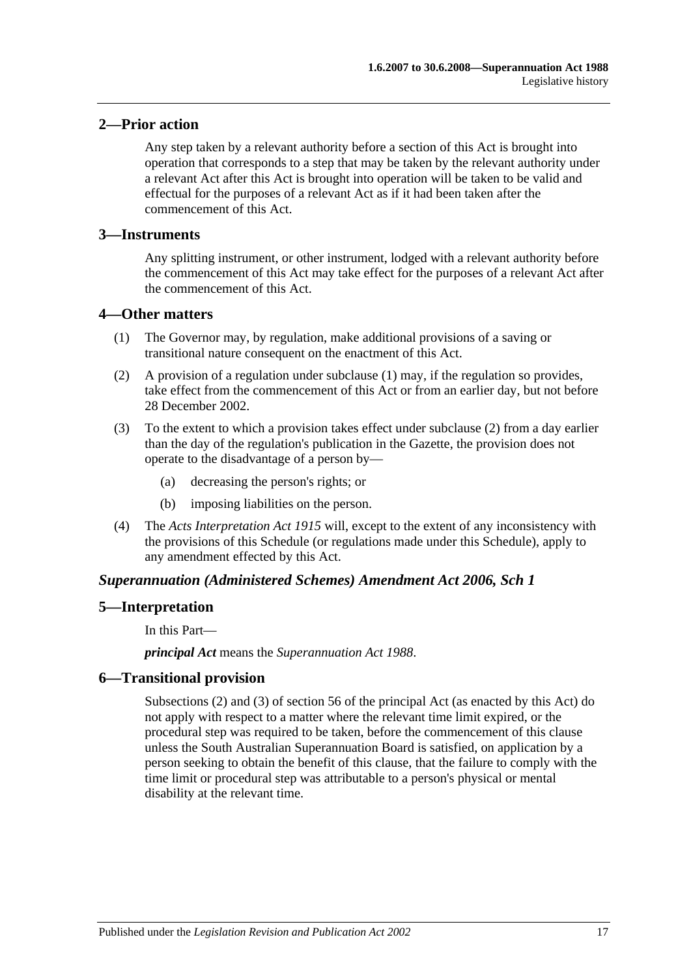## **2—Prior action**

Any step taken by a relevant authority before a section of this Act is brought into operation that corresponds to a step that may be taken by the relevant authority under a relevant Act after this Act is brought into operation will be taken to be valid and effectual for the purposes of a relevant Act as if it had been taken after the commencement of this Act.

#### **3—Instruments**

Any splitting instrument, or other instrument, lodged with a relevant authority before the commencement of this Act may take effect for the purposes of a relevant Act after the commencement of this Act.

### **4—Other matters**

- (1) The Governor may, by regulation, make additional provisions of a saving or transitional nature consequent on the enactment of this Act.
- (2) A provision of a regulation under subclause (1) may, if the regulation so provides, take effect from the commencement of this Act or from an earlier day, but not before 28 December 2002.
- (3) To the extent to which a provision takes effect under subclause (2) from a day earlier than the day of the regulation's publication in the Gazette, the provision does not operate to the disadvantage of a person by—
	- (a) decreasing the person's rights; or
	- (b) imposing liabilities on the person.
- (4) The *[Acts Interpretation Act](http://www.legislation.sa.gov.au/index.aspx?action=legref&type=act&legtitle=Acts%20Interpretation%20Act%201915) 1915* will, except to the extent of any inconsistency with the provisions of this Schedule (or regulations made under this Schedule), apply to any amendment effected by this Act.

#### *Superannuation (Administered Schemes) Amendment Act 2006, Sch 1*

#### **5—Interpretation**

In this Part—

*principal Act* means the *[Superannuation Act](http://www.legislation.sa.gov.au/index.aspx?action=legref&type=act&legtitle=Superannuation%20Act%201988) 1988*.

#### **6—Transitional provision**

Subsections (2) and (3) of section 56 of the principal Act (as enacted by this Act) do not apply with respect to a matter where the relevant time limit expired, or the procedural step was required to be taken, before the commencement of this clause unless the South Australian Superannuation Board is satisfied, on application by a person seeking to obtain the benefit of this clause, that the failure to comply with the time limit or procedural step was attributable to a person's physical or mental disability at the relevant time.